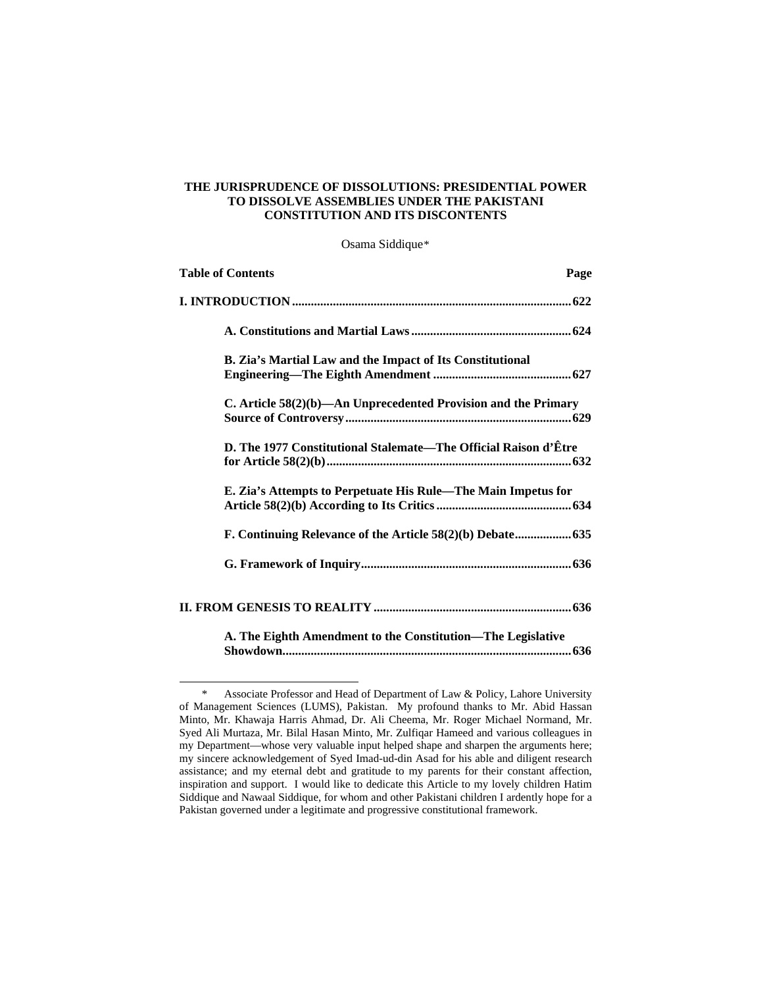# **THE JURISPRUDENCE OF DISSOLUTIONS: PRESIDENTIAL POWER TO DISSOLVE ASSEMBLIES UNDER THE PAKISTANI CONSTITUTION AND ITS DISCONTENTS**

Osama Siddique[\\*](#page-0-0)

| <b>Table of Contents</b>                                          | Page |
|-------------------------------------------------------------------|------|
|                                                                   |      |
|                                                                   |      |
| B. Zia's Martial Law and the Impact of Its Constitutional         |      |
| C. Article $58(2)(b)$ —An Unprecedented Provision and the Primary |      |
| D. The 1977 Constitutional Stalemate—The Official Raison d'Être   |      |
| E. Zia's Attempts to Perpetuate His Rule—The Main Impetus for     |      |
|                                                                   |      |
|                                                                   |      |
|                                                                   |      |
| A. The Eighth Amendment to the Constitution—The Legislative       |      |

**[Showdown............................................................................................636](#page-21-0)**

<span id="page-0-0"></span><sup>\*</sup> Associate Professor and Head of Department of Law & Policy, Lahore University of Management Sciences (LUMS), Pakistan. My profound thanks to Mr. Abid Hassan Minto, Mr. Khawaja Harris Ahmad, Dr. Ali Cheema, Mr. Roger Michael Normand, Mr. Syed Ali Murtaza, Mr. Bilal Hasan Minto, Mr. Zulfiqar Hameed and various colleagues in my Department—whose very valuable input helped shape and sharpen the arguments here; my sincere acknowledgement of Syed Imad-ud-din Asad for his able and diligent research assistance; and my eternal debt and gratitude to my parents for their constant affection, inspiration and support. I would like to dedicate this Article to my lovely children Hatim Siddique and Nawaal Siddique, for whom and other Pakistani children I ardently hope for a Pakistan governed under a legitimate and progressive constitutional framework.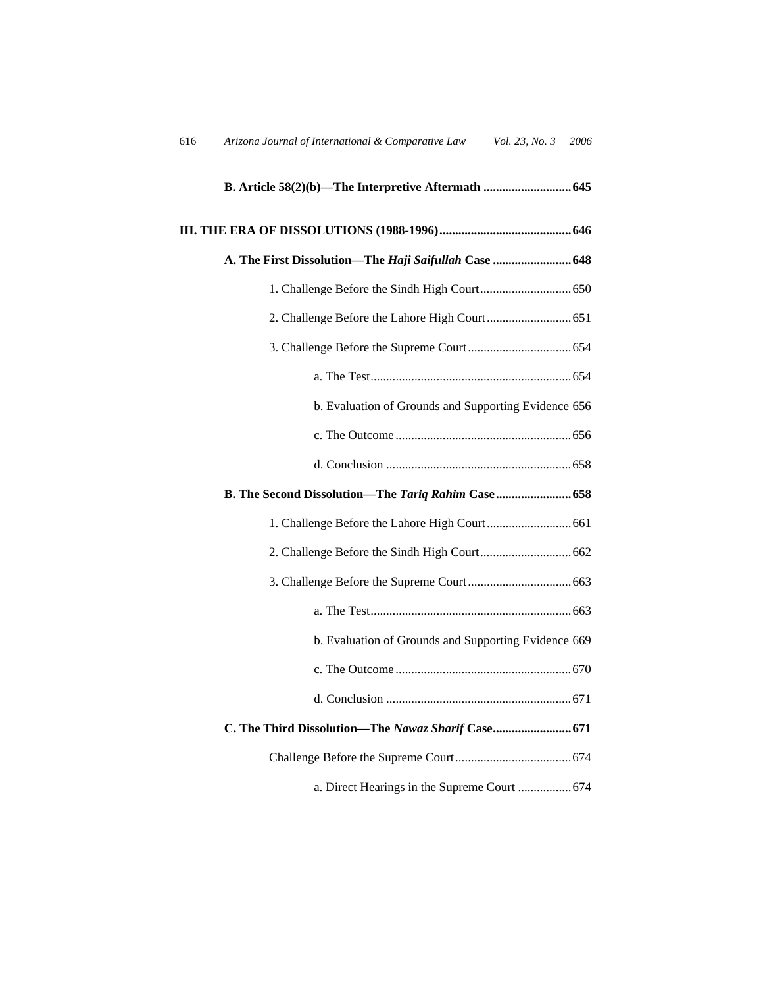| 616                                                        | Arizona Journal of International & Comparative Law<br><i>Vol.</i> 23, <i>No.</i> 3<br>2006 |  |  |
|------------------------------------------------------------|--------------------------------------------------------------------------------------------|--|--|
|                                                            | B. Article 58(2)(b)-The Interpretive Aftermath  645                                        |  |  |
|                                                            |                                                                                            |  |  |
|                                                            | A. The First Dissolution-The Haji Saifullah Case  648                                      |  |  |
|                                                            |                                                                                            |  |  |
|                                                            |                                                                                            |  |  |
|                                                            |                                                                                            |  |  |
|                                                            |                                                                                            |  |  |
|                                                            | b. Evaluation of Grounds and Supporting Evidence 656                                       |  |  |
|                                                            |                                                                                            |  |  |
|                                                            |                                                                                            |  |  |
| <b>B. The Second Dissolution—The Tariq Rahim Case  658</b> |                                                                                            |  |  |
|                                                            |                                                                                            |  |  |
|                                                            |                                                                                            |  |  |
|                                                            |                                                                                            |  |  |
|                                                            |                                                                                            |  |  |
|                                                            | b. Evaluation of Grounds and Supporting Evidence 669                                       |  |  |
|                                                            |                                                                                            |  |  |
|                                                            |                                                                                            |  |  |
|                                                            | C. The Third Dissolution-The Nawaz Sharif Case 671                                         |  |  |
|                                                            |                                                                                            |  |  |
|                                                            | a. Direct Hearings in the Supreme Court  674                                               |  |  |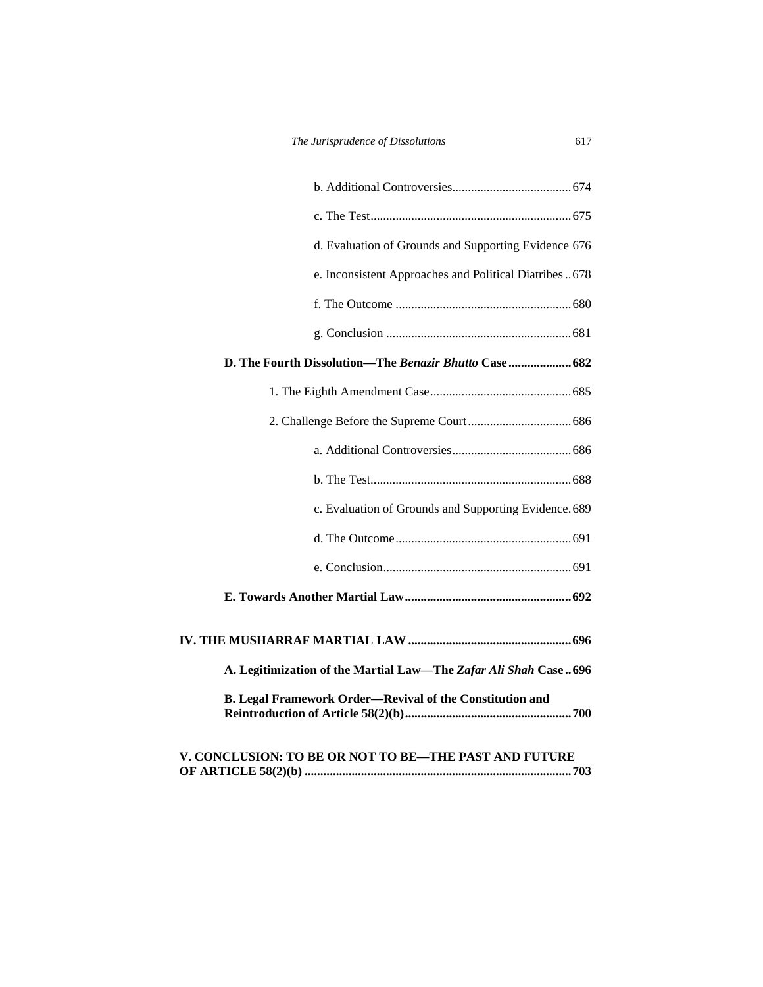| V. CONCLUSION: TO BE OR NOT TO BE-THE PAST AND FUTURE           |  |  |
|-----------------------------------------------------------------|--|--|
| <b>B. Legal Framework Order—Revival of the Constitution and</b> |  |  |
| A. Legitimization of the Martial Law-The Zafar Ali Shah Case696 |  |  |
|                                                                 |  |  |
|                                                                 |  |  |
|                                                                 |  |  |
|                                                                 |  |  |
| c. Evaluation of Grounds and Supporting Evidence. 689           |  |  |
|                                                                 |  |  |
|                                                                 |  |  |
|                                                                 |  |  |
|                                                                 |  |  |
| D. The Fourth Dissolution—The Benazir Bhutto Case 682           |  |  |
|                                                                 |  |  |
|                                                                 |  |  |
| e. Inconsistent Approaches and Political Diatribes678           |  |  |
| d. Evaluation of Grounds and Supporting Evidence 676            |  |  |
|                                                                 |  |  |
|                                                                 |  |  |

**[OF ARTICLE 58\(2\)\(b\) .....................................................................................703](#page-88-0)**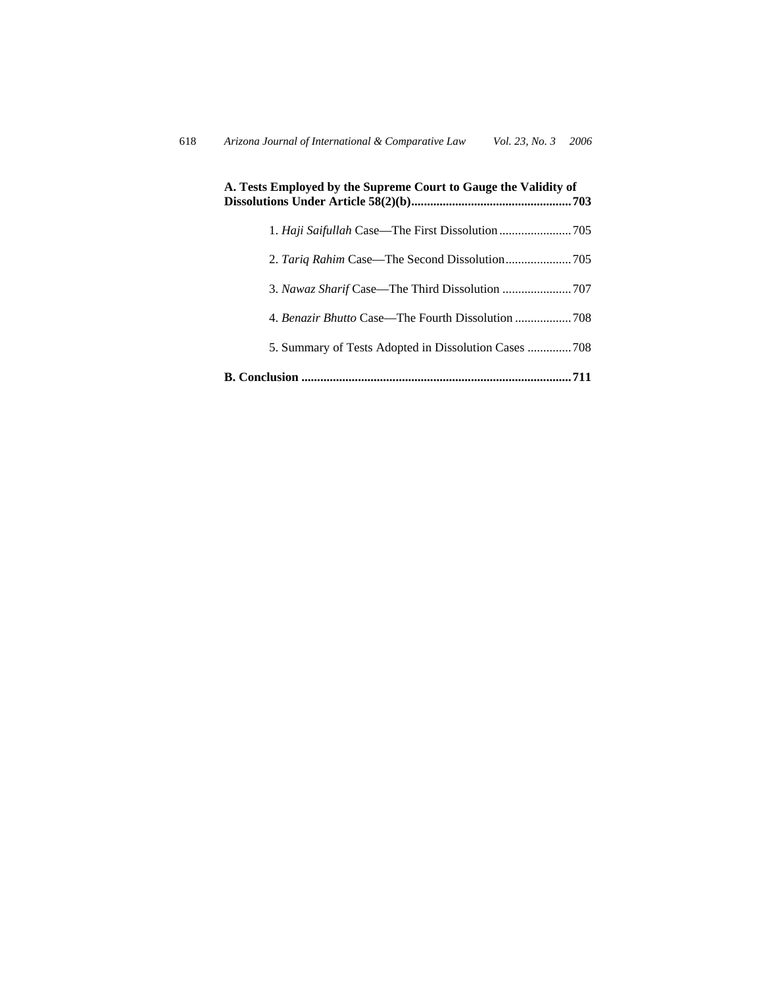| A. Tests Employed by the Supreme Court to Gauge the Validity of |  |
|-----------------------------------------------------------------|--|
|                                                                 |  |
|                                                                 |  |
|                                                                 |  |
|                                                                 |  |
|                                                                 |  |
| 711                                                             |  |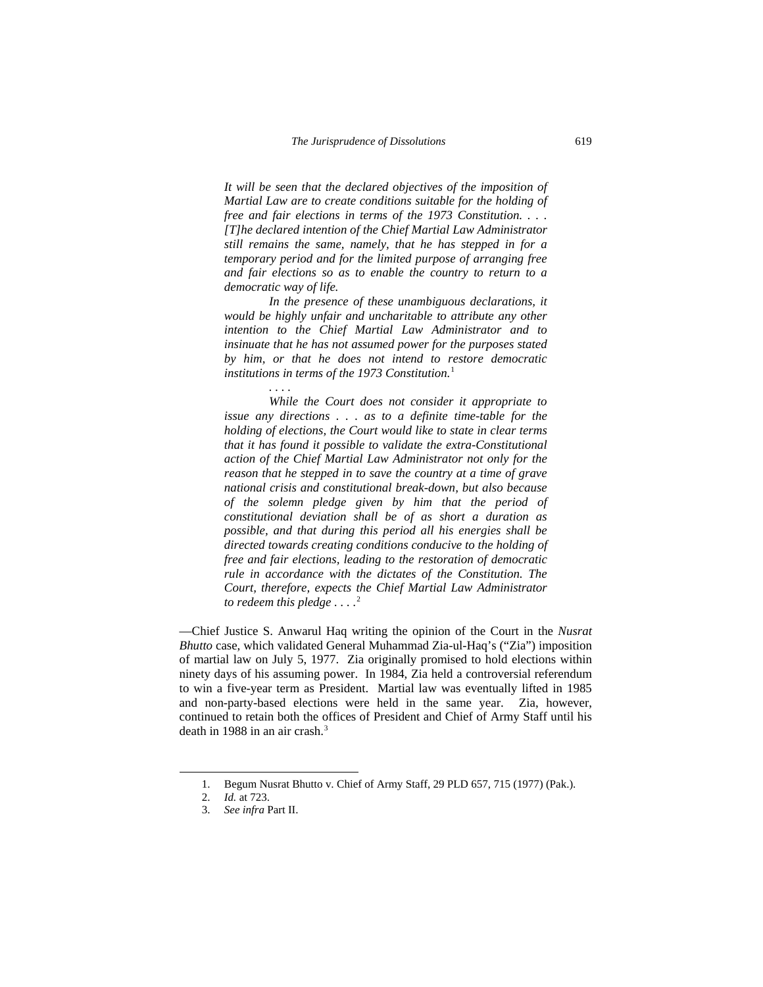*It will be seen that the declared objectives of the imposition of Martial Law are to create conditions suitable for the holding of free and fair elections in terms of the 1973 Constitution. . . . [T]he declared intention of the Chief Martial Law Administrator still remains the same, namely, that he has stepped in for a temporary period and for the limited purpose of arranging free and fair elections so as to enable the country to return to a democratic way of life.* 

*In the presence of these unambiguous declarations, it would be highly unfair and uncharitable to attribute any other intention to the Chief Martial Law Administrator and to insinuate that he has not assumed power for the purposes stated by him, or that he does not intend to restore democratic institutions in terms of the 1973 Constitution.*[1](#page-4-0)

*While the Court does not consider it appropriate to issue any directions . . . as to a definite time-table for the holding of elections, the Court would like to state in clear terms that it has found it possible to validate the extra-Constitutional action of the Chief Martial Law Administrator not only for the reason that he stepped in to save the country at a time of grave national crisis and constitutional break-down, but also because of the solemn pledge given by him that the period of constitutional deviation shall be of as short a duration as possible, and that during this period all his energies shall be directed towards creating conditions conducive to the holding of free and fair elections, leading to the restoration of democratic rule in accordance with the dictates of the Constitution. The Court, therefore, expects the Chief Martial Law Administrator to redeem this pledge . . . .*[2](#page-4-1)

—Chief Justice S. Anwarul Haq writing the opinion of the Court in the *Nusrat Bhutto* case, which validated General Muhammad Zia-ul-Haq's ("Zia") imposition of martial law on July 5, 1977. Zia originally promised to hold elections within ninety days of his assuming power. In 1984, Zia held a controversial referendum to win a five-year term as President. Martial law was eventually lifted in 1985 and non-party-based elections were held in the same year. Zia, however, continued to retain both the offices of President and Chief of Army Staff until his death in 1988 in an air crash. $3$ 

<span id="page-4-2"></span><span id="page-4-1"></span><span id="page-4-0"></span> $\overline{a}$ 

 *. . . .* 

<sup>1.</sup> Begum Nusrat Bhutto v. Chief of Army Staff, 29 PLD 657, 715 (1977) (Pak.).

<sup>2.</sup> *Id.* at 723.

<sup>3.</sup> *See infra* Part II.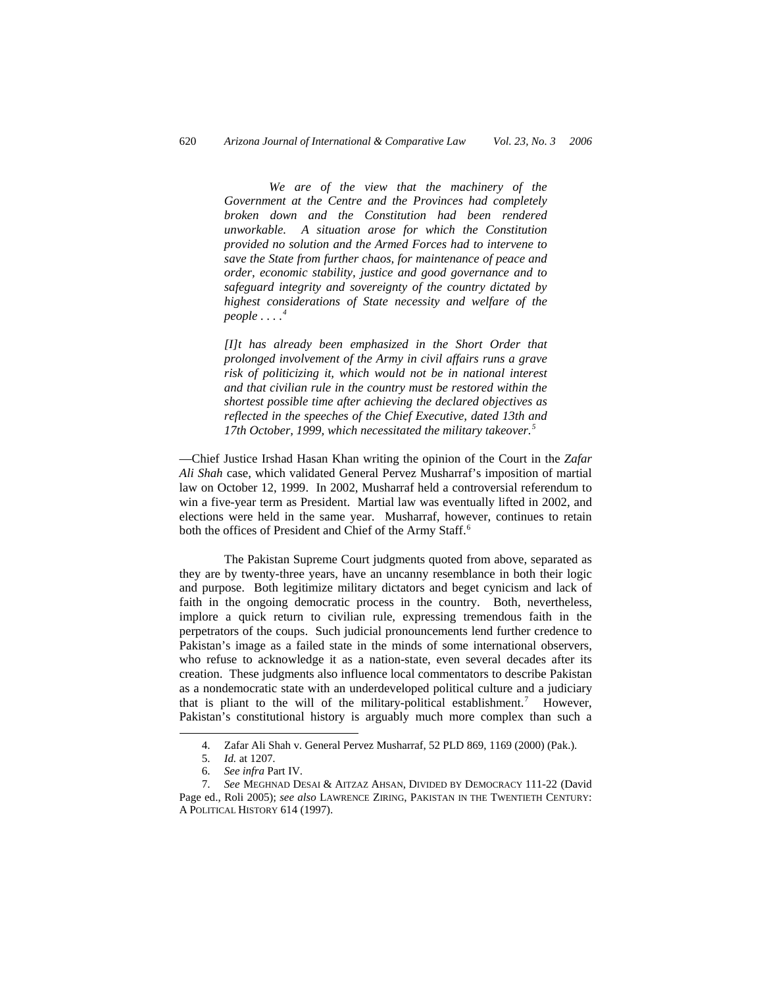*We are of the view that the machinery of the Government at the Centre and the Provinces had completely broken down and the Constitution had been rendered unworkable. A situation arose for which the Constitution provided no solution and the Armed Forces had to intervene to save the State from further chaos, for maintenance of peace and order, economic stability, justice and good governance and to safeguard integrity and sovereignty of the country dictated by highest considerations of State necessity and welfare of the people . . . .[4](#page-5-0)*

*[I]t has already been emphasized in the Short Order that prolonged involvement of the Army in civil affairs runs a grave risk of politicizing it, which would not be in national interest and that civilian rule in the country must be restored within the shortest possible time after achieving the declared objectives as reflected in the speeches of the Chief Executive, dated 13th and 17th October, 1999, which necessitated the military takeover.[5](#page-5-1)*

—Chief Justice Irshad Hasan Khan writing the opinion of the Court in the *Zafar Ali Shah* case, which validated General Pervez Musharraf's imposition of martial law on October 12, 1999. In 2002, Musharraf held a controversial referendum to win a five-year term as President. Martial law was eventually lifted in 2002, and elections were held in the same year. Musharraf, however, continues to retain both the offices of President and Chief of the Army Staff.<sup>[6](#page-5-2)</sup>

 The Pakistan Supreme Court judgments quoted from above, separated as they are by twenty-three years, have an uncanny resemblance in both their logic and purpose. Both legitimize military dictators and beget cynicism and lack of faith in the ongoing democratic process in the country. Both, nevertheless, implore a quick return to civilian rule, expressing tremendous faith in the perpetrators of the coups. Such judicial pronouncements lend further credence to Pakistan's image as a failed state in the minds of some international observers, who refuse to acknowledge it as a nation-state, even several decades after its creation. These judgments also influence local commentators to describe Pakistan as a nondemocratic state with an underdeveloped political culture and a judiciary that is pliant to the will of the military-political establishment.<sup>[7](#page-5-3)</sup> However, Pakistan's constitutional history is arguably much more complex than such a

<span id="page-5-0"></span>-

<sup>4.</sup> Zafar Ali Shah v. General Pervez Musharraf, 52 PLD 869, 1169 (2000) (Pak.).

<sup>5.</sup> *Id.* at 1207.

<sup>6.</sup> *See infra* Part IV.

<span id="page-5-3"></span><span id="page-5-2"></span><span id="page-5-1"></span><sup>7.</sup> *See* MEGHNAD DESAI & AITZAZ AHSAN, DIVIDED BY DEMOCRACY 111-22 (David Page ed., Roli 2005); *see also* LAWRENCE ZIRING, PAKISTAN IN THE TWENTIETH CENTURY: A POLITICAL HISTORY 614 (1997).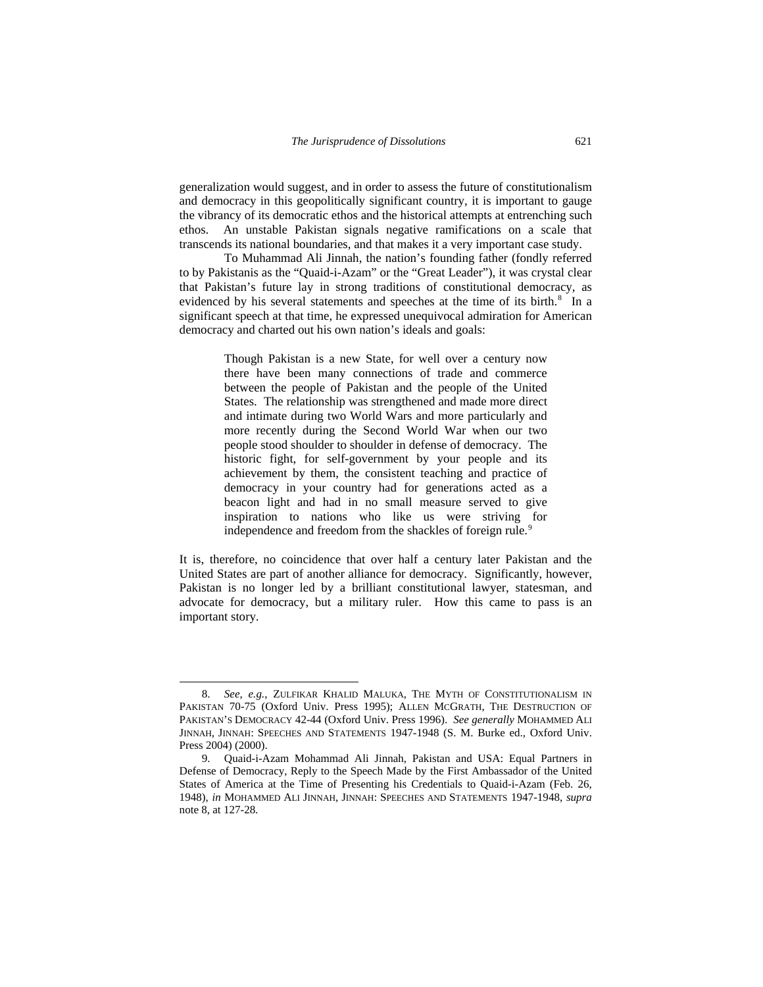generalization would suggest, and in order to assess the future of constitutionalism and democracy in this geopolitically significant country, it is important to gauge the vibrancy of its democratic ethos and the historical attempts at entrenching such ethos. An unstable Pakistan signals negative ramifications on a scale that transcends its national boundaries, and that makes it a very important case study.

 To Muhammad Ali Jinnah, the nation's founding father (fondly referred to by Pakistanis as the "Quaid-i-Azam" or the "Great Leader"), it was crystal clear that Pakistan's future lay in strong traditions of constitutional democracy, as evidenced by his several statements and speeches at the time of its birth. $8\text{ In a}$  $8\text{ In a}$ significant speech at that time, he expressed unequivocal admiration for American democracy and charted out his own nation's ideals and goals:

> Though Pakistan is a new State, for well over a century now there have been many connections of trade and commerce between the people of Pakistan and the people of the United States. The relationship was strengthened and made more direct and intimate during two World Wars and more particularly and more recently during the Second World War when our two people stood shoulder to shoulder in defense of democracy. The historic fight, for self-government by your people and its achievement by them, the consistent teaching and practice of democracy in your country had for generations acted as a beacon light and had in no small measure served to give inspiration to nations who like us were striving for independence and freedom from the shackles of foreign rule.<sup>[9](#page-6-1)</sup>

It is, therefore, no coincidence that over half a century later Pakistan and the United States are part of another alliance for democracy. Significantly, however, Pakistan is no longer led by a brilliant constitutional lawyer, statesman, and advocate for democracy, but a military ruler. How this came to pass is an important story.

<span id="page-6-0"></span><sup>8.</sup> *See, e.g.*, ZULFIKAR KHALID MALUKA, THE MYTH OF CONSTITUTIONALISM IN PAKISTAN 70-75 (Oxford Univ. Press 1995); ALLEN MCGRATH, THE DESTRUCTION OF PAKISTAN'S DEMOCRACY 42-44 (Oxford Univ. Press 1996). *See generally* MOHAMMED ALI JINNAH, JINNAH: SPEECHES AND STATEMENTS 1947-1948 (S. M. Burke ed., Oxford Univ. Press 2004) (2000).

<span id="page-6-1"></span><sup>9.</sup> Quaid-i-Azam Mohammad Ali Jinnah, Pakistan and USA: Equal Partners in Defense of Democracy, Reply to the Speech Made by the First Ambassador of the United States of America at the Time of Presenting his Credentials to Quaid-i-Azam (Feb. 26, 1948), *in* MOHAMMED ALI JINNAH, JINNAH: SPEECHES AND STATEMENTS 1947-1948, *supra* note 8, at 127-28.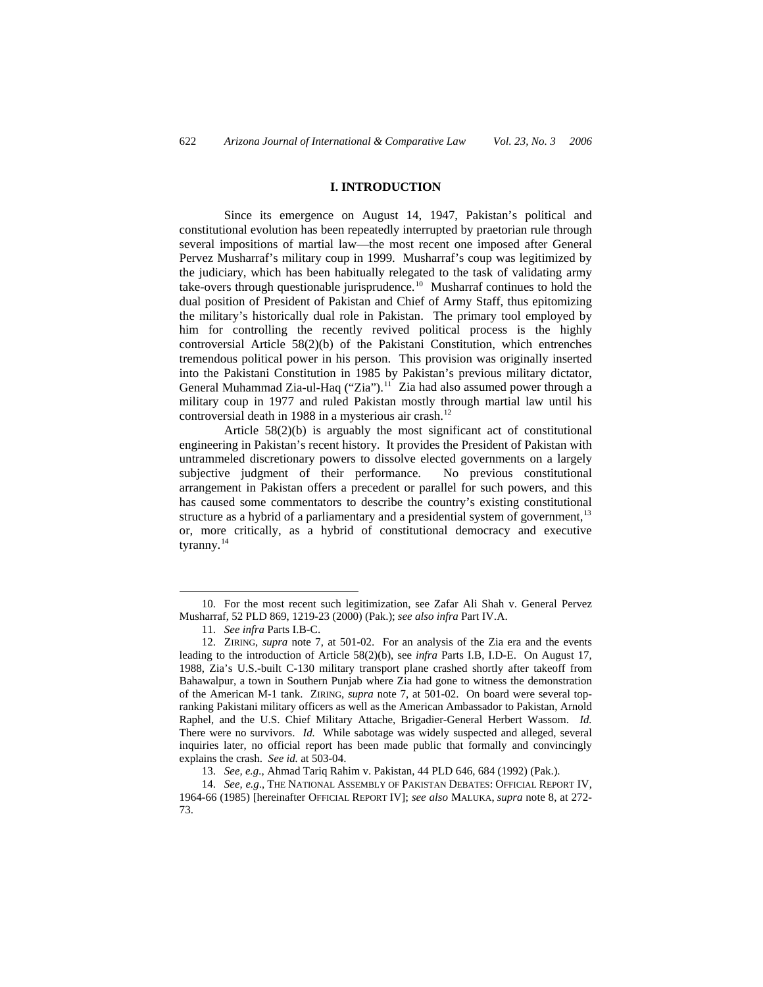#### **I. INTRODUCTION**

<span id="page-7-0"></span>Since its emergence on August 14, 1947, Pakistan's political and constitutional evolution has been repeatedly interrupted by praetorian rule through several impositions of martial law—the most recent one imposed after General Pervez Musharraf's military coup in 1999. Musharraf's coup was legitimized by the judiciary, which has been habitually relegated to the task of validating army take-overs through questionable jurisprudence[.10](#page-7-1) Musharraf continues to hold the dual position of President of Pakistan and Chief of Army Staff, thus epitomizing the military's historically dual role in Pakistan. The primary tool employed by him for controlling the recently revived political process is the highly controversial Article 58(2)(b) of the Pakistani Constitution, which entrenches tremendous political power in his person. This provision was originally inserted into the Pakistani Constitution in 1985 by Pakistan's previous military dictator, General Muhammad Zia-ul-Haq ("Zia").<sup>[11](#page-7-2)</sup> Zia had also assumed power through a military coup in 1977 and ruled Pakistan mostly through martial law until his controversial death in 1988 in a mysterious air crash.<sup>[12](#page-7-3)</sup>

Article 58(2)(b) is arguably the most significant act of constitutional engineering in Pakistan's recent history. It provides the President of Pakistan with untrammeled discretionary powers to dissolve elected governments on a largely subjective judgment of their performance. No previous constitutional arrangement in Pakistan offers a precedent or parallel for such powers, and this has caused some commentators to describe the country's existing constitutional structure as a hybrid of a parliamentary and a presidential system of government,<sup>[13](#page-7-4)</sup> or, more critically, as a hybrid of constitutional democracy and executive tyranny.<sup>[14](#page-7-5)</sup>

<span id="page-7-1"></span><sup>10.</sup> For the most recent such legitimization, see Zafar Ali Shah v. General Pervez Musharraf, 52 PLD 869, 1219-23 (2000) (Pak.); *see also infra* Part IV.A.

<sup>11.</sup> *See infra* Parts I.B-C.

<span id="page-7-3"></span><span id="page-7-2"></span><sup>12.</sup> ZIRING, *supra* note 7, at 501-02. For an analysis of the Zia era and the events leading to the introduction of Article 58(2)(b), see *infra* Parts I.B, I.D-E. On August 17, 1988, Zia's U.S.-built C-130 military transport plane crashed shortly after takeoff from Bahawalpur, a town in Southern Punjab where Zia had gone to witness the demonstration of the American M-1 tank. ZIRING, *supra* note 7, at 501-02. On board were several topranking Pakistani military officers as well as the American Ambassador to Pakistan, Arnold Raphel, and the U.S. Chief Military Attache, Brigadier-General Herbert Wassom. *Id.* There were no survivors. *Id.* While sabotage was widely suspected and alleged, several inquiries later, no official report has been made public that formally and convincingly explains the crash. *See id.* at 503-04.

<sup>13.</sup> *See, e.g.*, Ahmad Tariq Rahim v. Pakistan, 44 PLD 646, 684 (1992) (Pak.).

<span id="page-7-5"></span><span id="page-7-4"></span><sup>14.</sup> *See, e.g*., THE NATIONAL ASSEMBLY OF PAKISTAN DEBATES: OFFICIAL REPORT IV, 1964-66 (1985) [hereinafter OFFICIAL REPORT IV]; *see also* MALUKA, *supra* note 8, at 272- 73.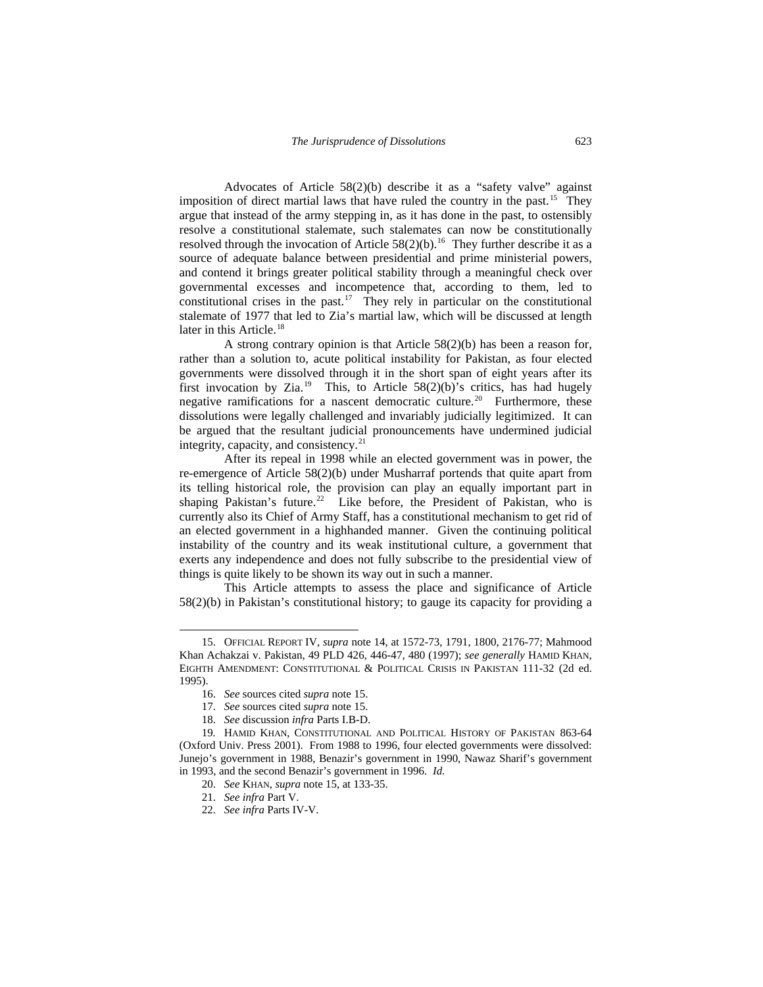Advocates of Article 58(2)(b) describe it as a "safety valve" against imposition of direct martial laws that have ruled the country in the past.<sup>[15](#page-8-0)</sup> They argue that instead of the army stepping in, as it has done in the past, to ostensibly resolve a constitutional stalemate, such stalemates can now be constitutionally resolved through the invocation of Article  $58(2)(b)$ .<sup>[16](#page-8-1)</sup> They further describe it as a source of adequate balance between presidential and prime ministerial powers, and contend it brings greater political stability through a meaningful check over governmental excesses and incompetence that, according to them, led to constitutional crises in the past.<sup>[17](#page-8-2)</sup> They rely in particular on the constitutional stalemate of 1977 that led to Zia's martial law, which will be discussed at length later in this Article.<sup>[18](#page-8-3)</sup>

A strong contrary opinion is that Article 58(2)(b) has been a reason for, rather than a solution to, acute political instability for Pakistan, as four elected governments were dissolved through it in the short span of eight years after its first invocation by Zia.<sup>[19](#page-8-4)</sup> This, to Article 58(2)(b)'s critics, has had hugely negative ramifications for a nascent democratic culture.<sup>[20](#page-8-5)</sup> Furthermore, these dissolutions were legally challenged and invariably judicially legitimized. It can be argued that the resultant judicial pronouncements have undermined judicial integrity, capacity, and consistency.<sup>[21](#page-8-6)</sup>

After its repeal in 1998 while an elected government was in power, the re-emergence of Article 58(2)(b) under Musharraf portends that quite apart from its telling historical role, the provision can play an equally important part in shaping Pakistan's future.<sup>[22](#page-8-7)</sup> Like before, the President of Pakistan, who is currently also its Chief of Army Staff, has a constitutional mechanism to get rid of an elected government in a highhanded manner. Given the continuing political instability of the country and its weak institutional culture, a government that exerts any independence and does not fully subscribe to the presidential view of things is quite likely to be shown its way out in such a manner.

This Article attempts to assess the place and significance of Article 58(2)(b) in Pakistan's constitutional history; to gauge its capacity for providing a

1

<span id="page-8-0"></span><sup>15.</sup> OFFICIAL REPORT IV, *supra* note 14, at 1572-73, 1791, 1800, 2176-77; Mahmood Khan Achakzai v. Pakistan, 49 PLD 426, 446-47, 480 (1997); *see generally* HAMID KHAN, EIGHTH AMENDMENT: CONSTITUTIONAL & POLITICAL CRISIS IN PAKISTAN 111-32 (2d ed. 1995).

<sup>16.</sup> *See* sources cited *supra* note 15.

<sup>17.</sup> *See* sources cited *supra* note 15.

<sup>18.</sup> *See* discussion *infra* Parts I.B-D.

<span id="page-8-7"></span><span id="page-8-6"></span><span id="page-8-5"></span><span id="page-8-4"></span><span id="page-8-3"></span><span id="page-8-2"></span><span id="page-8-1"></span><sup>19</sup>*.* HAMID KHAN, CONSTITUTIONAL AND POLITICAL HISTORY OF PAKISTAN 863-64 (Oxford Univ. Press 2001). From 1988 to 1996, four elected governments were dissolved: Junejo's government in 1988, Benazir's government in 1990, Nawaz Sharif's government in 1993, and the second Benazir's government in 1996. *Id.*

<sup>20.</sup> *See* KHAN, *supra* note 15, at 133-35.

<sup>21.</sup> *See infra* Part V.

<sup>22.</sup> *See infra* Parts IV-V.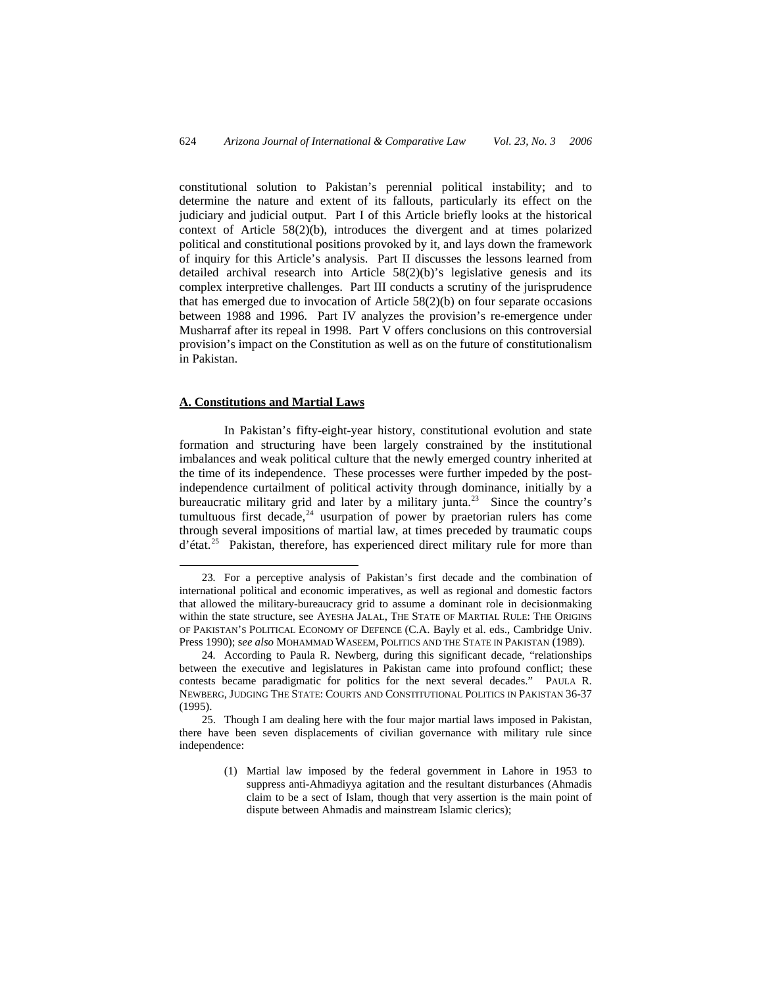<span id="page-9-0"></span>constitutional solution to Pakistan's perennial political instability; and to determine the nature and extent of its fallouts, particularly its effect on the judiciary and judicial output. Part I of this Article briefly looks at the historical context of Article 58(2)(b), introduces the divergent and at times polarized political and constitutional positions provoked by it, and lays down the framework of inquiry for this Article's analysis. Part II discusses the lessons learned from detailed archival research into Article 58(2)(b)'s legislative genesis and its complex interpretive challenges. Part III conducts a scrutiny of the jurisprudence that has emerged due to invocation of Article  $58(2)(b)$  on four separate occasions between 1988 and 1996. Part IV analyzes the provision's re-emergence under Musharraf after its repeal in 1998. Part V offers conclusions on this controversial provision's impact on the Constitution as well as on the future of constitutionalism in Pakistan.

## **A. Constitutions and Martial Laws**

 $\overline{a}$ 

In Pakistan's fifty-eight-year history, constitutional evolution and state formation and structuring have been largely constrained by the institutional imbalances and weak political culture that the newly emerged country inherited at the time of its independence. These processes were further impeded by the postindependence curtailment of political activity through dominance, initially by a bureaucratic military grid and later by a military junta.<sup>23</sup> Since the country's tumultuous first decade, $24$  usurpation of power by praetorian rulers has come through several impositions of martial law, at times preceded by traumatic coups d'état.<sup>[25](#page-9-3)</sup> Pakistan, therefore, has experienced direct military rule for more than

<span id="page-9-1"></span><sup>23</sup>*.* For a perceptive analysis of Pakistan's first decade and the combination of international political and economic imperatives, as well as regional and domestic factors that allowed the military-bureaucracy grid to assume a dominant role in decisionmaking within the state structure, see AYESHA JALAL, THE STATE OF MARTIAL RULE: THE ORIGINS OF PAKISTAN'S POLITICAL ECONOMY OF DEFENCE (C.A. Bayly et al. eds., Cambridge Univ. Press 1990); s*ee also* MOHAMMAD WASEEM, POLITICS AND THE STATE IN PAKISTAN (1989).

<span id="page-9-2"></span><sup>24</sup>*.* According to Paula R. Newberg, during this significant decade, "relationships between the executive and legislatures in Pakistan came into profound conflict; these contests became paradigmatic for politics for the next several decades." PAULA R. NEWBERG, JUDGING THE STATE: COURTS AND CONSTITUTIONAL POLITICS IN PAKISTAN 36-37 (1995).

<span id="page-9-3"></span><sup>25.</sup> Though I am dealing here with the four major martial laws imposed in Pakistan, there have been seven displacements of civilian governance with military rule since independence:

<sup>(1)</sup> Martial law imposed by the federal government in Lahore in 1953 to suppress anti-Ahmadiyya agitation and the resultant disturbances (Ahmadis claim to be a sect of Islam, though that very assertion is the main point of dispute between Ahmadis and mainstream Islamic clerics);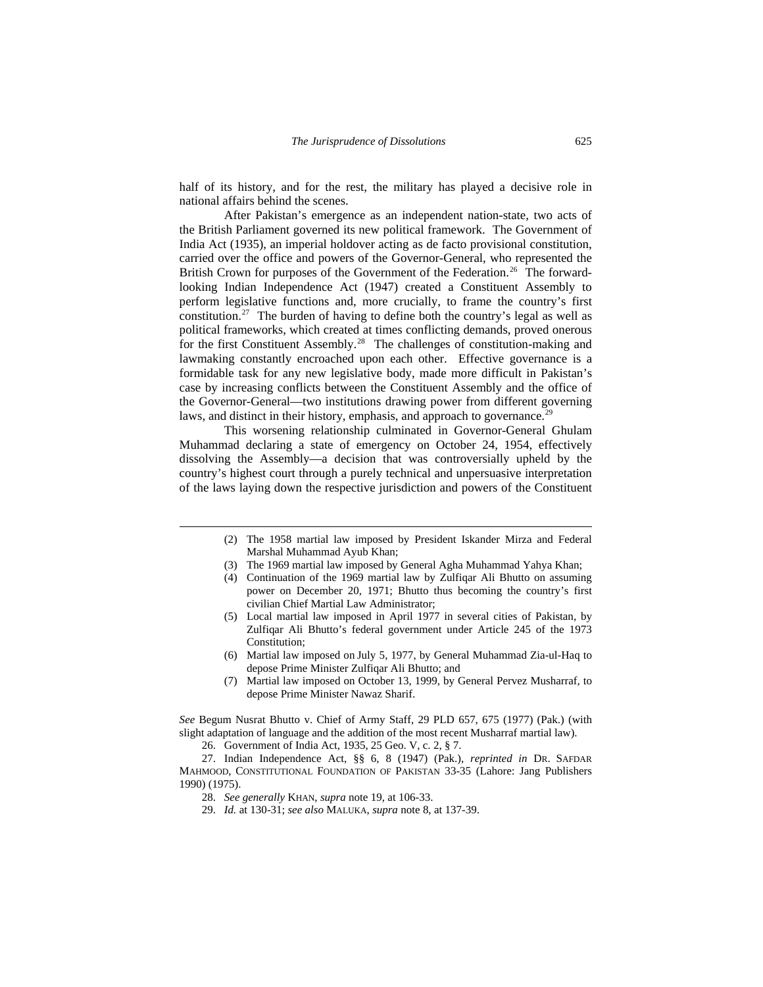half of its history, and for the rest, the military has played a decisive role in national affairs behind the scenes.

After Pakistan's emergence as an independent nation-state, two acts of the British Parliament governed its new political framework. The Government of India Act (1935), an imperial holdover acting as de facto provisional constitution, carried over the office and powers of the Governor-General, who represented the British Crown for purposes of the Government of the Federation.<sup>[26](#page-10-0)</sup> The forwardlooking Indian Independence Act (1947) created a Constituent Assembly to perform legislative functions and, more crucially, to frame the country's first constitution.<sup>[27](#page-10-1)</sup> The burden of having to define both the country's legal as well as political frameworks, which created at times conflicting demands, proved onerous for the first Constituent Assembly.<sup>[28](#page-10-2)</sup> The challenges of constitution-making and lawmaking constantly encroached upon each other. Effective governance is a formidable task for any new legislative body, made more difficult in Pakistan's case by increasing conflicts between the Constituent Assembly and the office of the Governor-General—two institutions drawing power from different governing laws, and distinct in their history, emphasis, and approach to governance.<sup>[29](#page-10-3)</sup>

This worsening relationship culminated in Governor-General Ghulam Muhammad declaring a state of emergency on October 24, 1954, effectively dissolving the Assembly—a decision that was controversially upheld by the country's highest court through a purely technical and unpersuasive interpretation of the laws laying down the respective jurisdiction and powers of the Constituent

- (2) The 1958 martial law imposed by President Iskander Mirza and Federal Marshal Muhammad Ayub Khan;
- (3) The 1969 martial law imposed by General Agha Muhammad Yahya Khan;
- (4) Continuation of the 1969 martial law by Zulfiqar Ali Bhutto on assuming power on December 20, 1971; Bhutto thus becoming the country's first civilian Chief Martial Law Administrator;
- (5) Local martial law imposed in April 1977 in several cities of Pakistan, by Zulfiqar Ali Bhutto's federal government under Article 245 of the 1973 Constitution;
- (6) Martial law imposed on July 5, 1977, by General Muhammad Zia-ul-Haq to depose Prime Minister Zulfiqar Ali Bhutto; and
- (7) Martial law imposed on October 13, 1999, by General Pervez Musharraf, to depose Prime Minister Nawaz Sharif.

*See* Begum Nusrat Bhutto v. Chief of Army Staff, 29 PLD 657, 675 (1977) (Pak.) (with slight adaptation of language and the addition of the most recent Musharraf martial law).

26. Government of India Act, 1935, 25 Geo. V, c. 2, § 7.

<span id="page-10-3"></span><span id="page-10-2"></span><span id="page-10-1"></span><span id="page-10-0"></span>27. Indian Independence Act, §§ 6, 8 (1947) (Pak.), *reprinted in* DR. SAFDAR MAHMOOD, CONSTITUTIONAL FOUNDATION OF PAKISTAN 33-35 (Lahore: Jang Publishers 1990) (1975).

28. *See generally* KHAN, *supra* note 19, at 106-33.

-

29. *Id.* at 130-31; *see also* MALUKA, *supra* note 8, at 137-39.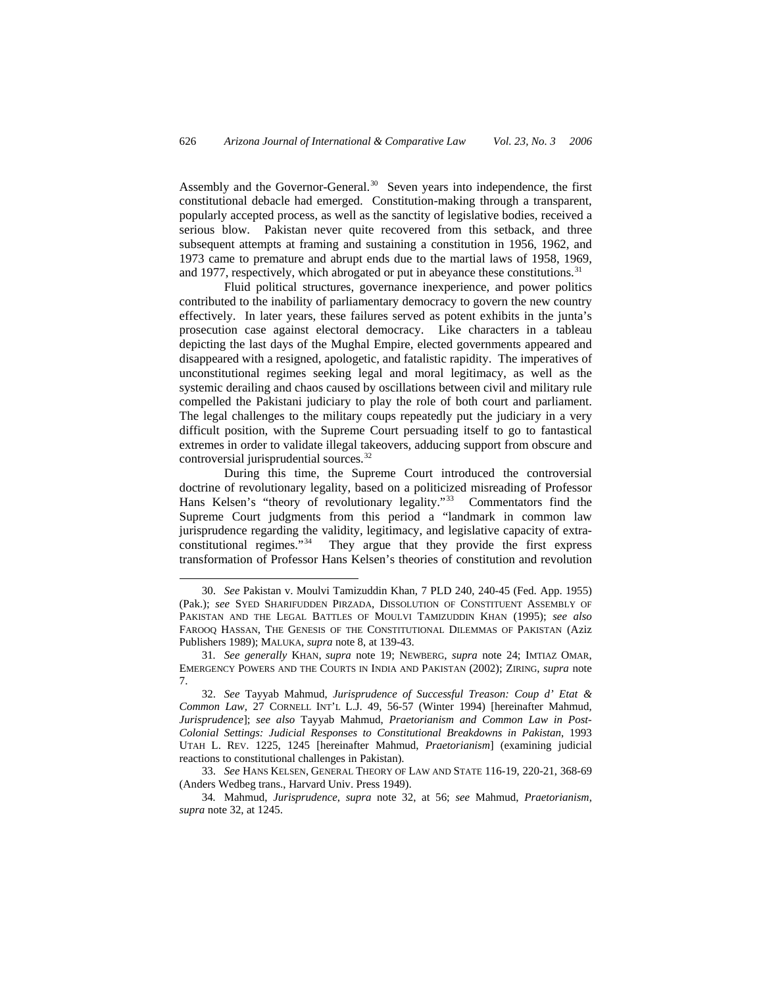Assembly and the Governor-General.<sup>[30](#page-11-0)</sup> Seven years into independence, the first constitutional debacle had emerged. Constitution-making through a transparent, popularly accepted process, as well as the sanctity of legislative bodies, received a serious blow. Pakistan never quite recovered from this setback, and three subsequent attempts at framing and sustaining a constitution in 1956, 1962, and 1973 came to premature and abrupt ends due to the martial laws of 1958, 1969, and 1977, respectively, which abrogated or put in abeyance these constitutions.<sup>[31](#page-11-1)</sup>

Fluid political structures, governance inexperience, and power politics contributed to the inability of parliamentary democracy to govern the new country effectively. In later years, these failures served as potent exhibits in the junta's prosecution case against electoral democracy. Like characters in a tableau depicting the last days of the Mughal Empire, elected governments appeared and disappeared with a resigned, apologetic, and fatalistic rapidity. The imperatives of unconstitutional regimes seeking legal and moral legitimacy, as well as the systemic derailing and chaos caused by oscillations between civil and military rule compelled the Pakistani judiciary to play the role of both court and parliament. The legal challenges to the military coups repeatedly put the judiciary in a very difficult position, with the Supreme Court persuading itself to go to fantastical extremes in order to validate illegal takeovers, adducing support from obscure and controversial jurisprudential sources.<sup>[32](#page-11-2)</sup>

During this time, the Supreme Court introduced the controversial doctrine of revolutionary legality, based on a politicized misreading of Professor Hans Kelsen's "theory of revolutionary legality."<sup>[33](#page-11-3)</sup> Commentators find the Supreme Court judgments from this period a "landmark in common law jurisprudence regarding the validity, legitimacy, and legislative capacity of extraconstitutional regimes."[34](#page-11-4) They argue that they provide the first express transformation of Professor Hans Kelsen's theories of constitution and revolution

-

<span id="page-11-0"></span><sup>30.</sup> *See* Pakistan v. Moulvi Tamizuddin Khan, 7 PLD 240, 240-45 (Fed. App. 1955) (Pak.); *see* SYED SHARIFUDDEN PIRZADA, DISSOLUTION OF CONSTITUENT ASSEMBLY OF PAKISTAN AND THE LEGAL BATTLES OF MOULVI TAMIZUDDIN KHAN (1995); *see also* FAROOQ HASSAN, THE GENESIS OF THE CONSTITUTIONAL DILEMMAS OF PAKISTAN (Aziz Publishers 1989); MALUKA, *supra* note 8, at 139-43.

<span id="page-11-1"></span><sup>31</sup>*. See generally* KHAN, *supra* note 19; NEWBERG, *supra* note 24; IMTIAZ OMAR, EMERGENCY POWERS AND THE COURTS IN INDIA AND PAKISTAN (2002); ZIRING, *supra* note 7.

<span id="page-11-2"></span><sup>32.</sup> *See* Tayyab Mahmud, *Jurisprudence of Successful Treason: Coup d' Etat & Common Law,* 27 CORNELL INT'L L.J. 49, 56-57 (Winter 1994) [hereinafter Mahmud, *Jurisprudence*]; *see also* Tayyab Mahmud, *Praetorianism and Common Law in Post-Colonial Settings: Judicial Responses to Constitutional Breakdowns in Pakistan*, 1993 UTAH L. REV. 1225, 1245 [hereinafter Mahmud, *Praetorianism*] (examining judicial reactions to constitutional challenges in Pakistan).

<span id="page-11-3"></span><sup>33.</sup> *See* HANS KELSEN, GENERAL THEORY OF LAW AND STATE 116-19, 220-21, 368-69 (Anders Wedbeg trans., Harvard Univ. Press 1949).

<span id="page-11-4"></span><sup>34</sup>*.* Mahmud, *Jurisprudence*, *supra* note 32, at 56; *see* Mahmud, *Praetorianism*, *supra* note 32, at 1245.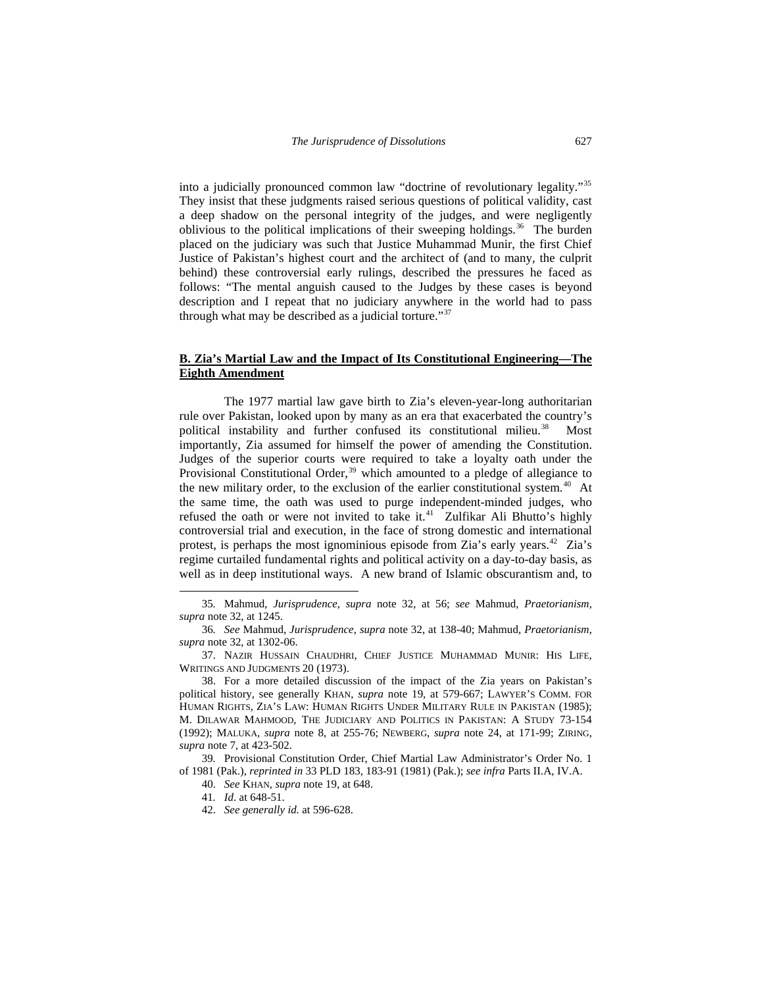<span id="page-12-0"></span>into a judicially pronounced common law "doctrine of revolutionary legality."[35](#page-12-1) They insist that these judgments raised serious questions of political validity, cast a deep shadow on the personal integrity of the judges, and were negligently oblivious to the political implications of their sweeping holdings.<sup>36</sup> The burden placed on the judiciary was such that Justice Muhammad Munir, the first Chief Justice of Pakistan's highest court and the architect of (and to many, the culprit behind) these controversial early rulings, described the pressures he faced as follows: "The mental anguish caused to the Judges by these cases is beyond description and I repeat that no judiciary anywhere in the world had to pass through what may be described as a judicial torture."<sup>37</sup>

## **B. Zia's Martial Law and the Impact of Its Constitutional Engineering—The Eighth Amendment**

The 1977 martial law gave birth to Zia's eleven-year-long authoritarian rule over Pakistan, looked upon by many as an era that exacerbated the country's political instability and further confused its constitutional milieu.<sup>38</sup> Most importantly, Zia assumed for himself the power of amending the Constitution. Judges of the superior courts were required to take a loyalty oath under the Provisional Constitutional Order,<sup>[39](#page-12-5)</sup> which amounted to a pledge of allegiance to the new military order, to the exclusion of the earlier constitutional system.<sup>[40](#page-12-6)</sup> At the same time, the oath was used to purge independent-minded judges, who refused the oath or were not invited to take it. $41$  Zulfikar Ali Bhutto's highly controversial trial and execution, in the face of strong domestic and international protest, is perhaps the most ignominious episode from Zia's early years.<sup>[42](#page-12-8)</sup> Zia's regime curtailed fundamental rights and political activity on a day-to-day basis, as well as in deep institutional ways. A new brand of Islamic obscurantism and, to

<span id="page-12-1"></span><sup>35</sup>*.* Mahmud, *Jurisprudence*, *supra* note 32, at 56; *see* Mahmud, *Praetorianism*, *supra* note 32, at 1245.

<span id="page-12-2"></span><sup>36</sup>*. See* Mahmud, *Jurisprudence*, *supra* note 32, at 138-40; Mahmud, *Praetorianism*, *supra* note 32, at 1302-06.

<span id="page-12-3"></span><sup>37.</sup> NAZIR HUSSAIN CHAUDHRI, CHIEF JUSTICE MUHAMMAD MUNIR: HIS LIFE, WRITINGS AND JUDGMENTS 20 (1973).

<span id="page-12-4"></span><sup>38.</sup> For a more detailed discussion of the impact of the Zia years on Pakistan's political history, see generally KHAN, *supra* note 19, at 579-667; LAWYER'S COMM. FOR HUMAN RIGHTS, ZIA'S LAW: HUMAN RIGHTS UNDER MILITARY RULE IN PAKISTAN (1985); M. DILAWAR MAHMOOD, THE JUDICIARY AND POLITICS IN PAKISTAN: A STUDY 73-154 (1992); MALUKA, *supra* note 8, at 255-76; NEWBERG, *supra* note 24, at 171-99; ZIRING, *supra* note 7, at 423-502.

<span id="page-12-8"></span><span id="page-12-7"></span><span id="page-12-6"></span><span id="page-12-5"></span><sup>39</sup>*.* Provisional Constitution Order, Chief Martial Law Administrator's Order No. 1 of 1981 (Pak.), *reprinted in* 33 PLD 183, 183-91 (1981) (Pak.); *see infra* Parts II.A, IV.A.

<sup>40.</sup> *See* KHAN, *supra* note 19, at 648.

<sup>41</sup>*. Id*. at 648-51.

<sup>42.</sup> *See generally id.* at 596-628.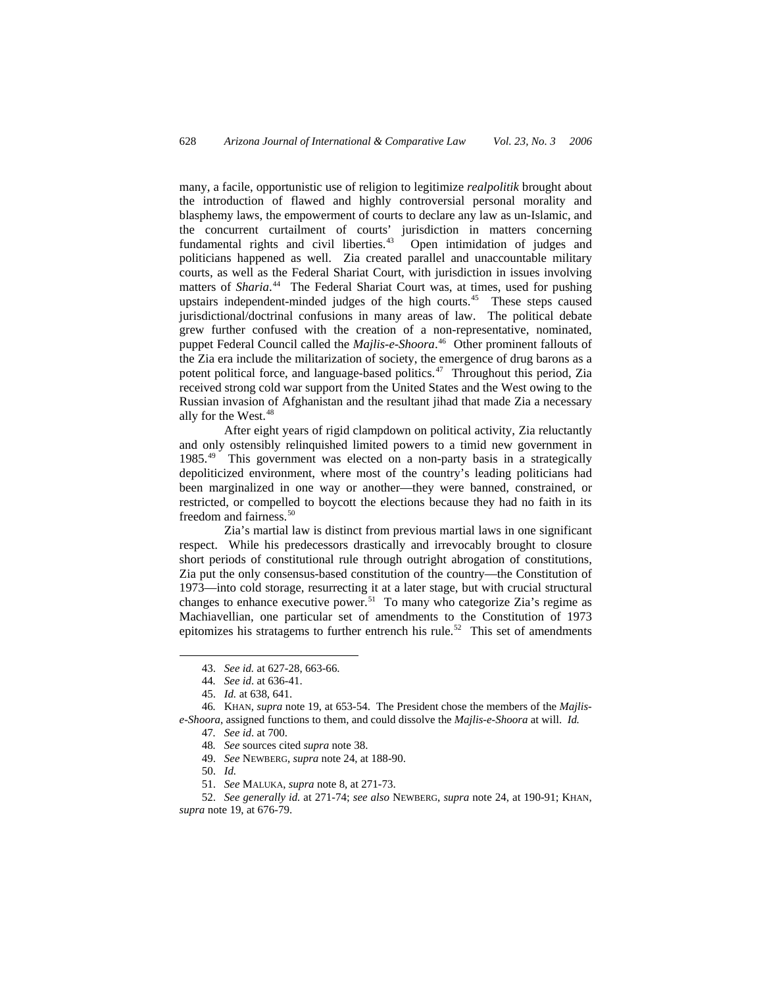many, a facile, opportunistic use of religion to legitimize *realpolitik* brought about the introduction of flawed and highly controversial personal morality and blasphemy laws, the empowerment of courts to declare any law as un-Islamic, and the concurrent curtailment of courts' jurisdiction in matters concerning fundamental rights and civil liberties.<sup>[43](#page-13-0)</sup> Open intimidation of judges and politicians happened as well. Zia created parallel and unaccountable military courts, as well as the Federal Shariat Court, with jurisdiction in issues involving matters of *Sharia*.<sup>[44](#page-13-1)</sup> The Federal Shariat Court was, at times, used for pushing upstairs independent-minded judges of the high courts.<sup>[45](#page-13-2)</sup> These steps caused jurisdictional/doctrinal confusions in many areas of law. The political debate grew further confused with the creation of a non-representative, nominated, puppet Federal Council called the *Majlis-e-Shoora*. [46](#page-13-3) Other prominent fallouts of the Zia era include the militarization of society, the emergence of drug barons as a potent political force, and language-based politics.<sup>[47](#page-13-4)</sup> Throughout this period, Zia received strong cold war support from the United States and the West owing to the Russian invasion of Afghanistan and the resultant jihad that made Zia a necessary ally for the West.<sup>[48](#page-13-5)</sup>

After eight years of rigid clampdown on political activity, Zia reluctantly and only ostensibly relinquished limited powers to a timid new government in 1985.<sup>[49](#page-13-6)</sup> This government was elected on a non-party basis in a strategically depoliticized environment, where most of the country's leading politicians had been marginalized in one way or another—they were banned, constrained, or restricted, or compelled to boycott the elections because they had no faith in its freedom and fairness.<sup>[50](#page-13-7)</sup>

Zia's martial law is distinct from previous martial laws in one significant respect. While his predecessors drastically and irrevocably brought to closure short periods of constitutional rule through outright abrogation of constitutions, Zia put the only consensus-based constitution of the country—the Constitution of 1973—into cold storage, resurrecting it at a later stage, but with crucial structural changes to enhance executive power.<sup>[51](#page-13-8)</sup> To many who categorize Zia's regime as Machiavellian, one particular set of amendments to the Constitution of 1973 epitomizes his stratagems to further entrench his rule.<sup>52</sup> This set of amendments

<span id="page-13-0"></span>-

<sup>43.</sup> *See id.* at 627-28, 663-66.

<sup>44</sup>*. See id*. at 636-41.

<sup>45.</sup> *Id.* at 638, 641.

<span id="page-13-5"></span><span id="page-13-4"></span><span id="page-13-3"></span><span id="page-13-2"></span><span id="page-13-1"></span><sup>46</sup>*.* KHAN, *supra* note 19, at 653-54. The President chose the members of the *Majlise-Shoora*, assigned functions to them, and could dissolve the *Majlis-e-Shoora* at will. *Id.*

<sup>47</sup>*. See id*. at 700.

<sup>48</sup>*. See* sources cited *supra* note 38.

<sup>49.</sup> *See* NEWBERG, *supra* note 24, at 188-90.

<sup>50.</sup> *Id.*

<sup>51.</sup> *See* MALUKA, *supra* note 8, at 271-73.

<span id="page-13-9"></span><span id="page-13-8"></span><span id="page-13-7"></span><span id="page-13-6"></span><sup>52.</sup> *See generally id.* at 271-74; *see also* NEWBERG, *supra* note 24, at 190-91; KHAN, *supra* note 19, at 676-79.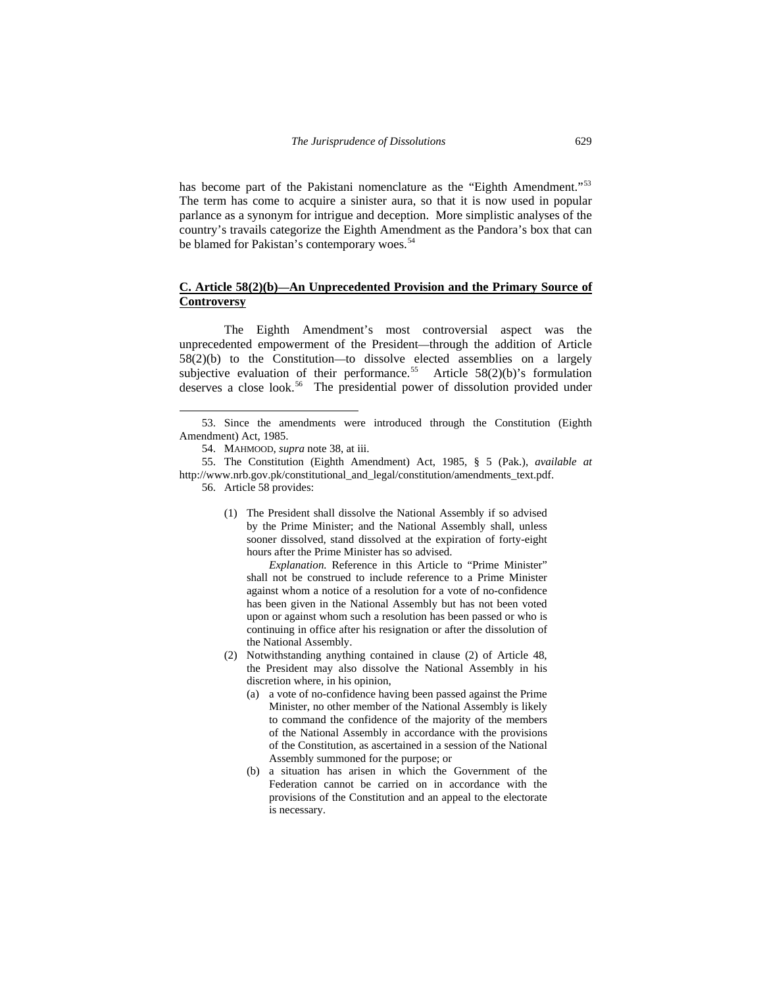<span id="page-14-0"></span>has become part of the Pakistani nomenclature as the "Eighth Amendment."<sup>[53](#page-14-1)</sup> The term has come to acquire a sinister aura, so that it is now used in popular parlance as a synonym for intrigue and deception. More simplistic analyses of the country's travails categorize the Eighth Amendment as the Pandora's box that can be blamed for Pakistan's contemporary woes.<sup>[54](#page-14-2)</sup>

## **C. Article 58(2)(b)—An Unprecedented Provision and the Primary Source of Controversy**

The Eighth Amendment's most controversial aspect was the unprecedented empowerment of the President—through the addition of Article 58(2)(b) to the Constitution—to dissolve elected assemblies on a largely subjective evaluation of their performance.<sup>[55](#page-14-3)</sup> Article 58(2)(b)'s formulation deserves a close look.<sup>[56](#page-14-4)</sup> The presidential power of dissolution provided under

 $\overline{a}$ 

(1) The President shall dissolve the National Assembly if so advised by the Prime Minister; and the National Assembly shall, unless sooner dissolved, stand dissolved at the expiration of forty-eight hours after the Prime Minister has so advised.

*Explanation.* Reference in this Article to "Prime Minister" shall not be construed to include reference to a Prime Minister against whom a notice of a resolution for a vote of no-confidence has been given in the National Assembly but has not been voted upon or against whom such a resolution has been passed or who is continuing in office after his resignation or after the dissolution of the National Assembly.

- (2) Notwithstanding anything contained in clause (2) of Article 48, the President may also dissolve the National Assembly in his discretion where, in his opinion,
	- (a) a vote of no-confidence having been passed against the Prime Minister, no other member of the National Assembly is likely to command the confidence of the majority of the members of the National Assembly in accordance with the provisions of the Constitution, as ascertained in a session of the National Assembly summoned for the purpose; or
	- (b) a situation has arisen in which the Government of the Federation cannot be carried on in accordance with the provisions of the Constitution and an appeal to the electorate is necessary.

<span id="page-14-1"></span><sup>53.</sup> Since the amendments were introduced through the Constitution (Eighth Amendment) Act, 1985.

<sup>54.</sup> MAHMOOD, *supra* note 38, at iii.

<span id="page-14-4"></span><span id="page-14-3"></span><span id="page-14-2"></span><sup>55.</sup> The Constitution (Eighth Amendment) Act, 1985, § 5 (Pak.), *available at* http://www.nrb.gov.pk/constitutional\_and\_legal/constitution/amendments\_text.pdf.

<sup>56.</sup> Article 58 provides: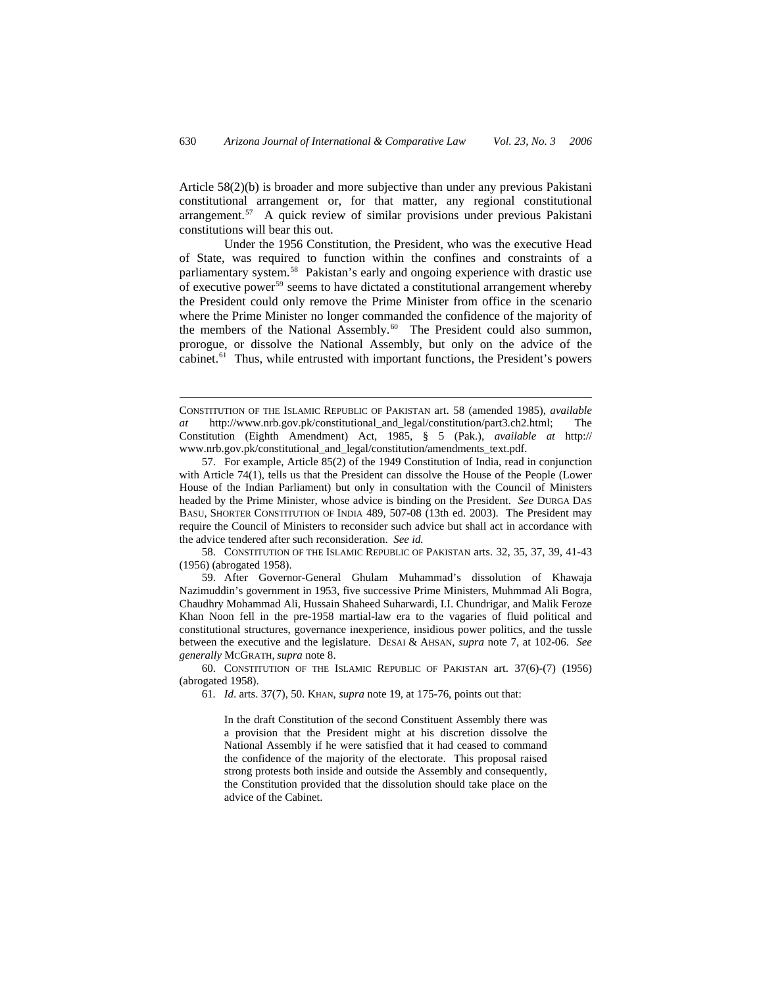Article 58(2)(b) is broader and more subjective than under any previous Pakistani constitutional arrangement or, for that matter, any regional constitutional arrangement.[57](#page-15-0) A quick review of similar provisions under previous Pakistani constitutions will bear this out.

Under the 1956 Constitution, the President, who was the executive Head of State, was required to function within the confines and constraints of a parliamentary system.<sup>[58](#page-15-1)</sup> Pakistan's early and ongoing experience with drastic use of executive power<sup>[59](#page-15-2)</sup> seems to have dictated a constitutional arrangement whereby the President could only remove the Prime Minister from office in the scenario where the Prime Minister no longer commanded the confidence of the majority of the members of the National Assembly.<sup>[60](#page-15-3)</sup> The President could also summon, prorogue, or dissolve the National Assembly, but only on the advice of the cabinet. $61$  Thus, while entrusted with important functions, the President's powers

 $\overline{a}$ 

<span id="page-15-1"></span>58. CONSTITUTION OF THE ISLAMIC REPUBLIC OF PAKISTAN arts. 32, 35, 37, 39, 41-43 (1956) (abrogated 1958).

<span id="page-15-2"></span>59. After Governor-General Ghulam Muhammad's dissolution of Khawaja Nazimuddin's government in 1953, five successive Prime Ministers, Muhmmad Ali Bogra, Chaudhry Mohammad Ali, Hussain Shaheed Suharwardi, I.I. Chundrigar, and Malik Feroze Khan Noon fell in the pre-1958 martial-law era to the vagaries of fluid political and constitutional structures, governance inexperience, insidious power politics, and the tussle between the executive and the legislature. DESAI & AHSAN, *supra* note 7, at 102-06. *See generally* MCGRATH, *supra* note 8.

<span id="page-15-4"></span><span id="page-15-3"></span>60. CONSTITUTION OF THE ISLAMIC REPUBLIC OF PAKISTAN art. 37(6)-(7) (1956) (abrogated 1958).

61*. Id*. arts. 37(7), 50. KHAN, *supra* note 19, at 175-76, points out that:

In the draft Constitution of the second Constituent Assembly there was a provision that the President might at his discretion dissolve the National Assembly if he were satisfied that it had ceased to command the confidence of the majority of the electorate. This proposal raised strong protests both inside and outside the Assembly and consequently, the Constitution provided that the dissolution should take place on the advice of the Cabinet.

CONSTITUTION OF THE ISLAMIC REPUBLIC OF PAKISTAN art. 58 (amended 1985), *available at* http://www.nrb.gov.pk/constitutional\_and\_legal/constitution/part3.ch2.html; The Constitution (Eighth Amendment) Act, 1985, § 5 (Pak.), *available at* http:// www.nrb.gov.pk/constitutional\_and\_legal/constitution/amendments\_text.pdf.

<span id="page-15-0"></span><sup>57.</sup> For example, Article 85(2) of the 1949 Constitution of India, read in conjunction with Article 74(1), tells us that the President can dissolve the House of the People (Lower House of the Indian Parliament) but only in consultation with the Council of Ministers headed by the Prime Minister, whose advice is binding on the President. *See* DURGA DAS BASU, SHORTER CONSTITUTION OF INDIA 489, 507-08 (13th ed. 2003). The President may require the Council of Ministers to reconsider such advice but shall act in accordance with the advice tendered after such reconsideration. *See id.*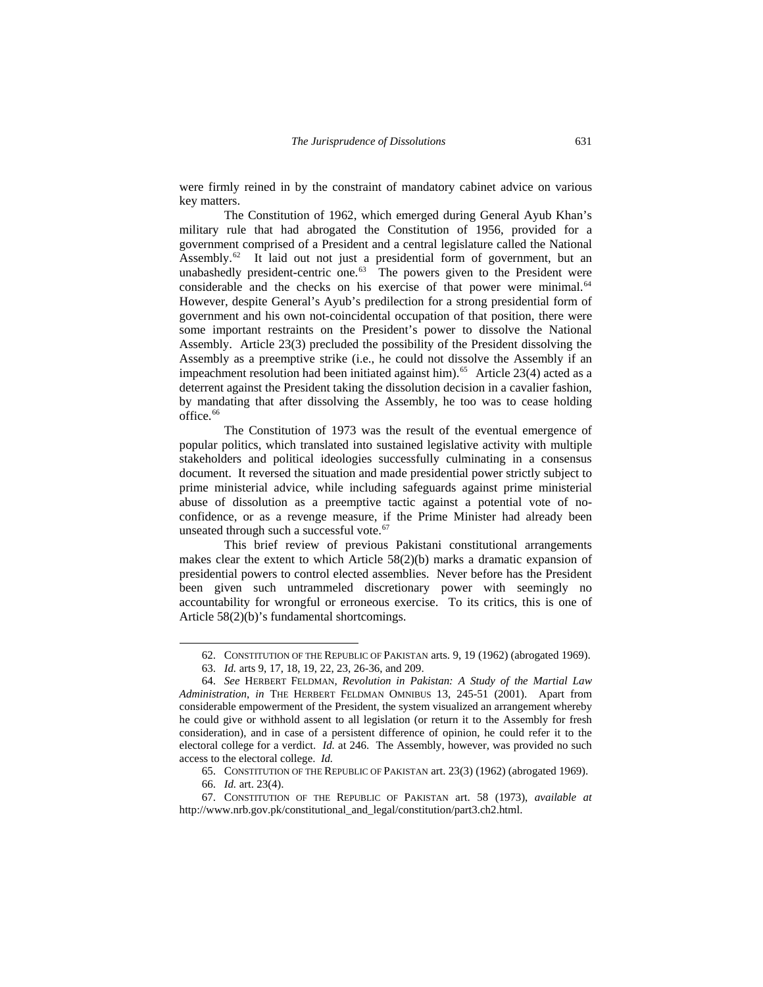were firmly reined in by the constraint of mandatory cabinet advice on various key matters.

The Constitution of 1962, which emerged during General Ayub Khan's military rule that had abrogated the Constitution of 1956, provided for a government comprised of a President and a central legislature called the National Assembly.<sup>[62](#page-16-0)</sup> It laid out not just a presidential form of government, but an unabashedly president-centric one. $63$  The powers given to the President were considerable and the checks on his exercise of that power were minimal.<sup>[64](#page-16-2)</sup> However, despite General's Ayub's predilection for a strong presidential form of government and his own not-coincidental occupation of that position, there were some important restraints on the President's power to dissolve the National Assembly. Article 23(3) precluded the possibility of the President dissolving the Assembly as a preemptive strike (i.e., he could not dissolve the Assembly if an impeachment resolution had been initiated against him). $65$  Article 23(4) acted as a deterrent against the President taking the dissolution decision in a cavalier fashion, by mandating that after dissolving the Assembly, he too was to cease holding office.<sup>[66](#page-16-4)</sup>

The Constitution of 1973 was the result of the eventual emergence of popular politics, which translated into sustained legislative activity with multiple stakeholders and political ideologies successfully culminating in a consensus document. It reversed the situation and made presidential power strictly subject to prime ministerial advice, while including safeguards against prime ministerial abuse of dissolution as a preemptive tactic against a potential vote of noconfidence, or as a revenge measure, if the Prime Minister had already been unseated through such a successful vote.<sup>[67](#page-16-5)</sup>

This brief review of previous Pakistani constitutional arrangements makes clear the extent to which Article 58(2)(b) marks a dramatic expansion of presidential powers to control elected assemblies. Never before has the President been given such untrammeled discretionary power with seemingly no accountability for wrongful or erroneous exercise. To its critics, this is one of Article 58(2)(b)'s fundamental shortcomings.

<sup>62.</sup> CONSTITUTION OF THE REPUBLIC OF PAKISTAN arts. 9, 19 (1962) (abrogated 1969).

<sup>63.</sup> *Id.* arts 9, 17, 18, 19, 22, 23, 26-36, and 209.

<span id="page-16-2"></span><span id="page-16-1"></span><span id="page-16-0"></span><sup>64.</sup> *See* HERBERT FELDMAN, *Revolution in Pakistan: A Study of the Martial Law Administration*, *in* THE HERBERT FELDMAN OMNIBUS 13, 245-51 (2001). Apart from considerable empowerment of the President, the system visualized an arrangement whereby he could give or withhold assent to all legislation (or return it to the Assembly for fresh consideration), and in case of a persistent difference of opinion, he could refer it to the electoral college for a verdict. *Id.* at 246. The Assembly, however, was provided no such access to the electoral college. *Id.*

<sup>65.</sup> CONSTITUTION OF THE REPUBLIC OF PAKISTAN art. 23(3) (1962) (abrogated 1969).

<sup>66.</sup> *Id.* art. 23(4).

<span id="page-16-5"></span><span id="page-16-4"></span><span id="page-16-3"></span><sup>67.</sup> CONSTITUTION OF THE REPUBLIC OF PAKISTAN art. 58 (1973), *available at*  http://www.nrb.gov.pk/constitutional\_and\_legal/constitution/part3.ch2.html.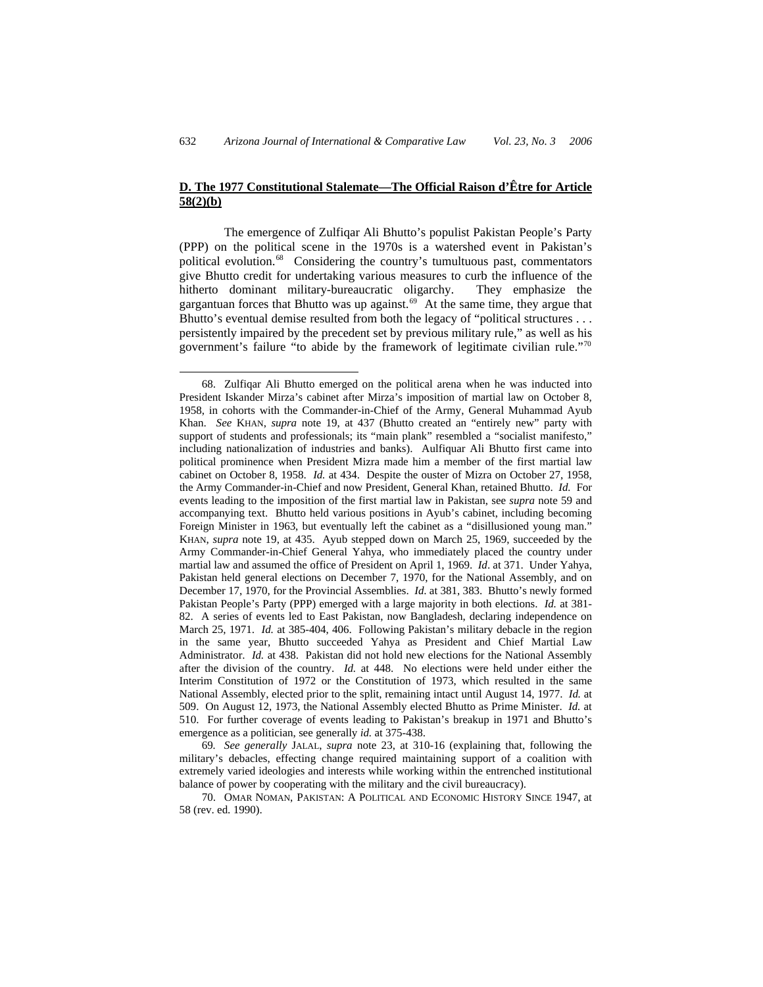# <span id="page-17-0"></span>**D. The 1977 Constitutional Stalemate—The Official Raison d'Être for Article 58(2)(b)**

The emergence of Zulfiqar Ali Bhutto's populist Pakistan People's Party (PPP) on the political scene in the 1970s is a watershed event in Pakistan's political evolution.[68](#page-17-1) Considering the country's tumultuous past, commentators give Bhutto credit for undertaking various measures to curb the influence of the hitherto dominant military-bureaucratic oligarchy. They emphasize the gargantuan forces that Bhutto was up against. $69$  At the same time, they argue that Bhutto's eventual demise resulted from both the legacy of "political structures . . . persistently impaired by the precedent set by previous military rule," as well as his government's failure "to abide by the framework of legitimate civilian rule."[70](#page-17-3)

1

<span id="page-17-2"></span>69*. See generally* JALAL, *supra* note 23, at 310-16 (explaining that, following the military's debacles, effecting change required maintaining support of a coalition with extremely varied ideologies and interests while working within the entrenched institutional balance of power by cooperating with the military and the civil bureaucracy).

<span id="page-17-3"></span>70. OMAR NOMAN, PAKISTAN: A POLITICAL AND ECONOMIC HISTORY SINCE 1947, at 58 (rev. ed. 1990).

<span id="page-17-1"></span><sup>68.</sup> Zulfiqar Ali Bhutto emerged on the political arena when he was inducted into President Iskander Mirza's cabinet after Mirza's imposition of martial law on October 8, 1958, in cohorts with the Commander-in-Chief of the Army, General Muhammad Ayub Khan. *See* KHAN, *supra* note 19, at 437 (Bhutto created an "entirely new" party with support of students and professionals; its "main plank" resembled a "socialist manifesto," including nationalization of industries and banks). Aulfiquar Ali Bhutto first came into political prominence when President Mizra made him a member of the first martial law cabinet on October 8, 1958. *Id.* at 434. Despite the ouster of Mizra on October 27, 1958, the Army Commander-in-Chief and now President, General Khan, retained Bhutto. *Id.* For events leading to the imposition of the first martial law in Pakistan, see *supra* note 59 and accompanying text. Bhutto held various positions in Ayub's cabinet, including becoming Foreign Minister in 1963, but eventually left the cabinet as a "disillusioned young man." KHAN, *supra* note 19, at 435. Ayub stepped down on March 25, 1969, succeeded by the Army Commander-in-Chief General Yahya, who immediately placed the country under martial law and assumed the office of President on April 1, 1969. *Id*. at 371. Under Yahya, Pakistan held general elections on December 7, 1970, for the National Assembly, and on December 17, 1970, for the Provincial Assemblies. *Id*. at 381, 383. Bhutto's newly formed Pakistan People's Party (PPP) emerged with a large majority in both elections. *Id.* at 381- 82. A series of events led to East Pakistan, now Bangladesh, declaring independence on March 25, 1971. *Id.* at 385-404, 406. Following Pakistan's military debacle in the region in the same year, Bhutto succeeded Yahya as President and Chief Martial Law Administrator. *Id.* at 438. Pakistan did not hold new elections for the National Assembly after the division of the country. *Id.* at 448. No elections were held under either the Interim Constitution of 1972 or the Constitution of 1973, which resulted in the same National Assembly, elected prior to the split, remaining intact until August 14, 1977. *Id.* at 509. On August 12, 1973, the National Assembly elected Bhutto as Prime Minister. *Id.* at 510. For further coverage of events leading to Pakistan's breakup in 1971 and Bhutto's emergence as a politician, see generally *id.* at 375-438.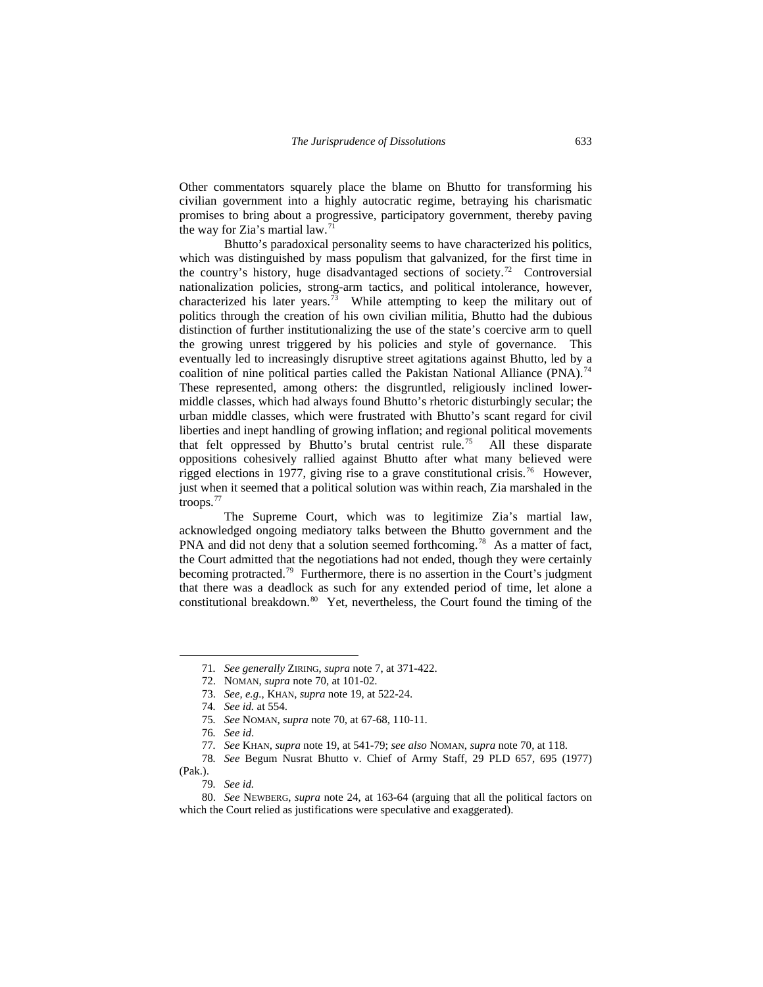Other commentators squarely place the blame on Bhutto for transforming his civilian government into a highly autocratic regime, betraying his charismatic promises to bring about a progressive, participatory government, thereby paving the way for Zia's martial law.<sup>[71](#page-18-0)</sup>

Bhutto's paradoxical personality seems to have characterized his politics, which was distinguished by mass populism that galvanized, for the first time in the country's history, huge disadvantaged sections of society.<sup>[72](#page-18-1)</sup> Controversial nationalization policies, strong-arm tactics, and political intolerance, however, characterized his later years.<sup>[73](#page-18-2)</sup> While attempting to keep the military out of politics through the creation of his own civilian militia, Bhutto had the dubious distinction of further institutionalizing the use of the state's coercive arm to quell the growing unrest triggered by his policies and style of governance. This eventually led to increasingly disruptive street agitations against Bhutto, led by a coalition of nine political parties called the Pakistan National Alliance (PNA).<sup>[74](#page-18-3)</sup> These represented, among others: the disgruntled, religiously inclined lowermiddle classes, which had always found Bhutto's rhetoric disturbingly secular; the urban middle classes, which were frustrated with Bhutto's scant regard for civil liberties and inept handling of growing inflation; and regional political movements that felt oppressed by Bhutto's brutal centrist rule.[75](#page-18-4) All these disparate oppositions cohesively rallied against Bhutto after what many believed were rigged elections in 1977, giving rise to a grave constitutional crisis.<sup>[76](#page-18-5)</sup> However, just when it seemed that a political solution was within reach, Zia marshaled in the troops.[77](#page-18-6)

The Supreme Court, which was to legitimize Zia's martial law, acknowledged ongoing mediatory talks between the Bhutto government and the PNA and did not deny that a solution seemed forthcoming.<sup>[78](#page-18-7)</sup> As a matter of fact, the Court admitted that the negotiations had not ended, though they were certainly becoming protracted.<sup>[79](#page-18-8)</sup> Furthermore, there is no assertion in the Court's judgment that there was a deadlock as such for any extended period of time, let alone a constitutional breakdown. $80$  Yet, nevertheless, the Court found the timing of the

<span id="page-18-2"></span><span id="page-18-1"></span><span id="page-18-0"></span>-

<sup>71</sup>*. See generally* ZIRING, *supra* note 7, at 371-422.

<sup>72.</sup> NOMAN, *supra* note 70, at 101-02.

<sup>73.</sup> *See, e.g.*, KHAN, *supra* note 19, at 522-24.

<sup>74</sup>*. See id.* at 554.

<sup>75</sup>*. See* NOMAN, *supra* note 70, at 67-68, 110-11.

<sup>76</sup>*. See id*.

<sup>77</sup>*. See* KHAN, *supra* note 19, at 541-79; *see also* NOMAN, *supra* note 70, at 118.

<span id="page-18-7"></span><span id="page-18-6"></span><span id="page-18-5"></span><span id="page-18-4"></span><span id="page-18-3"></span><sup>78</sup>*. See* Begum Nusrat Bhutto v. Chief of Army Staff, 29 PLD 657, 695 (1977) (Pak.).

<sup>79</sup>*. See id.*

<span id="page-18-9"></span><span id="page-18-8"></span><sup>80.</sup> *See* NEWBERG, *supra* note 24, at 163-64 (arguing that all the political factors on which the Court relied as justifications were speculative and exaggerated).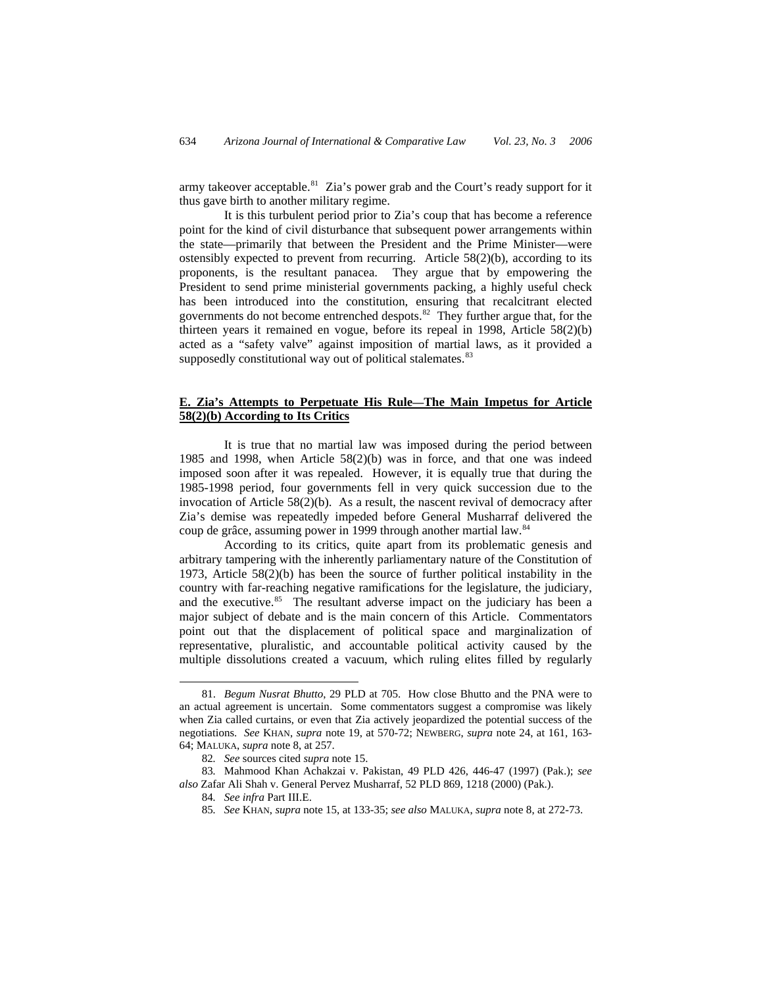<span id="page-19-0"></span>army takeover acceptable.<sup>[81](#page-19-1)</sup> Zia's power grab and the Court's ready support for it thus gave birth to another military regime.

It is this turbulent period prior to Zia's coup that has become a reference point for the kind of civil disturbance that subsequent power arrangements within the state—primarily that between the President and the Prime Minister—were ostensibly expected to prevent from recurring. Article 58(2)(b), according to its proponents, is the resultant panacea. They argue that by empowering the President to send prime ministerial governments packing, a highly useful check has been introduced into the constitution, ensuring that recalcitrant elected governments do not become entrenched despots.<sup>[82](#page-19-2)</sup> They further argue that, for the thirteen years it remained en vogue, before its repeal in 1998, Article 58(2)(b) acted as a "safety valve" against imposition of martial laws, as it provided a supposedly constitutional way out of political stalemates.<sup>[83](#page-19-3)</sup>

## **E. Zia's Attempts to Perpetuate His Rule—The Main Impetus for Article 58(2)(b) According to Its Critics**

It is true that no martial law was imposed during the period between 1985 and 1998, when Article 58(2)(b) was in force, and that one was indeed imposed soon after it was repealed. However, it is equally true that during the 1985-1998 period, four governments fell in very quick succession due to the invocation of Article  $58(2)(b)$ . As a result, the nascent revival of democracy after Zia's demise was repeatedly impeded before General Musharraf delivered the coup de grâce, assuming power in 1999 through another martial law.<sup>84</sup>

According to its critics, quite apart from its problematic genesis and arbitrary tampering with the inherently parliamentary nature of the Constitution of 1973, Article 58(2)(b) has been the source of further political instability in the country with far-reaching negative ramifications for the legislature, the judiciary, and the executive. $85$  The resultant adverse impact on the judiciary has been a major subject of debate and is the main concern of this Article. Commentators point out that the displacement of political space and marginalization of representative, pluralistic, and accountable political activity caused by the multiple dissolutions created a vacuum, which ruling elites filled by regularly

<span id="page-19-1"></span><sup>81.</sup> *Begum Nusrat Bhutto*, 29 PLD at 705. How close Bhutto and the PNA were to an actual agreement is uncertain. Some commentators suggest a compromise was likely when Zia called curtains, or even that Zia actively jeopardized the potential success of the negotiations. *See* KHAN, *supra* note 19, at 570-72; NEWBERG, *supra* note 24, at 161, 163- 64; MALUKA, *supra* note 8, at 257.

<sup>82</sup>*. See* sources cited *supra* note 15.

<span id="page-19-5"></span><span id="page-19-4"></span><span id="page-19-3"></span><span id="page-19-2"></span><sup>83</sup>*.* Mahmood Khan Achakzai v. Pakistan, 49 PLD 426, 446-47 (1997) (Pak.); *see also* Zafar Ali Shah v. General Pervez Musharraf, 52 PLD 869, 1218 (2000) (Pak.).

<sup>84</sup>*. See infra* Part III.E.

<sup>85</sup>*. See* KHAN, *supra* note 15, at 133-35; *see also* MALUKA, *supra* note 8, at 272-73.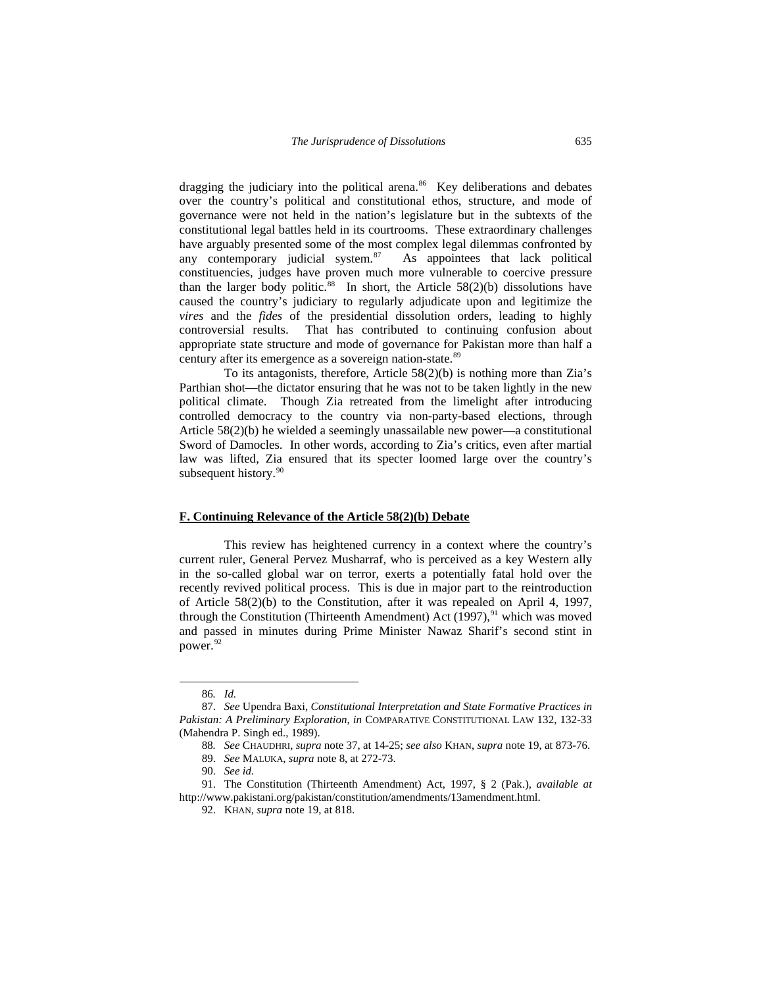<span id="page-20-0"></span>dragging the judiciary into the political arena. $86$  Key deliberations and debates over the country's political and constitutional ethos, structure, and mode of governance were not held in the nation's legislature but in the subtexts of the constitutional legal battles held in its courtrooms. These extraordinary challenges have arguably presented some of the most complex legal dilemmas confronted by any contemporary judicial system.<sup>[87](#page-20-2)</sup> As appointees that lack political constituencies, judges have proven much more vulnerable to coercive pressure than the larger body politic.<sup>[88](#page-20-3)</sup> In short, the Article  $58(2)(b)$  dissolutions have caused the country's judiciary to regularly adjudicate upon and legitimize the *vires* and the *fides* of the presidential dissolution orders, leading to highly controversial results. That has contributed to continuing confusion about appropriate state structure and mode of governance for Pakistan more than half a century after its emergence as a sovereign nation-state.<sup>[89](#page-20-4)</sup>

To its antagonists, therefore, Article 58(2)(b) is nothing more than Zia's Parthian shot—the dictator ensuring that he was not to be taken lightly in the new political climate. Though Zia retreated from the limelight after introducing controlled democracy to the country via non-party-based elections, through Article 58(2)(b) he wielded a seemingly unassailable new power—a constitutional Sword of Damocles. In other words, according to Zia's critics, even after martial law was lifted, Zia ensured that its specter loomed large over the country's subsequent history.<sup>[90](#page-20-5)</sup>

#### **F. Continuing Relevance of the Article 58(2)(b) Debate**

This review has heightened currency in a context where the country's current ruler, General Pervez Musharraf, who is perceived as a key Western ally in the so-called global war on terror, exerts a potentially fatal hold over the recently revived political process. This is due in major part to the reintroduction of Article 58(2)(b) to the Constitution, after it was repealed on April 4, 1997, through the Constitution (Thirteenth Amendment) Act  $(1997)$ , <sup>[91](#page-20-6)</sup> which was moved and passed in minutes during Prime Minister Nawaz Sharif's second stint in power.<sup>[92](#page-20-7)</sup>

<sup>86</sup>*. Id.*

<span id="page-20-2"></span><span id="page-20-1"></span><sup>87.</sup> *See* Upendra Baxi, *Constitutional Interpretation and State Formative Practices in Pakistan: A Preliminary Exploration*, *in* COMPARATIVE CONSTITUTIONAL LAW 132, 132-33 (Mahendra P. Singh ed., 1989).

<sup>88</sup>*. See* CHAUDHRI, *supra* note 37, at 14-25; *see also* KHAN, *supra* note 19, at 873-76.

<sup>89.</sup> *See* MALUKA, *supra* note 8, at 272-73.

<sup>90.</sup> *See id.*

<span id="page-20-7"></span><span id="page-20-6"></span><span id="page-20-5"></span><span id="page-20-4"></span><span id="page-20-3"></span><sup>91.</sup> The Constitution (Thirteenth Amendment) Act, 1997, § 2 (Pak.), *available at* http://www.pakistani.org/pakistan/constitution/amendments/13amendment.html.

<sup>92.</sup> KHAN, *supra* note 19, at 818.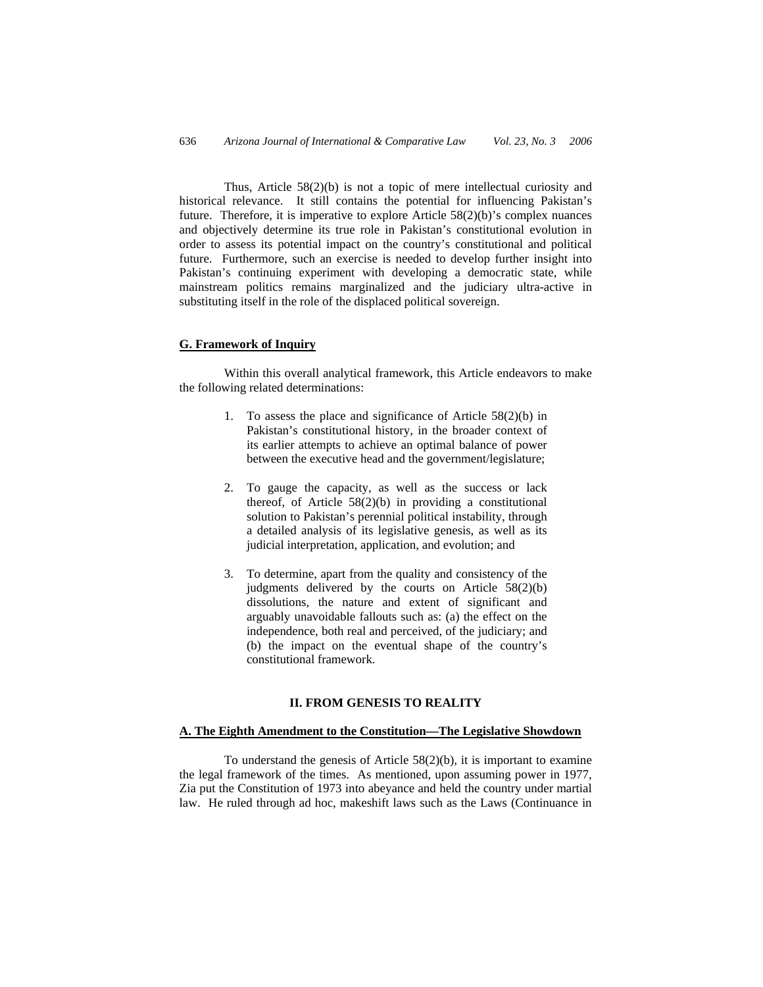<span id="page-21-0"></span>Thus, Article 58(2)(b) is not a topic of mere intellectual curiosity and historical relevance. It still contains the potential for influencing Pakistan's future. Therefore, it is imperative to explore Article 58(2)(b)'s complex nuances and objectively determine its true role in Pakistan's constitutional evolution in order to assess its potential impact on the country's constitutional and political future. Furthermore, such an exercise is needed to develop further insight into Pakistan's continuing experiment with developing a democratic state, while mainstream politics remains marginalized and the judiciary ultra-active in substituting itself in the role of the displaced political sovereign.

### **G. Framework of Inquiry**

Within this overall analytical framework, this Article endeavors to make the following related determinations:

- 1. To assess the place and significance of Article 58(2)(b) in Pakistan's constitutional history, in the broader context of its earlier attempts to achieve an optimal balance of power between the executive head and the government/legislature;
- 2. To gauge the capacity, as well as the success or lack thereof, of Article  $58(2)(b)$  in providing a constitutional solution to Pakistan's perennial political instability, through a detailed analysis of its legislative genesis, as well as its judicial interpretation, application, and evolution; and
- 3. To determine, apart from the quality and consistency of the judgments delivered by the courts on Article 58(2)(b) dissolutions, the nature and extent of significant and arguably unavoidable fallouts such as: (a) the effect on the independence, both real and perceived, of the judiciary; and (b) the impact on the eventual shape of the country's constitutional framework.

## **II. FROM GENESIS TO REALITY**

#### **A. The Eighth Amendment to the Constitution—The Legislative Showdown**

To understand the genesis of Article 58(2)(b), it is important to examine the legal framework of the times. As mentioned, upon assuming power in 1977, Zia put the Constitution of 1973 into abeyance and held the country under martial law. He ruled through ad hoc, makeshift laws such as the Laws (Continuance in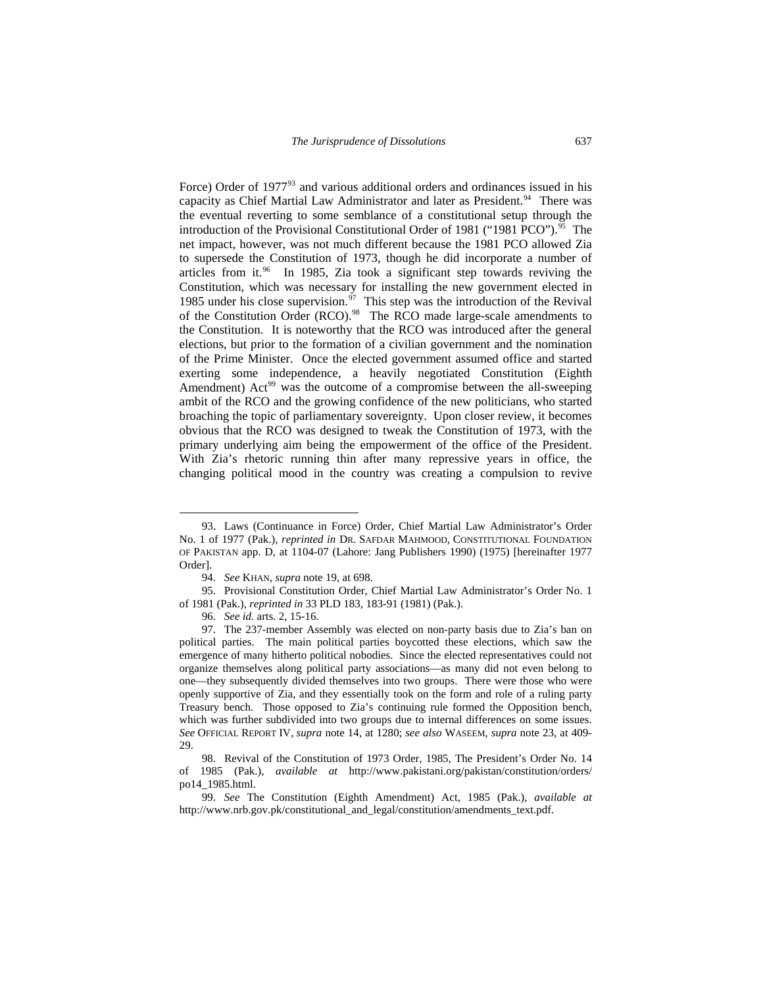Force) Order of 1977<sup>[93](#page-22-0)</sup> and various additional orders and ordinances issued in his capacity as Chief Martial Law Administrator and later as President.<sup>[94](#page-22-1)</sup> There was the eventual reverting to some semblance of a constitutional setup through the introduction of the Provisional Constitutional Order of 1981 ("1981 PCO").<sup>[95](#page-22-2)</sup> The net impact, however, was not much different because the 1981 PCO allowed Zia to supersede the Constitution of 1973, though he did incorporate a number of articles from it. $96$  In 1985, Zia took a significant step towards reviving the Constitution, which was necessary for installing the new government elected in 1985 under his close supervision.<sup>[97](#page-22-4)</sup> This step was the introduction of the Revival of the Constitution Order (RCO).<sup>[98](#page-22-5)</sup> The RCO made large-scale amendments to the Constitution. It is noteworthy that the RCO was introduced after the general elections, but prior to the formation of a civilian government and the nomination of the Prime Minister. Once the elected government assumed office and started exerting some independence, a heavily negotiated Constitution (Eighth Amendment) Act<sup>[99](#page-22-6)</sup> was the outcome of a compromise between the all-sweeping ambit of the RCO and the growing confidence of the new politicians, who started broaching the topic of parliamentary sovereignty. Upon closer review, it becomes obvious that the RCO was designed to tweak the Constitution of 1973, with the primary underlying aim being the empowerment of the office of the President. With Zia's rhetoric running thin after many repressive years in office, the changing political mood in the country was creating a compulsion to revive

-

<span id="page-22-0"></span><sup>93.</sup> Laws (Continuance in Force) Order, Chief Martial Law Administrator's Order No. 1 of 1977 (Pak.), *reprinted in* DR. SAFDAR MAHMOOD, CONSTITUTIONAL FOUNDATION OF PAKISTAN app. D, at 1104-07 (Lahore: Jang Publishers 1990) (1975) [hereinafter 1977 Order].

<sup>94.</sup> *See* KHAN, *supra* note 19, at 698.

<span id="page-22-2"></span><span id="page-22-1"></span><sup>95.</sup> Provisional Constitution Order, Chief Martial Law Administrator's Order No. 1 of 1981 (Pak.), *reprinted in* 33 PLD 183, 183-91 (1981) (Pak.).

<sup>96.</sup> *See id.* arts. 2, 15-16.

<span id="page-22-4"></span><span id="page-22-3"></span><sup>97.</sup> The 237-member Assembly was elected on non-party basis due to Zia's ban on political parties. The main political parties boycotted these elections, which saw the emergence of many hitherto political nobodies. Since the elected representatives could not organize themselves along political party associations—as many did not even belong to one—they subsequently divided themselves into two groups. There were those who were openly supportive of Zia, and they essentially took on the form and role of a ruling party Treasury bench. Those opposed to Zia's continuing rule formed the Opposition bench, which was further subdivided into two groups due to internal differences on some issues. *See* OFFICIAL REPORT IV, *supra* note 14, at 1280; *see also* WASEEM, *supra* note 23, at 409- 29.

<span id="page-22-5"></span><sup>98.</sup> Revival of the Constitution of 1973 Order, 1985, The President's Order No. 14 of 1985 (Pak.), *available at* http://www.pakistani.org/pakistan/constitution/orders/ po14\_1985.html.

<span id="page-22-6"></span><sup>99.</sup> *See* The Constitution (Eighth Amendment) Act, 1985 (Pak.), *available at* http://www.nrb.gov.pk/constitutional\_and\_legal/constitution/amendments\_text.pdf.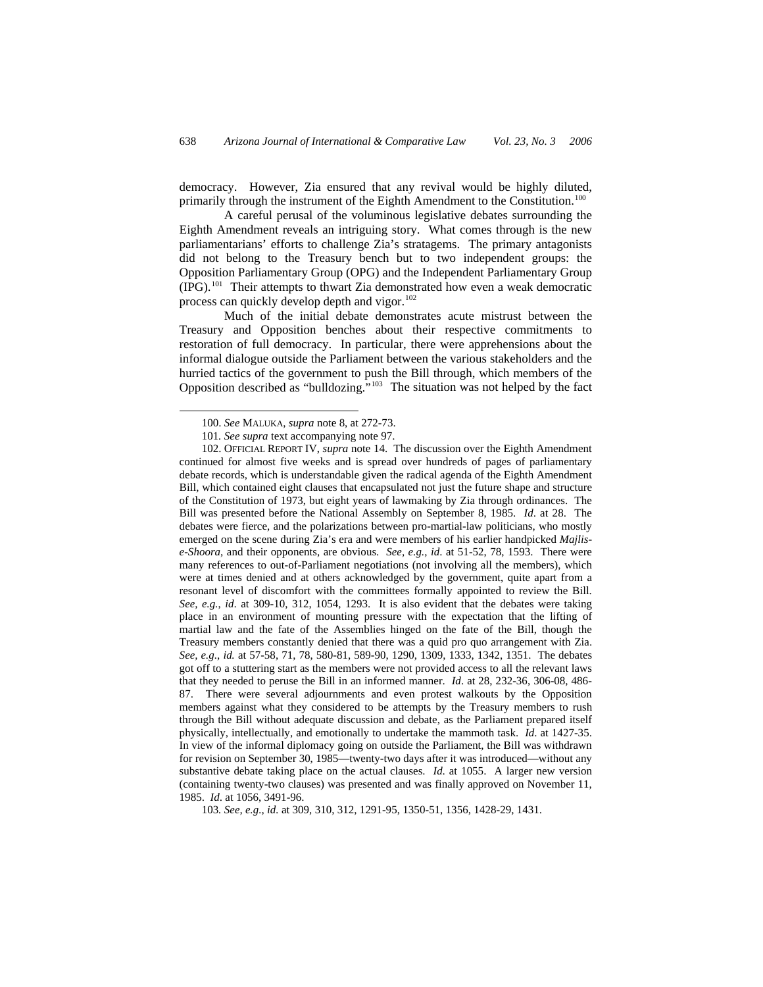democracy. However, Zia ensured that any revival would be highly diluted, primarily through the instrument of the Eighth Amendment to the Constitution.<sup>100</sup>

A careful perusal of the voluminous legislative debates surrounding the Eighth Amendment reveals an intriguing story. What comes through is the new parliamentarians' efforts to challenge Zia's stratagems. The primary antagonists did not belong to the Treasury bench but to two independent groups: the Opposition Parliamentary Group (OPG) and the Independent Parliamentary Group (IPG).[101](#page-23-1) Their attempts to thwart Zia demonstrated how even a weak democratic process can quickly develop depth and vigor. $102$ 

Much of the initial debate demonstrates acute mistrust between the Treasury and Opposition benches about their respective commitments to restoration of full democracy. In particular, there were apprehensions about the informal dialogue outside the Parliament between the various stakeholders and the hurried tactics of the government to push the Bill through, which members of the Opposition described as "bulldozing."[103](#page-23-3) The situation was not helped by the fact

 $\overline{a}$ 

<span id="page-23-3"></span>103*. See, e.g.*, *id.* at 309, 310, 312, 1291-95, 1350-51, 1356, 1428-29, 1431.

<sup>100.</sup> *See* MALUKA, *supra* note 8, at 272-73.

<sup>101</sup>*. See supra* text accompanying note 97.

<span id="page-23-2"></span><span id="page-23-1"></span><span id="page-23-0"></span><sup>102.</sup> OFFICIAL REPORT IV, *supra* note 14. The discussion over the Eighth Amendment continued for almost five weeks and is spread over hundreds of pages of parliamentary debate records, which is understandable given the radical agenda of the Eighth Amendment Bill, which contained eight clauses that encapsulated not just the future shape and structure of the Constitution of 1973, but eight years of lawmaking by Zia through ordinances. The Bill was presented before the National Assembly on September 8, 1985. *Id*. at 28. The debates were fierce, and the polarizations between pro-martial-law politicians, who mostly emerged on the scene during Zia's era and were members of his earlier handpicked *Majlise-Shoora*, and their opponents, are obvious. *See, e.g.*, *id*. at 51-52, 78, 1593. There were many references to out-of-Parliament negotiations (not involving all the members), which were at times denied and at others acknowledged by the government, quite apart from a resonant level of discomfort with the committees formally appointed to review the Bill. *See, e.g.*, *id*. at 309-10, 312, 1054, 1293. It is also evident that the debates were taking place in an environment of mounting pressure with the expectation that the lifting of martial law and the fate of the Assemblies hinged on the fate of the Bill, though the Treasury members constantly denied that there was a quid pro quo arrangement with Zia. *See, e.g.*, *id.* at 57-58, 71, 78, 580-81, 589-90, 1290, 1309, 1333, 1342, 1351. The debates got off to a stuttering start as the members were not provided access to all the relevant laws that they needed to peruse the Bill in an informed manner. *Id*. at 28, 232-36, 306-08, 486- 87. There were several adjournments and even protest walkouts by the Opposition members against what they considered to be attempts by the Treasury members to rush through the Bill without adequate discussion and debate, as the Parliament prepared itself physically, intellectually, and emotionally to undertake the mammoth task. *Id*. at 1427-35. In view of the informal diplomacy going on outside the Parliament, the Bill was withdrawn for revision on September 30, 1985—twenty-two days after it was introduced—without any substantive debate taking place on the actual clauses. *Id*. at 1055. A larger new version (containing twenty-two clauses) was presented and was finally approved on November 11, 1985. *Id*. at 1056, 3491-96.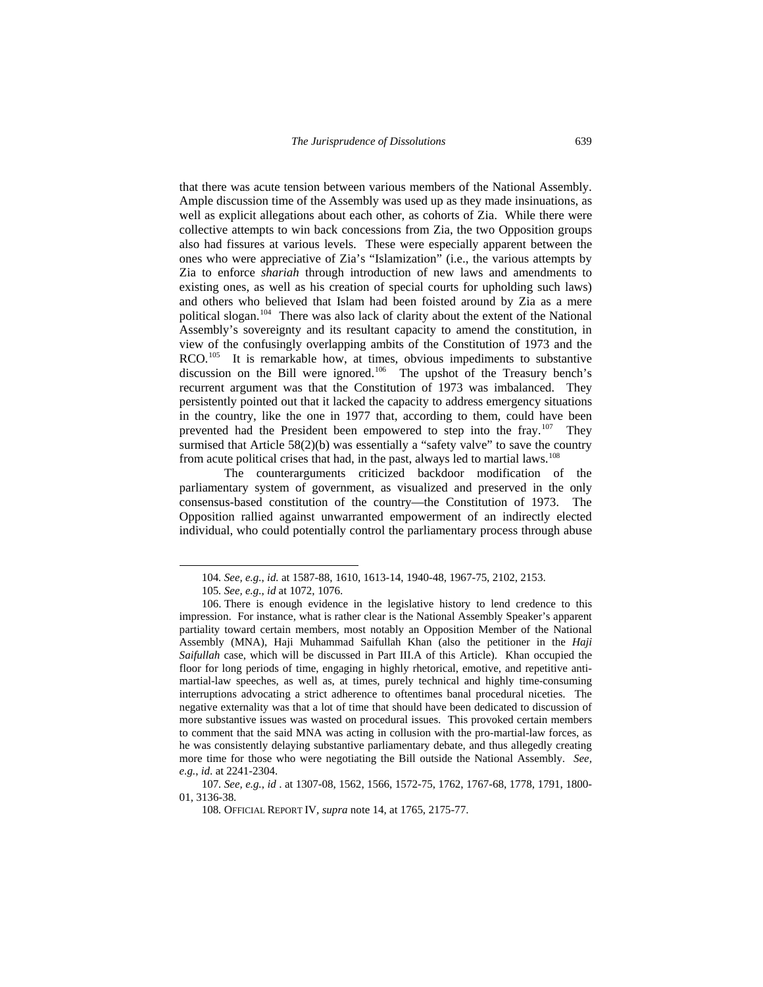that there was acute tension between various members of the National Assembly. Ample discussion time of the Assembly was used up as they made insinuations, as well as explicit allegations about each other, as cohorts of Zia. While there were collective attempts to win back concessions from Zia, the two Opposition groups also had fissures at various levels. These were especially apparent between the ones who were appreciative of Zia's "Islamization" (i.e., the various attempts by Zia to enforce *shariah* through introduction of new laws and amendments to existing ones, as well as his creation of special courts for upholding such laws) and others who believed that Islam had been foisted around by Zia as a mere political slogan.[104](#page-24-0) There was also lack of clarity about the extent of the National Assembly's sovereignty and its resultant capacity to amend the constitution, in view of the confusingly overlapping ambits of the Constitution of 1973 and the RCO.<sup>[105](#page-24-1)</sup> It is remarkable how, at times, obvious impediments to substantive discussion on the Bill were ignored.<sup>[106](#page-24-2)</sup> The upshot of the Treasury bench's recurrent argument was that the Constitution of 1973 was imbalanced. They persistently pointed out that it lacked the capacity to address emergency situations in the country, like the one in 1977 that, according to them, could have been prevented had the President been empowered to step into the fray.<sup>[107](#page-24-3)</sup> They surmised that Article 58(2)(b) was essentially a "safety valve" to save the country from acute political crises that had, in the past, always led to martial laws.<sup>[108](#page-24-4)</sup>

The counterarguments criticized backdoor modification of the parliamentary system of government, as visualized and preserved in the only consensus-based constitution of the country—the Constitution of 1973. The Opposition rallied against unwarranted empowerment of an indirectly elected individual, who could potentially control the parliamentary process through abuse

<sup>104</sup>*. See, e.g.*, *id.* at 1587-88, 1610, 1613-14, 1940-48, 1967-75, 2102, 2153.

<sup>105</sup>*. See, e.g.*, *id* at 1072, 1076.

<span id="page-24-2"></span><span id="page-24-1"></span><span id="page-24-0"></span><sup>106.</sup> There is enough evidence in the legislative history to lend credence to this impression. For instance, what is rather clear is the National Assembly Speaker's apparent partiality toward certain members, most notably an Opposition Member of the National Assembly (MNA), Haji Muhammad Saifullah Khan (also the petitioner in the *Haji Saifullah* case, which will be discussed in Part III.A of this Article). Khan occupied the floor for long periods of time, engaging in highly rhetorical, emotive, and repetitive antimartial-law speeches, as well as, at times, purely technical and highly time-consuming interruptions advocating a strict adherence to oftentimes banal procedural niceties. The negative externality was that a lot of time that should have been dedicated to discussion of more substantive issues was wasted on procedural issues. This provoked certain members to comment that the said MNA was acting in collusion with the pro-martial-law forces, as he was consistently delaying substantive parliamentary debate, and thus allegedly creating more time for those who were negotiating the Bill outside the National Assembly. *See, e.g.*, *id*. at 2241-2304.

<span id="page-24-4"></span><span id="page-24-3"></span><sup>107</sup>*. See, e.g.*, *id* . at 1307-08, 1562, 1566, 1572-75, 1762, 1767-68, 1778, 1791, 1800- 01, 3136-38.

<sup>108</sup>*.* OFFICIAL REPORT IV*, supra* note 14, at 1765, 2175-77.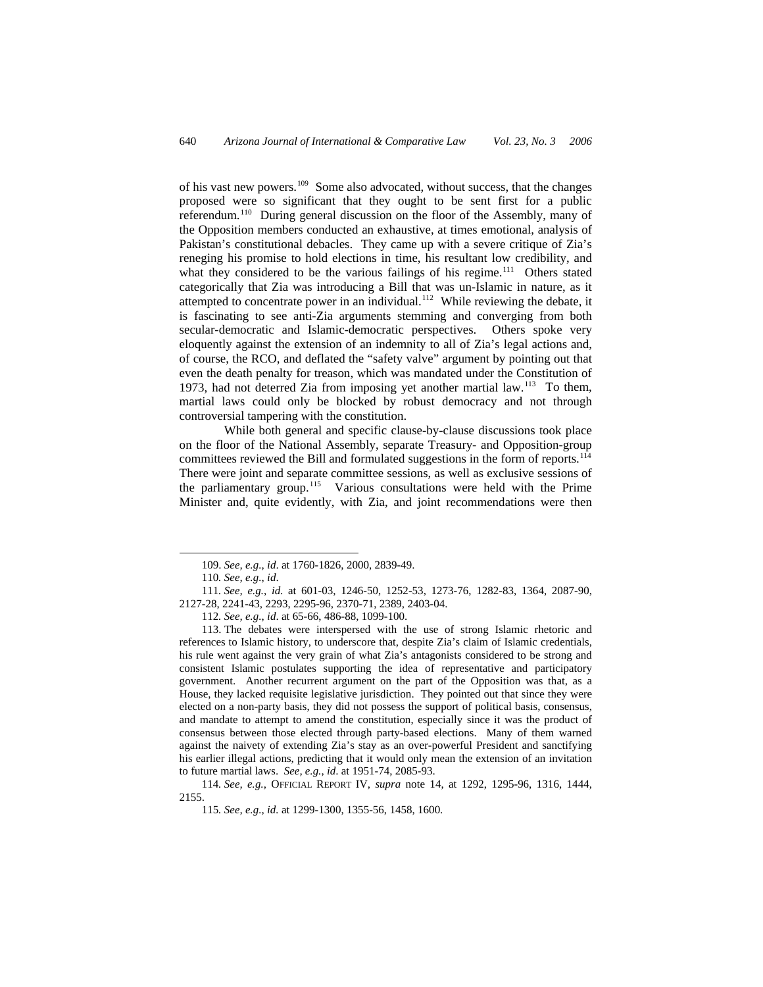of his vast new powers.[109](#page-25-0) Some also advocated, without success, that the changes proposed were so significant that they ought to be sent first for a public referendum.[110](#page-25-1) During general discussion on the floor of the Assembly, many of the Opposition members conducted an exhaustive, at times emotional, analysis of Pakistan's constitutional debacles. They came up with a severe critique of Zia's reneging his promise to hold elections in time, his resultant low credibility, and what they considered to be the various failings of his regime.<sup>[111](#page-25-2)</sup> Others stated categorically that Zia was introducing a Bill that was un-Islamic in nature, as it attempted to concentrate power in an individual.<sup>[112](#page-25-3)</sup> While reviewing the debate, it is fascinating to see anti-Zia arguments stemming and converging from both secular-democratic and Islamic-democratic perspectives. Others spoke very eloquently against the extension of an indemnity to all of Zia's legal actions and, of course, the RCO, and deflated the "safety valve" argument by pointing out that even the death penalty for treason, which was mandated under the Constitution of 1973, had not deterred Zia from imposing yet another martial law.<sup>[113](#page-25-4)</sup> To them, martial laws could only be blocked by robust democracy and not through controversial tampering with the constitution.

While both general and specific clause-by-clause discussions took place on the floor of the National Assembly, separate Treasury- and Opposition-group committees reviewed the Bill and formulated suggestions in the form of reports.<sup>[114](#page-25-5)</sup> There were joint and separate committee sessions, as well as exclusive sessions of the parliamentary group.[115](#page-25-6) Various consultations were held with the Prime Minister and, quite evidently, with Zia, and joint recommendations were then

 $\overline{a}$ 

<span id="page-25-6"></span><span id="page-25-5"></span>114*. See, e.g.*, OFFICIAL REPORT IV, *supra* note 14, at 1292, 1295-96, 1316, 1444, 2155.

<sup>109.</sup> *See, e.g.*, *id*. at 1760-1826, 2000, 2839-49.

<sup>110</sup>*. See, e.g.*, *id*.

<span id="page-25-2"></span><span id="page-25-1"></span><span id="page-25-0"></span><sup>111</sup>*. See, e.g.*, *id*. at 601-03, 1246-50, 1252-53, 1273-76, 1282-83, 1364, 2087-90, 2127-28, 2241-43, 2293, 2295-96, 2370-71, 2389, 2403-04.

<sup>112</sup>*. See, e.g.*, *id*. at 65-66, 486-88, 1099-100.

<span id="page-25-4"></span><span id="page-25-3"></span><sup>113.</sup> The debates were interspersed with the use of strong Islamic rhetoric and references to Islamic history, to underscore that, despite Zia's claim of Islamic credentials, his rule went against the very grain of what Zia's antagonists considered to be strong and consistent Islamic postulates supporting the idea of representative and participatory government. Another recurrent argument on the part of the Opposition was that, as a House, they lacked requisite legislative jurisdiction. They pointed out that since they were elected on a non-party basis, they did not possess the support of political basis, consensus, and mandate to attempt to amend the constitution, especially since it was the product of consensus between those elected through party-based elections. Many of them warned against the naivety of extending Zia's stay as an over-powerful President and sanctifying his earlier illegal actions, predicting that it would only mean the extension of an invitation to future martial laws. *See, e.g.*, *id*. at 1951-74, 2085-93.

<sup>115</sup>*. See, e.g.*, *id.* at 1299-1300, 1355-56, 1458, 1600.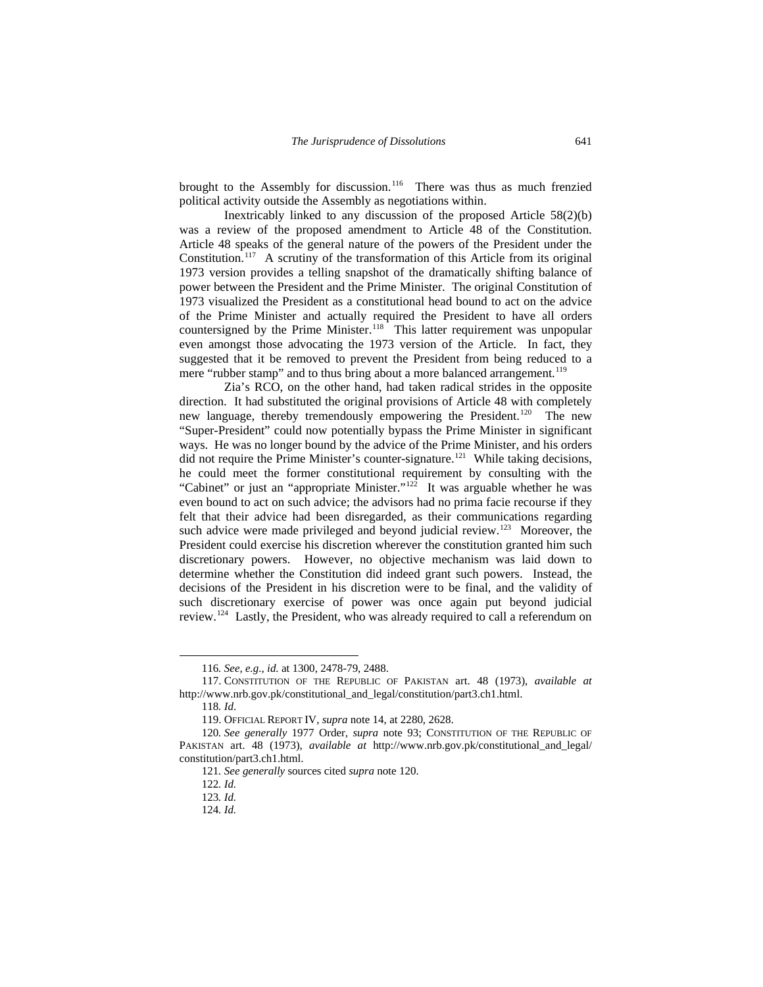brought to the Assembly for discussion.<sup>[116](#page-26-0)</sup> There was thus as much frenzied political activity outside the Assembly as negotiations within.

Inextricably linked to any discussion of the proposed Article  $58(2)(b)$ was a review of the proposed amendment to Article 48 of the Constitution. Article 48 speaks of the general nature of the powers of the President under the Constitution.<sup>[117](#page-26-1)</sup> A scrutiny of the transformation of this Article from its original 1973 version provides a telling snapshot of the dramatically shifting balance of power between the President and the Prime Minister. The original Constitution of 1973 visualized the President as a constitutional head bound to act on the advice of the Prime Minister and actually required the President to have all orders countersigned by the Prime Minister.<sup>[118](#page-26-2)</sup> This latter requirement was unpopular even amongst those advocating the 1973 version of the Article. In fact, they suggested that it be removed to prevent the President from being reduced to a mere "rubber stamp" and to thus bring about a more balanced arrangement.<sup>[119](#page-26-3)</sup>

Zia's RCO, on the other hand, had taken radical strides in the opposite direction. It had substituted the original provisions of Article 48 with completely new language, thereby tremendously empowering the President.<sup>[120](#page-26-4)</sup> The new "Super-President" could now potentially bypass the Prime Minister in significant ways. He was no longer bound by the advice of the Prime Minister, and his orders did not require the Prime Minister's counter-signature.<sup>[121](#page-26-5)</sup> While taking decisions, he could meet the former constitutional requirement by consulting with the "Cabinet" or just an "appropriate Minister."<sup>[122](#page-26-6)</sup> It was arguable whether he was even bound to act on such advice; the advisors had no prima facie recourse if they felt that their advice had been disregarded, as their communications regarding such advice were made privileged and beyond judicial review.<sup>[123](#page-26-7)</sup> Moreover, the President could exercise his discretion wherever the constitution granted him such discretionary powers. However, no objective mechanism was laid down to determine whether the Constitution did indeed grant such powers. Instead, the decisions of the President in his discretion were to be final, and the validity of such discretionary exercise of power was once again put beyond judicial review.[124](#page-26-8) Lastly, the President, who was already required to call a referendum on

-

<sup>116</sup>*. See, e.g.*, *id.* at 1300, 2478-79, 2488.

<span id="page-26-2"></span><span id="page-26-1"></span><span id="page-26-0"></span><sup>117.</sup> CONSTITUTION OF THE REPUBLIC OF PAKISTAN art. 48 (1973), *available at*  http://www.nrb.gov.pk/constitutional\_and\_legal/constitution/part3.ch1.html.

<sup>118</sup>*. Id*.

<sup>119.</sup> OFFICIAL REPORT IV, *supra* note 14, at 2280, 2628.

<span id="page-26-8"></span><span id="page-26-7"></span><span id="page-26-6"></span><span id="page-26-5"></span><span id="page-26-4"></span><span id="page-26-3"></span><sup>120</sup>*. See generally* 1977 Order*, supra* note 93; CONSTITUTION OF THE REPUBLIC OF PAKISTAN art. 48 (1973), *available at* http://www.nrb.gov.pk/constitutional\_and\_legal/ constitution/part3.ch1.html.

<sup>121</sup>*. See generally* sources cited *supra* note 120.

<sup>122</sup>*. Id.*

<sup>123</sup>*. Id.*

<sup>124</sup>*. Id.*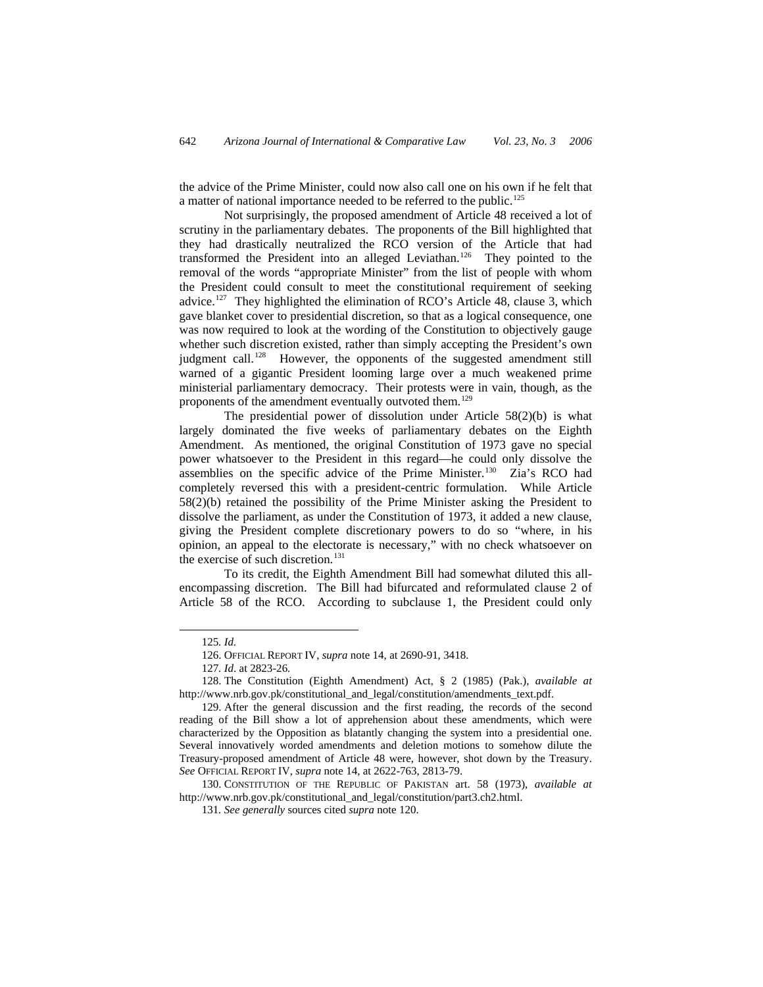the advice of the Prime Minister, could now also call one on his own if he felt that a matter of national importance needed to be referred to the public.<sup>[125](#page-27-0)</sup>

Not surprisingly, the proposed amendment of Article 48 received a lot of scrutiny in the parliamentary debates. The proponents of the Bill highlighted that they had drastically neutralized the RCO version of the Article that had transformed the President into an alleged Leviathan.<sup>126</sup> They pointed to the removal of the words "appropriate Minister" from the list of people with whom the President could consult to meet the constitutional requirement of seeking advice.[127](#page-27-2) They highlighted the elimination of RCO's Article 48, clause 3, which gave blanket cover to presidential discretion, so that as a logical consequence, one was now required to look at the wording of the Constitution to objectively gauge whether such discretion existed, rather than simply accepting the President's own judgment call.<sup>[128](#page-27-3)</sup> However, the opponents of the suggested amendment still warned of a gigantic President looming large over a much weakened prime ministerial parliamentary democracy. Their protests were in vain, though, as the proponents of the amendment eventually outvoted them.<sup>[129](#page-27-4)</sup>

The presidential power of dissolution under Article 58(2)(b) is what largely dominated the five weeks of parliamentary debates on the Eighth Amendment. As mentioned, the original Constitution of 1973 gave no special power whatsoever to the President in this regard—he could only dissolve the assemblies on the specific advice of the Prime Minister.<sup>[130](#page-27-5)</sup> Zia's RCO had completely reversed this with a president-centric formulation. While Article 58(2)(b) retained the possibility of the Prime Minister asking the President to dissolve the parliament, as under the Constitution of 1973, it added a new clause, giving the President complete discretionary powers to do so "where, in his opinion, an appeal to the electorate is necessary," with no check whatsoever on the exercise of such discretion.<sup>[131](#page-27-6)</sup>

To its credit, the Eighth Amendment Bill had somewhat diluted this allencompassing discretion. The Bill had bifurcated and reformulated clause 2 of Article 58 of the RCO. According to subclause 1, the President could only

<sup>125</sup>*. Id.*

<sup>126.</sup> OFFICIAL REPORT IV, *supra* note 14, at 2690-91, 3418.

<sup>127</sup>*. Id*. at 2823-26.

<span id="page-27-3"></span><span id="page-27-2"></span><span id="page-27-1"></span><span id="page-27-0"></span><sup>128.</sup> The Constitution (Eighth Amendment) Act, § 2 (1985) (Pak.), *available at* http://www.nrb.gov.pk/constitutional\_and\_legal/constitution/amendments\_text.pdf.

<span id="page-27-4"></span><sup>129.</sup> After the general discussion and the first reading, the records of the second reading of the Bill show a lot of apprehension about these amendments, which were characterized by the Opposition as blatantly changing the system into a presidential one. Several innovatively worded amendments and deletion motions to somehow dilute the Treasury-proposed amendment of Article 48 were, however, shot down by the Treasury. *See* OFFICIAL REPORT IV*, supra* note 14, at 2622-763, 2813-79.

<span id="page-27-6"></span><span id="page-27-5"></span><sup>130.</sup> CONSTITUTION OF THE REPUBLIC OF PAKISTAN art. 58 (1973), *available at*  http://www.nrb.gov.pk/constitutional\_and\_legal/constitution/part3.ch2.html.

<sup>131</sup>*. See generally* sources cited *supra* note 120.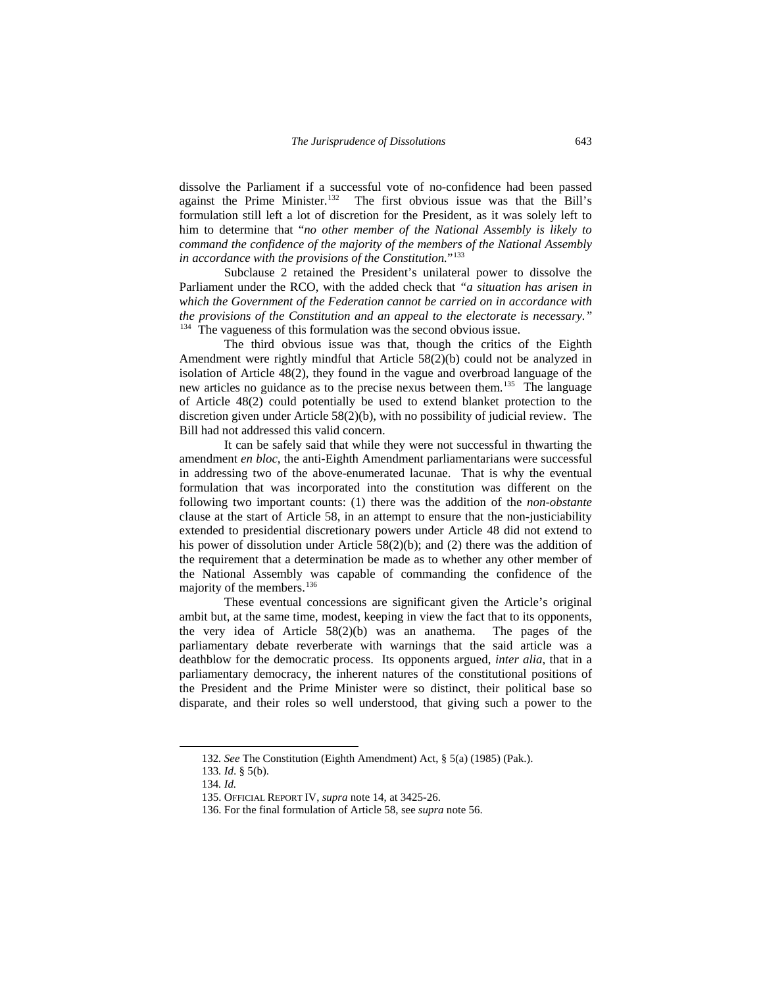dissolve the Parliament if a successful vote of no-confidence had been passed against the Prime Minister.<sup>[132](#page-28-0)</sup> The first obvious issue was that the Bill's formulation still left a lot of discretion for the President, as it was solely left to him to determine that "*no other member of the National Assembly is likely to command the confidence of the majority of the members of the National Assembly in accordance with the provisions of the Constitution.*"[133](#page-28-1)

Subclause 2 retained the President's unilateral power to dissolve the Parliament under the RCO, with the added check that *"a situation has arisen in which the Government of the Federation cannot be carried on in accordance with the provisions of the Constitution and an appeal to the electorate is necessary."*  <sup>[134](#page-28-2)</sup> The vagueness of this formulation was the second obvious issue.

The third obvious issue was that, though the critics of the Eighth Amendment were rightly mindful that Article 58(2)(b) could not be analyzed in isolation of Article 48(2), they found in the vague and overbroad language of the new articles no guidance as to the precise nexus between them.[135](#page-28-3) The language of Article 48(2) could potentially be used to extend blanket protection to the discretion given under Article 58(2)(b), with no possibility of judicial review. The Bill had not addressed this valid concern.

It can be safely said that while they were not successful in thwarting the amendment *en bloc*, the anti-Eighth Amendment parliamentarians were successful in addressing two of the above-enumerated lacunae. That is why the eventual formulation that was incorporated into the constitution was different on the following two important counts: (1) there was the addition of the *non-obstante* clause at the start of Article 58, in an attempt to ensure that the non-justiciability extended to presidential discretionary powers under Article 48 did not extend to his power of dissolution under Article 58(2)(b); and (2) there was the addition of the requirement that a determination be made as to whether any other member of the National Assembly was capable of commanding the confidence of the majority of the members.<sup>[136](#page-28-4)</sup>

These eventual concessions are significant given the Article's original ambit but, at the same time, modest, keeping in view the fact that to its opponents, the very idea of Article  $58(2)(b)$  was an anathema. The pages of the parliamentary debate reverberate with warnings that the said article was a deathblow for the democratic process. Its opponents argued, *inter alia*, that in a parliamentary democracy, the inherent natures of the constitutional positions of the President and the Prime Minister were so distinct, their political base so disparate, and their roles so well understood, that giving such a power to the

<sup>132</sup>*. See* The Constitution (Eighth Amendment) Act, § 5(a) (1985) (Pak.).

<span id="page-28-2"></span><span id="page-28-1"></span><span id="page-28-0"></span><sup>133</sup>*. Id*. § 5(b).

<span id="page-28-4"></span><span id="page-28-3"></span><sup>134</sup>*. Id.*

<sup>135.</sup> OFFICIAL REPORT IV, *supra* note 14, at 3425-26.

<sup>136.</sup> For the final formulation of Article 58, see *supra* note 56.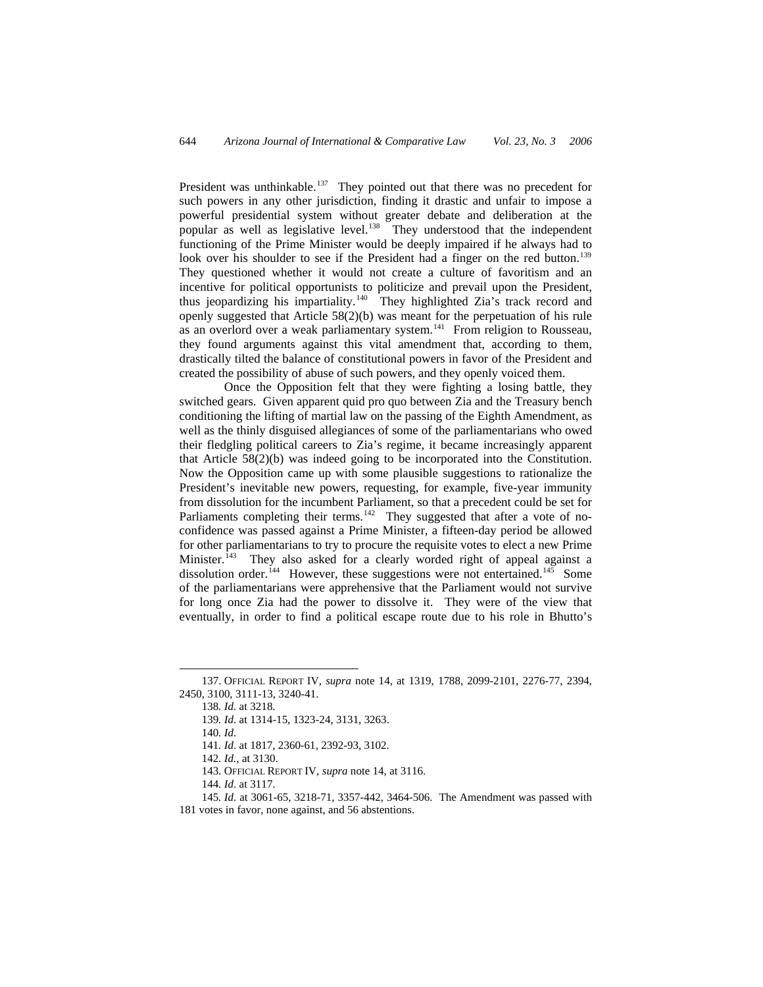President was unthinkable.<sup>[137](#page-29-0)</sup> They pointed out that there was no precedent for such powers in any other jurisdiction, finding it drastic and unfair to impose a powerful presidential system without greater debate and deliberation at the popular as well as legislative level.<sup>[138](#page-29-1)</sup> They understood that the independent functioning of the Prime Minister would be deeply impaired if he always had to look over his shoulder to see if the President had a finger on the red button.<sup>[139](#page-29-2)</sup> They questioned whether it would not create a culture of favoritism and an incentive for political opportunists to politicize and prevail upon the President, thus jeopardizing his impartiality.<sup>[140](#page-29-3)</sup> They highlighted Zia's track record and openly suggested that Article 58(2)(b) was meant for the perpetuation of his rule as an overlord over a weak parliamentary system.<sup>[141](#page-29-4)</sup> From religion to Rousseau, they found arguments against this vital amendment that, according to them, drastically tilted the balance of constitutional powers in favor of the President and created the possibility of abuse of such powers, and they openly voiced them.

Once the Opposition felt that they were fighting a losing battle, they switched gears. Given apparent quid pro quo between Zia and the Treasury bench conditioning the lifting of martial law on the passing of the Eighth Amendment, as well as the thinly disguised allegiances of some of the parliamentarians who owed their fledgling political careers to Zia's regime, it became increasingly apparent that Article 58(2)(b) was indeed going to be incorporated into the Constitution. Now the Opposition came up with some plausible suggestions to rationalize the President's inevitable new powers, requesting, for example, five-year immunity from dissolution for the incumbent Parliament, so that a precedent could be set for Parliaments completing their terms.<sup>[142](#page-29-5)</sup> They suggested that after a vote of noconfidence was passed against a Prime Minister, a fifteen-day period be allowed for other parliamentarians to try to procure the requisite votes to elect a new Prime Minister. $143$  They also asked for a clearly worded right of appeal against a dissolution order.<sup>[144](#page-29-7)</sup> However, these suggestions were not entertained.<sup>[145](#page-29-8)</sup> Some of the parliamentarians were apprehensive that the Parliament would not survive for long once Zia had the power to dissolve it. They were of the view that eventually, in order to find a political escape route due to his role in Bhutto's

<span id="page-29-5"></span><span id="page-29-4"></span><span id="page-29-3"></span><span id="page-29-2"></span><span id="page-29-1"></span><span id="page-29-0"></span><sup>137.</sup> OFFICIAL REPORT IV, *supra* note 14, at 1319, 1788, 2099-2101, 2276-77, 2394, 2450, 3100, 3111-13, 3240-41.

<sup>138</sup>*. Id*. at 3218.

<sup>139</sup>*. Id*. at 1314-15, 1323-24, 3131, 3263.

<sup>140</sup>*. Id*.

<sup>141</sup>*. Id*. at 1817, 2360-61, 2392-93, 3102.

<sup>142</sup>*. Id.*, at 3130.

<sup>143</sup>*.* OFFICIAL REPORT IV, *supra* note 14, at 3116.

<sup>144</sup>*. Id*. at 3117.

<span id="page-29-8"></span><span id="page-29-7"></span><span id="page-29-6"></span><sup>145</sup>*. Id*. at 3061-65, 3218-71, 3357-442, 3464-506. The Amendment was passed with 181 votes in favor, none against, and 56 abstentions.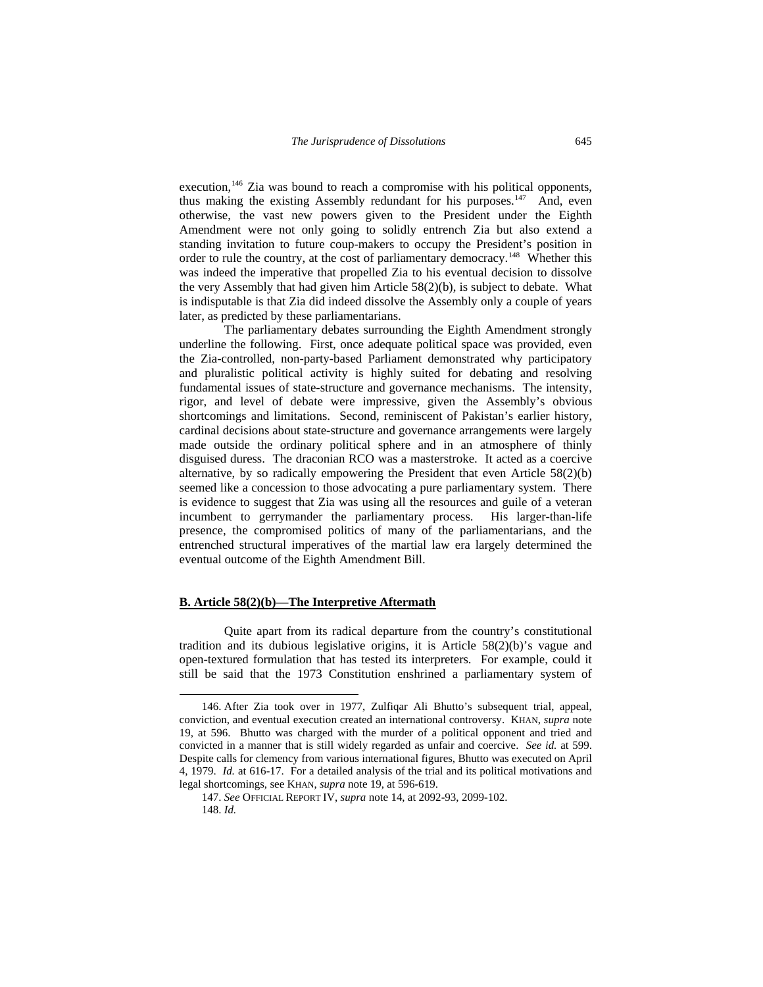<span id="page-30-0"></span>execution,<sup>[146](#page-30-1)</sup> Zia was bound to reach a compromise with his political opponents, thus making the existing Assembly redundant for his purposes.<sup>[147](#page-30-2)</sup> And, even otherwise, the vast new powers given to the President under the Eighth Amendment were not only going to solidly entrench Zia but also extend a standing invitation to future coup-makers to occupy the President's position in order to rule the country, at the cost of parliamentary democracy.<sup>[148](#page-30-3)</sup> Whether this was indeed the imperative that propelled Zia to his eventual decision to dissolve the very Assembly that had given him Article 58(2)(b), is subject to debate. What is indisputable is that Zia did indeed dissolve the Assembly only a couple of years later, as predicted by these parliamentarians.

The parliamentary debates surrounding the Eighth Amendment strongly underline the following. First, once adequate political space was provided, even the Zia-controlled, non-party-based Parliament demonstrated why participatory and pluralistic political activity is highly suited for debating and resolving fundamental issues of state-structure and governance mechanisms. The intensity, rigor, and level of debate were impressive, given the Assembly's obvious shortcomings and limitations. Second, reminiscent of Pakistan's earlier history, cardinal decisions about state-structure and governance arrangements were largely made outside the ordinary political sphere and in an atmosphere of thinly disguised duress. The draconian RCO was a masterstroke. It acted as a coercive alternative, by so radically empowering the President that even Article  $58(2)(b)$ seemed like a concession to those advocating a pure parliamentary system. There is evidence to suggest that Zia was using all the resources and guile of a veteran incumbent to gerrymander the parliamentary process. His larger-than-life presence, the compromised politics of many of the parliamentarians, and the entrenched structural imperatives of the martial law era largely determined the eventual outcome of the Eighth Amendment Bill.

## **B. Article 58(2)(b)—The Interpretive Aftermath**

 $\overline{a}$ 

Quite apart from its radical departure from the country's constitutional tradition and its dubious legislative origins, it is Article  $58(2)(b)$ 's vague and open-textured formulation that has tested its interpreters. For example, could it still be said that the 1973 Constitution enshrined a parliamentary system of

<span id="page-30-1"></span><sup>146.</sup> After Zia took over in 1977, Zulfiqar Ali Bhutto's subsequent trial, appeal, conviction, and eventual execution created an international controversy. KHAN, *supra* note 19, at 596. Bhutto was charged with the murder of a political opponent and tried and convicted in a manner that is still widely regarded as unfair and coercive. *See id.* at 599. Despite calls for clemency from various international figures, Bhutto was executed on April 4, 1979. *Id.* at 616-17. For a detailed analysis of the trial and its political motivations and legal shortcomings, see KHAN, *supra* note 19, at 596-619.

<span id="page-30-3"></span><span id="page-30-2"></span><sup>147.</sup> *See* OFFICIAL REPORT IV, *supra* note 14, at 2092-93, 2099-102. 148. *Id.*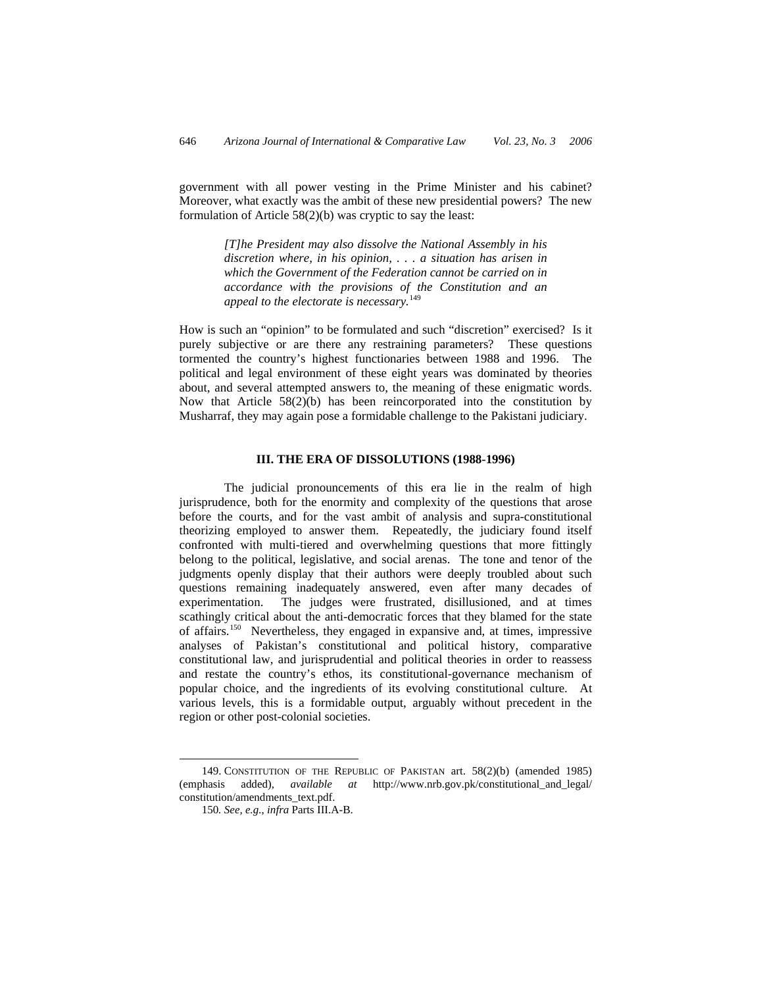<span id="page-31-0"></span>government with all power vesting in the Prime Minister and his cabinet? Moreover, what exactly was the ambit of these new presidential powers? The new formulation of Article 58(2)(b) was cryptic to say the least:

> *[T]he President may also dissolve the National Assembly in his discretion where, in his opinion, . . . a situation has arisen in which the Government of the Federation cannot be carried on in accordance with the provisions of the Constitution and an appeal to the electorate is necessary.*[149](#page-31-1)

How is such an "opinion" to be formulated and such "discretion" exercised? Is it purely subjective or are there any restraining parameters? These questions tormented the country's highest functionaries between 1988 and 1996. The political and legal environment of these eight years was dominated by theories about, and several attempted answers to, the meaning of these enigmatic words. Now that Article 58(2)(b) has been reincorporated into the constitution by Musharraf, they may again pose a formidable challenge to the Pakistani judiciary.

## **III. THE ERA OF DISSOLUTIONS (1988-1996)**

The judicial pronouncements of this era lie in the realm of high jurisprudence, both for the enormity and complexity of the questions that arose before the courts, and for the vast ambit of analysis and supra-constitutional theorizing employed to answer them. Repeatedly, the judiciary found itself confronted with multi-tiered and overwhelming questions that more fittingly belong to the political, legislative, and social arenas. The tone and tenor of the judgments openly display that their authors were deeply troubled about such questions remaining inadequately answered, even after many decades of experimentation. The judges were frustrated, disillusioned, and at times scathingly critical about the anti-democratic forces that they blamed for the state of affairs.[150](#page-31-2) Nevertheless, they engaged in expansive and, at times, impressive analyses of Pakistan's constitutional and political history, comparative constitutional law, and jurisprudential and political theories in order to reassess and restate the country's ethos, its constitutional-governance mechanism of popular choice, and the ingredients of its evolving constitutional culture. At various levels, this is a formidable output, arguably without precedent in the region or other post-colonial societies.

<span id="page-31-2"></span><span id="page-31-1"></span><sup>149.</sup> CONSTITUTION OF THE REPUBLIC OF PAKISTAN art. 58(2)(b) (amended 1985) (emphasis added), *available at* http://www.nrb.gov.pk/constitutional\_and\_legal/ constitution/amendments\_text.pdf.

<sup>150</sup>*. See, e.g.*, *infra* Parts III.A-B.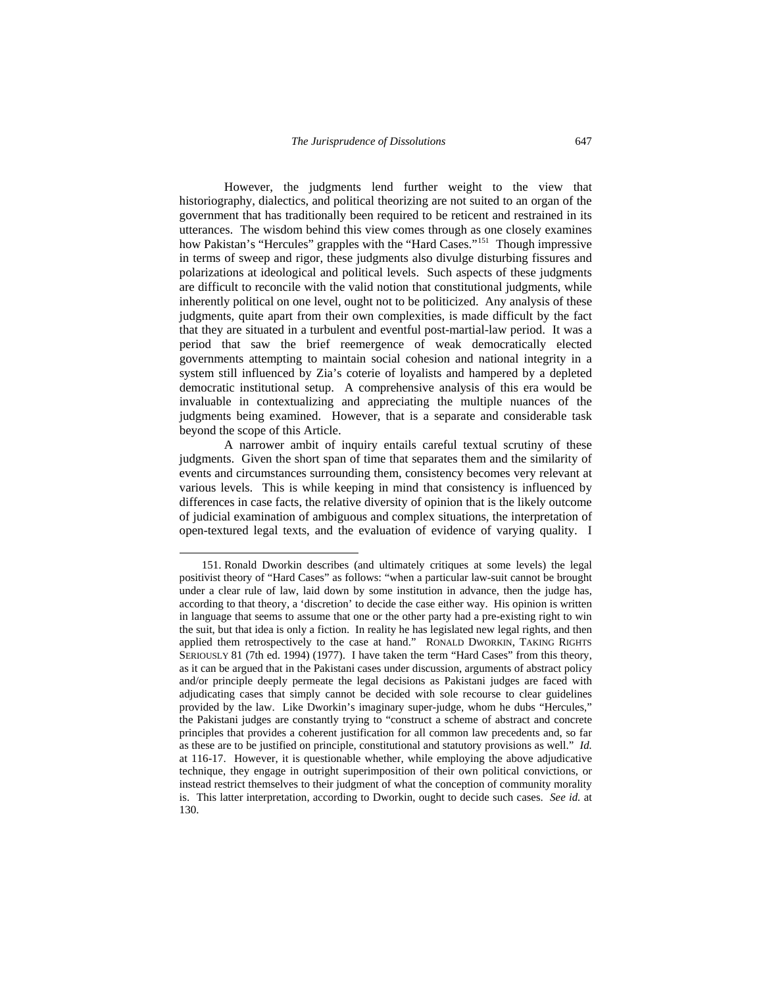However, the judgments lend further weight to the view that historiography, dialectics, and political theorizing are not suited to an organ of the government that has traditionally been required to be reticent and restrained in its utterances. The wisdom behind this view comes through as one closely examines how Pakistan's "Hercules" grapples with the "Hard Cases."<sup>[151](#page-32-0)</sup> Though impressive in terms of sweep and rigor, these judgments also divulge disturbing fissures and polarizations at ideological and political levels. Such aspects of these judgments are difficult to reconcile with the valid notion that constitutional judgments, while inherently political on one level, ought not to be politicized. Any analysis of these judgments, quite apart from their own complexities, is made difficult by the fact that they are situated in a turbulent and eventful post-martial-law period. It was a period that saw the brief reemergence of weak democratically elected governments attempting to maintain social cohesion and national integrity in a system still influenced by Zia's coterie of loyalists and hampered by a depleted democratic institutional setup. A comprehensive analysis of this era would be invaluable in contextualizing and appreciating the multiple nuances of the judgments being examined. However, that is a separate and considerable task beyond the scope of this Article.

A narrower ambit of inquiry entails careful textual scrutiny of these judgments. Given the short span of time that separates them and the similarity of events and circumstances surrounding them, consistency becomes very relevant at various levels. This is while keeping in mind that consistency is influenced by differences in case facts, the relative diversity of opinion that is the likely outcome of judicial examination of ambiguous and complex situations, the interpretation of open-textured legal texts, and the evaluation of evidence of varying quality. I

<span id="page-32-0"></span><sup>151.</sup> Ronald Dworkin describes (and ultimately critiques at some levels) the legal positivist theory of "Hard Cases" as follows: "when a particular law-suit cannot be brought under a clear rule of law, laid down by some institution in advance, then the judge has, according to that theory, a 'discretion' to decide the case either way. His opinion is written in language that seems to assume that one or the other party had a pre-existing right to win the suit, but that idea is only a fiction. In reality he has legislated new legal rights, and then applied them retrospectively to the case at hand." RONALD DWORKIN, TAKING RIGHTS SERIOUSLY 81 (7th ed. 1994) (1977). I have taken the term "Hard Cases" from this theory, as it can be argued that in the Pakistani cases under discussion, arguments of abstract policy and/or principle deeply permeate the legal decisions as Pakistani judges are faced with adjudicating cases that simply cannot be decided with sole recourse to clear guidelines provided by the law. Like Dworkin's imaginary super-judge, whom he dubs "Hercules," the Pakistani judges are constantly trying to "construct a scheme of abstract and concrete principles that provides a coherent justification for all common law precedents and, so far as these are to be justified on principle, constitutional and statutory provisions as well." *Id.* at 116-17. However, it is questionable whether, while employing the above adjudicative technique, they engage in outright superimposition of their own political convictions, or instead restrict themselves to their judgment of what the conception of community morality is. This latter interpretation, according to Dworkin, ought to decide such cases. *See id.* at 130.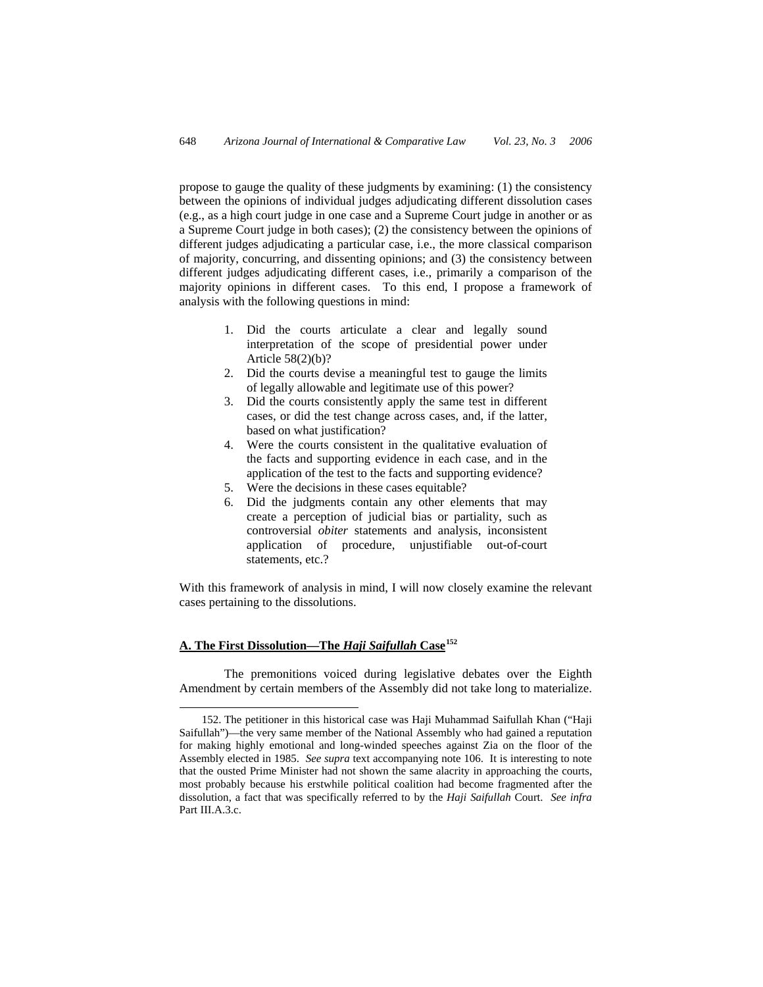<span id="page-33-0"></span>propose to gauge the quality of these judgments by examining: (1) the consistency between the opinions of individual judges adjudicating different dissolution cases (e.g., as a high court judge in one case and a Supreme Court judge in another or as a Supreme Court judge in both cases); (2) the consistency between the opinions of different judges adjudicating a particular case, i.e., the more classical comparison of majority, concurring, and dissenting opinions; and (3) the consistency between different judges adjudicating different cases, i.e., primarily a comparison of the majority opinions in different cases. To this end, I propose a framework of analysis with the following questions in mind:

- 1. Did the courts articulate a clear and legally sound interpretation of the scope of presidential power under Article 58(2)(b)?
- 2. Did the courts devise a meaningful test to gauge the limits of legally allowable and legitimate use of this power?
- 3. Did the courts consistently apply the same test in different cases, or did the test change across cases, and, if the latter, based on what justification?
- 4. Were the courts consistent in the qualitative evaluation of the facts and supporting evidence in each case, and in the application of the test to the facts and supporting evidence?
- 5. Were the decisions in these cases equitable?
- 6. Did the judgments contain any other elements that may create a perception of judicial bias or partiality, such as controversial *obiter* statements and analysis, inconsistent application of procedure, unjustifiable out-of-court statements, etc.?

With this framework of analysis in mind, I will now closely examine the relevant cases pertaining to the dissolutions.

### **A. The First Dissolution—The** *Haji Saifullah* **Case[152](#page-33-1)**

 $\overline{a}$ 

The premonitions voiced during legislative debates over the Eighth Amendment by certain members of the Assembly did not take long to materialize.

<span id="page-33-1"></span><sup>152.</sup> The petitioner in this historical case was Haji Muhammad Saifullah Khan ("Haji Saifullah")—the very same member of the National Assembly who had gained a reputation for making highly emotional and long-winded speeches against Zia on the floor of the Assembly elected in 1985. *See supra* text accompanying note 106. It is interesting to note that the ousted Prime Minister had not shown the same alacrity in approaching the courts, most probably because his erstwhile political coalition had become fragmented after the dissolution, a fact that was specifically referred to by the *Haji Saifullah* Court. *See infra*  Part III.A.3.c.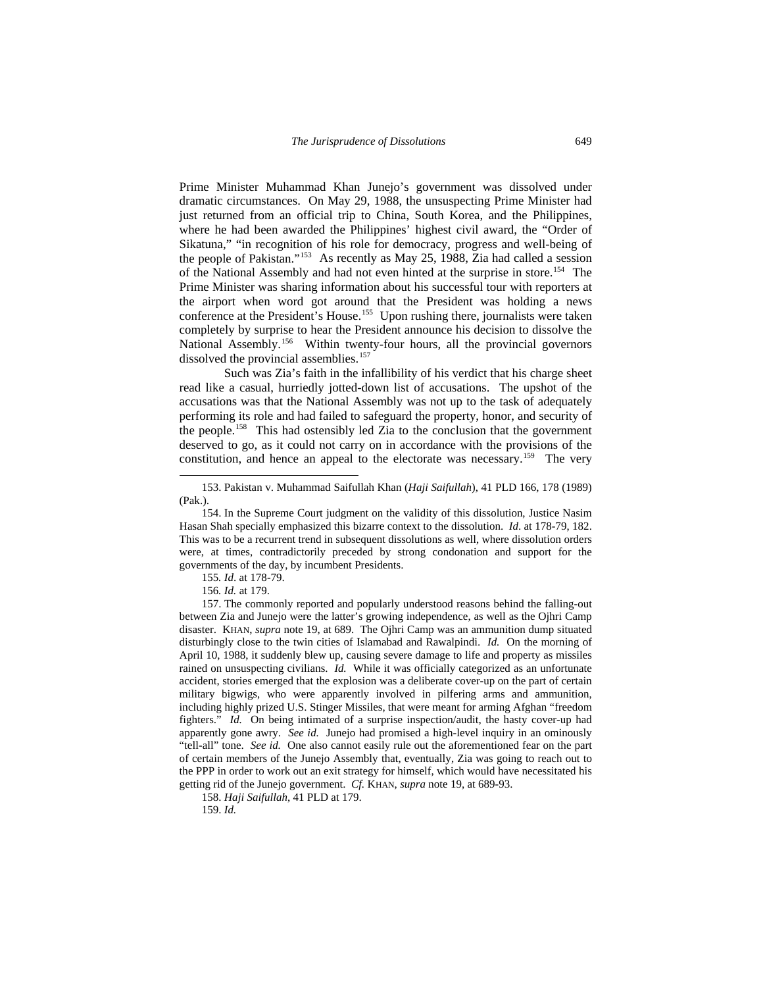Prime Minister Muhammad Khan Junejo's government was dissolved under dramatic circumstances. On May 29, 1988, the unsuspecting Prime Minister had just returned from an official trip to China, South Korea, and the Philippines, where he had been awarded the Philippines' highest civil award, the "Order of Sikatuna," "in recognition of his role for democracy, progress and well-being of the people of Pakistan."[153](#page-34-0) As recently as May 25, 1988, Zia had called a session of the National Assembly and had not even hinted at the surprise in store.[154](#page-34-1) The Prime Minister was sharing information about his successful tour with reporters at the airport when word got around that the President was holding a news conference at the President's House.<sup>155</sup> Upon rushing there, journalists were taken completely by surprise to hear the President announce his decision to dissolve the National Assembly.<sup>[156](#page-34-3)</sup> Within twenty-four hours, all the provincial governors dissolved the provincial assemblies.<sup>[157](#page-34-4)</sup>

Such was Zia's faith in the infallibility of his verdict that his charge sheet read like a casual, hurriedly jotted-down list of accusations. The upshot of the accusations was that the National Assembly was not up to the task of adequately performing its role and had failed to safeguard the property, honor, and security of the people.[158](#page-34-5) This had ostensibly led Zia to the conclusion that the government deserved to go, as it could not carry on in accordance with the provisions of the constitution, and hence an appeal to the electorate was necessary.<sup>[159](#page-34-6)</sup> The very

155*. Id*. at 178-79.

156*. Id.* at 179.

1

<span id="page-34-4"></span><span id="page-34-3"></span><span id="page-34-2"></span>157. The commonly reported and popularly understood reasons behind the falling-out between Zia and Junejo were the latter's growing independence, as well as the Ojhri Camp disaster. KHAN, *supra* note 19, at 689. The Ojhri Camp was an ammunition dump situated disturbingly close to the twin cities of Islamabad and Rawalpindi. *Id.* On the morning of April 10, 1988, it suddenly blew up, causing severe damage to life and property as missiles rained on unsuspecting civilians. *Id.* While it was officially categorized as an unfortunate accident, stories emerged that the explosion was a deliberate cover-up on the part of certain military bigwigs, who were apparently involved in pilfering arms and ammunition, including highly prized U.S. Stinger Missiles, that were meant for arming Afghan "freedom fighters." *Id.* On being intimated of a surprise inspection/audit, the hasty cover-up had apparently gone awry. *See id.* Junejo had promised a high-level inquiry in an ominously "tell-all" tone. *See id.* One also cannot easily rule out the aforementioned fear on the part of certain members of the Junejo Assembly that, eventually, Zia was going to reach out to the PPP in order to work out an exit strategy for himself, which would have necessitated his getting rid of the Junejo government. *Cf.* KHAN, *supra* note 19, at 689-93.

<span id="page-34-6"></span><span id="page-34-5"></span>158. *Haji Saifullah*, 41 PLD at 179.

159. *Id.*

<span id="page-34-0"></span><sup>153.</sup> Pakistan v. Muhammad Saifullah Khan (*Haji Saifullah*), 41 PLD 166, 178 (1989) (Pak.).

<span id="page-34-1"></span><sup>154.</sup> In the Supreme Court judgment on the validity of this dissolution, Justice Nasim Hasan Shah specially emphasized this bizarre context to the dissolution. *Id*. at 178-79, 182. This was to be a recurrent trend in subsequent dissolutions as well, where dissolution orders were, at times, contradictorily preceded by strong condonation and support for the governments of the day, by incumbent Presidents.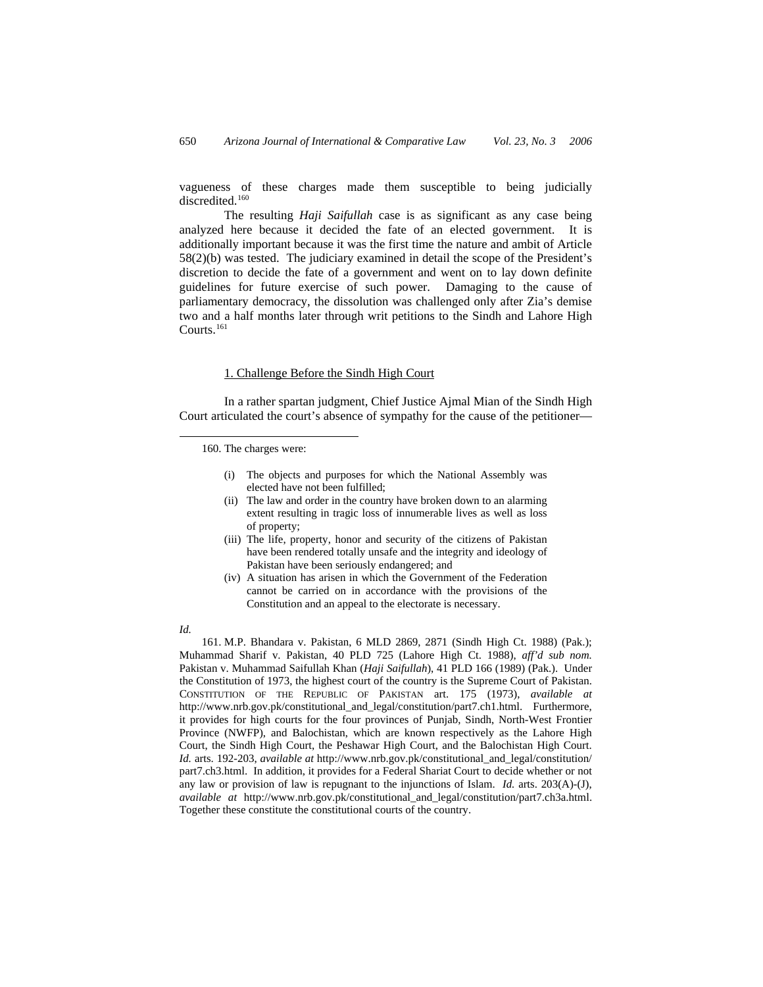<span id="page-35-0"></span>vagueness of these charges made them susceptible to being judicially discredited.<sup>[160](#page-35-1)</sup>

The resulting *Haji Saifullah* case is as significant as any case being analyzed here because it decided the fate of an elected government. It is additionally important because it was the first time the nature and ambit of Article 58(2)(b) was tested. The judiciary examined in detail the scope of the President's discretion to decide the fate of a government and went on to lay down definite guidelines for future exercise of such power. Damaging to the cause of parliamentary democracy, the dissolution was challenged only after Zia's demise two and a half months later through writ petitions to the Sindh and Lahore High Courts.<sup>[161](#page-35-2)</sup>

#### 1. Challenge Before the Sindh High Court

In a rather spartan judgment, Chief Justice Ajmal Mian of the Sindh High Court articulated the court's absence of sympathy for the cause of the petitioner—

- (i) The objects and purposes for which the National Assembly was elected have not been fulfilled;
- (ii) The law and order in the country have broken down to an alarming extent resulting in tragic loss of innumerable lives as well as loss of property;
- (iii) The life, property, honor and security of the citizens of Pakistan have been rendered totally unsafe and the integrity and ideology of Pakistan have been seriously endangered; and
- (iv) A situation has arisen in which the Government of the Federation cannot be carried on in accordance with the provisions of the Constitution and an appeal to the electorate is necessary.

#### *Id.*

<span id="page-35-1"></span>1

<span id="page-35-2"></span>161. M.P. Bhandara v. Pakistan, 6 MLD 2869, 2871 (Sindh High Ct. 1988) (Pak.); Muhammad Sharif v. Pakistan, 40 PLD 725 (Lahore High Ct. 1988), *aff'd sub nom.* Pakistan v. Muhammad Saifullah Khan (*Haji Saifullah*), 41 PLD 166 (1989) (Pak.). Under the Constitution of 1973, the highest court of the country is the Supreme Court of Pakistan. CONSTITUTION OF THE REPUBLIC OF PAKISTAN art. 175 (1973), *available at*  http://www.nrb.gov.pk/constitutional\_and\_legal/constitution/part7.ch1.html. Furthermore, it provides for high courts for the four provinces of Punjab, Sindh, North-West Frontier Province (NWFP), and Balochistan, which are known respectively as the Lahore High Court, the Sindh High Court, the Peshawar High Court, and the Balochistan High Court. *Id.* arts. 192-203, *available at* http://www.nrb.gov.pk/constitutional\_and\_legal/constitution/ part7.ch3.html. In addition, it provides for a Federal Shariat Court to decide whether or not any law or provision of law is repugnant to the injunctions of Islam. *Id.* arts. 203(A)-(J), *available at* http://www.nrb.gov.pk/constitutional\_and\_legal/constitution/part7.ch3a.html. Together these constitute the constitutional courts of the country.

<sup>160.</sup> The charges were: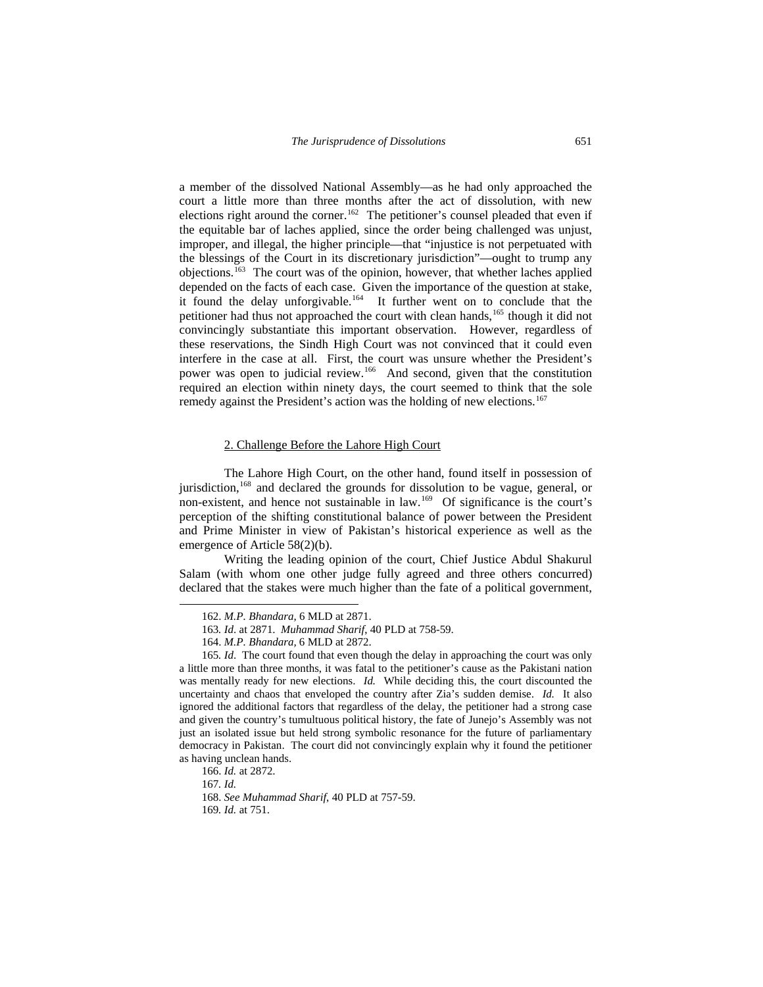a member of the dissolved National Assembly—as he had only approached the court a little more than three months after the act of dissolution, with new elections right around the corner.<sup>[162](#page-36-0)</sup> The petitioner's counsel pleaded that even if the equitable bar of laches applied, since the order being challenged was unjust, improper, and illegal, the higher principle—that "injustice is not perpetuated with the blessings of the Court in its discretionary jurisdiction"—ought to trump any objections.[163](#page-36-1) The court was of the opinion, however, that whether laches applied depended on the facts of each case. Given the importance of the question at stake, it found the delay unforgivable.[164](#page-36-2) It further went on to conclude that the petitioner had thus not approached the court with clean hands,<sup>[165](#page-36-3)</sup> though it did not convincingly substantiate this important observation. However, regardless of these reservations, the Sindh High Court was not convinced that it could even interfere in the case at all. First, the court was unsure whether the President's power was open to judicial review.[166](#page-36-4) And second, given that the constitution required an election within ninety days, the court seemed to think that the sole remedy against the President's action was the holding of new elections.<sup>[167](#page-36-5)</sup>

# 2. Challenge Before the Lahore High Court

The Lahore High Court, on the other hand, found itself in possession of jurisdiction,<sup>[168](#page-36-6)</sup> and declared the grounds for dissolution to be vague, general, or non-existent, and hence not sustainable in law.<sup>[169](#page-36-7)</sup> Of significance is the court's perception of the shifting constitutional balance of power between the President and Prime Minister in view of Pakistan's historical experience as well as the emergence of Article 58(2)(b).

Writing the leading opinion of the court, Chief Justice Abdul Shakurul Salam (with whom one other judge fully agreed and three others concurred) declared that the stakes were much higher than the fate of a political government,

<span id="page-36-0"></span>1

<sup>162.</sup> *M.P. Bhandara*, 6 MLD at 2871.

<sup>163</sup>*. Id*. at 2871. *Muhammad Sharif*, 40 PLD at 758-59.

<sup>164.</sup> *M.P. Bhandara,* 6 MLD at 2872.

<span id="page-36-3"></span><span id="page-36-2"></span><span id="page-36-1"></span><sup>165</sup>*. Id*. The court found that even though the delay in approaching the court was only a little more than three months, it was fatal to the petitioner's cause as the Pakistani nation was mentally ready for new elections. *Id.* While deciding this, the court discounted the uncertainty and chaos that enveloped the country after Zia's sudden demise. *Id.* It also ignored the additional factors that regardless of the delay, the petitioner had a strong case and given the country's tumultuous political history, the fate of Junejo's Assembly was not just an isolated issue but held strong symbolic resonance for the future of parliamentary democracy in Pakistan. The court did not convincingly explain why it found the petitioner as having unclean hands.

<span id="page-36-5"></span><span id="page-36-4"></span><sup>166.</sup> *Id.* at 2872.

<sup>167</sup>*. Id.*

<span id="page-36-6"></span><sup>168.</sup> *See Muhammad Sharif*, 40 PLD at 757-59.

<span id="page-36-7"></span><sup>169</sup>*. Id.* at 751.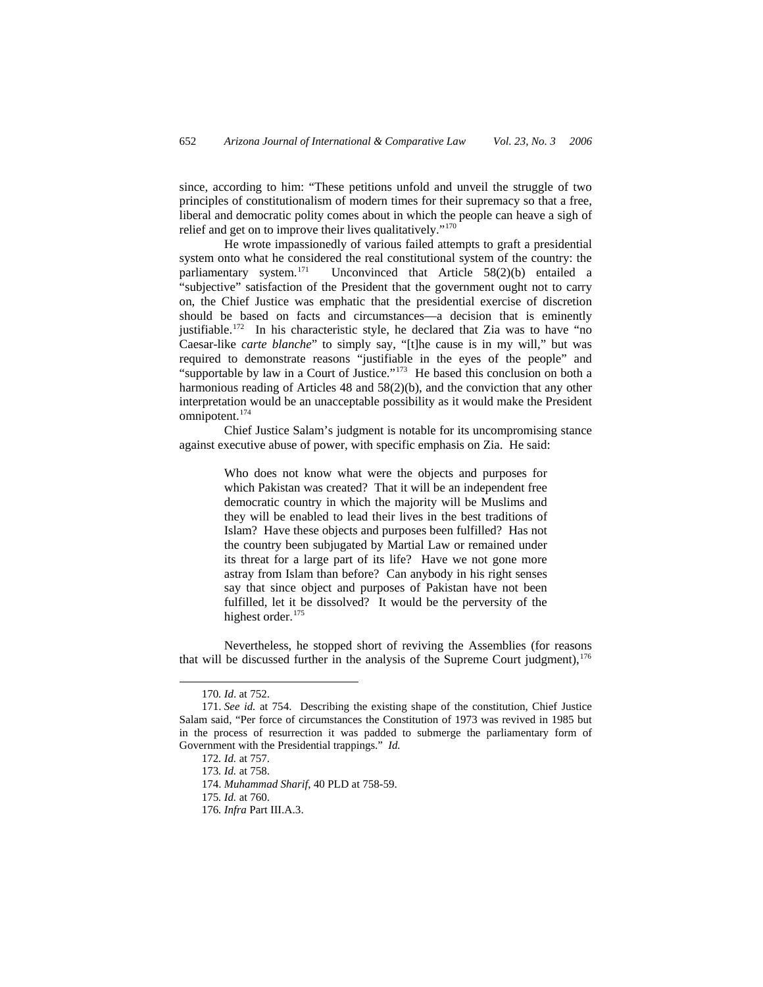since, according to him: "These petitions unfold and unveil the struggle of two principles of constitutionalism of modern times for their supremacy so that a free, liberal and democratic polity comes about in which the people can heave a sigh of relief and get on to improve their lives qualitatively.["170](#page-37-0)

He wrote impassionedly of various failed attempts to graft a presidential system onto what he considered the real constitutional system of the country: the parliamentary system.<sup>[171](#page-37-1)</sup> Unconvinced that Article  $58(2)(b)$  entailed a "subjective" satisfaction of the President that the government ought not to carry on, the Chief Justice was emphatic that the presidential exercise of discretion should be based on facts and circumstances—a decision that is eminently justifiable.<sup>[172](#page-37-2)</sup> In his characteristic style, he declared that Zia was to have "no Caesar-like *carte blanche*" to simply say, "[t]he cause is in my will," but was required to demonstrate reasons "justifiable in the eyes of the people" and "supportable by law in a Court of Justice."<sup>[173](#page-37-3)</sup> He based this conclusion on both a harmonious reading of Articles 48 and 58(2)(b), and the conviction that any other interpretation would be an unacceptable possibility as it would make the President omnipotent.<sup>[174](#page-37-4)</sup>

Chief Justice Salam's judgment is notable for its uncompromising stance against executive abuse of power, with specific emphasis on Zia. He said:

> Who does not know what were the objects and purposes for which Pakistan was created? That it will be an independent free democratic country in which the majority will be Muslims and they will be enabled to lead their lives in the best traditions of Islam? Have these objects and purposes been fulfilled? Has not the country been subjugated by Martial Law or remained under its threat for a large part of its life? Have we not gone more astray from Islam than before? Can anybody in his right senses say that since object and purposes of Pakistan have not been fulfilled, let it be dissolved? It would be the perversity of the highest order.<sup>[175](#page-37-5)</sup>

Nevertheless, he stopped short of reviving the Assemblies (for reasons that will be discussed further in the analysis of the Supreme Court judgment),  $176$ 

<sup>170</sup>*. Id*. at 752.

<span id="page-37-5"></span><span id="page-37-4"></span><span id="page-37-3"></span><span id="page-37-2"></span><span id="page-37-1"></span><span id="page-37-0"></span><sup>171.</sup> *See id.* at 754. Describing the existing shape of the constitution, Chief Justice Salam said, "Per force of circumstances the Constitution of 1973 was revived in 1985 but in the process of resurrection it was padded to submerge the parliamentary form of Government with the Presidential trappings." *Id.*

<sup>172</sup>*. Id.* at 757.

<sup>173</sup>*. Id.* at 758.

<sup>174.</sup> *Muhammad Sharif*, 40 PLD at 758-59.

<sup>175</sup>*. Id.* at 760.

<span id="page-37-6"></span><sup>176</sup>*. Infra* Part III.A.3.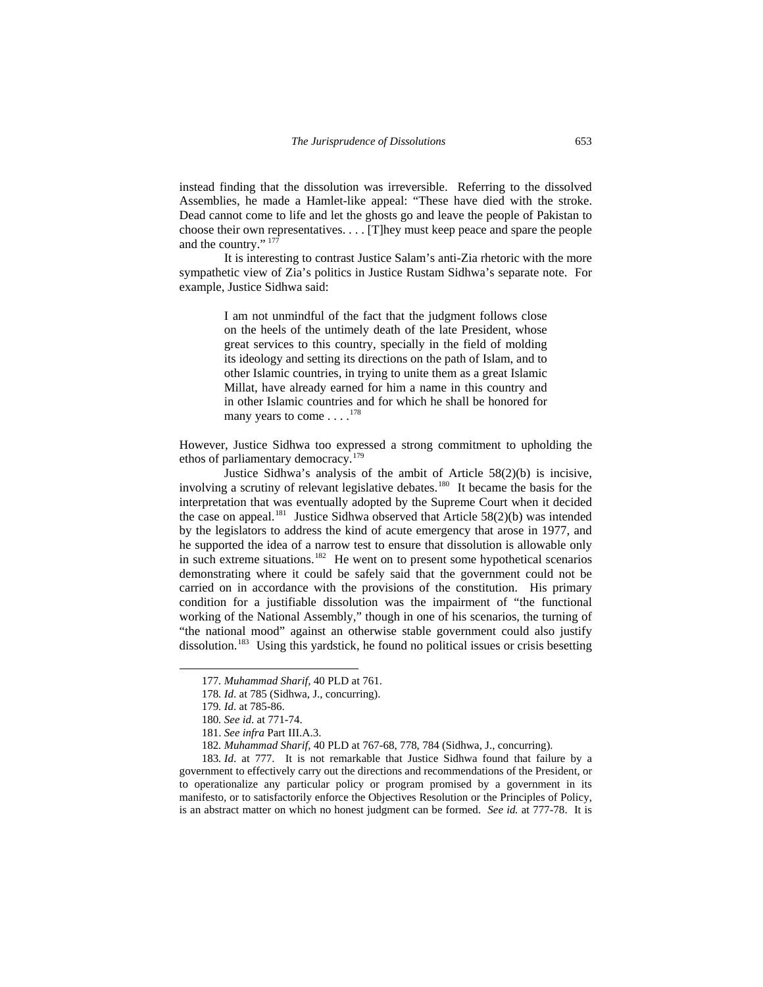instead finding that the dissolution was irreversible. Referring to the dissolved Assemblies, he made a Hamlet-like appeal: "These have died with the stroke. Dead cannot come to life and let the ghosts go and leave the people of Pakistan to choose their own representatives. . . . [T]hey must keep peace and spare the people and the country."  $177$ 

It is interesting to contrast Justice Salam's anti-Zia rhetoric with the more sympathetic view of Zia's politics in Justice Rustam Sidhwa's separate note. For example, Justice Sidhwa said:

> I am not unmindful of the fact that the judgment follows close on the heels of the untimely death of the late President, whose great services to this country, specially in the field of molding its ideology and setting its directions on the path of Islam, and to other Islamic countries, in trying to unite them as a great Islamic Millat, have already earned for him a name in this country and in other Islamic countries and for which he shall be honored for many years to come . . . .<sup>[178](#page-38-1)</sup>

However, Justice Sidhwa too expressed a strong commitment to upholding the ethos of parliamentary democracy.[179](#page-38-2)

Justice Sidhwa's analysis of the ambit of Article 58(2)(b) is incisive, involving a scrutiny of relevant legislative debates.[180](#page-38-3) It became the basis for the interpretation that was eventually adopted by the Supreme Court when it decided the case on appeal.<sup>[181](#page-38-4)</sup> Justice Sidhwa observed that Article  $58(2)(b)$  was intended by the legislators to address the kind of acute emergency that arose in 1977, and he supported the idea of a narrow test to ensure that dissolution is allowable only in such extreme situations.<sup>[182](#page-38-5)</sup> He went on to present some hypothetical scenarios demonstrating where it could be safely said that the government could not be carried on in accordance with the provisions of the constitution. His primary condition for a justifiable dissolution was the impairment of "the functional working of the National Assembly," though in one of his scenarios, the turning of "the national mood" against an otherwise stable government could also justify dissolution.<sup>[183](#page-38-6)</sup> Using this yardstick, he found no political issues or crisis besetting

<span id="page-38-2"></span><span id="page-38-1"></span><span id="page-38-0"></span> $\overline{\phantom{a}}$ 

<span id="page-38-6"></span><span id="page-38-5"></span><span id="page-38-4"></span><span id="page-38-3"></span>183*. Id*. at 777. It is not remarkable that Justice Sidhwa found that failure by a government to effectively carry out the directions and recommendations of the President, or to operationalize any particular policy or program promised by a government in its manifesto, or to satisfactorily enforce the Objectives Resolution or the Principles of Policy, is an abstract matter on which no honest judgment can be formed. *See id.* at 777-78. It is

<sup>177</sup>*. Muhammad Sharif,* 40 PLD at 761.

<sup>178</sup>*. Id*. at 785 (Sidhwa, J., concurring).

<sup>179</sup>*. Id*. at 785-86.

<sup>180</sup>*. See id*. at 771-74.

<sup>181.</sup> *See infra* Part III.A.3.

<sup>182</sup>*. Muhammad Sharif,* 40 PLD at 767-68, 778, 784 (Sidhwa, J., concurring).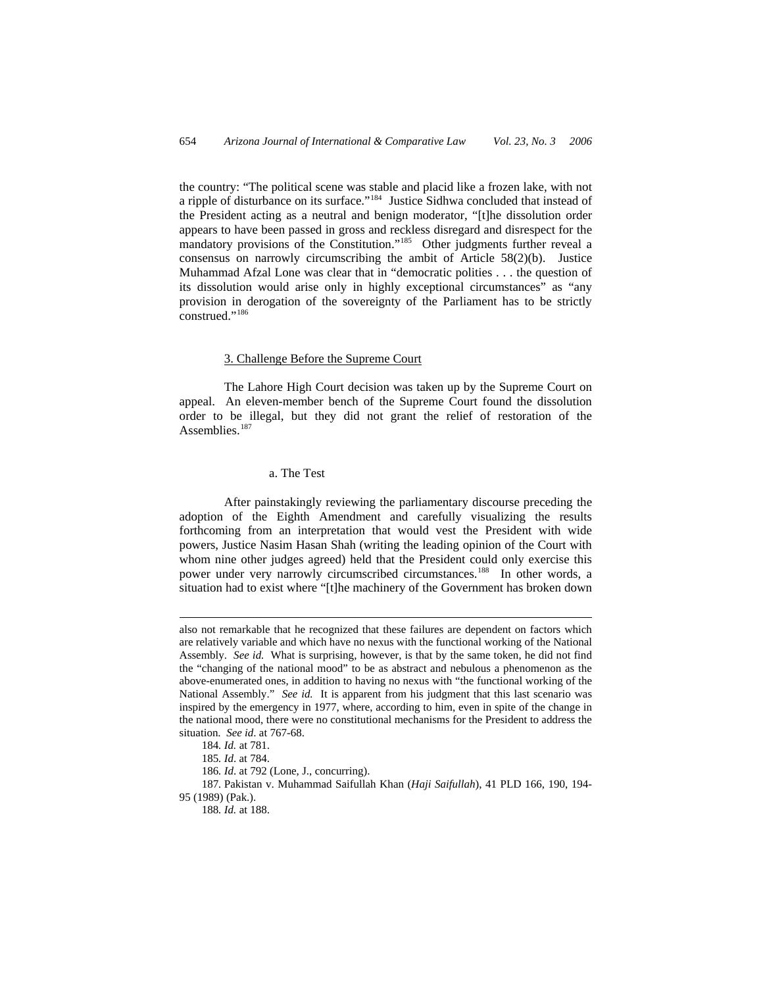the country: "The political scene was stable and placid like a frozen lake, with not a ripple of disturbance on its surface.["184](#page-39-0) Justice Sidhwa concluded that instead of the President acting as a neutral and benign moderator, "[t]he dissolution order appears to have been passed in gross and reckless disregard and disrespect for the mandatory provisions of the Constitution."<sup>[185](#page-39-1)</sup> Other judgments further reveal a consensus on narrowly circumscribing the ambit of Article 58(2)(b). Justice Muhammad Afzal Lone was clear that in "democratic polities . . . the question of its dissolution would arise only in highly exceptional circumstances" as "any provision in derogation of the sovereignty of the Parliament has to be strictly construed."<sup>[186](#page-39-2)</sup>

### 3. Challenge Before the Supreme Court

The Lahore High Court decision was taken up by the Supreme Court on appeal. An eleven-member bench of the Supreme Court found the dissolution order to be illegal, but they did not grant the relief of restoration of the Assemblies.<sup>[187](#page-39-3)</sup>

# a. The Test

After painstakingly reviewing the parliamentary discourse preceding the adoption of the Eighth Amendment and carefully visualizing the results forthcoming from an interpretation that would vest the President with wide powers, Justice Nasim Hasan Shah (writing the leading opinion of the Court with whom nine other judges agreed) held that the President could only exercise this power under very narrowly circumscribed circumstances.<sup>[188](#page-39-4)</sup> In other words, a situation had to exist where "[t]he machinery of the Government has broken down

also not remarkable that he recognized that these failures are dependent on factors which are relatively variable and which have no nexus with the functional working of the National Assembly. *See id.* What is surprising, however, is that by the same token, he did not find the "changing of the national mood" to be as abstract and nebulous a phenomenon as the above-enumerated ones, in addition to having no nexus with "the functional working of the National Assembly." *See id.* It is apparent from his judgment that this last scenario was inspired by the emergency in 1977, where, according to him, even in spite of the change in the national mood, there were no constitutional mechanisms for the President to address the situation. *See id*. at 767-68.

<sup>184</sup>*. Id.* at 781.

<sup>185</sup>*. Id*. at 784.

<sup>186</sup>*. Id*. at 792 (Lone, J., concurring).

<span id="page-39-4"></span><span id="page-39-3"></span><span id="page-39-2"></span><span id="page-39-1"></span><span id="page-39-0"></span><sup>187</sup>*.* Pakistan v. Muhammad Saifullah Khan (*Haji Saifullah*), 41 PLD 166, 190, 194- 95 (1989) (Pak.).

<sup>188</sup>*. Id.* at 188.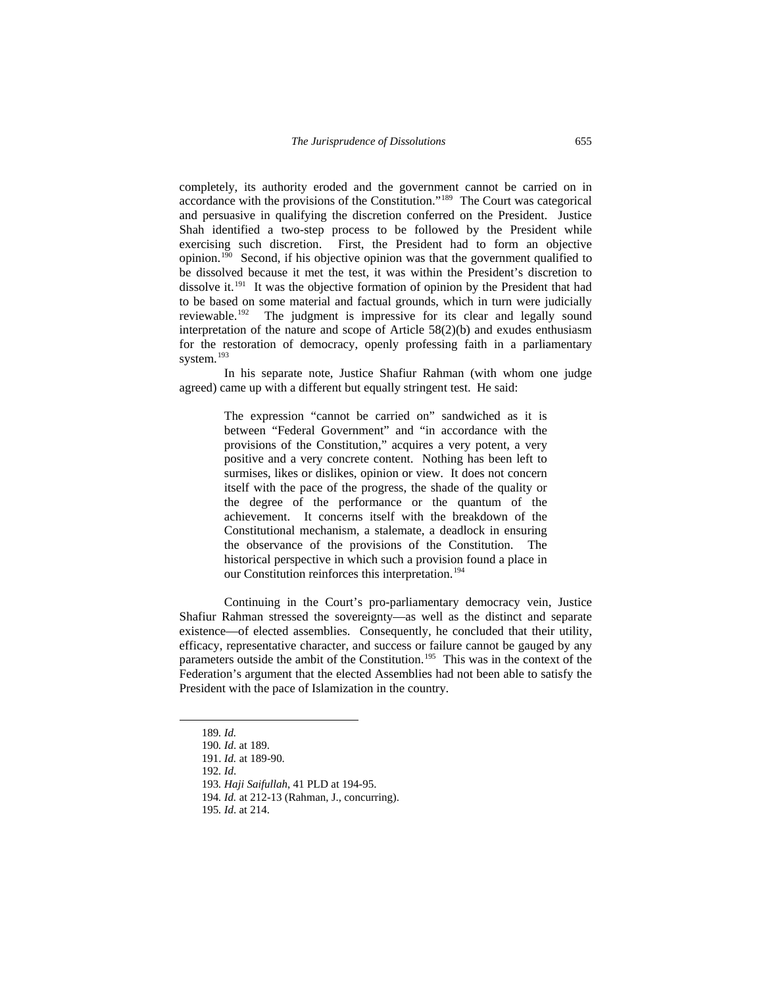completely, its authority eroded and the government cannot be carried on in accordance with the provisions of the Constitution."[189](#page-40-0) The Court was categorical and persuasive in qualifying the discretion conferred on the President. Justice Shah identified a two-step process to be followed by the President while exercising such discretion. First, the President had to form an objective opinion.<sup>[190](#page-40-1)</sup> Second, if his objective opinion was that the government qualified to be dissolved because it met the test, it was within the President's discretion to dissolve it.<sup>[191](#page-40-2)</sup> It was the objective formation of opinion by the President that had to be based on some material and factual grounds, which in turn were judicially reviewable.[192](#page-40-3) The judgment is impressive for its clear and legally sound interpretation of the nature and scope of Article 58(2)(b) and exudes enthusiasm for the restoration of democracy, openly professing faith in a parliamentary system.<sup>[193](#page-40-4)</sup>

In his separate note, Justice Shafiur Rahman (with whom one judge agreed) came up with a different but equally stringent test. He said:

> The expression "cannot be carried on" sandwiched as it is between "Federal Government" and "in accordance with the provisions of the Constitution," acquires a very potent, a very positive and a very concrete content. Nothing has been left to surmises, likes or dislikes, opinion or view. It does not concern itself with the pace of the progress, the shade of the quality or the degree of the performance or the quantum of the achievement. It concerns itself with the breakdown of the Constitutional mechanism, a stalemate, a deadlock in ensuring the observance of the provisions of the Constitution. The historical perspective in which such a provision found a place in our Constitution reinforces this interpretation.<sup>[194](#page-40-5)</sup>

Continuing in the Court's pro-parliamentary democracy vein, Justice Shafiur Rahman stressed the sovereignty—as well as the distinct and separate existence—of elected assemblies. Consequently, he concluded that their utility, efficacy, representative character, and success or failure cannot be gauged by any parameters outside the ambit of the Constitution.[195](#page-40-6) This was in the context of the Federation's argument that the elected Assemblies had not been able to satisfy the President with the pace of Islamization in the country.

<span id="page-40-5"></span><span id="page-40-4"></span><span id="page-40-3"></span><span id="page-40-2"></span><span id="page-40-1"></span><span id="page-40-0"></span> $\overline{\phantom{a}}$ 

<span id="page-40-6"></span>194*. Id.* at 212-13 (Rahman, J., concurring).

<sup>189</sup>*. Id.*

<sup>190</sup>*. Id*. at 189.

<sup>191.</sup> *Id.* at 189-90.

<sup>192</sup>*. Id*.

<sup>193</sup>*. Haji Saifullah*, 41 PLD at 194-95.

<sup>195</sup>*. Id*. at 214.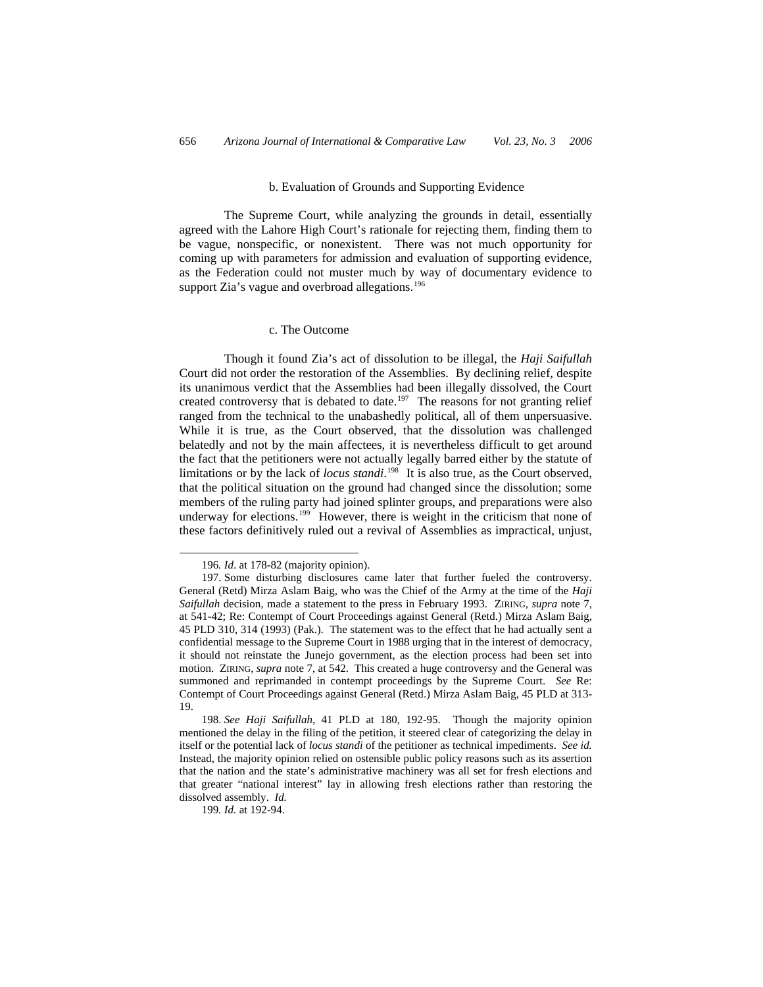# b. Evaluation of Grounds and Supporting Evidence

The Supreme Court, while analyzing the grounds in detail, essentially agreed with the Lahore High Court's rationale for rejecting them, finding them to be vague, nonspecific, or nonexistent. There was not much opportunity for coming up with parameters for admission and evaluation of supporting evidence, as the Federation could not muster much by way of documentary evidence to support Zia's vague and overbroad allegations.<sup>[196](#page-41-0)</sup>

### c. The Outcome

Though it found Zia's act of dissolution to be illegal, the *Haji Saifullah* Court did not order the restoration of the Assemblies. By declining relief, despite its unanimous verdict that the Assemblies had been illegally dissolved, the Court created controversy that is debated to date.<sup>[197](#page-41-1)</sup> The reasons for not granting relief ranged from the technical to the unabashedly political, all of them unpersuasive. While it is true, as the Court observed, that the dissolution was challenged belatedly and not by the main affectees, it is nevertheless difficult to get around the fact that the petitioners were not actually legally barred either by the statute of limitations or by the lack of *locus standi*. [198](#page-41-2) It is also true, as the Court observed, that the political situation on the ground had changed since the dissolution; some members of the ruling party had joined splinter groups, and preparations were also underway for elections.<sup>[199](#page-41-3)</sup> However, there is weight in the criticism that none of these factors definitively ruled out a revival of Assemblies as impractical, unjust,

 $\overline{\phantom{a}}$ 

199*. Id.* at 192-94.

<sup>196</sup>*. Id*. at 178-82 (majority opinion).

<span id="page-41-1"></span><span id="page-41-0"></span><sup>197.</sup> Some disturbing disclosures came later that further fueled the controversy. General (Retd) Mirza Aslam Baig, who was the Chief of the Army at the time of the *Haji Saifullah* decision, made a statement to the press in February 1993. ZIRING, *supra* note 7, at 541-42; Re: Contempt of Court Proceedings against General (Retd.) Mirza Aslam Baig, 45 PLD 310, 314 (1993) (Pak.). The statement was to the effect that he had actually sent a confidential message to the Supreme Court in 1988 urging that in the interest of democracy, it should not reinstate the Junejo government, as the election process had been set into motion. ZIRING, *supra* note 7, at 542. This created a huge controversy and the General was summoned and reprimanded in contempt proceedings by the Supreme Court. *See* Re: Contempt of Court Proceedings against General (Retd.) Mirza Aslam Baig, 45 PLD at 313- 19.

<span id="page-41-3"></span><span id="page-41-2"></span><sup>198.</sup> *See Haji Saifullah*, 41 PLD at 180, 192-95. Though the majority opinion mentioned the delay in the filing of the petition, it steered clear of categorizing the delay in itself or the potential lack of *locus standi* of the petitioner as technical impediments. *See id.* Instead, the majority opinion relied on ostensible public policy reasons such as its assertion that the nation and the state's administrative machinery was all set for fresh elections and that greater "national interest" lay in allowing fresh elections rather than restoring the dissolved assembly. *Id.*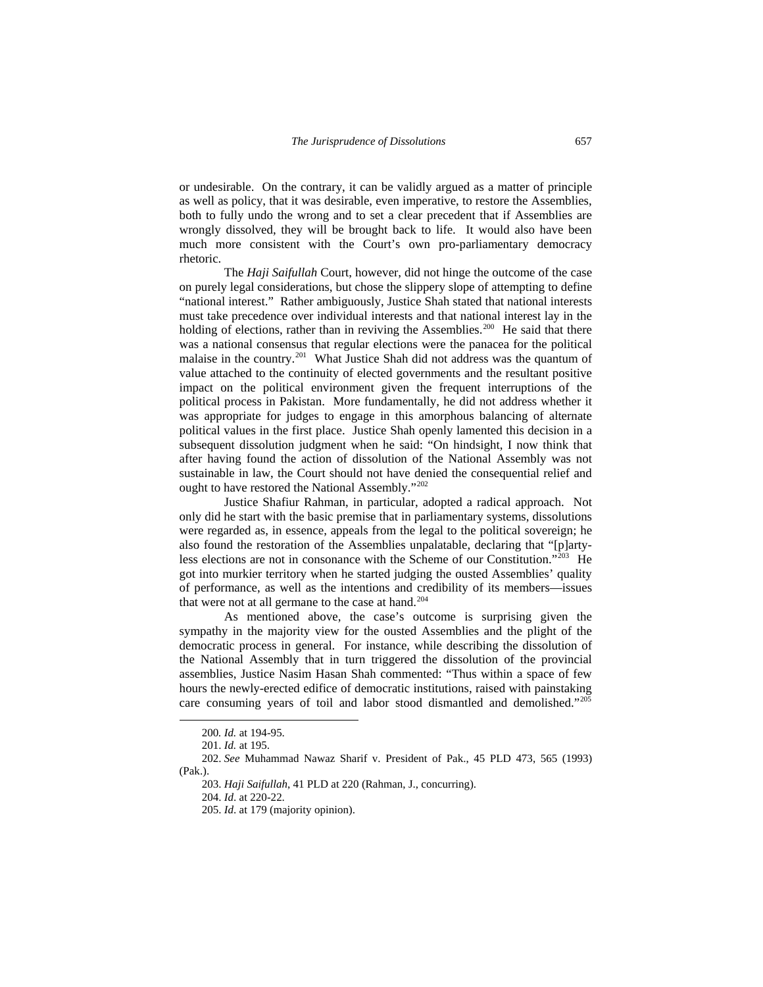or undesirable. On the contrary, it can be validly argued as a matter of principle as well as policy, that it was desirable, even imperative, to restore the Assemblies, both to fully undo the wrong and to set a clear precedent that if Assemblies are wrongly dissolved, they will be brought back to life. It would also have been much more consistent with the Court's own pro-parliamentary democracy rhetoric.

The *Haji Saifullah* Court, however, did not hinge the outcome of the case on purely legal considerations, but chose the slippery slope of attempting to define "national interest." Rather ambiguously, Justice Shah stated that national interests must take precedence over individual interests and that national interest lay in the holding of elections, rather than in reviving the Assemblies.<sup>[200](#page-42-0)</sup> He said that there was a national consensus that regular elections were the panacea for the political malaise in the country.<sup>[201](#page-42-1)</sup> What Justice Shah did not address was the quantum of value attached to the continuity of elected governments and the resultant positive impact on the political environment given the frequent interruptions of the political process in Pakistan. More fundamentally, he did not address whether it was appropriate for judges to engage in this amorphous balancing of alternate political values in the first place. Justice Shah openly lamented this decision in a subsequent dissolution judgment when he said: "On hindsight, I now think that after having found the action of dissolution of the National Assembly was not sustainable in law, the Court should not have denied the consequential relief and ought to have restored the National Assembly."[202](#page-42-2)

Justice Shafiur Rahman, in particular, adopted a radical approach. Not only did he start with the basic premise that in parliamentary systems, dissolutions were regarded as, in essence, appeals from the legal to the political sovereign; he also found the restoration of the Assemblies unpalatable, declaring that "[p]artyless elections are not in consonance with the Scheme of our Constitution."[203](#page-42-3) He got into murkier territory when he started judging the ousted Assemblies' quality of performance, as well as the intentions and credibility of its members—issues that were not at all germane to the case at hand.<sup>[204](#page-42-4)</sup>

As mentioned above, the case's outcome is surprising given the sympathy in the majority view for the ousted Assemblies and the plight of the democratic process in general. For instance, while describing the dissolution of the National Assembly that in turn triggered the dissolution of the provincial assemblies, Justice Nasim Hasan Shah commented: "Thus within a space of few hours the newly-erected edifice of democratic institutions, raised with painstaking care consuming years of toil and labor stood dismantled and demolished."[205](#page-42-5)

<sup>200</sup>*. Id.* at 194-95.

<sup>201.</sup> *Id.* at 195.

<span id="page-42-5"></span><span id="page-42-4"></span><span id="page-42-3"></span><span id="page-42-2"></span><span id="page-42-1"></span><span id="page-42-0"></span><sup>202.</sup> *See* Muhammad Nawaz Sharif v. President of Pak., 45 PLD 473, 565 (1993) (Pak.).

<sup>203.</sup> *Haji Saifullah*, 41 PLD at 220 (Rahman, J., concurring).

<sup>204.</sup> *Id*. at 220-22.

<sup>205.</sup> *Id*. at 179 (majority opinion).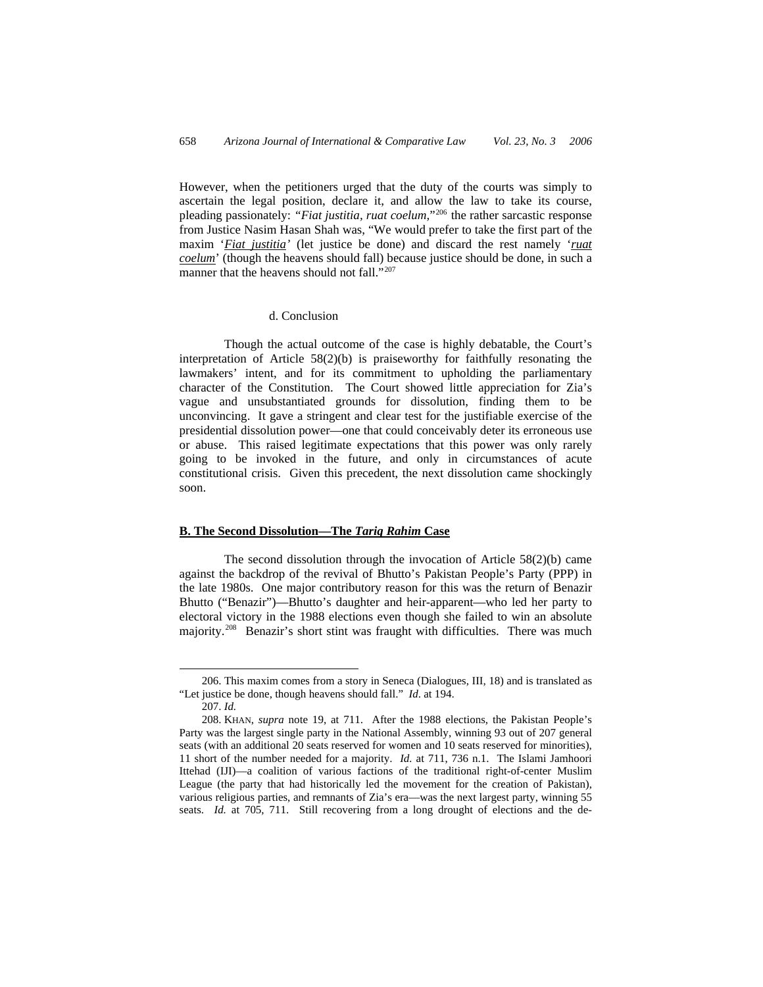However, when the petitioners urged that the duty of the courts was simply to ascertain the legal position, declare it, and allow the law to take its course, pleading passionately: *"Fiat justitia, ruat coelum,*"[206](#page-43-0) the rather sarcastic response from Justice Nasim Hasan Shah was, "We would prefer to take the first part of the maxim '*Fiat justitia'* (let justice be done) and discard the rest namely '*ruat coelum*' (though the heavens should fall) because justice should be done, in such a manner that the heavens should not fall."<sup>[207](#page-43-1)</sup>

# d. Conclusion

Though the actual outcome of the case is highly debatable, the Court's interpretation of Article  $58(2)(b)$  is praiseworthy for faithfully resonating the lawmakers' intent, and for its commitment to upholding the parliamentary character of the Constitution. The Court showed little appreciation for Zia's vague and unsubstantiated grounds for dissolution, finding them to be unconvincing. It gave a stringent and clear test for the justifiable exercise of the presidential dissolution power—one that could conceivably deter its erroneous use or abuse. This raised legitimate expectations that this power was only rarely going to be invoked in the future, and only in circumstances of acute constitutional crisis. Given this precedent, the next dissolution came shockingly soon.

# **B. The Second Dissolution—The** *Tariq Rahim* **Case**

The second dissolution through the invocation of Article 58(2)(b) came against the backdrop of the revival of Bhutto's Pakistan People's Party (PPP) in the late 1980s. One major contributory reason for this was the return of Benazir Bhutto ("Benazir")—Bhutto's daughter and heir-apparent—who led her party to electoral victory in the 1988 elections even though she failed to win an absolute majority.<sup>[208](#page-43-2)</sup> Benazir's short stint was fraught with difficulties. There was much

 $\overline{\phantom{a}}$ 

<span id="page-43-0"></span><sup>206.</sup> This maxim comes from a story in Seneca (Dialogues, III, 18) and is translated as "Let justice be done, though heavens should fall." *Id*. at 194.

<sup>207.</sup> *Id.*

<span id="page-43-2"></span><span id="page-43-1"></span><sup>208.</sup> KHAN, *supra* note 19, at 711. After the 1988 elections, the Pakistan People's Party was the largest single party in the National Assembly, winning 93 out of 207 general seats (with an additional 20 seats reserved for women and 10 seats reserved for minorities), 11 short of the number needed for a majority. *Id.* at 711, 736 n.1. The Islami Jamhoori Ittehad (IJI)—a coalition of various factions of the traditional right-of-center Muslim League (the party that had historically led the movement for the creation of Pakistan), various religious parties, and remnants of Zia's era—was the next largest party, winning 55 seats. *Id.* at 705, 711. Still recovering from a long drought of elections and the de-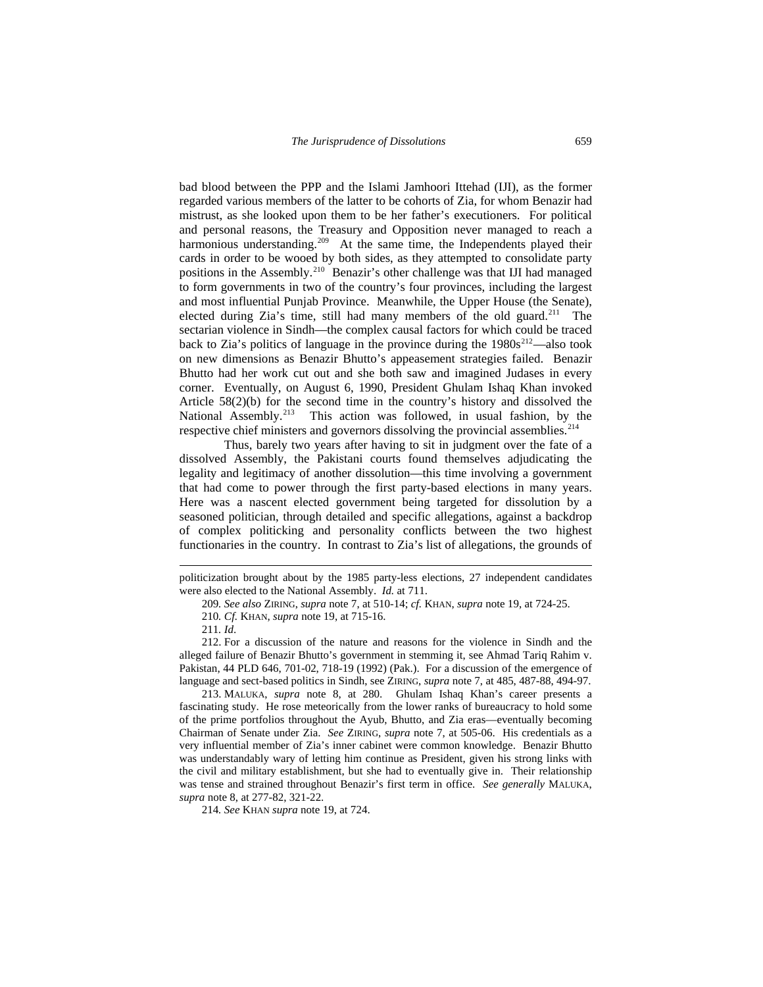bad blood between the PPP and the Islami Jamhoori Ittehad (IJI), as the former regarded various members of the latter to be cohorts of Zia, for whom Benazir had mistrust, as she looked upon them to be her father's executioners. For political and personal reasons, the Treasury and Opposition never managed to reach a harmonious understanding.<sup>[209](#page-44-0)</sup> At the same time, the Independents played their cards in order to be wooed by both sides, as they attempted to consolidate party positions in the Assembly.[210](#page-44-1) Benazir's other challenge was that IJI had managed to form governments in two of the country's four provinces, including the largest and most influential Punjab Province. Meanwhile, the Upper House (the Senate), elected during Zia's time, still had many members of the old guard.<sup>[211](#page-44-2)</sup> The sectarian violence in Sindh—the complex causal factors for which could be traced back to Zia's politics of language in the province during the  $1980s^{212}$  $1980s^{212}$  $1980s^{212}$ —also took on new dimensions as Benazir Bhutto's appeasement strategies failed. Benazir Bhutto had her work cut out and she both saw and imagined Judases in every corner. Eventually, on August 6, 1990, President Ghulam Ishaq Khan invoked Article 58(2)(b) for the second time in the country's history and dissolved the National Assembly.<sup>[213](#page-44-4)</sup> This action was followed, in usual fashion, by the respective chief ministers and governors dissolving the provincial assemblies.<sup>[214](#page-44-5)</sup>

Thus, barely two years after having to sit in judgment over the fate of a dissolved Assembly, the Pakistani courts found themselves adjudicating the legality and legitimacy of another dissolution—this time involving a government that had come to power through the first party-based elections in many years. Here was a nascent elected government being targeted for dissolution by a seasoned politician, through detailed and specific allegations, against a backdrop of complex politicking and personality conflicts between the two highest functionaries in the country. In contrast to Zia's list of allegations, the grounds of

209*. See also* ZIRING, *supra* note 7, at 510-14; *cf.* KHAN, *supra* note 19, at 724-25.

 $\overline{a}$ 

<span id="page-44-4"></span>213. MALUKA, *supra* note 8, at 280. Ghulam Ishaq Khan's career presents a fascinating study. He rose meteorically from the lower ranks of bureaucracy to hold some of the prime portfolios throughout the Ayub, Bhutto, and Zia eras—eventually becoming Chairman of Senate under Zia. *See* ZIRING, *supra* note 7, at 505-06. His credentials as a very influential member of Zia's inner cabinet were common knowledge. Benazir Bhutto was understandably wary of letting him continue as President, given his strong links with the civil and military establishment, but she had to eventually give in. Their relationship was tense and strained throughout Benazir's first term in office. *See generally* MALUKA, *supra* note 8, at 277-82, 321-22.

<span id="page-44-5"></span>214*. See* KHAN *supra* note 19, at 724.

<span id="page-44-0"></span>politicization brought about by the 1985 party-less elections, 27 independent candidates were also elected to the National Assembly. *Id.* at 711.

<sup>210</sup>*. Cf.* KHAN, *supra* note 19, at 715-16.

<sup>211</sup>*. Id*.

<span id="page-44-3"></span><span id="page-44-2"></span><span id="page-44-1"></span><sup>212.</sup> For a discussion of the nature and reasons for the violence in Sindh and the alleged failure of Benazir Bhutto's government in stemming it, see Ahmad Tariq Rahim v. Pakistan, 44 PLD 646, 701-02, 718-19 (1992) (Pak.). For a discussion of the emergence of language and sect-based politics in Sindh, see ZIRING, *supra* note 7, at 485, 487-88, 494-97.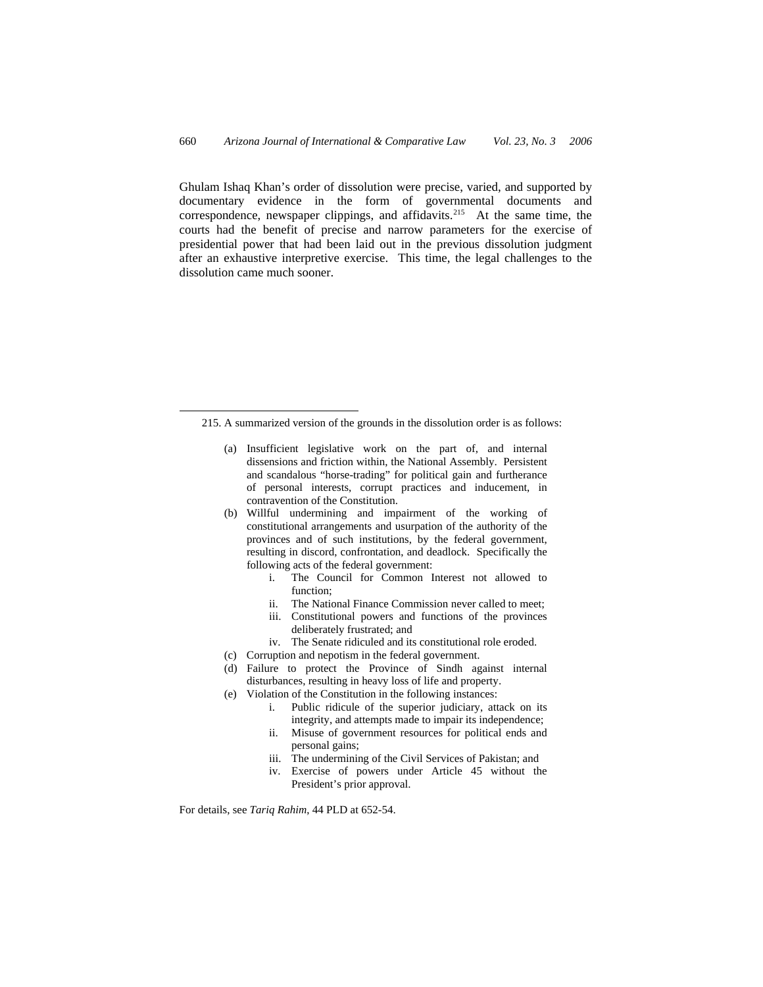Ghulam Ishaq Khan's order of dissolution were precise, varied, and supported by documentary evidence in the form of governmental documents and correspondence, newspaper clippings, and affidavits.<sup>[215](#page-45-0)</sup> At the same time, the courts had the benefit of precise and narrow parameters for the exercise of presidential power that had been laid out in the previous dissolution judgment after an exhaustive interpretive exercise. This time, the legal challenges to the dissolution came much sooner.

- (a) Insufficient legislative work on the part of, and internal dissensions and friction within, the National Assembly. Persistent and scandalous "horse-trading" for political gain and furtherance of personal interests, corrupt practices and inducement, in contravention of the Constitution.
- (b) Willful undermining and impairment of the working of constitutional arrangements and usurpation of the authority of the provinces and of such institutions, by the federal government, resulting in discord, confrontation, and deadlock. Specifically the following acts of the federal government:
	- i. The Council for Common Interest not allowed to function;
	- ii. The National Finance Commission never called to meet;
	- iii. Constitutional powers and functions of the provinces deliberately frustrated; and
	- iv. The Senate ridiculed and its constitutional role eroded.
- (c) Corruption and nepotism in the federal government.
- (d) Failure to protect the Province of Sindh against internal disturbances, resulting in heavy loss of life and property.
- (e) Violation of the Constitution in the following instances:
	- i. Public ridicule of the superior judiciary, attack on its integrity, and attempts made to impair its independence;
	- ii. Misuse of government resources for political ends and personal gains;
	- iii. The undermining of the Civil Services of Pakistan; and
	- iv. Exercise of powers under Article 45 without the President's prior approval.

For details, see *Tariq Rahim*, 44 PLD at 652-54.

<span id="page-45-0"></span><sup>215.</sup> A summarized version of the grounds in the dissolution order is as follows: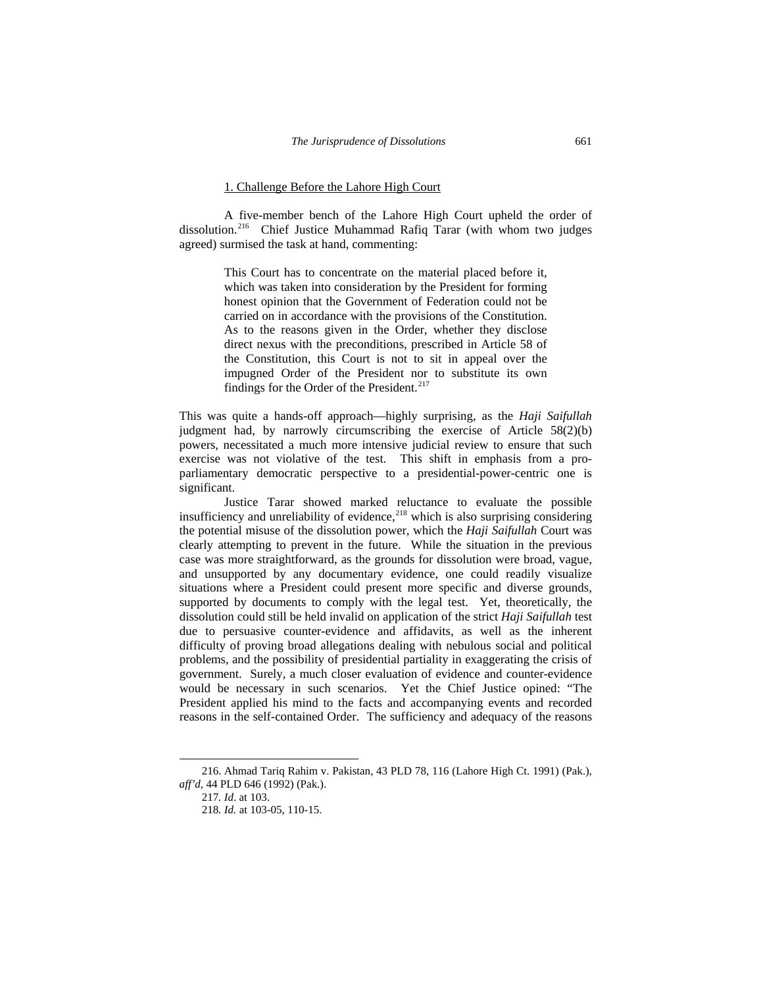### 1. Challenge Before the Lahore High Court

A five-member bench of the Lahore High Court upheld the order of dissolution.[216](#page-46-0) Chief Justice Muhammad Rafiq Tarar (with whom two judges agreed) surmised the task at hand, commenting:

> This Court has to concentrate on the material placed before it, which was taken into consideration by the President for forming honest opinion that the Government of Federation could not be carried on in accordance with the provisions of the Constitution. As to the reasons given in the Order, whether they disclose direct nexus with the preconditions, prescribed in Article 58 of the Constitution, this Court is not to sit in appeal over the impugned Order of the President nor to substitute its own findings for the Order of the President. $217$

This was quite a hands-off approach—highly surprising, as the *Haji Saifullah* judgment had, by narrowly circumscribing the exercise of Article 58(2)(b) powers, necessitated a much more intensive judicial review to ensure that such exercise was not violative of the test. This shift in emphasis from a proparliamentary democratic perspective to a presidential-power-centric one is significant.

Justice Tarar showed marked reluctance to evaluate the possible insufficiency and unreliability of evidence, $218$  which is also surprising considering the potential misuse of the dissolution power, which the *Haji Saifullah* Court was clearly attempting to prevent in the future. While the situation in the previous case was more straightforward, as the grounds for dissolution were broad, vague, and unsupported by any documentary evidence, one could readily visualize situations where a President could present more specific and diverse grounds, supported by documents to comply with the legal test. Yet, theoretically, the dissolution could still be held invalid on application of the strict *Haji Saifullah* test due to persuasive counter-evidence and affidavits, as well as the inherent difficulty of proving broad allegations dealing with nebulous social and political problems, and the possibility of presidential partiality in exaggerating the crisis of government. Surely, a much closer evaluation of evidence and counter-evidence would be necessary in such scenarios. Yet the Chief Justice opined: "The President applied his mind to the facts and accompanying events and recorded reasons in the self-contained Order. The sufficiency and adequacy of the reasons

1

<span id="page-46-2"></span><span id="page-46-1"></span><span id="page-46-0"></span><sup>216.</sup> Ahmad Tariq Rahim v. Pakistan, 43 PLD 78, 116 (Lahore High Ct. 1991) (Pak.), *aff'd*, 44 PLD 646 (1992) (Pak.).

<sup>217</sup>*. Id*. at 103.

<sup>218</sup>*. Id.* at 103-05, 110-15.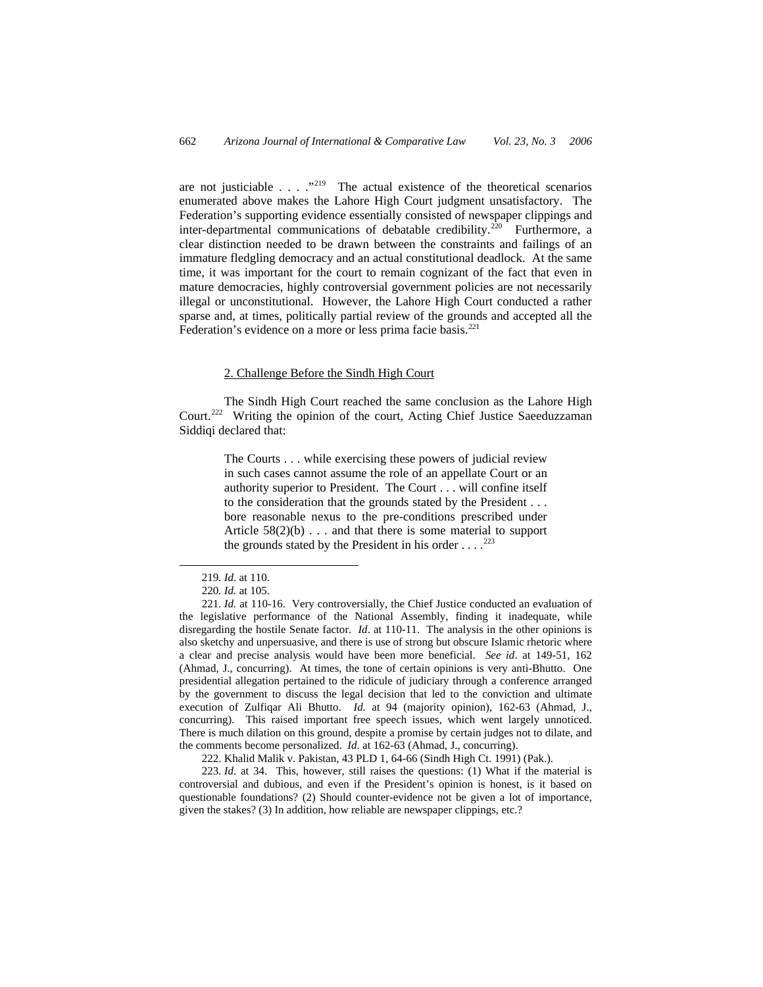are not justiciable  $\ldots$   $\cdot$  <sup>219</sup> The actual existence of the theoretical scenarios enumerated above makes the Lahore High Court judgment unsatisfactory. The Federation's supporting evidence essentially consisted of newspaper clippings and inter-departmental communications of debatable credibility.<sup>[220](#page-47-1)</sup> Furthermore, a clear distinction needed to be drawn between the constraints and failings of an immature fledgling democracy and an actual constitutional deadlock. At the same time, it was important for the court to remain cognizant of the fact that even in mature democracies, highly controversial government policies are not necessarily illegal or unconstitutional. However, the Lahore High Court conducted a rather sparse and, at times, politically partial review of the grounds and accepted all the Federation's evidence on a more or less prima facie basis.<sup>[221](#page-47-2)</sup>

# 2. Challenge Before the Sindh High Court

The Sindh High Court reached the same conclusion as the Lahore High Court.<sup>[222](#page-47-3)</sup> Writing the opinion of the court, Acting Chief Justice Saeeduzzaman Siddiqi declared that:

> The Courts . . . while exercising these powers of judicial review in such cases cannot assume the role of an appellate Court or an authority superior to President. The Court . . . will confine itself to the consideration that the grounds stated by the President . . . bore reasonable nexus to the pre-conditions prescribed under Article  $58(2)(b)$ ... and that there is some material to support the grounds stated by the President in his order . . . .<sup>[223](#page-47-4)</sup>

 $\overline{a}$ 

222. Khalid Malik v. Pakistan, 43 PLD 1, 64-66 (Sindh High Ct. 1991) (Pak.).

<span id="page-47-4"></span><span id="page-47-3"></span>223*. Id*. at 34. This, however, still raises the questions: (1) What if the material is controversial and dubious, and even if the President's opinion is honest, is it based on questionable foundations? (2) Should counter-evidence not be given a lot of importance, given the stakes? (3) In addition, how reliable are newspaper clippings, etc.?

<sup>219</sup>*. Id*. at 110.

<sup>220</sup>*. Id.* at 105.

<span id="page-47-2"></span><span id="page-47-1"></span><span id="page-47-0"></span><sup>221</sup>*. Id.* at 110-16. Very controversially, the Chief Justice conducted an evaluation of the legislative performance of the National Assembly, finding it inadequate, while disregarding the hostile Senate factor. *Id*. at 110-11. The analysis in the other opinions is also sketchy and unpersuasive, and there is use of strong but obscure Islamic rhetoric where a clear and precise analysis would have been more beneficial. *See id*. at 149-51, 162 (Ahmad, J., concurring). At times, the tone of certain opinions is very anti-Bhutto. One presidential allegation pertained to the ridicule of judiciary through a conference arranged by the government to discuss the legal decision that led to the conviction and ultimate execution of Zulfiqar Ali Bhutto. *Id.* at 94 (majority opinion), 162-63 (Ahmad, J., concurring). This raised important free speech issues, which went largely unnoticed. There is much dilation on this ground, despite a promise by certain judges not to dilate, and the comments become personalized. *Id*. at 162-63 (Ahmad, J., concurring).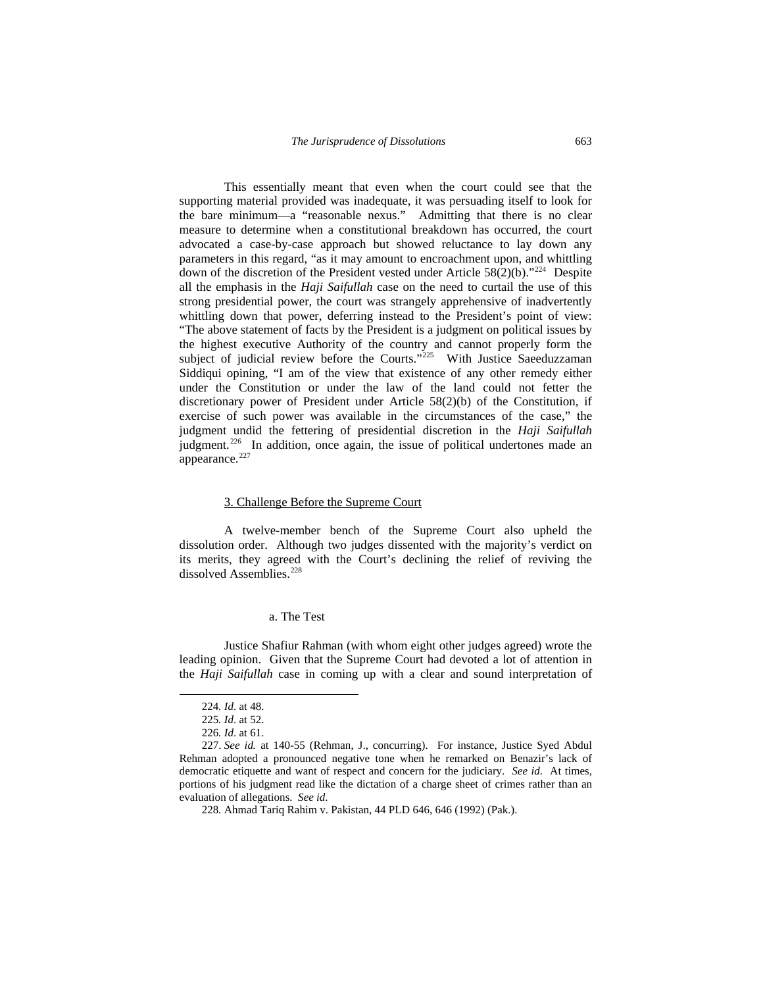This essentially meant that even when the court could see that the supporting material provided was inadequate, it was persuading itself to look for the bare minimum—a "reasonable nexus." Admitting that there is no clear measure to determine when a constitutional breakdown has occurred, the court advocated a case-by-case approach but showed reluctance to lay down any parameters in this regard, "as it may amount to encroachment upon, and whittling down of the discretion of the President vested under Article  $58(2)(b)$ ."<sup>224</sup> Despite all the emphasis in the *Haji Saifullah* case on the need to curtail the use of this strong presidential power, the court was strangely apprehensive of inadvertently whittling down that power, deferring instead to the President's point of view: "The above statement of facts by the President is a judgment on political issues by the highest executive Authority of the country and cannot properly form the subject of judicial review before the Courts."<sup>[225](#page-48-1)</sup> With Justice Saeeduzzaman Siddiqui opining, "I am of the view that existence of any other remedy either under the Constitution or under the law of the land could not fetter the discretionary power of President under Article 58(2)(b) of the Constitution, if exercise of such power was available in the circumstances of the case," the judgment undid the fettering of presidential discretion in the *Haji Saifullah* judgment.<sup>[226](#page-48-2)</sup> In addition, once again, the issue of political undertones made an appearance.<sup>[227](#page-48-3)</sup>

### 3. Challenge Before the Supreme Court

A twelve-member bench of the Supreme Court also upheld the dissolution order. Although two judges dissented with the majority's verdict on its merits, they agreed with the Court's declining the relief of reviving the dissolved Assemblies.<sup>[228](#page-48-4)</sup>

# a. The Test

Justice Shafiur Rahman (with whom eight other judges agreed) wrote the leading opinion. Given that the Supreme Court had devoted a lot of attention in the *Haji Saifullah* case in coming up with a clear and sound interpretation of

<sup>224</sup>*. Id*. at 48.

<sup>225</sup>*. Id*. at 52.

<sup>226</sup>*. Id*. at 61.

<span id="page-48-4"></span><span id="page-48-3"></span><span id="page-48-2"></span><span id="page-48-1"></span><span id="page-48-0"></span><sup>227.</sup> *See id.* at 140-55 (Rehman, J., concurring). For instance, Justice Syed Abdul Rehman adopted a pronounced negative tone when he remarked on Benazir's lack of democratic etiquette and want of respect and concern for the judiciary. *See id*. At times, portions of his judgment read like the dictation of a charge sheet of crimes rather than an evaluation of allegations. *See id*.

<sup>228</sup>*.* Ahmad Tariq Rahim v. Pakistan, 44 PLD 646, 646 (1992) (Pak.).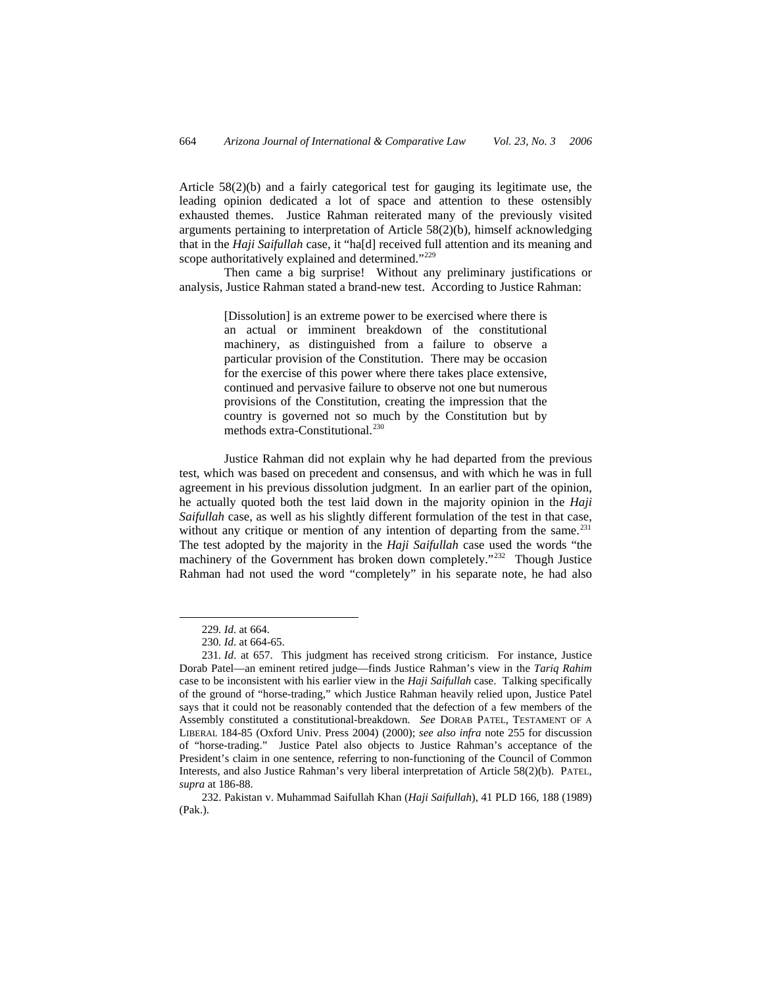Article 58(2)(b) and a fairly categorical test for gauging its legitimate use, the leading opinion dedicated a lot of space and attention to these ostensibly exhausted themes. Justice Rahman reiterated many of the previously visited arguments pertaining to interpretation of Article 58(2)(b), himself acknowledging that in the *Haji Saifullah* case, it "ha[d] received full attention and its meaning and scope authoritatively explained and determined."<sup>[229](#page-49-0)</sup>

Then came a big surprise! Without any preliminary justifications or analysis, Justice Rahman stated a brand-new test. According to Justice Rahman:

> [Dissolution] is an extreme power to be exercised where there is an actual or imminent breakdown of the constitutional machinery, as distinguished from a failure to observe a particular provision of the Constitution. There may be occasion for the exercise of this power where there takes place extensive, continued and pervasive failure to observe not one but numerous provisions of the Constitution, creating the impression that the country is governed not so much by the Constitution but by methods extra-Constitutional.<sup>[230](#page-49-1)</sup>

Justice Rahman did not explain why he had departed from the previous test, which was based on precedent and consensus, and with which he was in full agreement in his previous dissolution judgment. In an earlier part of the opinion, he actually quoted both the test laid down in the majority opinion in the *Haji Saifullah* case, as well as his slightly different formulation of the test in that case, without any critique or mention of any intention of departing from the same. $^{231}$  $^{231}$  $^{231}$ The test adopted by the majority in the *Haji Saifullah* case used the words "the machinery of the Government has broken down completely."[232](#page-49-3)Though Justice Rahman had not used the word "completely" in his separate note, he had also

<sup>229</sup>*. Id*. at 664.

<sup>230</sup>*. Id*. at 664-65.

<span id="page-49-2"></span><span id="page-49-1"></span><span id="page-49-0"></span><sup>231</sup>*. Id*. at 657. This judgment has received strong criticism. For instance, Justice Dorab Patel—an eminent retired judge—finds Justice Rahman's view in the *Tariq Rahim* case to be inconsistent with his earlier view in the *Haji Saifullah* case. Talking specifically of the ground of "horse-trading," which Justice Rahman heavily relied upon, Justice Patel says that it could not be reasonably contended that the defection of a few members of the Assembly constituted a constitutional-breakdown. *See* DORAB PATEL, TESTAMENT OF A LIBERAL 184-85 (Oxford Univ. Press 2004) (2000); *see also infra* note 255 for discussion of "horse-trading." Justice Patel also objects to Justice Rahman's acceptance of the President's claim in one sentence, referring to non-functioning of the Council of Common Interests, and also Justice Rahman's very liberal interpretation of Article 58(2)(b). PATEL*, supra* at 186-88.

<span id="page-49-3"></span><sup>232.</sup> Pakistan v. Muhammad Saifullah Khan (*Haji Saifullah*), 41 PLD 166, 188 (1989) (Pak.).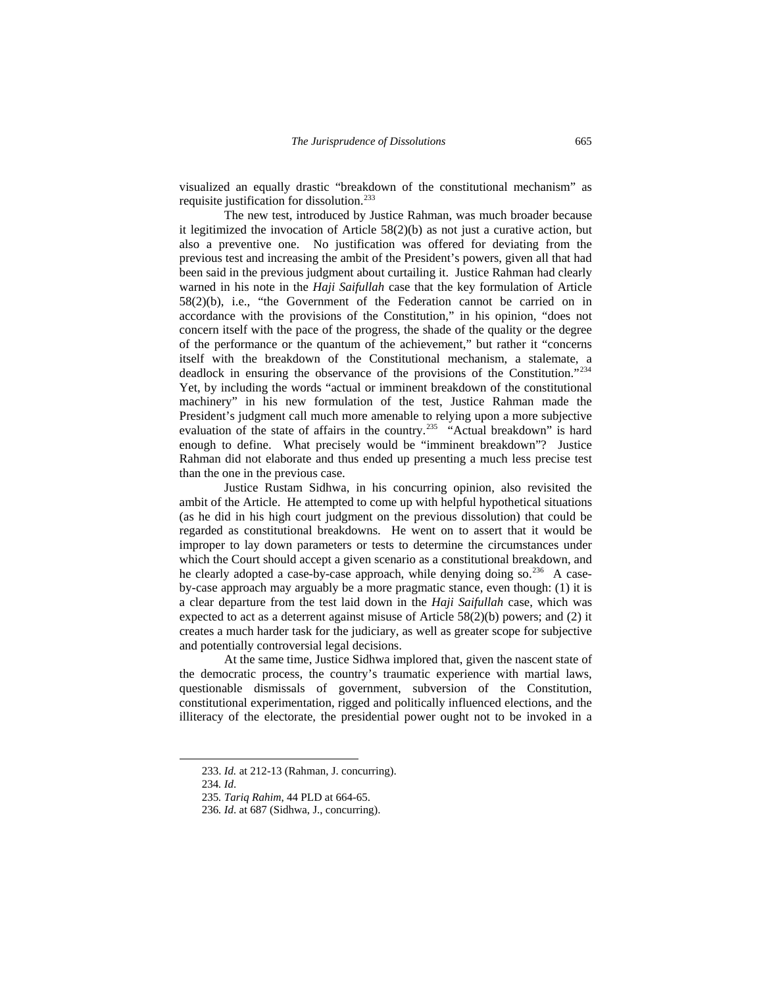visualized an equally drastic "breakdown of the constitutional mechanism" as requisite justification for dissolution.<sup>[233](#page-50-0)</sup>

The new test, introduced by Justice Rahman, was much broader because it legitimized the invocation of Article  $58(2)(b)$  as not just a curative action, but also a preventive one. No justification was offered for deviating from the previous test and increasing the ambit of the President's powers, given all that had been said in the previous judgment about curtailing it. Justice Rahman had clearly warned in his note in the *Haji Saifullah* case that the key formulation of Article 58(2)(b), i.e., "the Government of the Federation cannot be carried on in accordance with the provisions of the Constitution," in his opinion, "does not concern itself with the pace of the progress, the shade of the quality or the degree of the performance or the quantum of the achievement," but rather it "concerns itself with the breakdown of the Constitutional mechanism, a stalemate, a deadlock in ensuring the observance of the provisions of the Constitution."[234](#page-50-1) Yet, by including the words "actual or imminent breakdown of the constitutional machinery" in his new formulation of the test, Justice Rahman made the President's judgment call much more amenable to relying upon a more subjective evaluation of the state of affairs in the country.<sup>[235](#page-50-2)</sup> "Actual breakdown" is hard enough to define. What precisely would be "imminent breakdown"? Justice Rahman did not elaborate and thus ended up presenting a much less precise test than the one in the previous case.

Justice Rustam Sidhwa, in his concurring opinion, also revisited the ambit of the Article. He attempted to come up with helpful hypothetical situations (as he did in his high court judgment on the previous dissolution) that could be regarded as constitutional breakdowns. He went on to assert that it would be improper to lay down parameters or tests to determine the circumstances under which the Court should accept a given scenario as a constitutional breakdown, and he clearly adopted a case-by-case approach, while denying doing so.<sup>[236](#page-50-3)</sup> A caseby-case approach may arguably be a more pragmatic stance, even though: (1) it is a clear departure from the test laid down in the *Haji Saifullah* case, which was expected to act as a deterrent against misuse of Article 58(2)(b) powers; and (2) it creates a much harder task for the judiciary, as well as greater scope for subjective and potentially controversial legal decisions.

At the same time, Justice Sidhwa implored that, given the nascent state of the democratic process, the country's traumatic experience with martial laws, questionable dismissals of government, subversion of the Constitution, constitutional experimentation, rigged and politically influenced elections, and the illiteracy of the electorate, the presidential power ought not to be invoked in a

<span id="page-50-0"></span><sup>233.</sup> *Id.* at 212-13 (Rahman, J. concurring).

<span id="page-50-2"></span><span id="page-50-1"></span><sup>234</sup>*. Id*.

<sup>235</sup>*. Tariq Rahim*, 44 PLD at 664-65.

<span id="page-50-3"></span><sup>236</sup>*. Id*. at 687 (Sidhwa, J., concurring).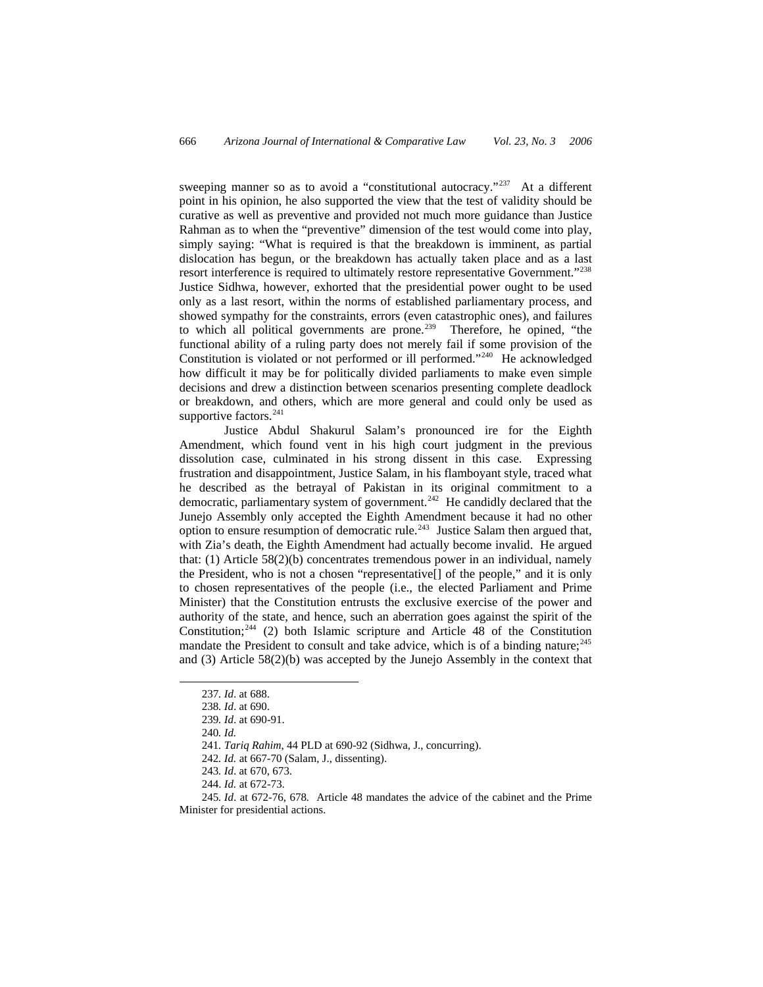sweeping manner so as to avoid a "constitutional autocracy."<sup>[237](#page-51-0)</sup> At a different point in his opinion, he also supported the view that the test of validity should be curative as well as preventive and provided not much more guidance than Justice Rahman as to when the "preventive" dimension of the test would come into play, simply saying: "What is required is that the breakdown is imminent, as partial dislocation has begun, or the breakdown has actually taken place and as a last resort interference is required to ultimately restore representative Government."[238](#page-51-1) Justice Sidhwa, however, exhorted that the presidential power ought to be used only as a last resort, within the norms of established parliamentary process, and showed sympathy for the constraints, errors (even catastrophic ones), and failures to which all political governments are prone.<sup>[239](#page-51-2)</sup> Therefore, he opined, "the functional ability of a ruling party does not merely fail if some provision of the Constitution is violated or not performed or ill performed."<sup>[240](#page-51-3)</sup> He acknowledged how difficult it may be for politically divided parliaments to make even simple decisions and drew a distinction between scenarios presenting complete deadlock or breakdown, and others, which are more general and could only be used as supportive factors.<sup>[241](#page-51-4)</sup>

Justice Abdul Shakurul Salam's pronounced ire for the Eighth Amendment, which found vent in his high court judgment in the previous dissolution case, culminated in his strong dissent in this case. Expressing frustration and disappointment, Justice Salam, in his flamboyant style, traced what he described as the betrayal of Pakistan in its original commitment to a democratic, parliamentary system of government.<sup>[242](#page-51-5)</sup> He candidly declared that the Junejo Assembly only accepted the Eighth Amendment because it had no other option to ensure resumption of democratic rule.<sup>[243](#page-51-6)</sup> Justice Salam then argued that, with Zia's death, the Eighth Amendment had actually become invalid. He argued that: (1) Article 58(2)(b) concentrates tremendous power in an individual, namely the President, who is not a chosen "representative[] of the people," and it is only to chosen representatives of the people (i.e., the elected Parliament and Prime Minister) that the Constitution entrusts the exclusive exercise of the power and authority of the state, and hence, such an aberration goes against the spirit of the Constitution;<sup>[244](#page-51-7)</sup> (2) both Islamic scripture and Article  $\overline{48}$  of the Constitution mandate the President to consult and take advice, which is of a binding nature; $^{245}$  $^{245}$  $^{245}$ and (3) Article 58(2)(b) was accepted by the Junejo Assembly in the context that

<sup>237</sup>*. Id*. at 688.

<span id="page-51-1"></span><span id="page-51-0"></span><sup>238</sup>*. Id*. at 690.

<sup>239</sup>*. Id*. at 690-91.

<sup>240</sup>*. Id.*

<sup>241</sup>*. Tariq Rahim*, 44 PLD at 690-92 (Sidhwa, J., concurring).

<sup>242</sup>*. Id.* at 667-70 (Salam, J., dissenting).

<sup>243</sup>*. Id*. at 670, 673.

<sup>244.</sup> *Id.* at 672-73.

<span id="page-51-8"></span><span id="page-51-7"></span><span id="page-51-6"></span><span id="page-51-5"></span><span id="page-51-4"></span><span id="page-51-3"></span><span id="page-51-2"></span><sup>245</sup>*. Id*. at 672-76, 678*.* Article 48 mandates the advice of the cabinet and the Prime Minister for presidential actions.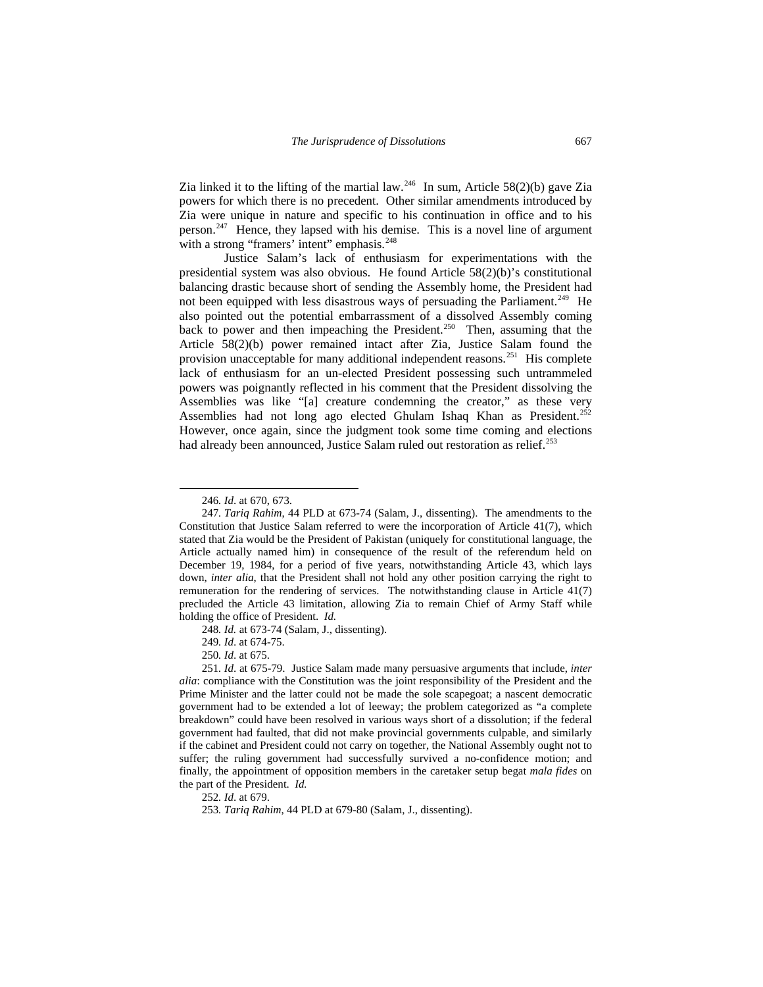Zia linked it to the lifting of the martial law.<sup>[246](#page-52-0)</sup> In sum, Article 58(2)(b) gave Zia powers for which there is no precedent. Other similar amendments introduced by Zia were unique in nature and specific to his continuation in office and to his person.[247](#page-52-1) Hence, they lapsed with his demise. This is a novel line of argument with a strong "framers' intent" emphasis.<sup>248</sup>

Justice Salam's lack of enthusiasm for experimentations with the presidential system was also obvious. He found Article 58(2)(b)'s constitutional balancing drastic because short of sending the Assembly home, the President had not been equipped with less disastrous ways of persuading the Parliament.<sup>[249](#page-52-3)</sup> He also pointed out the potential embarrassment of a dissolved Assembly coming back to power and then impeaching the President.<sup>[250](#page-52-4)</sup> Then, assuming that the Article 58(2)(b) power remained intact after Zia, Justice Salam found the provision unacceptable for many additional independent reasons.<sup>[251](#page-52-5)</sup> His complete lack of enthusiasm for an un-elected President possessing such untrammeled powers was poignantly reflected in his comment that the President dissolving the Assemblies was like "[a] creature condemning the creator," as these very Assemblies had not long ago elected Ghulam Ishaq Khan as President.<sup>[252](#page-52-6)</sup> However, once again, since the judgment took some time coming and elections had already been announced, Justice Salam ruled out restoration as relief.<sup>[253](#page-52-7)</sup>

 $\overline{a}$ 

248*. Id.* at 673-74 (Salam, J., dissenting).

<sup>246</sup>*. Id*. at 670, 673.

<span id="page-52-1"></span><span id="page-52-0"></span><sup>247</sup>*. Tariq Rahim*, 44 PLD at 673-74 (Salam, J., dissenting). The amendments to the Constitution that Justice Salam referred to were the incorporation of Article 41(7), which stated that Zia would be the President of Pakistan (uniquely for constitutional language, the Article actually named him) in consequence of the result of the referendum held on December 19, 1984, for a period of five years, notwithstanding Article 43, which lays down, *inter alia*, that the President shall not hold any other position carrying the right to remuneration for the rendering of services. The notwithstanding clause in Article 41(7) precluded the Article 43 limitation, allowing Zia to remain Chief of Army Staff while holding the office of President. *Id.*

<sup>249</sup>*. Id*. at 674-75.

<sup>250</sup>*. Id*. at 675.

<span id="page-52-5"></span><span id="page-52-4"></span><span id="page-52-3"></span><span id="page-52-2"></span><sup>251</sup>*. Id*. at 675-79. Justice Salam made many persuasive arguments that include, *inter alia*: compliance with the Constitution was the joint responsibility of the President and the Prime Minister and the latter could not be made the sole scapegoat; a nascent democratic government had to be extended a lot of leeway; the problem categorized as "a complete breakdown" could have been resolved in various ways short of a dissolution; if the federal government had faulted, that did not make provincial governments culpable, and similarly if the cabinet and President could not carry on together, the National Assembly ought not to suffer; the ruling government had successfully survived a no-confidence motion; and finally, the appointment of opposition members in the caretaker setup begat *mala fides* on the part of the President. *Id.*

<span id="page-52-7"></span><span id="page-52-6"></span><sup>252</sup>*. Id*. at 679.

<sup>253</sup>*. Tariq Rahim*, 44 PLD at 679-80 (Salam, J., dissenting).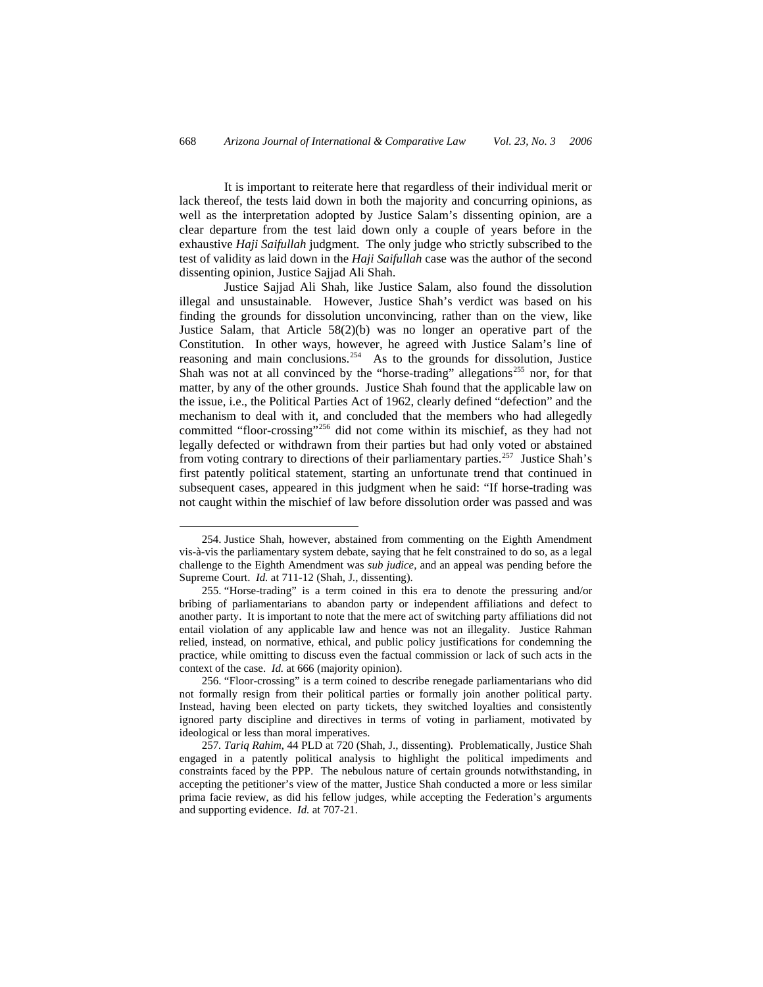It is important to reiterate here that regardless of their individual merit or lack thereof, the tests laid down in both the majority and concurring opinions, as well as the interpretation adopted by Justice Salam's dissenting opinion, are a clear departure from the test laid down only a couple of years before in the exhaustive *Haji Saifullah* judgment. The only judge who strictly subscribed to the test of validity as laid down in the *Haji Saifullah* case was the author of the second dissenting opinion, Justice Sajjad Ali Shah.

Justice Sajjad Ali Shah, like Justice Salam, also found the dissolution illegal and unsustainable. However, Justice Shah's verdict was based on his finding the grounds for dissolution unconvincing, rather than on the view, like Justice Salam, that Article 58(2)(b) was no longer an operative part of the Constitution. In other ways, however, he agreed with Justice Salam's line of reasoning and main conclusions.<sup>[254](#page-53-0)</sup> As to the grounds for dissolution, Justice Shah was not at all convinced by the "horse-trading" allegations<sup>[255](#page-53-1)</sup> nor, for that matter, by any of the other grounds. Justice Shah found that the applicable law on the issue, i.e., the Political Parties Act of 1962, clearly defined "defection" and the mechanism to deal with it, and concluded that the members who had allegedly committed "floor-crossing"[256](#page-53-2) did not come within its mischief, as they had not legally defected or withdrawn from their parties but had only voted or abstained from voting contrary to directions of their parliamentary parties.<sup>[257](#page-53-3)</sup> Justice Shah's first patently political statement, starting an unfortunate trend that continued in subsequent cases, appeared in this judgment when he said: "If horse-trading was not caught within the mischief of law before dissolution order was passed and was

<span id="page-53-0"></span><sup>254.</sup> Justice Shah, however, abstained from commenting on the Eighth Amendment vis-à-vis the parliamentary system debate, saying that he felt constrained to do so, as a legal challenge to the Eighth Amendment was *sub judice*, and an appeal was pending before the Supreme Court. *Id.* at 711-12 (Shah, J., dissenting).

<span id="page-53-1"></span><sup>255. &</sup>quot;Horse-trading" is a term coined in this era to denote the pressuring and/or bribing of parliamentarians to abandon party or independent affiliations and defect to another party. It is important to note that the mere act of switching party affiliations did not entail violation of any applicable law and hence was not an illegality. Justice Rahman relied, instead, on normative, ethical, and public policy justifications for condemning the practice, while omitting to discuss even the factual commission or lack of such acts in the context of the case. *Id.* at 666 (majority opinion).

<span id="page-53-2"></span><sup>256. &</sup>quot;Floor-crossing" is a term coined to describe renegade parliamentarians who did not formally resign from their political parties or formally join another political party. Instead, having been elected on party tickets, they switched loyalties and consistently ignored party discipline and directives in terms of voting in parliament, motivated by ideological or less than moral imperatives.

<span id="page-53-3"></span><sup>257</sup>*. Tariq Rahim*, 44 PLD at 720 (Shah, J., dissenting). Problematically, Justice Shah engaged in a patently political analysis to highlight the political impediments and constraints faced by the PPP. The nebulous nature of certain grounds notwithstanding, in accepting the petitioner's view of the matter, Justice Shah conducted a more or less similar prima facie review, as did his fellow judges, while accepting the Federation's arguments and supporting evidence. *Id.* at 707-21.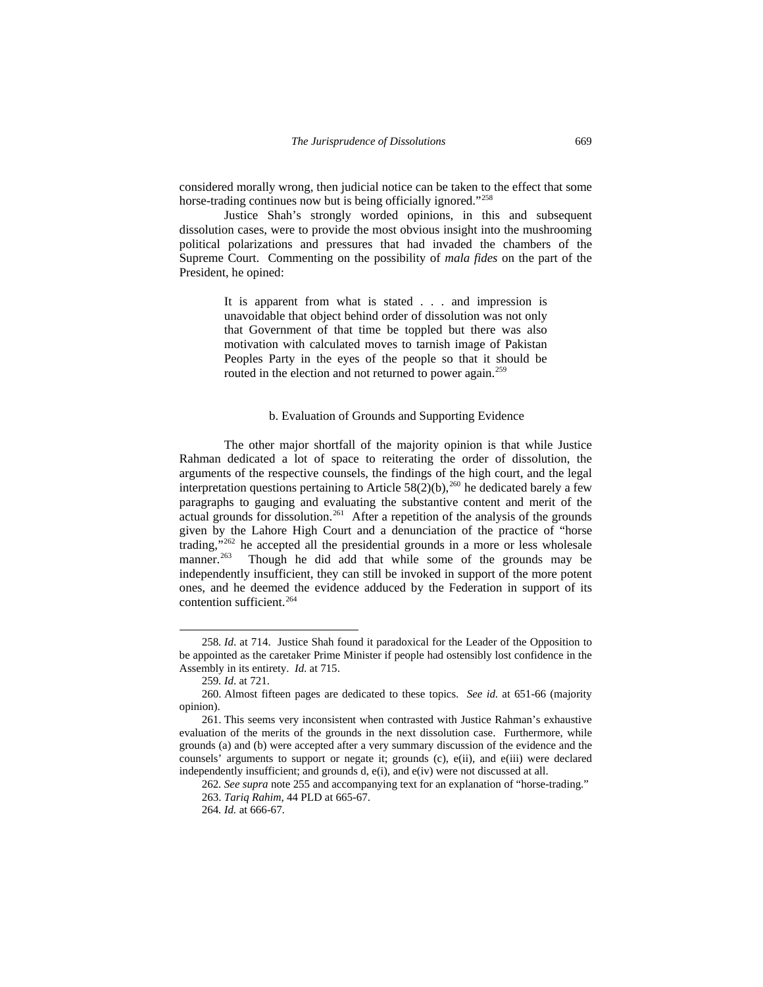considered morally wrong, then judicial notice can be taken to the effect that some horse-trading continues now but is being officially ignored."<sup>[258](#page-54-0)</sup>

Justice Shah's strongly worded opinions, in this and subsequent dissolution cases, were to provide the most obvious insight into the mushrooming political polarizations and pressures that had invaded the chambers of the Supreme Court. Commenting on the possibility of *mala fides* on the part of the President, he opined:

> It is apparent from what is stated . . . and impression is unavoidable that object behind order of dissolution was not only that Government of that time be toppled but there was also motivation with calculated moves to tarnish image of Pakistan Peoples Party in the eyes of the people so that it should be routed in the election and not returned to power again.<sup>[259](#page-54-1)</sup>

# b. Evaluation of Grounds and Supporting Evidence

The other major shortfall of the majority opinion is that while Justice Rahman dedicated a lot of space to reiterating the order of dissolution, the arguments of the respective counsels, the findings of the high court, and the legal interpretation questions pertaining to Article  $58(2)(b)$ ,<sup>[260](#page-54-2)</sup> he dedicated barely a few paragraphs to gauging and evaluating the substantive content and merit of the actual grounds for dissolution.<sup>[261](#page-54-3)</sup> After a repetition of the analysis of the grounds given by the Lahore High Court and a denunciation of the practice of "horse trading,"<sup>[262](#page-54-4)</sup> he accepted all the presidential grounds in a more or less wholesale manner.<sup>[263](#page-54-5)</sup> Though he did add that while some of the grounds may be independently insufficient, they can still be invoked in support of the more potent ones, and he deemed the evidence adduced by the Federation in support of its contention sufficient.<sup>[264](#page-54-6)</sup>

<span id="page-54-0"></span><sup>258</sup>*. Id*. at 714. Justice Shah found it paradoxical for the Leader of the Opposition to be appointed as the caretaker Prime Minister if people had ostensibly lost confidence in the Assembly in its entirety. *Id*. at 715.

<sup>259</sup>*. Id*. at 721.

<span id="page-54-2"></span><span id="page-54-1"></span><sup>260.</sup> Almost fifteen pages are dedicated to these topics. *See id*. at 651-66 (majority opinion).

<span id="page-54-6"></span><span id="page-54-5"></span><span id="page-54-4"></span><span id="page-54-3"></span><sup>261.</sup> This seems very inconsistent when contrasted with Justice Rahman's exhaustive evaluation of the merits of the grounds in the next dissolution case. Furthermore, while grounds (a) and (b) were accepted after a very summary discussion of the evidence and the counsels' arguments to support or negate it; grounds (c), e(ii), and e(iii) were declared independently insufficient; and grounds d, e(i), and e(iv) were not discussed at all.

<sup>262</sup>*. See supra* note 255 and accompanying text for an explanation of "horse-trading."

<sup>263.</sup> *Tariq Rahim*, 44 PLD at 665-67.

<sup>264</sup>*. Id.* at 666-67.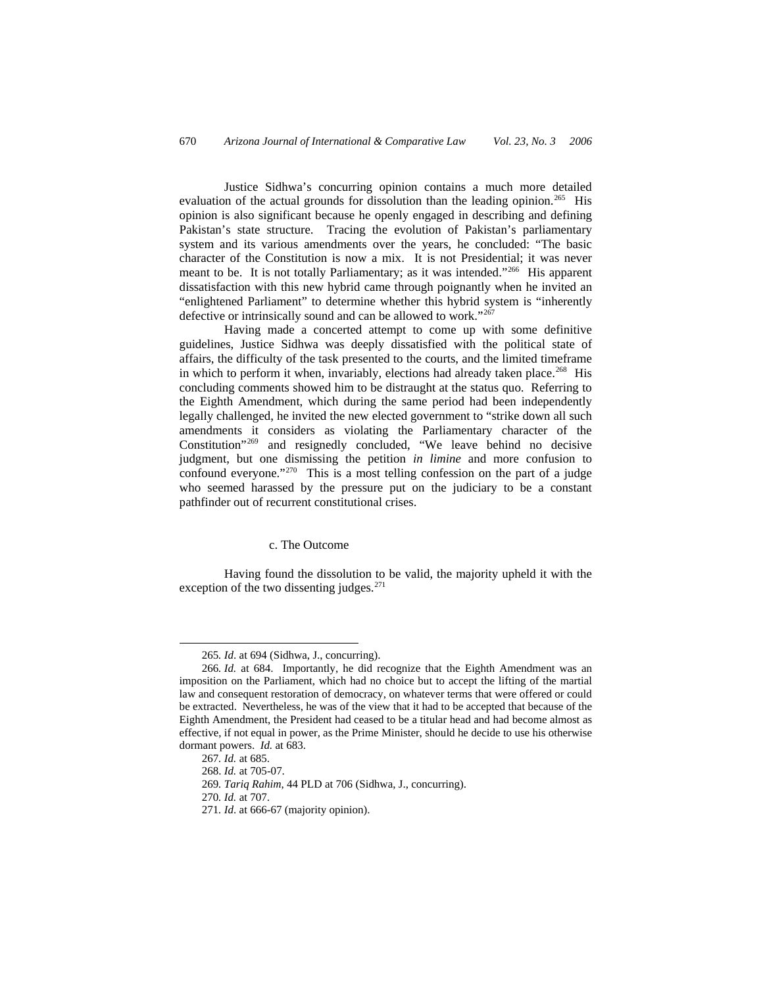Justice Sidhwa's concurring opinion contains a much more detailed evaluation of the actual grounds for dissolution than the leading opinion.<sup>[265](#page-55-0)</sup> His opinion is also significant because he openly engaged in describing and defining Pakistan's state structure. Tracing the evolution of Pakistan's parliamentary system and its various amendments over the years, he concluded: "The basic character of the Constitution is now a mix. It is not Presidential; it was never meant to be. It is not totally Parliamentary; as it was intended."[266](#page-55-1)His apparent dissatisfaction with this new hybrid came through poignantly when he invited an "enlightened Parliament" to determine whether this hybrid system is "inherently defective or intrinsically sound and can be allowed to work."<sup>[267](#page-55-2)</sup>

Having made a concerted attempt to come up with some definitive guidelines, Justice Sidhwa was deeply dissatisfied with the political state of affairs, the difficulty of the task presented to the courts, and the limited timeframe in which to perform it when, invariably, elections had already taken place.<sup>[268](#page-55-3)</sup> His concluding comments showed him to be distraught at the status quo. Referring to the Eighth Amendment, which during the same period had been independently legally challenged, he invited the new elected government to "strike down all such amendments it considers as violating the Parliamentary character of the Constitution"[269](#page-55-4) and resignedly concluded, "We leave behind no decisive judgment, but one dismissing the petition *in limine* and more confusion to confound everyone."<sup>270</sup> This is a most telling confession on the part of a judge who seemed harassed by the pressure put on the judiciary to be a constant pathfinder out of recurrent constitutional crises.

### c. The Outcome

Having found the dissolution to be valid, the majority upheld it with the exception of the two dissenting judges. $271$ 

<sup>265</sup>*. Id*. at 694 (Sidhwa, J., concurring).

<span id="page-55-2"></span><span id="page-55-1"></span><span id="page-55-0"></span><sup>266</sup>*. Id.* at 684. Importantly, he did recognize that the Eighth Amendment was an imposition on the Parliament, which had no choice but to accept the lifting of the martial law and consequent restoration of democracy, on whatever terms that were offered or could be extracted. Nevertheless, he was of the view that it had to be accepted that because of the Eighth Amendment, the President had ceased to be a titular head and had become almost as effective, if not equal in power, as the Prime Minister, should he decide to use his otherwise dormant powers. *Id.* at 683.

<sup>267</sup>*. Id.* at 685.

<span id="page-55-3"></span><sup>268.</sup> *Id.* at 705-07.

<span id="page-55-4"></span><sup>269</sup>*. Tariq Rahim*, 44 PLD at 706 (Sidhwa, J., concurring).

<sup>270</sup>*. Id.* at 707.

<span id="page-55-6"></span><span id="page-55-5"></span><sup>271</sup>*. Id*. at 666-67 (majority opinion).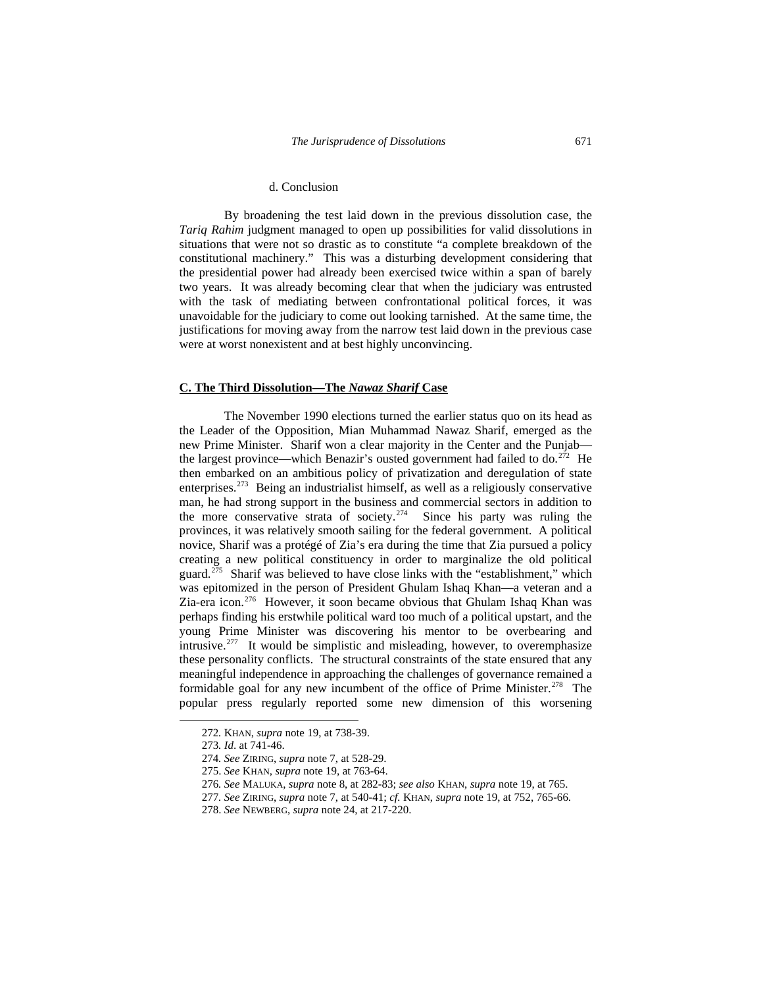### d. Conclusion

By broadening the test laid down in the previous dissolution case, the *Tariq Rahim* judgment managed to open up possibilities for valid dissolutions in situations that were not so drastic as to constitute "a complete breakdown of the constitutional machinery." This was a disturbing development considering that the presidential power had already been exercised twice within a span of barely two years. It was already becoming clear that when the judiciary was entrusted with the task of mediating between confrontational political forces, it was unavoidable for the judiciary to come out looking tarnished. At the same time, the justifications for moving away from the narrow test laid down in the previous case were at worst nonexistent and at best highly unconvincing.

# **C. The Third Dissolution—The** *Nawaz Sharif* **Case**

The November 1990 elections turned the earlier status quo on its head as the Leader of the Opposition, Mian Muhammad Nawaz Sharif, emerged as the new Prime Minister. Sharif won a clear majority in the Center and the Punjab— the largest province—which Benazir's ousted government had failed to do.<sup>[272](#page-56-0)</sup> He then embarked on an ambitious policy of privatization and deregulation of state enterprises.[273](#page-56-1) Being an industrialist himself, as well as a religiously conservative man, he had strong support in the business and commercial sectors in addition to the more conservative strata of society.<sup>[274](#page-56-2)</sup> Since his party was ruling the provinces, it was relatively smooth sailing for the federal government. A political novice, Sharif was a protégé of Zia's era during the time that Zia pursued a policy creating a new political constituency in order to marginalize the old political guard.[275](#page-56-3) Sharif was believed to have close links with the "establishment," which was epitomized in the person of President Ghulam Ishaq Khan—a veteran and a Zia-era icon.<sup>[276](#page-56-4)</sup> However, it soon became obvious that Ghulam Ishaq Khan was perhaps finding his erstwhile political ward too much of a political upstart, and the young Prime Minister was discovering his mentor to be overbearing and intrusive. $277$  It would be simplistic and misleading, however, to overemphasize these personality conflicts. The structural constraints of the state ensured that any meaningful independence in approaching the challenges of governance remained a formidable goal for any new incumbent of the office of Prime Minister.<sup>[278](#page-56-6)</sup> The popular press regularly reported some new dimension of this worsening

<span id="page-56-1"></span><span id="page-56-0"></span><sup>272</sup>*.* KHAN, *supra* note 19, at 738-39.

<sup>273</sup>*. Id*. at 741-46.

<span id="page-56-2"></span><sup>274</sup>*. See* ZIRING, *supra* note 7, at 528-29.

<span id="page-56-3"></span><sup>275.</sup> *See* KHAN, *supra* note 19, at 763-64.

<sup>276</sup>*. See* MALUKA, *supra* note 8, at 282-83; *see also* KHAN, *supra* note 19, at 765.

<span id="page-56-4"></span><sup>277</sup>*. See* ZIRING, *supra* note 7, at 540-41; *cf.* KHAN, *supra* note 19, at 752, 765-66.

<span id="page-56-6"></span><span id="page-56-5"></span><sup>278.</sup> *See* NEWBERG, *supra* note 24, at 217-220.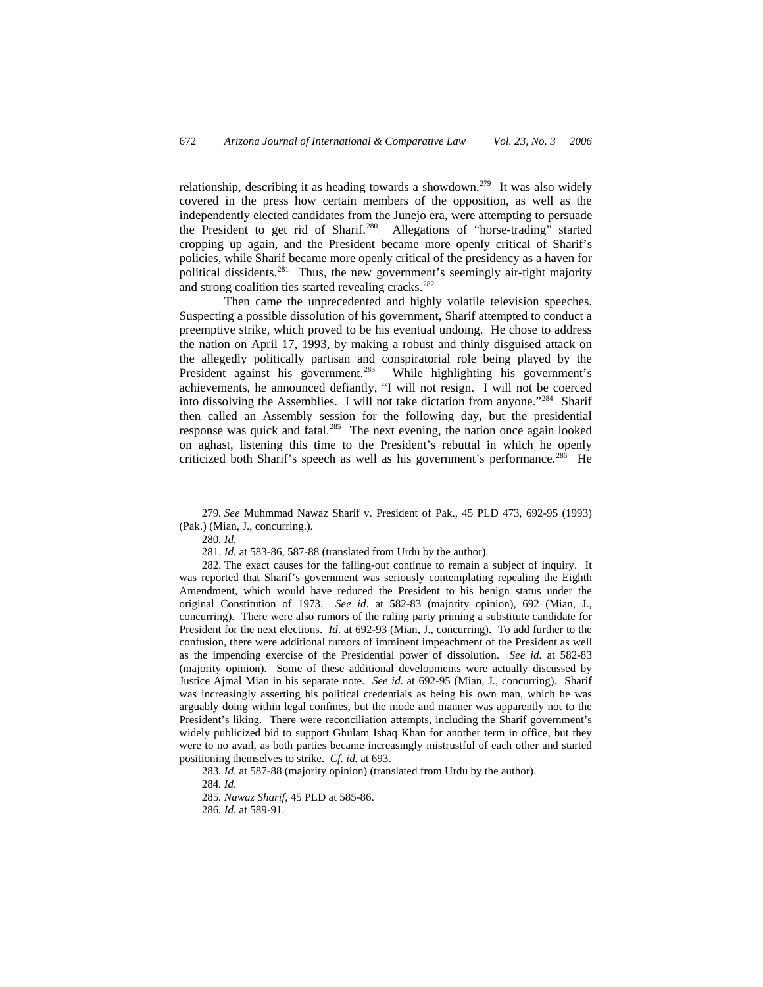relationship, describing it as heading towards a showdown.<sup>[279](#page-57-0)</sup> It was also widely covered in the press how certain members of the opposition, as well as the independently elected candidates from the Junejo era, were attempting to persuade the President to get rid of Sharif.<sup>[280](#page-57-1)</sup> Allegations of "horse-trading" started cropping up again, and the President became more openly critical of Sharif's policies, while Sharif became more openly critical of the presidency as a haven for political dissidents.<sup>[281](#page-57-2)</sup> Thus, the new government's seemingly air-tight majority and strong coalition ties started revealing cracks.<sup>[282](#page-57-3)</sup>

Then came the unprecedented and highly volatile television speeches. Suspecting a possible dissolution of his government, Sharif attempted to conduct a preemptive strike, which proved to be his eventual undoing. He chose to address the nation on April 17, 1993, by making a robust and thinly disguised attack on the allegedly politically partisan and conspiratorial role being played by the President against his government.<sup>[283](#page-57-4)</sup> While highlighting his government's achievements, he announced defiantly, "I will not resign. I will not be coerced into dissolving the Assemblies. I will not take dictation from anyone."[284](#page-57-5) Sharif then called an Assembly session for the following day, but the presidential response was quick and fatal.<sup>[285](#page-57-6)</sup> The next evening, the nation once again looked on aghast, listening this time to the President's rebuttal in which he openly criticized both Sharif's speech as well as his government's performance.<sup>[286](#page-57-7)</sup> He

<span id="page-57-1"></span><span id="page-57-0"></span><sup>279</sup>*. See* Muhmmad Nawaz Sharif v. President of Pak., 45 PLD 473, 692-95 (1993) (Pak.) (Mian, J., concurring.).

<sup>280</sup>*. Id*.

<sup>281.</sup> *Id.* at 583-86, 587-88 (translated from Urdu by the author).

<span id="page-57-3"></span><span id="page-57-2"></span><sup>282.</sup> The exact causes for the falling-out continue to remain a subject of inquiry. It was reported that Sharif's government was seriously contemplating repealing the Eighth Amendment, which would have reduced the President to his benign status under the original Constitution of 1973. *See id*. at 582-83 (majority opinion), 692 (Mian, J., concurring). There were also rumors of the ruling party priming a substitute candidate for President for the next elections. *Id*. at 692-93 (Mian, J., concurring). To add further to the confusion, there were additional rumors of imminent impeachment of the President as well as the impending exercise of the Presidential power of dissolution. *See id*. at 582-83 (majority opinion). Some of these additional developments were actually discussed by Justice Ajmal Mian in his separate note. *See id*. at 692-95 (Mian, J., concurring). Sharif was increasingly asserting his political credentials as being his own man, which he was arguably doing within legal confines, but the mode and manner was apparently not to the President's liking. There were reconciliation attempts, including the Sharif government's widely publicized bid to support Ghulam Ishaq Khan for another term in office, but they were to no avail, as both parties became increasingly mistrustful of each other and started positioning themselves to strike. *Cf. id.* at 693.

<span id="page-57-4"></span><sup>283</sup>*. Id*. at 587-88 (majority opinion) (translated from Urdu by the author).

<sup>284</sup>*. Id*.

<span id="page-57-7"></span><span id="page-57-6"></span><span id="page-57-5"></span><sup>285</sup>*. Nawaz Sharif*, 45 PLD at 585-86.

<sup>286</sup>*. Id.* at 589-91.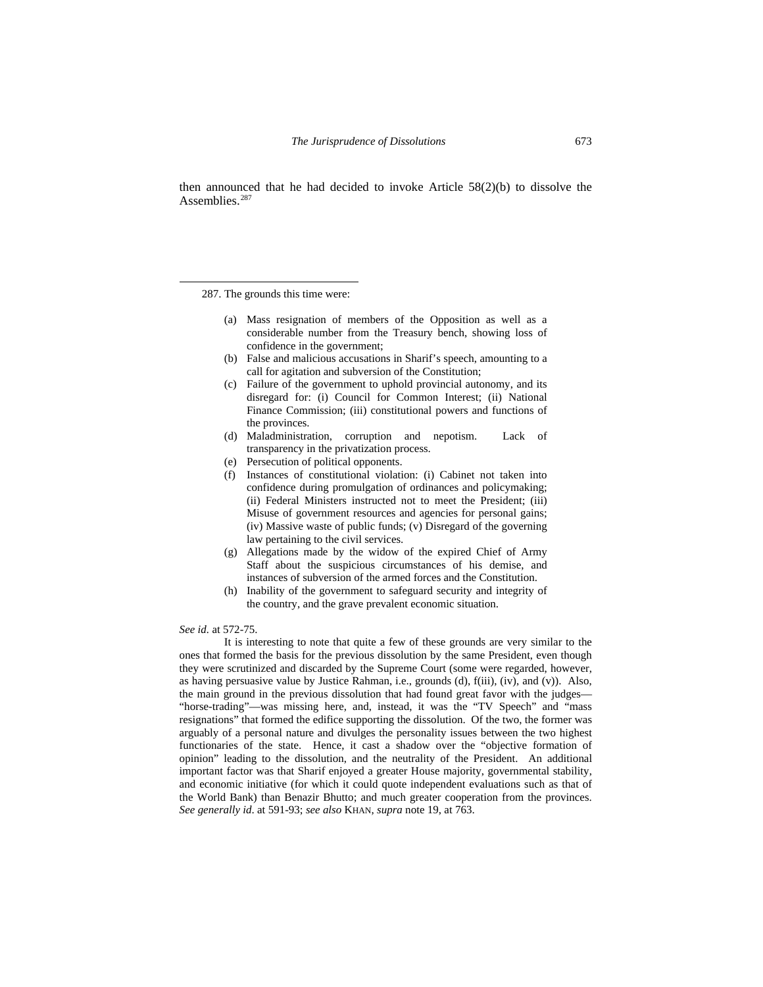then announced that he had decided to invoke Article  $58(2)(b)$  to dissolve the Assemblies.<sup>[287](#page-58-0)</sup>

287. The grounds this time were:

<span id="page-58-0"></span> $\overline{a}$ 

- (a) Mass resignation of members of the Opposition as well as a considerable number from the Treasury bench, showing loss of confidence in the government;
- (b) False and malicious accusations in Sharif's speech, amounting to a call for agitation and subversion of the Constitution;
- (c) Failure of the government to uphold provincial autonomy, and its disregard for: (i) Council for Common Interest; (ii) National Finance Commission; (iii) constitutional powers and functions of the provinces.
- (d) Maladministration, corruption and nepotism. Lack of transparency in the privatization process.
- (e) Persecution of political opponents.
- (f) Instances of constitutional violation: (i) Cabinet not taken into confidence during promulgation of ordinances and policymaking; (ii) Federal Ministers instructed not to meet the President; (iii) Misuse of government resources and agencies for personal gains; (iv) Massive waste of public funds; (v) Disregard of the governing law pertaining to the civil services.
- (g) Allegations made by the widow of the expired Chief of Army Staff about the suspicious circumstances of his demise, and instances of subversion of the armed forces and the Constitution.
- (h) Inability of the government to safeguard security and integrity of the country, and the grave prevalent economic situation.

#### *See id.* at 572-75.

It is interesting to note that quite a few of these grounds are very similar to the ones that formed the basis for the previous dissolution by the same President, even though they were scrutinized and discarded by the Supreme Court (some were regarded, however, as having persuasive value by Justice Rahman, i.e., grounds (d), f(iii), (iv), and (v)). Also, the main ground in the previous dissolution that had found great favor with the judges— "horse-trading"—was missing here, and, instead, it was the "TV Speech" and "mass resignations" that formed the edifice supporting the dissolution. Of the two, the former was arguably of a personal nature and divulges the personality issues between the two highest functionaries of the state. Hence, it cast a shadow over the "objective formation of opinion" leading to the dissolution, and the neutrality of the President. An additional important factor was that Sharif enjoyed a greater House majority, governmental stability, and economic initiative (for which it could quote independent evaluations such as that of the World Bank) than Benazir Bhutto; and much greater cooperation from the provinces. *See generally id*. at 591-93; *see also* KHAN, *supra* note 19, at 763.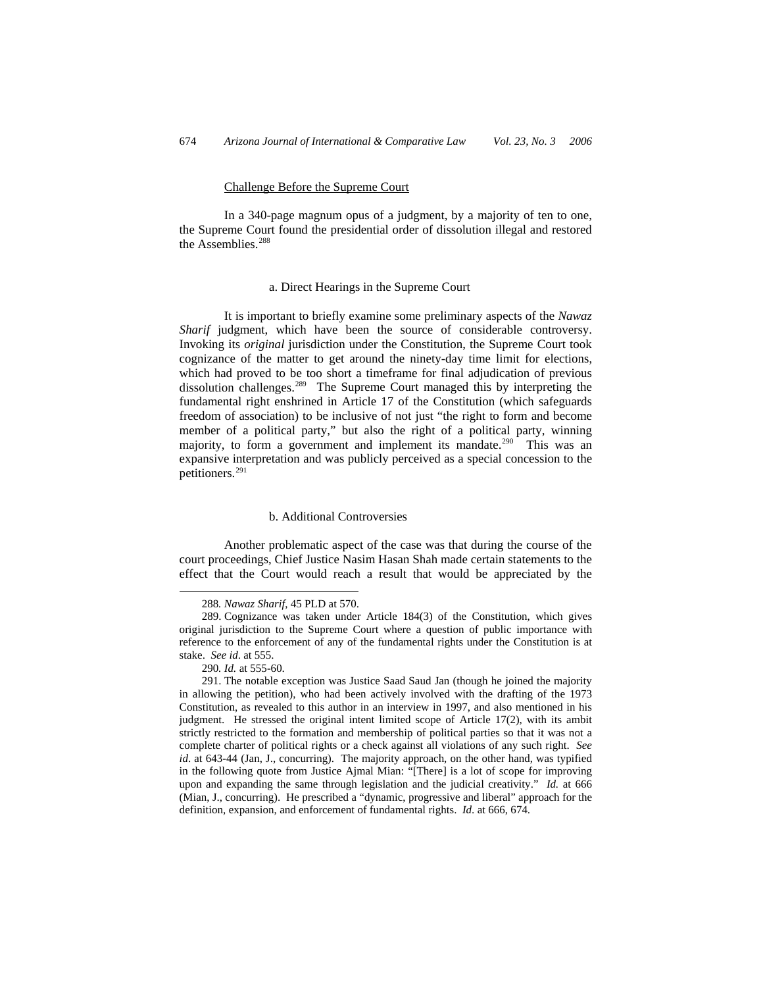### Challenge Before the Supreme Court

In a 340-page magnum opus of a judgment, by a majority of ten to one, the Supreme Court found the presidential order of dissolution illegal and restored the Assemblies.<sup>[288](#page-59-0)</sup>

## a. Direct Hearings in the Supreme Court

It is important to briefly examine some preliminary aspects of the *Nawaz Sharif* judgment, which have been the source of considerable controversy. Invoking its *original* jurisdiction under the Constitution, the Supreme Court took cognizance of the matter to get around the ninety-day time limit for elections, which had proved to be too short a timeframe for final adjudication of previous dissolution challenges.<sup>[289](#page-59-1)</sup> The Supreme Court managed this by interpreting the fundamental right enshrined in Article 17 of the Constitution (which safeguards freedom of association) to be inclusive of not just "the right to form and become member of a political party," but also the right of a political party, winning majority, to form a government and implement its mandate.<sup>[290](#page-59-2)</sup> This was an expansive interpretation and was publicly perceived as a special concession to the petitioners.<sup>[291](#page-59-3)</sup>

### b. Additional Controversies

Another problematic aspect of the case was that during the course of the court proceedings, Chief Justice Nasim Hasan Shah made certain statements to the effect that the Court would reach a result that would be appreciated by the

<sup>288</sup>*. Nawaz Sharif*, 45 PLD at 570.

<span id="page-59-1"></span><span id="page-59-0"></span><sup>289.</sup> Cognizance was taken under Article 184(3) of the Constitution, which gives original jurisdiction to the Supreme Court where a question of public importance with reference to the enforcement of any of the fundamental rights under the Constitution is at stake. *See id*. at 555.

<sup>290</sup>*. Id.* at 555-60.

<span id="page-59-3"></span><span id="page-59-2"></span><sup>291.</sup> The notable exception was Justice Saad Saud Jan (though he joined the majority in allowing the petition), who had been actively involved with the drafting of the 1973 Constitution, as revealed to this author in an interview in 1997, and also mentioned in his judgment. He stressed the original intent limited scope of Article 17(2), with its ambit strictly restricted to the formation and membership of political parties so that it was not a complete charter of political rights or a check against all violations of any such right. *See id.* at 643-44 (Jan, J., concurring). The majority approach, on the other hand, was typified in the following quote from Justice Ajmal Mian: "[There] is a lot of scope for improving upon and expanding the same through legislation and the judicial creativity." *Id.* at 666 (Mian, J., concurring). He prescribed a "dynamic, progressive and liberal" approach for the definition, expansion, and enforcement of fundamental rights. *Id*. at 666, 674.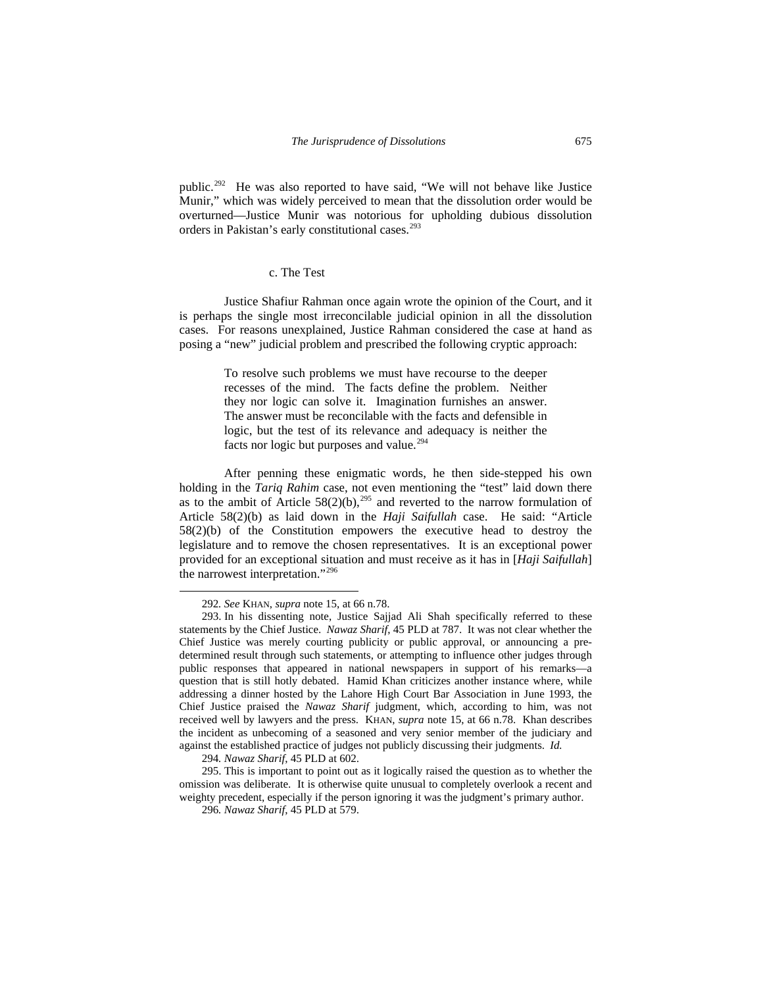public.[292](#page-60-0) He was also reported to have said, "We will not behave like Justice Munir," which was widely perceived to mean that the dissolution order would be overturned—Justice Munir was notorious for upholding dubious dissolution orders in Pakistan's early constitutional cases.<sup>[293](#page-60-1)</sup>

# c. The Test

Justice Shafiur Rahman once again wrote the opinion of the Court, and it is perhaps the single most irreconcilable judicial opinion in all the dissolution cases. For reasons unexplained, Justice Rahman considered the case at hand as posing a "new" judicial problem and prescribed the following cryptic approach:

> To resolve such problems we must have recourse to the deeper recesses of the mind. The facts define the problem. Neither they nor logic can solve it. Imagination furnishes an answer. The answer must be reconcilable with the facts and defensible in logic, but the test of its relevance and adequacy is neither the facts nor logic but purposes and value.<sup>[294](#page-60-2)</sup>

After penning these enigmatic words, he then side-stepped his own holding in the *Tariq Rahim* case, not even mentioning the "test" laid down there as to the ambit of Article  $58(2)(b)$ ,<sup>[295](#page-60-3)</sup> and reverted to the narrow formulation of Article 58(2)(b) as laid down in the *Haji Saifullah* case. He said: "Article 58(2)(b) of the Constitution empowers the executive head to destroy the legislature and to remove the chosen representatives. It is an exceptional power provided for an exceptional situation and must receive as it has in [*Haji Saifullah*] the narrowest interpretation."[296](#page-60-4)

<sup>292</sup>*. See* KHAN, *supra* note 15, at 66 n.78.

<span id="page-60-1"></span><span id="page-60-0"></span><sup>293.</sup> In his dissenting note, Justice Sajjad Ali Shah specifically referred to these statements by the Chief Justice. *Nawaz Sharif*, 45 PLD at 787. It was not clear whether the Chief Justice was merely courting publicity or public approval, or announcing a predetermined result through such statements, or attempting to influence other judges through public responses that appeared in national newspapers in support of his remarks—a question that is still hotly debated. Hamid Khan criticizes another instance where, while addressing a dinner hosted by the Lahore High Court Bar Association in June 1993, the Chief Justice praised the *Nawaz Sharif* judgment, which, according to him, was not received well by lawyers and the press. KHAN, *supra* note 15, at 66 n.78. Khan describes the incident as unbecoming of a seasoned and very senior member of the judiciary and against the established practice of judges not publicly discussing their judgments. *Id.*

<sup>294</sup>*. Nawaz Sharif*, 45 PLD at 602.

<span id="page-60-4"></span><span id="page-60-3"></span><span id="page-60-2"></span><sup>295.</sup> This is important to point out as it logically raised the question as to whether the omission was deliberate. It is otherwise quite unusual to completely overlook a recent and weighty precedent, especially if the person ignoring it was the judgment's primary author.

<sup>296</sup>*. Nawaz Sharif*, 45 PLD at 579.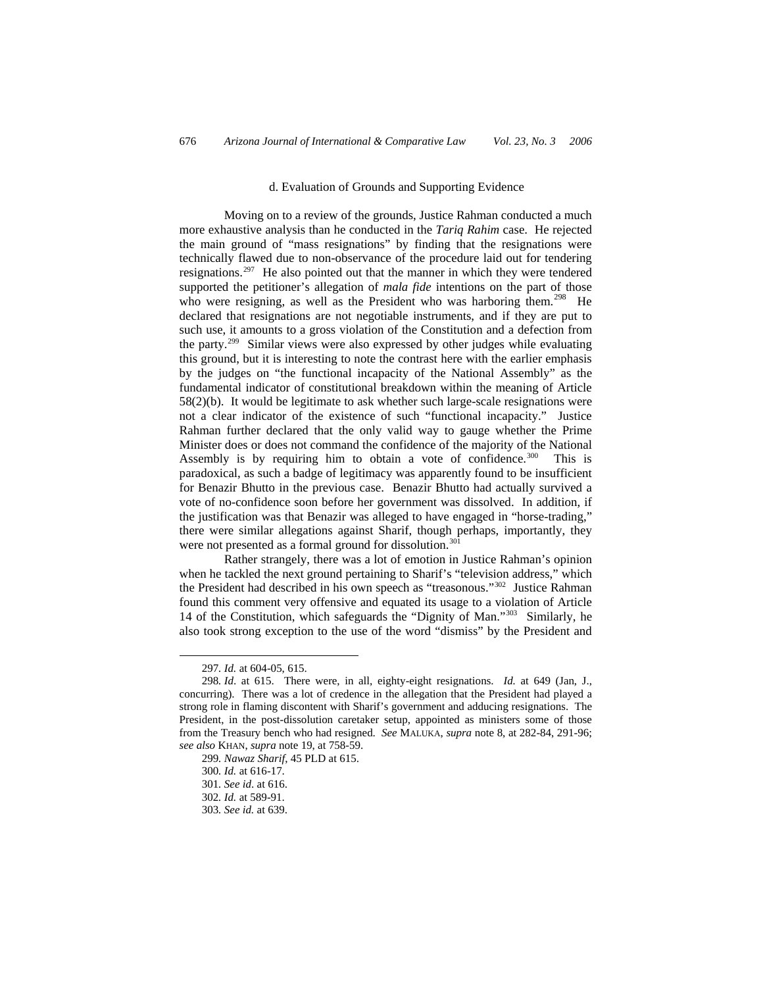#### d. Evaluation of Grounds and Supporting Evidence

Moving on to a review of the grounds, Justice Rahman conducted a much more exhaustive analysis than he conducted in the *Tariq Rahim* case. He rejected the main ground of "mass resignations" by finding that the resignations were technically flawed due to non-observance of the procedure laid out for tendering resignations.[297](#page-61-0) He also pointed out that the manner in which they were tendered supported the petitioner's allegation of *mala fide* intentions on the part of those who were resigning, as well as the President who was harboring them.<sup>[298](#page-61-1)</sup> He declared that resignations are not negotiable instruments, and if they are put to such use, it amounts to a gross violation of the Constitution and a defection from the party.[299](#page-61-2) Similar views were also expressed by other judges while evaluating this ground, but it is interesting to note the contrast here with the earlier emphasis by the judges on "the functional incapacity of the National Assembly" as the fundamental indicator of constitutional breakdown within the meaning of Article 58(2)(b). It would be legitimate to ask whether such large-scale resignations were not a clear indicator of the existence of such "functional incapacity." Justice Rahman further declared that the only valid way to gauge whether the Prime Minister does or does not command the confidence of the majority of the National Assembly is by requiring him to obtain a vote of confidence.<sup>[300](#page-61-3)</sup> This is paradoxical, as such a badge of legitimacy was apparently found to be insufficient for Benazir Bhutto in the previous case. Benazir Bhutto had actually survived a vote of no-confidence soon before her government was dissolved. In addition, if the justification was that Benazir was alleged to have engaged in "horse-trading," there were similar allegations against Sharif, though perhaps, importantly, they were not presented as a formal ground for dissolution.<sup>[301](#page-61-4)</sup>

Rather strangely, there was a lot of emotion in Justice Rahman's opinion when he tackled the next ground pertaining to Sharif's "television address," which the President had described in his own speech as "treasonous."<sup>[302](#page-61-5)</sup> Justice Rahman found this comment very offensive and equated its usage to a violation of Article 14 of the Constitution, which safeguards the "Dignity of Man."[303](#page-61-6) Similarly, he also took strong exception to the use of the word "dismiss" by the President and

<sup>297</sup>*. Id.* at 604-05, 615.

<span id="page-61-3"></span><span id="page-61-2"></span><span id="page-61-1"></span><span id="page-61-0"></span><sup>298</sup>*. Id*. at 615. There were, in all, eighty-eight resignations. *Id.* at 649 (Jan, J., concurring). There was a lot of credence in the allegation that the President had played a strong role in flaming discontent with Sharif's government and adducing resignations. The President, in the post-dissolution caretaker setup, appointed as ministers some of those from the Treasury bench who had resigned. *See* MALUKA, *supra* note 8, at 282-84, 291-96; *see also* KHAN, *supra* note 19, at 758-59.

<span id="page-61-4"></span><sup>299</sup>*. Nawaz Sharif*, 45 PLD at 615.

<sup>300</sup>*. Id.* at 616-17.

<sup>301</sup>*. See id*. at 616.

<span id="page-61-5"></span><sup>302</sup>*. Id.* at 589-91.

<span id="page-61-6"></span><sup>303</sup>*. See id.* at 639.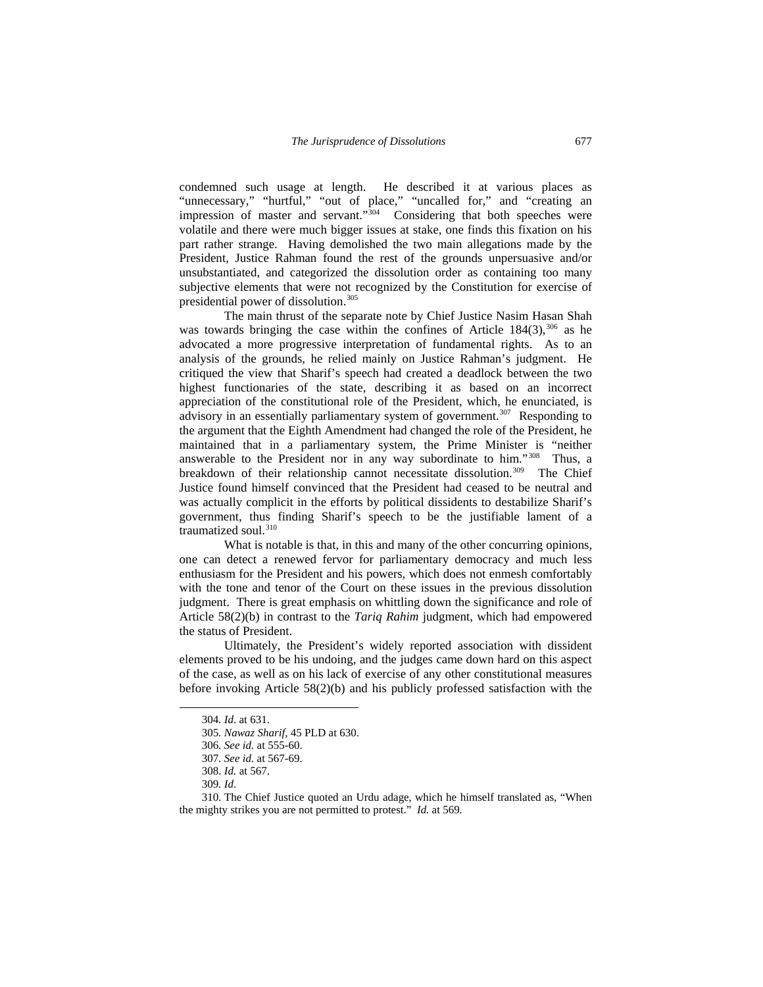condemned such usage at length. He described it at various places as "unnecessary," "hurtful," "out of place," "uncalled for," and "creating an impression of master and servant." $304$  Considering that both speeches were volatile and there were much bigger issues at stake, one finds this fixation on his part rather strange. Having demolished the two main allegations made by the President, Justice Rahman found the rest of the grounds unpersuasive and/or unsubstantiated, and categorized the dissolution order as containing too many subjective elements that were not recognized by the Constitution for exercise of presidential power of dissolution[.305](#page-62-1)

The main thrust of the separate note by Chief Justice Nasim Hasan Shah was towards bringing the case within the confines of Article  $184(3)$ ,  $306$  as he advocated a more progressive interpretation of fundamental rights. As to an analysis of the grounds, he relied mainly on Justice Rahman's judgment. He critiqued the view that Sharif's speech had created a deadlock between the two highest functionaries of the state, describing it as based on an incorrect appreciation of the constitutional role of the President, which, he enunciated, is advisory in an essentially parliamentary system of government.<sup>[307](#page-62-3)</sup> Responding to the argument that the Eighth Amendment had changed the role of the President, he maintained that in a parliamentary system, the Prime Minister is "neither answerable to the President nor in any way subordinate to him."[308](#page-62-4) Thus, a breakdown of their relationship cannot necessitate dissolution.<sup>[309](#page-62-5)</sup> The Chief Justice found himself convinced that the President had ceased to be neutral and was actually complicit in the efforts by political dissidents to destabilize Sharif's government, thus finding Sharif's speech to be the justifiable lament of a traumatized soul.<sup>[310](#page-62-6)</sup>

What is notable is that, in this and many of the other concurring opinions, one can detect a renewed fervor for parliamentary democracy and much less enthusiasm for the President and his powers, which does not enmesh comfortably with the tone and tenor of the Court on these issues in the previous dissolution judgment. There is great emphasis on whittling down the significance and role of Article 58(2)(b) in contrast to the *Tariq Rahim* judgment, which had empowered the status of President.

<span id="page-62-0"></span>Ultimately, the President's widely reported association with dissident elements proved to be his undoing, and the judges came down hard on this aspect of the case, as well as on his lack of exercise of any other constitutional measures before invoking Article 58(2)(b) and his publicly professed satisfaction with the

<sup>304</sup>*. Id*. at 631.

<sup>305</sup>*. Nawaz Sharif*, 45 PLD at 630.

<sup>306</sup>*. See id.* at 555-60.

<sup>307</sup>*. See id.* at 567-69.

<sup>308.</sup> *Id.* at 567.

<sup>309</sup>*. Id*.

<span id="page-62-6"></span><span id="page-62-5"></span><span id="page-62-4"></span><span id="page-62-3"></span><span id="page-62-2"></span><span id="page-62-1"></span><sup>310.</sup> The Chief Justice quoted an Urdu adage, which he himself translated as, "When the mighty strikes you are not permitted to protest." *Id.* at 569*.*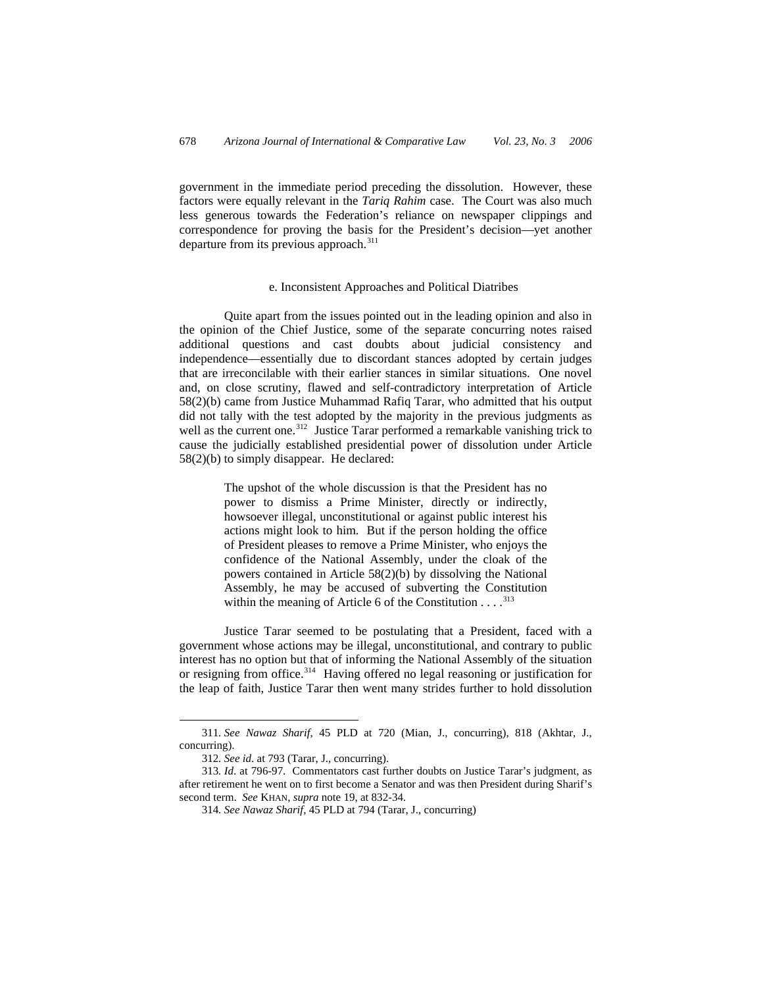government in the immediate period preceding the dissolution. However, these factors were equally relevant in the *Tariq Rahim* case. The Court was also much less generous towards the Federation's reliance on newspaper clippings and correspondence for proving the basis for the President's decision—yet another departure from its previous approach.<sup>[311](#page-63-0)</sup>

## e. Inconsistent Approaches and Political Diatribes

Quite apart from the issues pointed out in the leading opinion and also in the opinion of the Chief Justice, some of the separate concurring notes raised additional questions and cast doubts about judicial consistency and independence—essentially due to discordant stances adopted by certain judges that are irreconcilable with their earlier stances in similar situations. One novel and, on close scrutiny, flawed and self-contradictory interpretation of Article 58(2)(b) came from Justice Muhammad Rafiq Tarar, who admitted that his output did not tally with the test adopted by the majority in the previous judgments as well as the current one.<sup>[312](#page-63-1)</sup> Justice Tarar performed a remarkable vanishing trick to cause the judicially established presidential power of dissolution under Article 58(2)(b) to simply disappear. He declared:

> The upshot of the whole discussion is that the President has no power to dismiss a Prime Minister, directly or indirectly, howsoever illegal, unconstitutional or against public interest his actions might look to him. But if the person holding the office of President pleases to remove a Prime Minister, who enjoys the confidence of the National Assembly, under the cloak of the powers contained in Article 58(2)(b) by dissolving the National Assembly, he may be accused of subverting the Constitution within the meaning of Article 6 of the Constitution  $\dots$ .<sup>[313](#page-63-2)</sup>

Justice Tarar seemed to be postulating that a President, faced with a government whose actions may be illegal, unconstitutional, and contrary to public interest has no option but that of informing the National Assembly of the situation or resigning from office.<sup>[314](#page-63-3)</sup> Having offered no legal reasoning or justification for the leap of faith, Justice Tarar then went many strides further to hold dissolution

<span id="page-63-0"></span><sup>311</sup>*. See Nawaz Sharif*, 45 PLD at 720 (Mian, J., concurring), 818 (Akhtar, J., concurring).

<sup>312</sup>*. See id*. at 793 (Tarar, J., concurring).

<span id="page-63-3"></span><span id="page-63-2"></span><span id="page-63-1"></span><sup>313</sup>*. Id*. at 796-97. Commentators cast further doubts on Justice Tarar's judgment, as after retirement he went on to first become a Senator and was then President during Sharif's second term. *See* KHAN, *supra* note 19, at 832-34.

<sup>314</sup>*. See Nawaz Sharif*, 45 PLD at 794 (Tarar, J., concurring)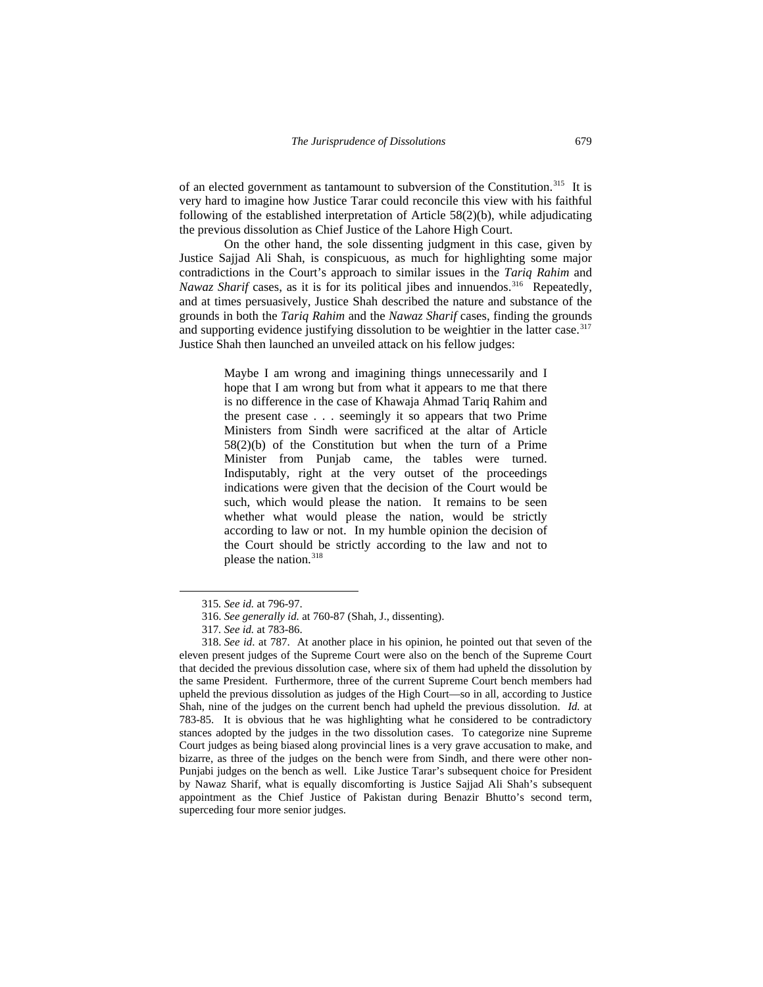of an elected government as tantamount to subversion of the Constitution.<sup>[315](#page-64-0)</sup> It is very hard to imagine how Justice Tarar could reconcile this view with his faithful following of the established interpretation of Article 58(2)(b), while adjudicating the previous dissolution as Chief Justice of the Lahore High Court.

On the other hand, the sole dissenting judgment in this case, given by Justice Sajjad Ali Shah, is conspicuous, as much for highlighting some major contradictions in the Court's approach to similar issues in the *Tariq Rahim* and *Nawaz Sharif* cases, as it is for its political jibes and innuendos.<sup>[316](#page-64-1)</sup> Repeatedly, and at times persuasively, Justice Shah described the nature and substance of the grounds in both the *Tariq Rahim* and the *Nawaz Sharif* cases, finding the grounds and supporting evidence justifying dissolution to be weightier in the latter case.<sup>[317](#page-64-2)</sup> Justice Shah then launched an unveiled attack on his fellow judges:

> Maybe I am wrong and imagining things unnecessarily and I hope that I am wrong but from what it appears to me that there is no difference in the case of Khawaja Ahmad Tariq Rahim and the present case . . . seemingly it so appears that two Prime Ministers from Sindh were sacrificed at the altar of Article 58(2)(b) of the Constitution but when the turn of a Prime Minister from Punjab came, the tables were turned. Indisputably, right at the very outset of the proceedings indications were given that the decision of the Court would be such, which would please the nation. It remains to be seen whether what would please the nation, would be strictly according to law or not. In my humble opinion the decision of the Court should be strictly according to the law and not to please the nation.<sup>[318](#page-64-3)</sup>

<sup>315</sup>*. See id.* at 796-97.

<sup>316.</sup> *See generally id.* at 760-87 (Shah, J., dissenting).

<sup>317</sup>*. See id.* at 783-86.

<span id="page-64-3"></span><span id="page-64-2"></span><span id="page-64-1"></span><span id="page-64-0"></span><sup>318.</sup> *See id*. at 787. At another place in his opinion, he pointed out that seven of the eleven present judges of the Supreme Court were also on the bench of the Supreme Court that decided the previous dissolution case, where six of them had upheld the dissolution by the same President. Furthermore, three of the current Supreme Court bench members had upheld the previous dissolution as judges of the High Court—so in all, according to Justice Shah, nine of the judges on the current bench had upheld the previous dissolution. *Id.* at 783-85. It is obvious that he was highlighting what he considered to be contradictory stances adopted by the judges in the two dissolution cases. To categorize nine Supreme Court judges as being biased along provincial lines is a very grave accusation to make, and bizarre, as three of the judges on the bench were from Sindh, and there were other non-Punjabi judges on the bench as well. Like Justice Tarar's subsequent choice for President by Nawaz Sharif, what is equally discomforting is Justice Sajjad Ali Shah's subsequent appointment as the Chief Justice of Pakistan during Benazir Bhutto's second term, superceding four more senior judges.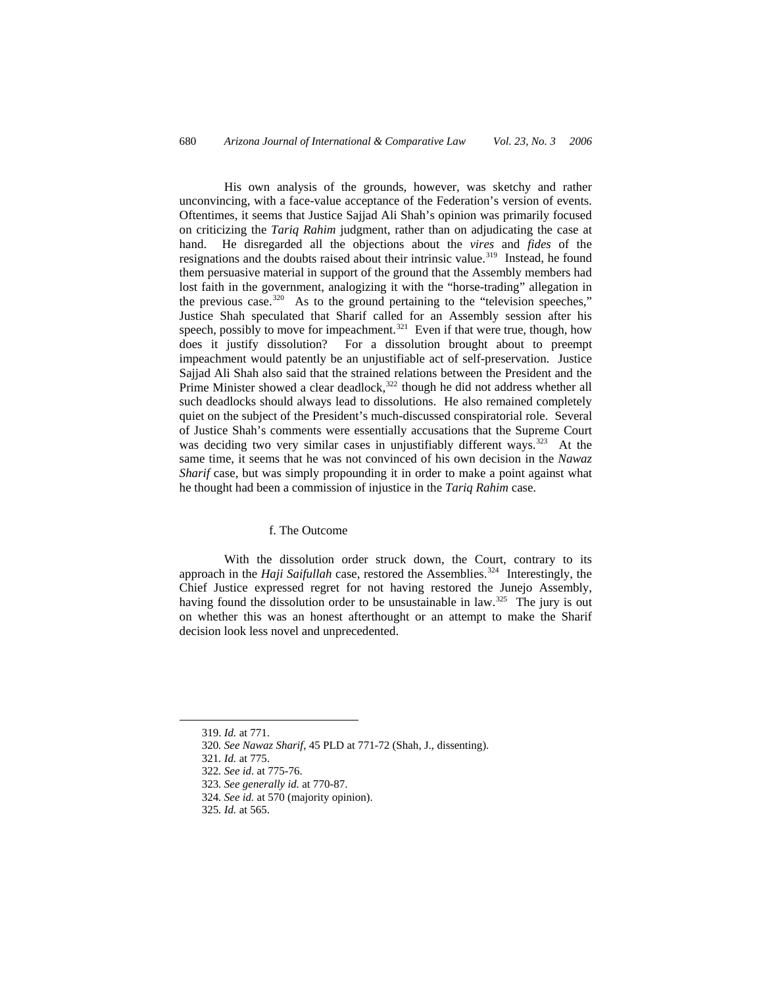His own analysis of the grounds, however, was sketchy and rather unconvincing, with a face-value acceptance of the Federation's version of events. Oftentimes, it seems that Justice Sajjad Ali Shah's opinion was primarily focused on criticizing the *Tariq Rahim* judgment, rather than on adjudicating the case at hand. He disregarded all the objections about the *vires* and *fides* of the resignations and the doubts raised about their intrinsic value.<sup>[319](#page-65-0)</sup> Instead, he found them persuasive material in support of the ground that the Assembly members had lost faith in the government, analogizing it with the "horse-trading" allegation in the previous case.<sup>[320](#page-65-1)</sup> As to the ground pertaining to the "television speeches," Justice Shah speculated that Sharif called for an Assembly session after his speech, possibly to move for impeachment.<sup>[321](#page-65-2)</sup> Even if that were true, though, how does it justify dissolution? For a dissolution brought about to preempt impeachment would patently be an unjustifiable act of self-preservation. Justice Sajjad Ali Shah also said that the strained relations between the President and the Prime Minister showed a clear deadlock,<sup>[322](#page-65-3)</sup> though he did not address whether all such deadlocks should always lead to dissolutions. He also remained completely quiet on the subject of the President's much-discussed conspiratorial role. Several of Justice Shah's comments were essentially accusations that the Supreme Court was deciding two very similar cases in unjustifiably different ways.<sup>323</sup> At the same time, it seems that he was not convinced of his own decision in the *Nawaz Sharif* case, but was simply propounding it in order to make a point against what he thought had been a commission of injustice in the *Tariq Rahim* case.

# f. The Outcome

With the dissolution order struck down, the Court, contrary to its approach in the *Haji Saifullah* case, restored the Assemblies.<sup>[324](#page-65-5)</sup> Interestingly, the Chief Justice expressed regret for not having restored the Junejo Assembly, having found the dissolution order to be unsustainable in law.<sup>[325](#page-65-6)</sup> The jury is out on whether this was an honest afterthought or an attempt to make the Sharif decision look less novel and unprecedented.

<span id="page-65-0"></span><sup>319.</sup> *Id.* at 771.

<span id="page-65-1"></span><sup>320</sup>*. See Nawaz Sharif*, 45 PLD at 771-72 (Shah, J., dissenting).

<span id="page-65-2"></span><sup>321</sup>*. Id.* at 775.

<span id="page-65-3"></span><sup>322</sup>*. See id*. at 775-76.

<span id="page-65-4"></span><sup>323</sup>*. See generally id.* at 770-87.

<span id="page-65-5"></span><sup>324</sup>*. See id.* at 570 (majority opinion).

<span id="page-65-6"></span><sup>325</sup>*. Id.* at 565.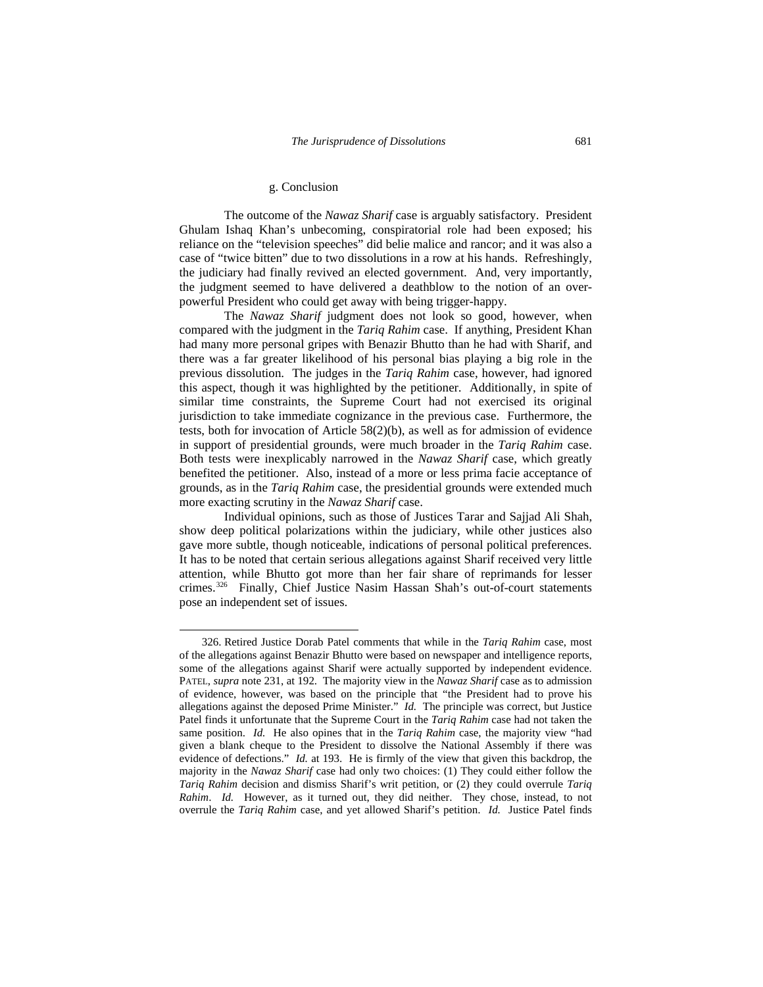### g. Conclusion

1

The outcome of the *Nawaz Sharif* case is arguably satisfactory. President Ghulam Ishaq Khan's unbecoming, conspiratorial role had been exposed; his reliance on the "television speeches" did belie malice and rancor; and it was also a case of "twice bitten" due to two dissolutions in a row at his hands. Refreshingly, the judiciary had finally revived an elected government. And, very importantly, the judgment seemed to have delivered a deathblow to the notion of an overpowerful President who could get away with being trigger-happy.

The *Nawaz Sharif* judgment does not look so good, however, when compared with the judgment in the *Tariq Rahim* case. If anything, President Khan had many more personal gripes with Benazir Bhutto than he had with Sharif, and there was a far greater likelihood of his personal bias playing a big role in the previous dissolution. The judges in the *Tariq Rahim* case, however, had ignored this aspect, though it was highlighted by the petitioner. Additionally, in spite of similar time constraints, the Supreme Court had not exercised its original jurisdiction to take immediate cognizance in the previous case. Furthermore, the tests, both for invocation of Article 58(2)(b), as well as for admission of evidence in support of presidential grounds, were much broader in the *Tariq Rahim* case. Both tests were inexplicably narrowed in the *Nawaz Sharif* case, which greatly benefited the petitioner. Also, instead of a more or less prima facie acceptance of grounds, as in the *Tariq Rahim* case, the presidential grounds were extended much more exacting scrutiny in the *Nawaz Sharif* case.

Individual opinions, such as those of Justices Tarar and Sajjad Ali Shah, show deep political polarizations within the judiciary, while other justices also gave more subtle, though noticeable, indications of personal political preferences. It has to be noted that certain serious allegations against Sharif received very little attention, while Bhutto got more than her fair share of reprimands for lesser crimes.<sup>[326](#page-66-0)</sup> Finally, Chief Justice Nasim Hassan Shah's out-of-court statements pose an independent set of issues.

<span id="page-66-0"></span><sup>326.</sup> Retired Justice Dorab Patel comments that while in the *Tariq Rahim* case, most of the allegations against Benazir Bhutto were based on newspaper and intelligence reports, some of the allegations against Sharif were actually supported by independent evidence. PATEL, *supra* note 231, at 192. The majority view in the *Nawaz Sharif* case as to admission of evidence, however, was based on the principle that "the President had to prove his allegations against the deposed Prime Minister." *Id.* The principle was correct, but Justice Patel finds it unfortunate that the Supreme Court in the *Tariq Rahim* case had not taken the same position. *Id.* He also opines that in the *Tariq Rahim* case, the majority view "had given a blank cheque to the President to dissolve the National Assembly if there was evidence of defections." *Id.* at 193. He is firmly of the view that given this backdrop, the majority in the *Nawaz Sharif* case had only two choices: (1) They could either follow the *Tariq Rahim* decision and dismiss Sharif's writ petition, or (2) they could overrule *Tariq Rahim*. *Id.* However, as it turned out, they did neither. They chose, instead, to not overrule the *Tariq Rahim* case, and yet allowed Sharif's petition. *Id.* Justice Patel finds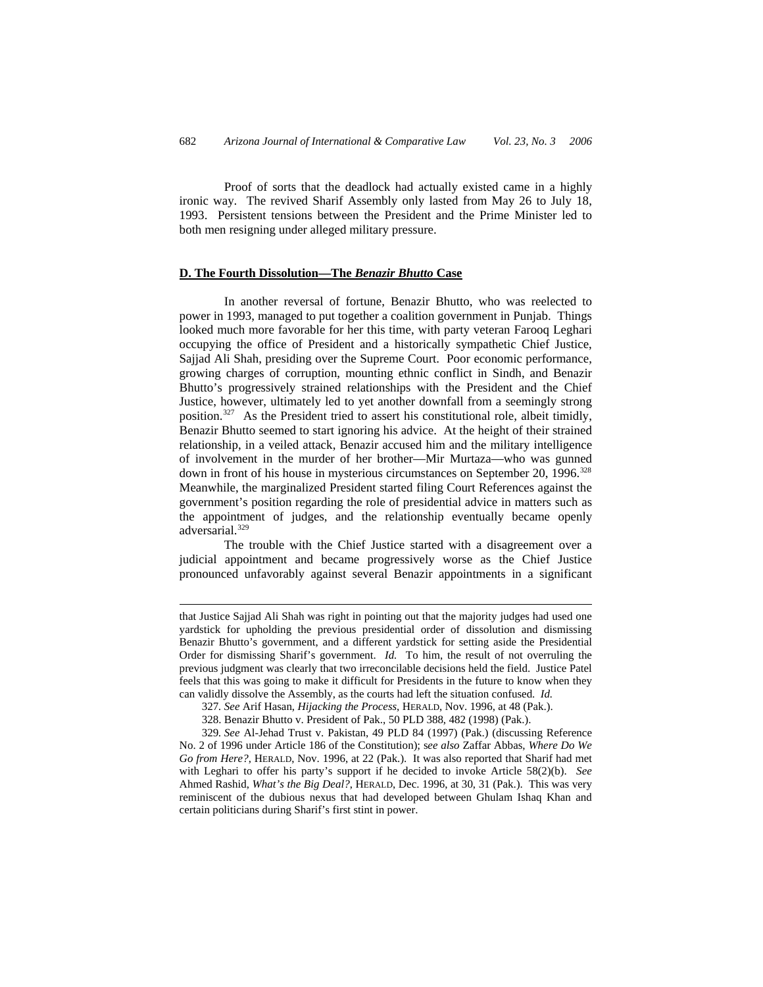Proof of sorts that the deadlock had actually existed came in a highly ironic way. The revived Sharif Assembly only lasted from May 26 to July 18, 1993. Persistent tensions between the President and the Prime Minister led to both men resigning under alleged military pressure.

## **D. The Fourth Dissolution—The** *Benazir Bhutto* **Case**

 $\overline{a}$ 

In another reversal of fortune, Benazir Bhutto, who was reelected to power in 1993, managed to put together a coalition government in Punjab. Things looked much more favorable for her this time, with party veteran Farooq Leghari occupying the office of President and a historically sympathetic Chief Justice, Sajjad Ali Shah, presiding over the Supreme Court. Poor economic performance, growing charges of corruption, mounting ethnic conflict in Sindh, and Benazir Bhutto's progressively strained relationships with the President and the Chief Justice, however, ultimately led to yet another downfall from a seemingly strong position.[327](#page-67-0) As the President tried to assert his constitutional role, albeit timidly, Benazir Bhutto seemed to start ignoring his advice. At the height of their strained relationship, in a veiled attack, Benazir accused him and the military intelligence of involvement in the murder of her brother—Mir Murtaza—who was gunned down in front of his house in mysterious circumstances on September 20, 1996.<sup>[328](#page-67-1)</sup> Meanwhile, the marginalized President started filing Court References against the government's position regarding the role of presidential advice in matters such as the appointment of judges, and the relationship eventually became openly adversarial.<sup>[329](#page-67-2)</sup>

The trouble with the Chief Justice started with a disagreement over a judicial appointment and became progressively worse as the Chief Justice pronounced unfavorably against several Benazir appointments in a significant

that Justice Sajjad Ali Shah was right in pointing out that the majority judges had used one yardstick for upholding the previous presidential order of dissolution and dismissing Benazir Bhutto's government, and a different yardstick for setting aside the Presidential Order for dismissing Sharif's government. *Id.* To him, the result of not overruling the previous judgment was clearly that two irreconcilable decisions held the field. Justice Patel feels that this was going to make it difficult for Presidents in the future to know when they can validly dissolve the Assembly, as the courts had left the situation confused. *Id.*

<sup>327</sup>*. See* Arif Hasan, *Hijacking the Process*, HERALD, Nov. 1996, at 48 (Pak.).

<sup>328.</sup> Benazir Bhutto v. President of Pak., 50 PLD 388, 482 (1998) (Pak.).

<span id="page-67-2"></span><span id="page-67-1"></span><span id="page-67-0"></span><sup>329</sup>*. See* Al-Jehad Trust v. Pakistan, 49 PLD 84 (1997) (Pak.) (discussing Reference No. 2 of 1996 under Article 186 of the Constitution); s*ee also* Zaffar Abbas, *Where Do We Go from Here?*, HERALD, Nov. 1996, at 22 (Pak.). It was also reported that Sharif had met with Leghari to offer his party's support if he decided to invoke Article 58(2)(b). *See* Ahmed Rashid, *What's the Big Deal?*, HERALD, Dec. 1996, at 30, 31 (Pak.). This was very reminiscent of the dubious nexus that had developed between Ghulam Ishaq Khan and certain politicians during Sharif's first stint in power.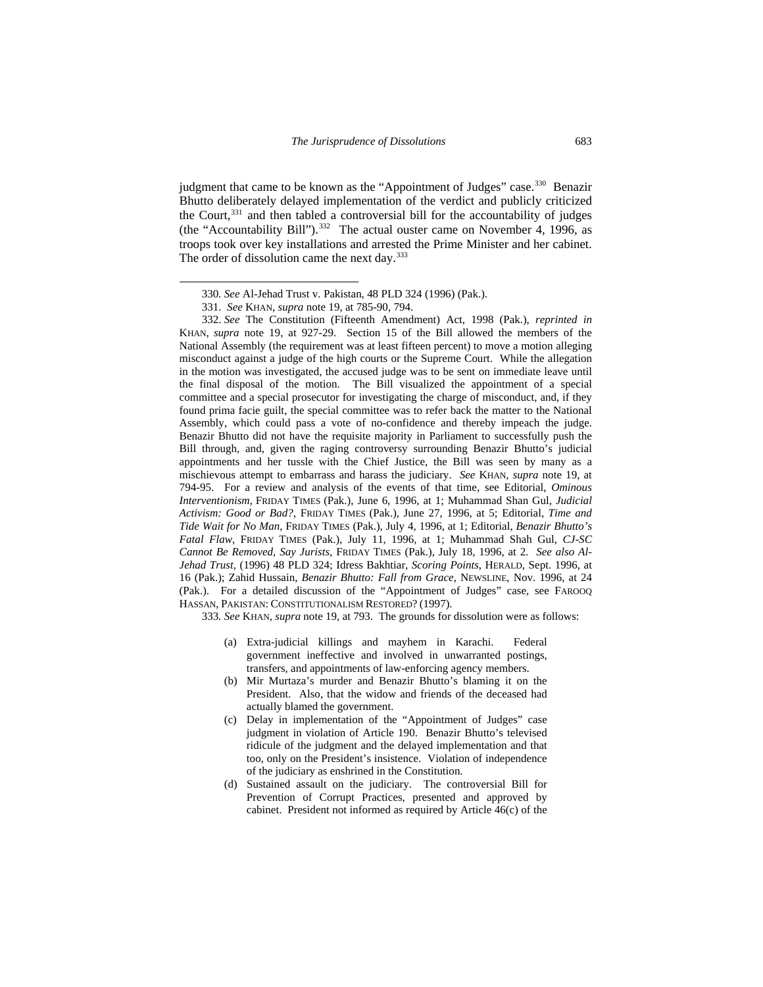judgment that came to be known as the "Appointment of Judges" case.<sup>[330](#page-68-0)</sup> Benazir Bhutto deliberately delayed implementation of the verdict and publicly criticized the Court, $331$  and then tabled a controversial bill for the accountability of judges (the "Accountability Bill").<sup>[332](#page-68-2)</sup> The actual ouster came on November 4, 1996, as troops took over key installations and arrested the Prime Minister and her cabinet. The order of dissolution came the next day.<sup>[333](#page-68-3)</sup>

 $\overline{a}$ 

<span id="page-68-2"></span><span id="page-68-1"></span><span id="page-68-0"></span>332. *See* The Constitution (Fifteenth Amendment) Act, 1998 (Pak.), *reprinted in*  KHAN, *supra* note 19, at 927-29. Section 15 of the Bill allowed the members of the National Assembly (the requirement was at least fifteen percent) to move a motion alleging misconduct against a judge of the high courts or the Supreme Court. While the allegation in the motion was investigated, the accused judge was to be sent on immediate leave until the final disposal of the motion. The Bill visualized the appointment of a special committee and a special prosecutor for investigating the charge of misconduct, and, if they found prima facie guilt, the special committee was to refer back the matter to the National Assembly, which could pass a vote of no-confidence and thereby impeach the judge. Benazir Bhutto did not have the requisite majority in Parliament to successfully push the Bill through, and, given the raging controversy surrounding Benazir Bhutto's judicial appointments and her tussle with the Chief Justice, the Bill was seen by many as a mischievous attempt to embarrass and harass the judiciary. *See* KHAN, *supra* note 19, at 794-95. For a review and analysis of the events of that time, see Editorial, *Ominous Interventionism*, FRIDAY TIMES (Pak.), June 6, 1996, at 1; Muhammad Shan Gul, *Judicial Activism: Good or Bad?*, FRIDAY TIMES (Pak.), June 27, 1996, at 5; Editorial, *Time and Tide Wait for No Man*, FRIDAY TIMES (Pak.), July 4, 1996, at 1; Editorial, *Benazir Bhutto's Fatal Flaw*, FRIDAY TIMES (Pak.), July 11, 1996, at 1; Muhammad Shah Gul, *CJ-SC Cannot Be Removed, Say Jurists*, FRIDAY TIMES (Pak.), July 18, 1996, at 2. *See also Al-Jehad Trust*, (1996) 48 PLD 324; Idress Bakhtiar, *Scoring Points*, HERALD, Sept. 1996, at 16 (Pak.); Zahid Hussain, *Benazir Bhutto: Fall from Grace*, NEWSLINE, Nov. 1996, at 24 (Pak.). For a detailed discussion of the "Appointment of Judges" case, see FAROOQ HASSAN, PAKISTAN: CONSTITUTIONALISM RESTORED? (1997).

<span id="page-68-3"></span>333*. See* KHAN*, supra* note 19, at 793. The grounds for dissolution were as follows:

- (a) Extra-judicial killings and mayhem in Karachi. Federal government ineffective and involved in unwarranted postings, transfers, and appointments of law-enforcing agency members.
- (b) Mir Murtaza's murder and Benazir Bhutto's blaming it on the President. Also, that the widow and friends of the deceased had actually blamed the government.
- (c) Delay in implementation of the "Appointment of Judges" case judgment in violation of Article 190. Benazir Bhutto's televised ridicule of the judgment and the delayed implementation and that too, only on the President's insistence. Violation of independence of the judiciary as enshrined in the Constitution.
- (d) Sustained assault on the judiciary. The controversial Bill for Prevention of Corrupt Practices, presented and approved by cabinet. President not informed as required by Article 46(c) of the

<sup>330</sup>*. See* Al-Jehad Trust v. Pakistan, 48 PLD 324 (1996) (Pak.).

<sup>331.</sup> *See* KHAN, *supra* note 19, at 785-90, 794.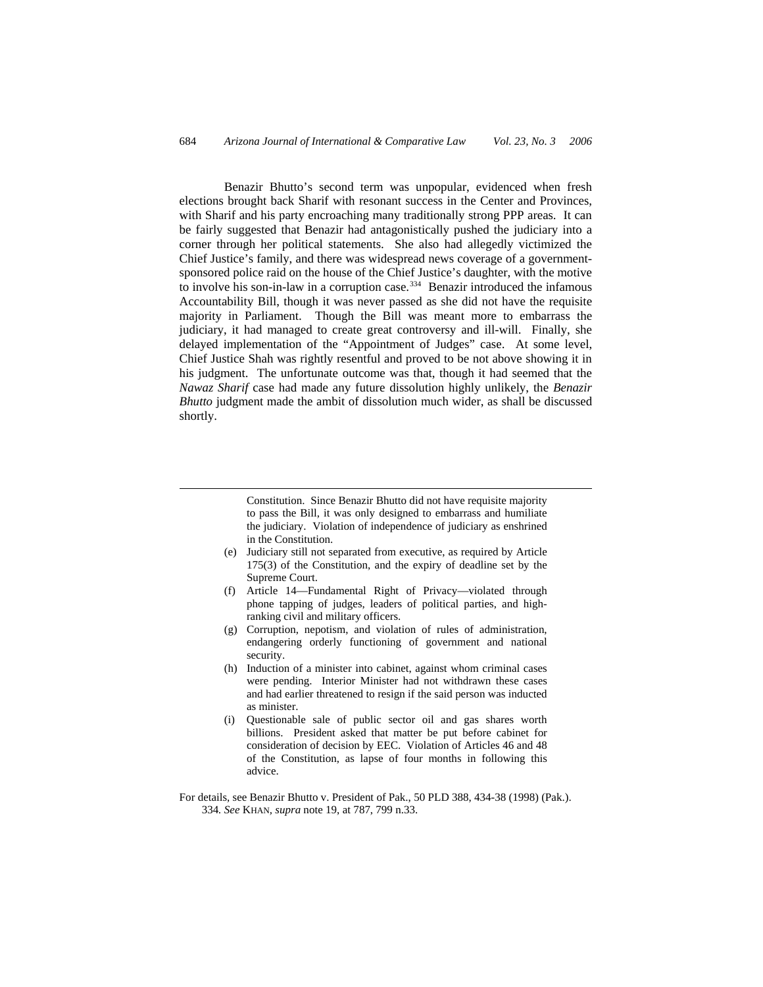Benazir Bhutto's second term was unpopular, evidenced when fresh elections brought back Sharif with resonant success in the Center and Provinces, with Sharif and his party encroaching many traditionally strong PPP areas. It can be fairly suggested that Benazir had antagonistically pushed the judiciary into a corner through her political statements. She also had allegedly victimized the Chief Justice's family, and there was widespread news coverage of a governmentsponsored police raid on the house of the Chief Justice's daughter, with the motive to involve his son-in-law in a corruption case.<sup>[334](#page-69-0)</sup> Benazir introduced the infamous Accountability Bill, though it was never passed as she did not have the requisite majority in Parliament. Though the Bill was meant more to embarrass the judiciary, it had managed to create great controversy and ill-will. Finally, she delayed implementation of the "Appointment of Judges" case. At some level, Chief Justice Shah was rightly resentful and proved to be not above showing it in his judgment. The unfortunate outcome was that, though it had seemed that the *Nawaz Sharif* case had made any future dissolution highly unlikely, the *Benazir Bhutto* judgment made the ambit of dissolution much wider, as shall be discussed shortly.

> Constitution. Since Benazir Bhutto did not have requisite majority to pass the Bill, it was only designed to embarrass and humiliate the judiciary. Violation of independence of judiciary as enshrined in the Constitution.

(e) Judiciary still not separated from executive, as required by Article 175(3) of the Constitution, and the expiry of deadline set by the Supreme Court.

-

- (f) Article 14—Fundamental Right of Privacy—violated through phone tapping of judges, leaders of political parties, and highranking civil and military officers.
- (g) Corruption, nepotism, and violation of rules of administration, endangering orderly functioning of government and national security.
- (h) Induction of a minister into cabinet, against whom criminal cases were pending. Interior Minister had not withdrawn these cases and had earlier threatened to resign if the said person was inducted as minister.
- (i) Questionable sale of public sector oil and gas shares worth billions. President asked that matter be put before cabinet for consideration of decision by EEC. Violation of Articles 46 and 48 of the Constitution, as lapse of four months in following this advice.

<span id="page-69-0"></span>For details*,* see Benazir Bhutto v. President of Pak., 50 PLD 388, 434-38 (1998) (Pak.). 334*. See* KHAN*, supra* note 19, at 787, 799 n.33.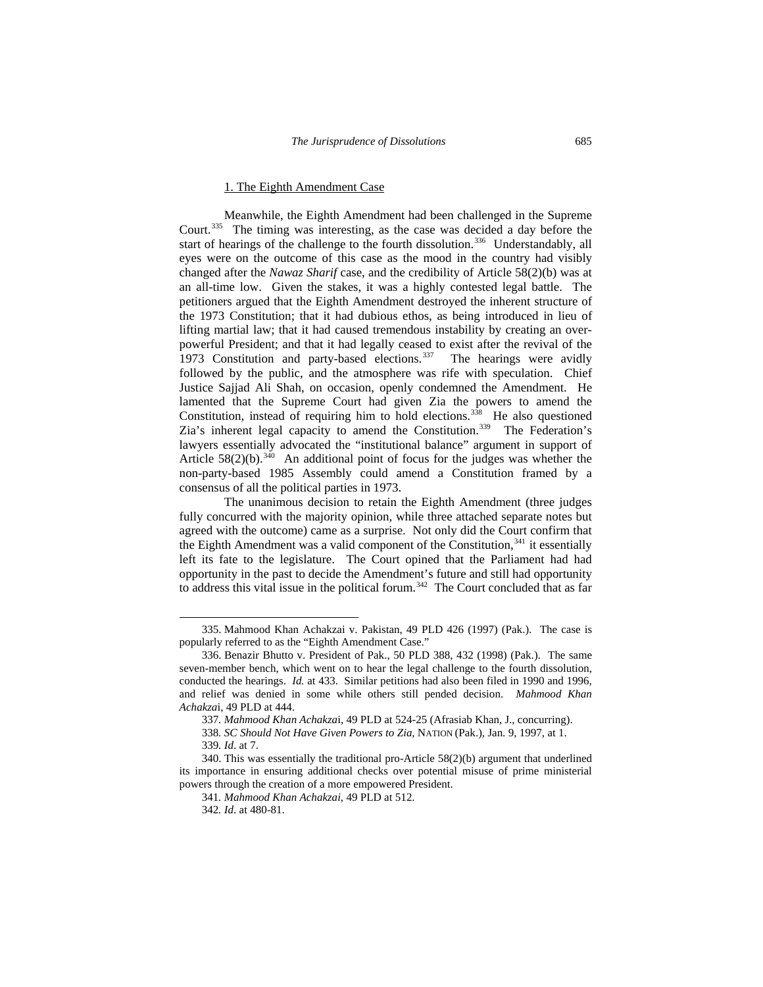# 1. The Eighth Amendment Case

Meanwhile, the Eighth Amendment had been challenged in the Supreme Court.[335](#page-70-0) The timing was interesting, as the case was decided a day before the start of hearings of the challenge to the fourth dissolution.<sup>[336](#page-70-1)</sup> Understandably, all eyes were on the outcome of this case as the mood in the country had visibly changed after the *Nawaz Sharif* case, and the credibility of Article 58(2)(b) was at an all-time low. Given the stakes, it was a highly contested legal battle. The petitioners argued that the Eighth Amendment destroyed the inherent structure of the 1973 Constitution; that it had dubious ethos, as being introduced in lieu of lifting martial law; that it had caused tremendous instability by creating an overpowerful President; and that it had legally ceased to exist after the revival of the 1973 Constitution and party-based elections.<sup>[337](#page-70-2)</sup> The hearings were avidly followed by the public, and the atmosphere was rife with speculation. Chief Justice Sajjad Ali Shah, on occasion, openly condemned the Amendment. He lamented that the Supreme Court had given Zia the powers to amend the Constitution, instead of requiring him to hold elections.<sup>[338](#page-70-3)</sup> He also questioned Zia's inherent legal capacity to amend the Constitution.<sup>[339](#page-70-4)</sup> The Federation's lawyers essentially advocated the "institutional balance" argument in support of Article  $58(2)(b)$ .<sup>[340](#page-70-5)</sup> An additional point of focus for the judges was whether the non-party-based 1985 Assembly could amend a Constitution framed by a consensus of all the political parties in 1973.

The unanimous decision to retain the Eighth Amendment (three judges fully concurred with the majority opinion, while three attached separate notes but agreed with the outcome) came as a surprise. Not only did the Court confirm that the Eighth Amendment was a valid component of the Constitution, $341$  it essentially left its fate to the legislature. The Court opined that the Parliament had had opportunity in the past to decide the Amendment's future and still had opportunity to address this vital issue in the political forum.<sup>[342](#page-70-7)</sup> The Court concluded that as far

<span id="page-70-0"></span><sup>335.</sup> Mahmood Khan Achakzai v. Pakistan, 49 PLD 426 (1997) (Pak.). The case is popularly referred to as the "Eighth Amendment Case."

<span id="page-70-1"></span><sup>336.</sup> Benazir Bhutto v. President of Pak., 50 PLD 388, 432 (1998) (Pak.). The same seven-member bench, which went on to hear the legal challenge to the fourth dissolution, conducted the hearings. *Id.* at 433. Similar petitions had also been filed in 1990 and 1996, and relief was denied in some while others still pended decision. *Mahmood Khan Achakza*i, 49 PLD at 444.

<sup>337</sup>*. Mahmood Khan Achakza*i, 49 PLD at 524-25 (Afrasiab Khan, J., concurring).

<sup>338</sup>*. SC Should Not Have Given Powers to Zia*, NATION (Pak.), Jan. 9, 1997, at 1.

<sup>339</sup>*. Id*. at 7.

<span id="page-70-7"></span><span id="page-70-6"></span><span id="page-70-5"></span><span id="page-70-4"></span><span id="page-70-3"></span><span id="page-70-2"></span><sup>340.</sup> This was essentially the traditional pro-Article 58(2)(b) argument that underlined its importance in ensuring additional checks over potential misuse of prime ministerial powers through the creation of a more empowered President.

<sup>341</sup>*. Mahmood Khan Achakzai*, 49 PLD at 512.

<sup>342</sup>*. Id*. at 480-81.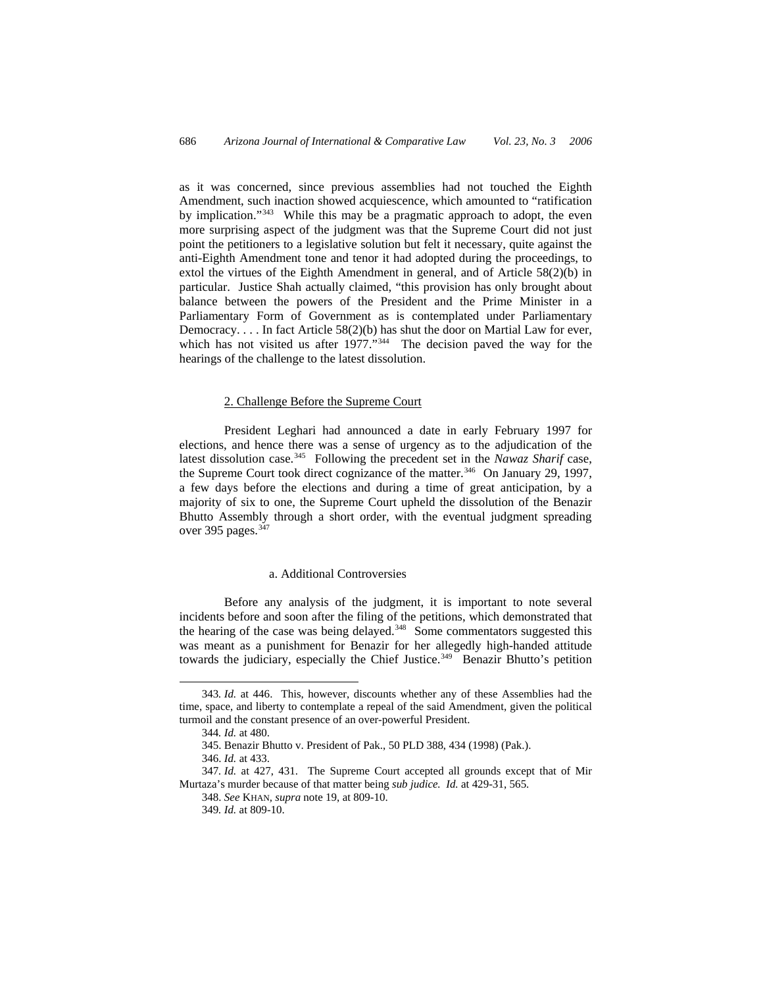as it was concerned, since previous assemblies had not touched the Eighth Amendment, such inaction showed acquiescence, which amounted to "ratification by implication."[343](#page-71-0) While this may be a pragmatic approach to adopt, the even more surprising aspect of the judgment was that the Supreme Court did not just point the petitioners to a legislative solution but felt it necessary, quite against the anti-Eighth Amendment tone and tenor it had adopted during the proceedings, to extol the virtues of the Eighth Amendment in general, and of Article 58(2)(b) in particular. Justice Shah actually claimed, "this provision has only brought about balance between the powers of the President and the Prime Minister in a Parliamentary Form of Government as is contemplated under Parliamentary Democracy. . . . In fact Article 58(2)(b) has shut the door on Martial Law for ever, which has not visited us after 1977."<sup>344</sup> The decision paved the way for the hearings of the challenge to the latest dissolution.

#### 2. Challenge Before the Supreme Court

President Leghari had announced a date in early February 1997 for elections, and hence there was a sense of urgency as to the adjudication of the latest dissolution case.<sup>[345](#page-71-2)</sup> Following the precedent set in the *Nawaz Sharif* case, the Supreme Court took direct cognizance of the matter.<sup>[346](#page-71-3)</sup> On January 29, 1997, a few days before the elections and during a time of great anticipation, by a majority of six to one, the Supreme Court upheld the dissolution of the Benazir Bhutto Assembly through a short order, with the eventual judgment spreading over 395 pages.<sup>[347](#page-71-4)</sup>

## a. Additional Controversies

Before any analysis of the judgment, it is important to note several incidents before and soon after the filing of the petitions, which demonstrated that the hearing of the case was being delayed.<sup>[348](#page-71-5)</sup> Some commentators suggested this was meant as a punishment for Benazir for her allegedly high-handed attitude towards the judiciary, especially the Chief Justice.<sup>[349](#page-71-6)</sup> Benazir Bhutto's petition

<span id="page-71-1"></span><span id="page-71-0"></span><sup>343</sup>*. Id.* at 446. This, however, discounts whether any of these Assemblies had the time, space, and liberty to contemplate a repeal of the said Amendment, given the political turmoil and the constant presence of an over-powerful President.

<sup>344</sup>*. Id.* at 480.

<sup>345.</sup> Benazir Bhutto v. President of Pak., 50 PLD 388, 434 (1998) (Pak.).

<sup>346.</sup> *Id.* at 433.

<span id="page-71-6"></span><span id="page-71-5"></span><span id="page-71-4"></span><span id="page-71-3"></span><span id="page-71-2"></span><sup>347</sup>*. Id.* at 427, 431. The Supreme Court accepted all grounds except that of Mir Murtaza's murder because of that matter being *sub judice. Id.* at 429-31, 565.

<sup>348.</sup> *See* KHAN*, supra* note 19, at 809-10.

<sup>349</sup>*. Id.* at 809-10.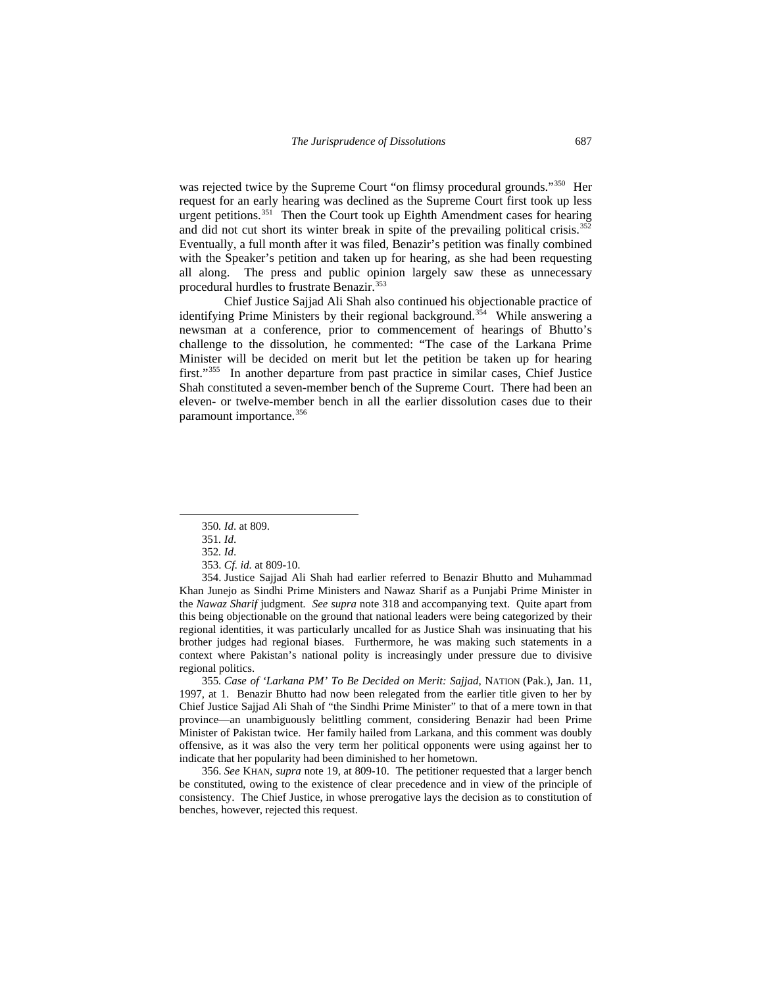was rejected twice by the Supreme Court "on flimsy procedural grounds."<sup>[350](#page-72-0)</sup> Her request for an early hearing was declined as the Supreme Court first took up less urgent petitions.<sup>[351](#page-72-1)</sup> Then the Court took up Eighth Amendment cases for hearing and did not cut short its winter break in spite of the prevailing political crisis. $352$ Eventually, a full month after it was filed, Benazir's petition was finally combined with the Speaker's petition and taken up for hearing, as she had been requesting all along. The press and public opinion largely saw these as unnecessary procedural hurdles to frustrate Benazir.<sup>353</sup>

Chief Justice Sajjad Ali Shah also continued his objectionable practice of identifying Prime Ministers by their regional background.<sup>[354](#page-72-4)</sup> While answering a newsman at a conference, prior to commencement of hearings of Bhutto's challenge to the dissolution, he commented: "The case of the Larkana Prime Minister will be decided on merit but let the petition be taken up for hearing first."[355](#page-72-5) In another departure from past practice in similar cases, Chief Justice Shah constituted a seven-member bench of the Supreme Court. There had been an eleven- or twelve-member bench in all the earlier dissolution cases due to their paramount importance.<sup>[356](#page-72-6)</sup>

<span id="page-72-1"></span><span id="page-72-0"></span>-

<span id="page-72-5"></span>355*. Case of 'Larkana PM' To Be Decided on Merit: Sajjad*, NATION (Pak.), Jan. 11, 1997, at 1. Benazir Bhutto had now been relegated from the earlier title given to her by Chief Justice Sajjad Ali Shah of "the Sindhi Prime Minister" to that of a mere town in that province—an unambiguously belittling comment, considering Benazir had been Prime Minister of Pakistan twice. Her family hailed from Larkana, and this comment was doubly offensive, as it was also the very term her political opponents were using against her to indicate that her popularity had been diminished to her hometown.

<span id="page-72-6"></span>356. *See* KHAN*, supra* note 19, at 809-10. The petitioner requested that a larger bench be constituted, owing to the existence of clear precedence and in view of the principle of consistency. The Chief Justice, in whose prerogative lays the decision as to constitution of benches, however, rejected this request.

<sup>350</sup>*. Id*. at 809.

<sup>351</sup>*. Id*.

<sup>352</sup>*. Id*.

<sup>353.</sup> *Cf. id.* at 809-10.

<span id="page-72-4"></span><span id="page-72-3"></span><span id="page-72-2"></span><sup>354.</sup> Justice Sajjad Ali Shah had earlier referred to Benazir Bhutto and Muhammad Khan Junejo as Sindhi Prime Ministers and Nawaz Sharif as a Punjabi Prime Minister in the *Nawaz Sharif* judgment*. See supra* note 318 and accompanying text. Quite apart from this being objectionable on the ground that national leaders were being categorized by their regional identities, it was particularly uncalled for as Justice Shah was insinuating that his brother judges had regional biases. Furthermore, he was making such statements in a context where Pakistan's national polity is increasingly under pressure due to divisive regional politics.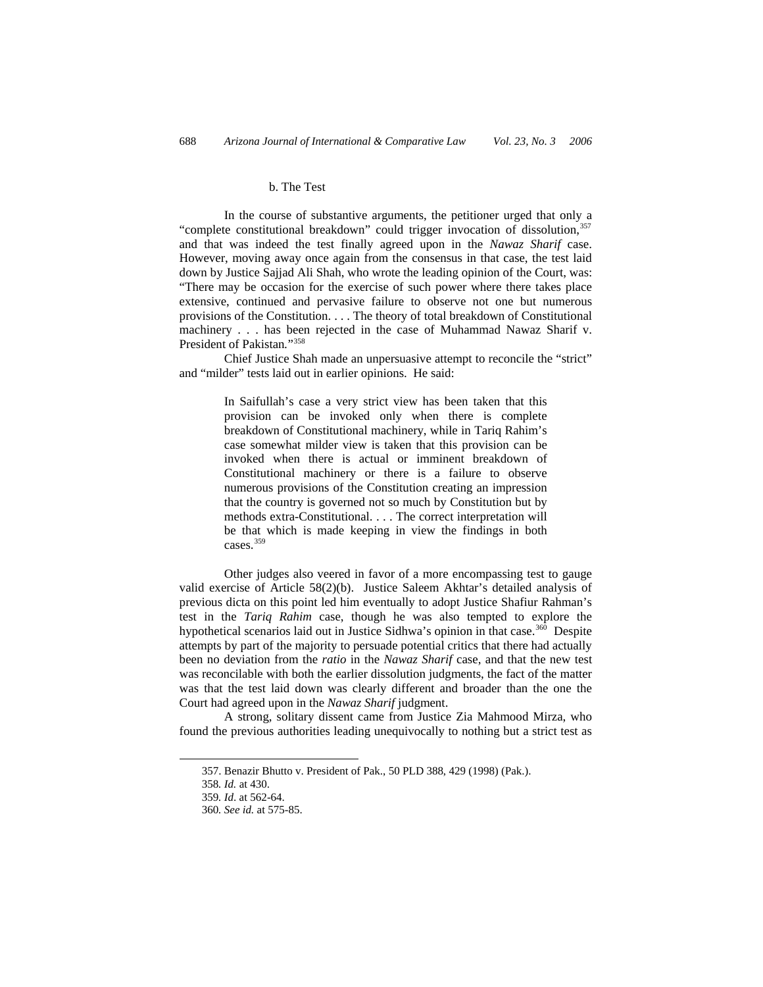## b. The Test

In the course of substantive arguments, the petitioner urged that only a "complete constitutional breakdown" could trigger invocation of dissolution, [357](#page-73-0) and that was indeed the test finally agreed upon in the *Nawaz Sharif* case. However, moving away once again from the consensus in that case, the test laid down by Justice Sajjad Ali Shah, who wrote the leading opinion of the Court, was: "There may be occasion for the exercise of such power where there takes place extensive, continued and pervasive failure to observe not one but numerous provisions of the Constitution. . . . The theory of total breakdown of Constitutional machinery . . . has been rejected in the case of Muhammad Nawaz Sharif v. President of Pakistan*.*"[358](#page-73-1)

Chief Justice Shah made an unpersuasive attempt to reconcile the "strict" and "milder" tests laid out in earlier opinions. He said:

> In Saifullah's case a very strict view has been taken that this provision can be invoked only when there is complete breakdown of Constitutional machinery, while in Tariq Rahim's case somewhat milder view is taken that this provision can be invoked when there is actual or imminent breakdown of Constitutional machinery or there is a failure to observe numerous provisions of the Constitution creating an impression that the country is governed not so much by Constitution but by methods extra-Constitutional. . . . The correct interpretation will be that which is made keeping in view the findings in both cases.<sup>[359](#page-73-2)</sup>

Other judges also veered in favor of a more encompassing test to gauge valid exercise of Article 58(2)(b). Justice Saleem Akhtar's detailed analysis of previous dicta on this point led him eventually to adopt Justice Shafiur Rahman's test in the *Tariq Rahim* case, though he was also tempted to explore the hypothetical scenarios laid out in Justice Sidhwa's opinion in that case.<sup>[360](#page-73-3)</sup> Despite attempts by part of the majority to persuade potential critics that there had actually been no deviation from the *ratio* in the *Nawaz Sharif* case, and that the new test was reconcilable with both the earlier dissolution judgments, the fact of the matter was that the test laid down was clearly different and broader than the one the Court had agreed upon in the *Nawaz Sharif* judgment.

A strong, solitary dissent came from Justice Zia Mahmood Mirza, who found the previous authorities leading unequivocally to nothing but a strict test as

<span id="page-73-3"></span><span id="page-73-2"></span><span id="page-73-1"></span><span id="page-73-0"></span> $\overline{a}$ 

<sup>357.</sup> Benazir Bhutto v. President of Pak., 50 PLD 388, 429 (1998) (Pak.).

<sup>358</sup>*. Id.* at 430.

<sup>359</sup>*. Id*. at 562-64.

<sup>360</sup>*. See id.* at 575-85.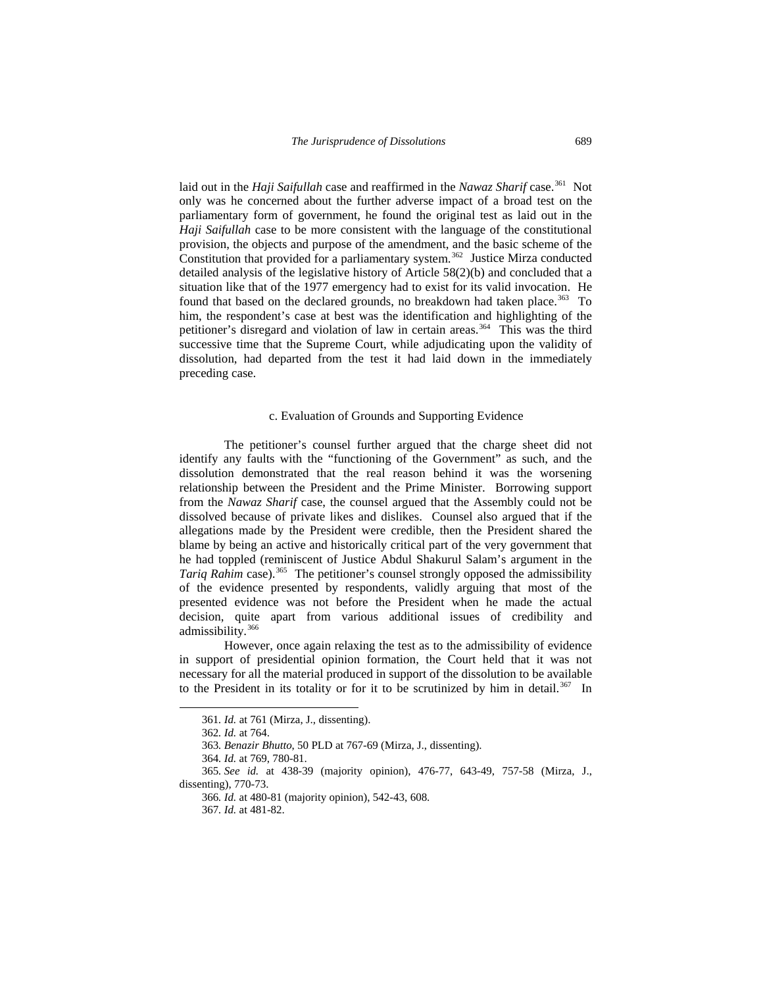laid out in the *Haji Saifullah* case and reaffirmed in the *Nawaz Sharif* case.<sup>[361](#page-74-0)</sup> Not only was he concerned about the further adverse impact of a broad test on the parliamentary form of government, he found the original test as laid out in the *Haji Saifullah* case to be more consistent with the language of the constitutional provision, the objects and purpose of the amendment, and the basic scheme of the Constitution that provided for a parliamentary system.<sup>[362](#page-74-1)</sup> Justice Mirza conducted detailed analysis of the legislative history of Article 58(2)(b) and concluded that a situation like that of the 1977 emergency had to exist for its valid invocation. He found that based on the declared grounds, no breakdown had taken place.<sup>[363](#page-74-2)</sup> To him, the respondent's case at best was the identification and highlighting of the petitioner's disregard and violation of law in certain areas.[364](#page-74-3) This was the third successive time that the Supreme Court, while adjudicating upon the validity of dissolution, had departed from the test it had laid down in the immediately preceding case.

#### c. Evaluation of Grounds and Supporting Evidence

The petitioner's counsel further argued that the charge sheet did not identify any faults with the "functioning of the Government" as such, and the dissolution demonstrated that the real reason behind it was the worsening relationship between the President and the Prime Minister. Borrowing support from the *Nawaz Sharif* case, the counsel argued that the Assembly could not be dissolved because of private likes and dislikes. Counsel also argued that if the allegations made by the President were credible, then the President shared the blame by being an active and historically critical part of the very government that he had toppled (reminiscent of Justice Abdul Shakurul Salam's argument in the *Tariq Rahim* case).<sup>[365](#page-74-4)</sup> The petitioner's counsel strongly opposed the admissibility of the evidence presented by respondents, validly arguing that most of the presented evidence was not before the President when he made the actual decision, quite apart from various additional issues of credibility and admissibility.[366](#page-74-5)

However, once again relaxing the test as to the admissibility of evidence in support of presidential opinion formation, the Court held that it was not necessary for all the material produced in support of the dissolution to be available to the President in its totality or for it to be scrutinized by him in detail.<sup>[367](#page-74-6)</sup> In

<sup>361</sup>*. Id.* at 761 (Mirza, J., dissenting).

<sup>362</sup>*. Id.* at 764.

<sup>363</sup>*. Benazir Bhutto*, 50 PLD at 767-69 (Mirza, J., dissenting).

<sup>364</sup>*. Id.* at 769, 780-81.

<span id="page-74-6"></span><span id="page-74-5"></span><span id="page-74-4"></span><span id="page-74-3"></span><span id="page-74-2"></span><span id="page-74-1"></span><span id="page-74-0"></span><sup>365</sup>*. See id.* at 438-39 (majority opinion), 476-77, 643-49, 757-58 (Mirza, J., dissenting), 770-73.

<sup>366</sup>*. Id.* at 480-81 (majority opinion), 542-43, 608.

<sup>367</sup>*. Id.* at 481-82.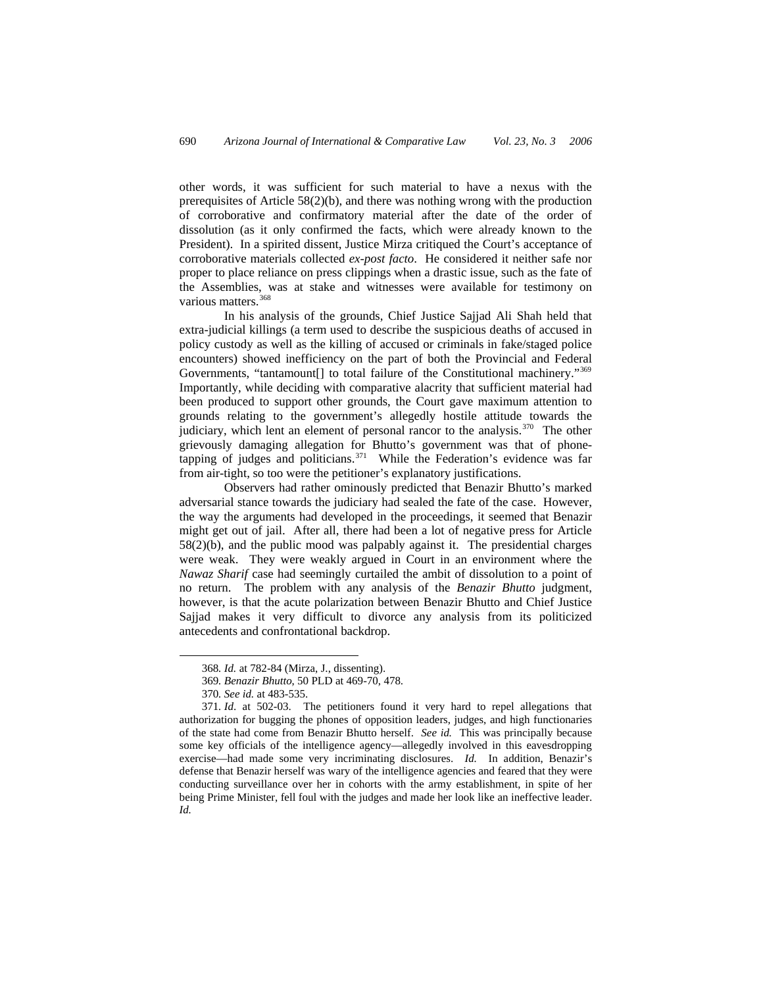other words, it was sufficient for such material to have a nexus with the prerequisites of Article  $58(2)(b)$ , and there was nothing wrong with the production of corroborative and confirmatory material after the date of the order of dissolution (as it only confirmed the facts, which were already known to the President). In a spirited dissent, Justice Mirza critiqued the Court's acceptance of corroborative materials collected *ex-post facto*. He considered it neither safe nor proper to place reliance on press clippings when a drastic issue, such as the fate of the Assemblies, was at stake and witnesses were available for testimony on various matters.<sup>[368](#page-75-0)</sup>

In his analysis of the grounds, Chief Justice Sajjad Ali Shah held that extra-judicial killings (a term used to describe the suspicious deaths of accused in policy custody as well as the killing of accused or criminals in fake/staged police encounters) showed inefficiency on the part of both the Provincial and Federal Governments, "tantamount<sup>[]</sup> to total failure of the Constitutional machinery."<sup>[369](#page-75-1)</sup> Importantly, while deciding with comparative alacrity that sufficient material had been produced to support other grounds, the Court gave maximum attention to grounds relating to the government's allegedly hostile attitude towards the judiciary, which lent an element of personal rancor to the analysis.<sup>[370](#page-75-2)</sup> The other grievously damaging allegation for Bhutto's government was that of phone-tapping of judges and politicians.<sup>[371](#page-75-3)</sup> While the Federation's evidence was far from air-tight, so too were the petitioner's explanatory justifications.

Observers had rather ominously predicted that Benazir Bhutto's marked adversarial stance towards the judiciary had sealed the fate of the case. However, the way the arguments had developed in the proceedings, it seemed that Benazir might get out of jail. After all, there had been a lot of negative press for Article 58(2)(b), and the public mood was palpably against it. The presidential charges were weak. They were weakly argued in Court in an environment where the *Nawaz Sharif* case had seemingly curtailed the ambit of dissolution to a point of no return. The problem with any analysis of the *Benazir Bhutto* judgment, however, is that the acute polarization between Benazir Bhutto and Chief Justice Sajjad makes it very difficult to divorce any analysis from its politicized antecedents and confrontational backdrop.

<sup>368</sup>*. Id.* at 782-84 (Mirza, J., dissenting).

<sup>369</sup>*. Benazir Bhutto*, 50 PLD at 469-70, 478.

<sup>370</sup>*. See id.* at 483-535.

<span id="page-75-3"></span><span id="page-75-2"></span><span id="page-75-1"></span><span id="page-75-0"></span><sup>371</sup>*. Id*. at 502-03. The petitioners found it very hard to repel allegations that authorization for bugging the phones of opposition leaders, judges, and high functionaries of the state had come from Benazir Bhutto herself. *See id.* This was principally because some key officials of the intelligence agency—allegedly involved in this eavesdropping exercise—had made some very incriminating disclosures. *Id.* In addition, Benazir's defense that Benazir herself was wary of the intelligence agencies and feared that they were conducting surveillance over her in cohorts with the army establishment, in spite of her being Prime Minister, fell foul with the judges and made her look like an ineffective leader. *Id.*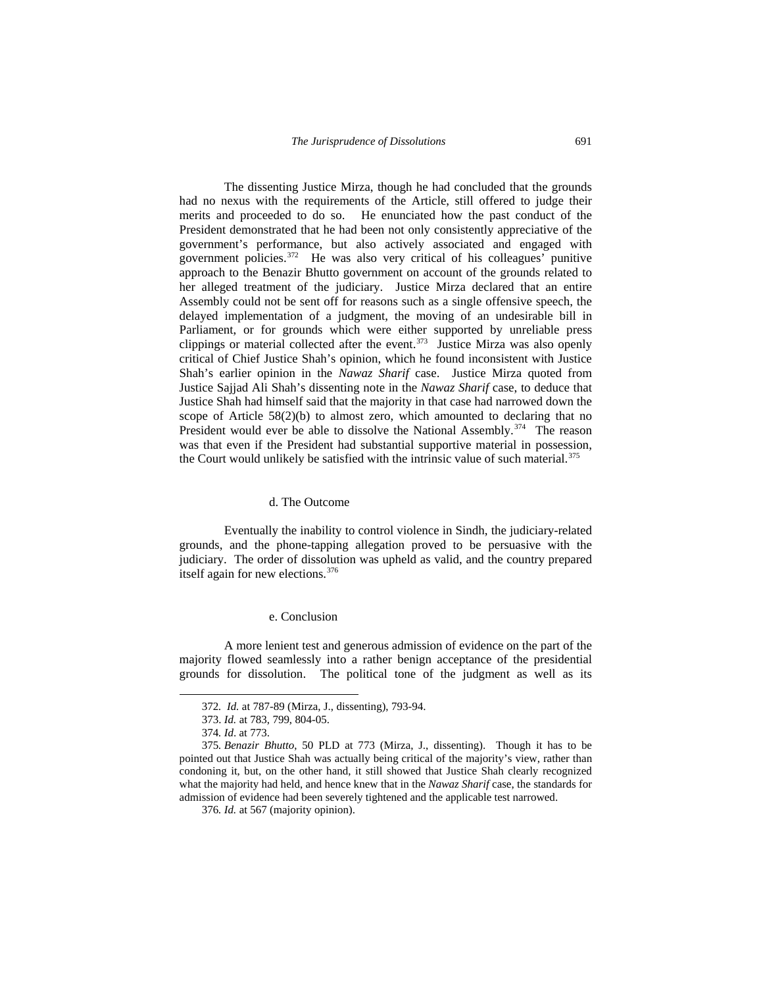The dissenting Justice Mirza, though he had concluded that the grounds had no nexus with the requirements of the Article, still offered to judge their merits and proceeded to do so. He enunciated how the past conduct of the President demonstrated that he had been not only consistently appreciative of the government's performance, but also actively associated and engaged with government policies.<sup>[372](#page-76-0)</sup> He was also very critical of his colleagues' punitive approach to the Benazir Bhutto government on account of the grounds related to her alleged treatment of the judiciary. Justice Mirza declared that an entire Assembly could not be sent off for reasons such as a single offensive speech, the delayed implementation of a judgment, the moving of an undesirable bill in Parliament, or for grounds which were either supported by unreliable press clippings or material collected after the event. $373$  Justice Mirza was also openly critical of Chief Justice Shah's opinion, which he found inconsistent with Justice Shah's earlier opinion in the *Nawaz Sharif* case. Justice Mirza quoted from Justice Sajjad Ali Shah's dissenting note in the *Nawaz Sharif* case, to deduce that Justice Shah had himself said that the majority in that case had narrowed down the scope of Article 58(2)(b) to almost zero, which amounted to declaring that no President would ever be able to dissolve the National Assembly.<sup>[374](#page-76-2)</sup> The reason was that even if the President had substantial supportive material in possession, the Court would unlikely be satisfied with the intrinsic value of such material.<sup>[375](#page-76-3)</sup>

#### d. The Outcome

Eventually the inability to control violence in Sindh, the judiciary-related grounds, and the phone-tapping allegation proved to be persuasive with the judiciary. The order of dissolution was upheld as valid, and the country prepared itself again for new elections.<sup>376</sup>

#### e. Conclusion

A more lenient test and generous admission of evidence on the part of the majority flowed seamlessly into a rather benign acceptance of the presidential grounds for dissolution. The political tone of the judgment as well as its

<span id="page-76-0"></span> $\overline{a}$ 

<sup>372</sup>*. Id.* at 787-89 (Mirza, J., dissenting), 793-94.

<sup>373.</sup> *Id.* at 783, 799, 804-05.

<sup>374</sup>*. Id*. at 773.

<span id="page-76-4"></span><span id="page-76-3"></span><span id="page-76-2"></span><span id="page-76-1"></span><sup>375</sup>*. Benazir Bhutto*, 50 PLD at 773 (Mirza, J., dissenting).Though it has to be pointed out that Justice Shah was actually being critical of the majority's view, rather than condoning it, but, on the other hand, it still showed that Justice Shah clearly recognized what the majority had held, and hence knew that in the *Nawaz Sharif* case, the standards for admission of evidence had been severely tightened and the applicable test narrowed.

<sup>376</sup>*. Id.* at 567 (majority opinion).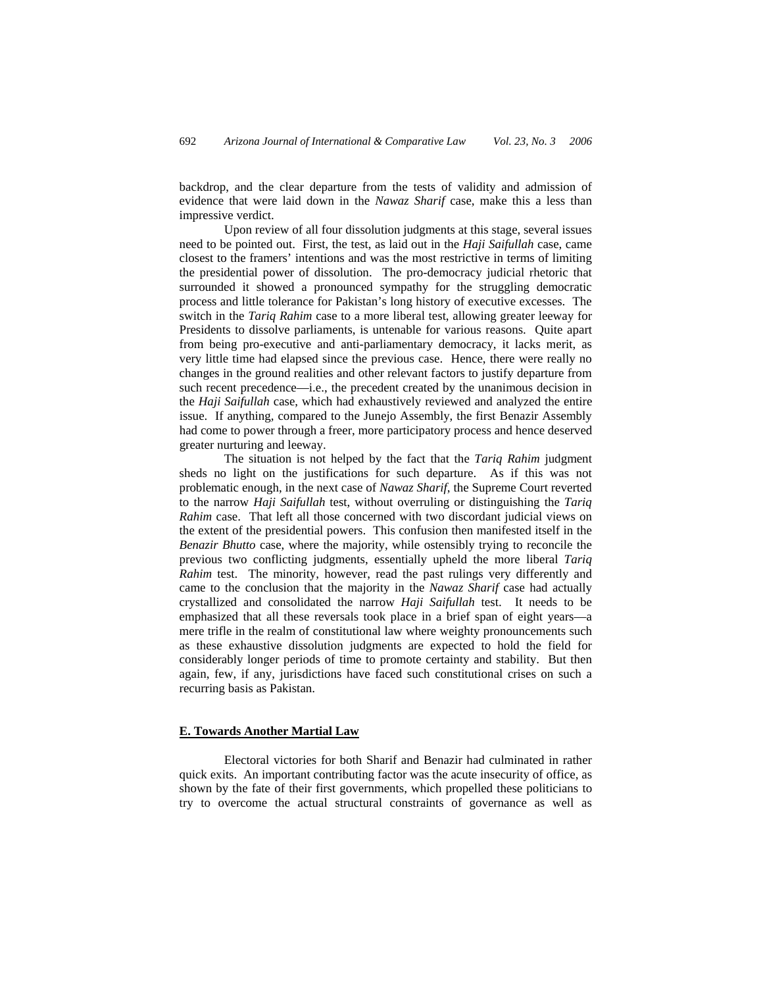backdrop, and the clear departure from the tests of validity and admission of evidence that were laid down in the *Nawaz Sharif* case, make this a less than impressive verdict.

Upon review of all four dissolution judgments at this stage, several issues need to be pointed out. First, the test, as laid out in the *Haji Saifullah* case, came closest to the framers' intentions and was the most restrictive in terms of limiting the presidential power of dissolution. The pro-democracy judicial rhetoric that surrounded it showed a pronounced sympathy for the struggling democratic process and little tolerance for Pakistan's long history of executive excesses. The switch in the *Tariq Rahim* case to a more liberal test, allowing greater leeway for Presidents to dissolve parliaments, is untenable for various reasons. Quite apart from being pro-executive and anti-parliamentary democracy, it lacks merit, as very little time had elapsed since the previous case. Hence, there were really no changes in the ground realities and other relevant factors to justify departure from such recent precedence—i.e., the precedent created by the unanimous decision in the *Haji Saifullah* case, which had exhaustively reviewed and analyzed the entire issue. If anything, compared to the Junejo Assembly, the first Benazir Assembly had come to power through a freer, more participatory process and hence deserved greater nurturing and leeway.

The situation is not helped by the fact that the *Tariq Rahim* judgment sheds no light on the justifications for such departure. As if this was not problematic enough, in the next case of *Nawaz Sharif*, the Supreme Court reverted to the narrow *Haji Saifullah* test, without overruling or distinguishing the *Tariq Rahim* case. That left all those concerned with two discordant judicial views on the extent of the presidential powers. This confusion then manifested itself in the *Benazir Bhutto* case, where the majority, while ostensibly trying to reconcile the previous two conflicting judgments, essentially upheld the more liberal *Tariq Rahim* test. The minority, however, read the past rulings very differently and came to the conclusion that the majority in the *Nawaz Sharif* case had actually crystallized and consolidated the narrow *Haji Saifullah* test. It needs to be emphasized that all these reversals took place in a brief span of eight years—a mere trifle in the realm of constitutional law where weighty pronouncements such as these exhaustive dissolution judgments are expected to hold the field for considerably longer periods of time to promote certainty and stability. But then again, few, if any, jurisdictions have faced such constitutional crises on such a recurring basis as Pakistan.

# **E. Towards Another Martial Law**

Electoral victories for both Sharif and Benazir had culminated in rather quick exits. An important contributing factor was the acute insecurity of office, as shown by the fate of their first governments, which propelled these politicians to try to overcome the actual structural constraints of governance as well as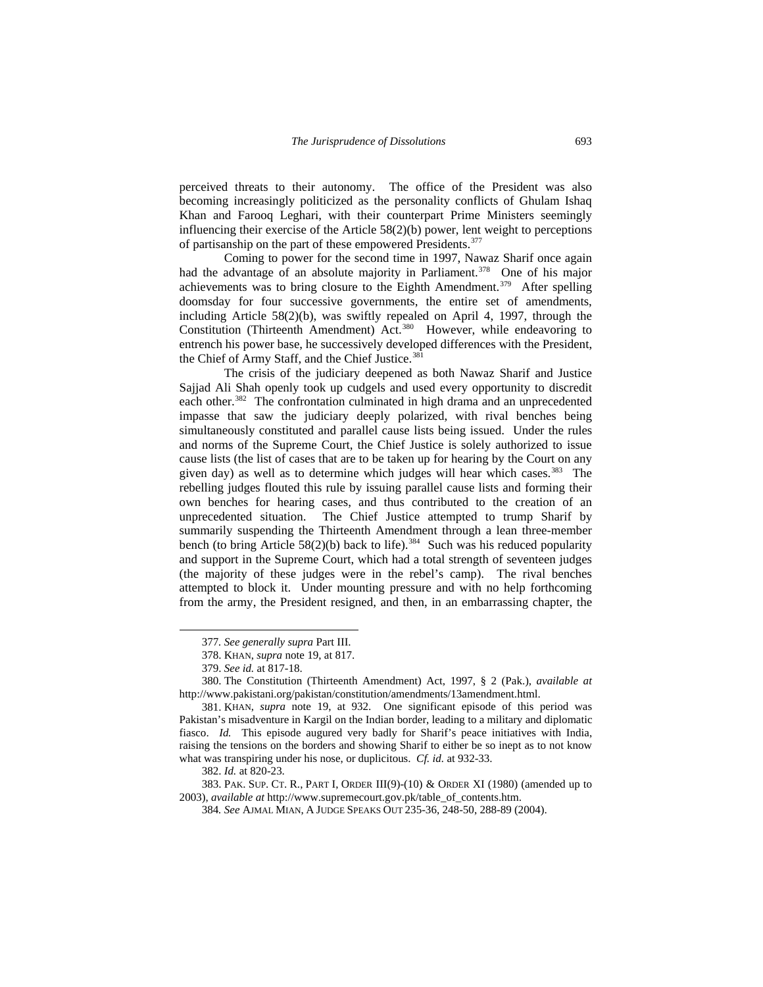perceived threats to their autonomy. The office of the President was also becoming increasingly politicized as the personality conflicts of Ghulam Ishaq Khan and Farooq Leghari, with their counterpart Prime Ministers seemingly influencing their exercise of the Article  $58(2)(b)$  power, lent weight to perceptions of partisanship on the part of these empowered Presidents.<sup>[377](#page-78-0)</sup>

Coming to power for the second time in 1997, Nawaz Sharif once again had the advantage of an absolute majority in Parliament.<sup>[378](#page-78-1)</sup> One of his major achievements was to bring closure to the Eighth Amendment.<sup>[379](#page-78-2)</sup> After spelling doomsday for four successive governments, the entire set of amendments, including Article 58(2)(b), was swiftly repealed on April 4, 1997, through the Constitution (Thirteenth Amendment) Act.<sup>[380](#page-78-3)</sup> However, while endeavoring to entrench his power base, he successively developed differences with the President, the Chief of Army Staff, and the Chief Justice.<sup>[381](#page-78-4)</sup>

The crisis of the judiciary deepened as both Nawaz Sharif and Justice Sajjad Ali Shah openly took up cudgels and used every opportunity to discredit each other.<sup>[382](#page-78-5)</sup> The confrontation culminated in high drama and an unprecedented impasse that saw the judiciary deeply polarized, with rival benches being simultaneously constituted and parallel cause lists being issued. Under the rules and norms of the Supreme Court, the Chief Justice is solely authorized to issue cause lists (the list of cases that are to be taken up for hearing by the Court on any given day) as well as to determine which judges will hear which cases.<sup>[383](#page-78-6)</sup> The rebelling judges flouted this rule by issuing parallel cause lists and forming their own benches for hearing cases, and thus contributed to the creation of an unprecedented situation. The Chief Justice attempted to trump Sharif by summarily suspending the Thirteenth Amendment through a lean three-member bench (to bring Article 58(2)(b) back to life).<sup>[384](#page-78-7)</sup> Such was his reduced popularity and support in the Supreme Court, which had a total strength of seventeen judges (the majority of these judges were in the rebel's camp). The rival benches attempted to block it. Under mounting pressure and with no help forthcoming from the army, the President resigned, and then, in an embarrassing chapter, the

<span id="page-78-0"></span> $\overline{a}$ 

<sup>377</sup>*. See generally supra* Part III.

<sup>378.</sup> KHAN, *supra* note 19, at 817.

<sup>379.</sup> *See id.* at 817-18.

<span id="page-78-3"></span><span id="page-78-2"></span><span id="page-78-1"></span><sup>380.</sup> The Constitution (Thirteenth Amendment) Act, 1997, § 2 (Pak.), *available at* http://www.pakistani.org/pakistan/constitution/amendments/13amendment.html.

<span id="page-78-4"></span><sup>381.</sup> KHAN, *supra* note 19, at 932. One significant episode of this period was Pakistan's misadventure in Kargil on the Indian border, leading to a military and diplomatic fiasco. *Id.* This episode augured very badly for Sharif's peace initiatives with India, raising the tensions on the borders and showing Sharif to either be so inept as to not know what was transpiring under his nose, or duplicitous. *Cf. id.* at 932-33.

<sup>382.</sup> *Id.* at 820-23.

<span id="page-78-7"></span><span id="page-78-6"></span><span id="page-78-5"></span><sup>383.</sup> PAK. SUP. CT. R., PART I, ORDER III(9)-(10) & ORDER XI (1980) (amended up to 2003), *available at* http://www.supremecourt.gov.pk/table\_of\_contents.htm.

<sup>384</sup>*. See* AJMAL MIAN, A JUDGE SPEAKS OUT 235-36, 248-50, 288-89 (2004).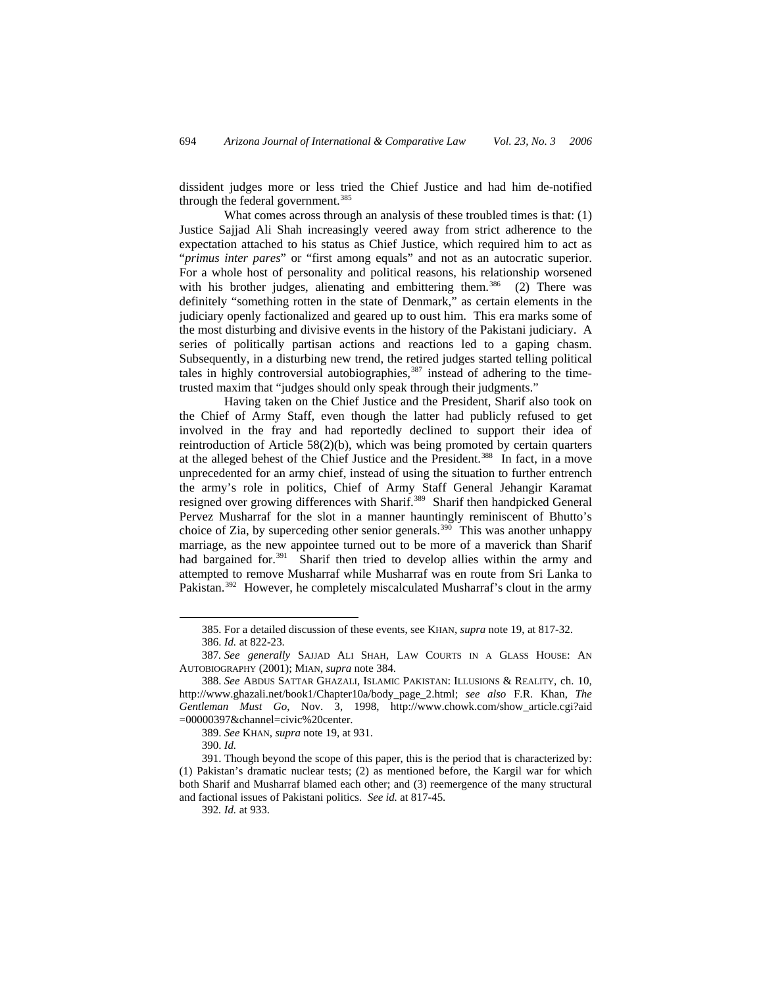dissident judges more or less tried the Chief Justice and had him de-notified through the federal government.<sup>[385](#page-79-0)</sup>

What comes across through an analysis of these troubled times is that: (1) Justice Sajjad Ali Shah increasingly veered away from strict adherence to the expectation attached to his status as Chief Justice, which required him to act as "*primus inter pares*" or "first among equals" and not as an autocratic superior. For a whole host of personality and political reasons, his relationship worsened with his brother judges, alienating and embittering them.<sup>[386](#page-79-1)</sup> (2) There was definitely "something rotten in the state of Denmark," as certain elements in the judiciary openly factionalized and geared up to oust him. This era marks some of the most disturbing and divisive events in the history of the Pakistani judiciary. A series of politically partisan actions and reactions led to a gaping chasm. Subsequently, in a disturbing new trend, the retired judges started telling political tales in highly controversial autobiographies,  $387$  instead of adhering to the timetrusted maxim that "judges should only speak through their judgments."

Having taken on the Chief Justice and the President, Sharif also took on the Chief of Army Staff, even though the latter had publicly refused to get involved in the fray and had reportedly declined to support their idea of reintroduction of Article 58(2)(b), which was being promoted by certain quarters at the alleged behest of the Chief Justice and the President.[388](#page-79-3) In fact, in a move unprecedented for an army chief, instead of using the situation to further entrench the army's role in politics, Chief of Army Staff General Jehangir Karamat resigned over growing differences with Sharif.<sup>389</sup> Sharif then handpicked General Pervez Musharraf for the slot in a manner hauntingly reminiscent of Bhutto's choice of Zia, by superceding other senior generals.<sup>[390](#page-79-5)</sup> This was another unhappy marriage, as the new appointee turned out to be more of a maverick than Sharif had bargained for.<sup>[391](#page-79-6)</sup> Sharif then tried to develop allies within the army and attempted to remove Musharraf while Musharraf was en route from Sri Lanka to Pakistan.<sup>[392](#page-79-7)</sup> However, he completely miscalculated Musharraf's clout in the army

<span id="page-79-0"></span> $\overline{\phantom{a}}$ 

392*. Id.* at 933.

<sup>385.</sup> For a detailed discussion of these events, see KHAN, *supra* note 19, at 817-32. 386. *Id.* at 822-23.

<span id="page-79-2"></span><span id="page-79-1"></span><sup>387</sup>*. See generally* SAJJAD ALI SHAH, LAW COURTS IN A GLASS HOUSE: AN AUTOBIOGRAPHY (2001); MIAN, *supra* note 384.

<span id="page-79-3"></span><sup>388.</sup> *See* ABDUS SATTAR GHAZALI, ISLAMIC PAKISTAN: ILLUSIONS & REALITY, ch. 10, http://www.ghazali.net/book1/Chapter10a/body\_page\_2.html; *see also* F.R. Khan, *The Gentleman Must Go*, Nov. 3, 1998, http://www.chowk.com/show\_article.cgi?aid =00000397&channel=civic%20center.

<sup>389.</sup> *See* KHAN, *supra* note 19, at 931.

<sup>390.</sup> *Id.*

<span id="page-79-7"></span><span id="page-79-6"></span><span id="page-79-5"></span><span id="page-79-4"></span><sup>391.</sup> Though beyond the scope of this paper, this is the period that is characterized by: (1) Pakistan's dramatic nuclear tests; (2) as mentioned before, the Kargil war for which both Sharif and Musharraf blamed each other; and (3) reemergence of the many structural and factional issues of Pakistani politics. *See id.* at 817-45.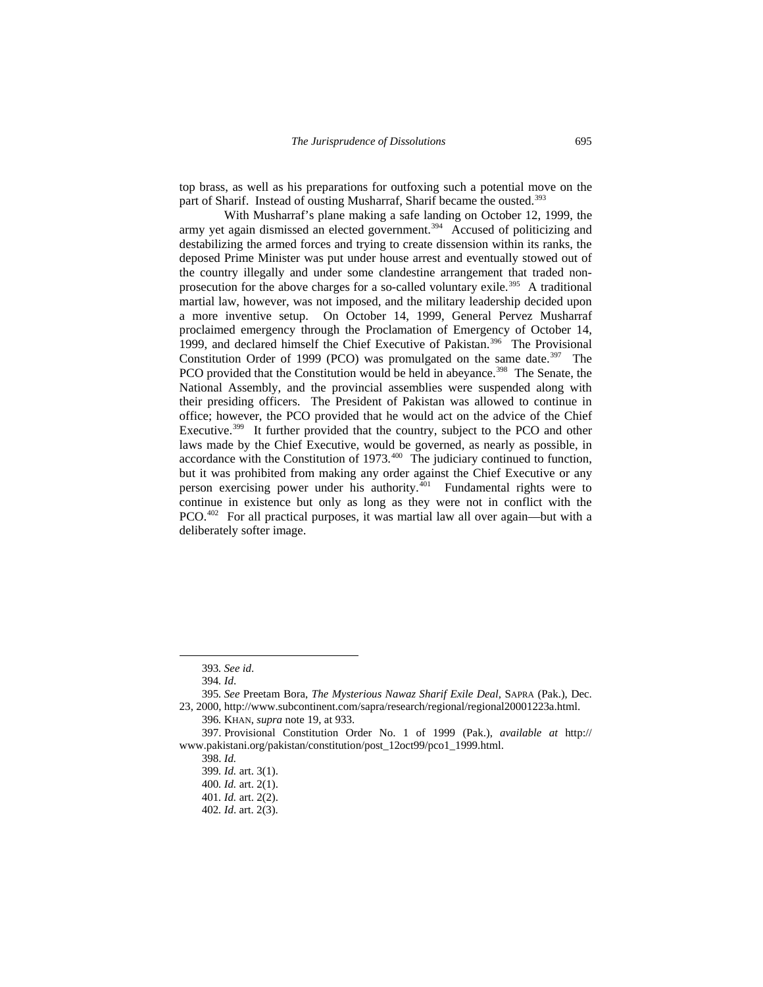top brass, as well as his preparations for outfoxing such a potential move on the part of Sharif. Instead of ousting Musharraf, Sharif became the ousted.<sup>[393](#page-80-0)</sup>

With Musharraf's plane making a safe landing on October 12, 1999, the army yet again dismissed an elected government.[394](#page-80-1) Accused of politicizing and destabilizing the armed forces and trying to create dissension within its ranks, the deposed Prime Minister was put under house arrest and eventually stowed out of the country illegally and under some clandestine arrangement that traded non-prosecution for the above charges for a so-called voluntary exile.<sup>[395](#page-80-2)</sup> A traditional martial law, however, was not imposed, and the military leadership decided upon a more inventive setup. On October 14, 1999, General Pervez Musharraf proclaimed emergency through the Proclamation of Emergency of October 14, 1999, and declared himself the Chief Executive of Pakistan.<sup>[396](#page-80-3)</sup> The Provisional Constitution Order of 1999 (PCO) was promulgated on the same date.<sup>[397](#page-80-4)</sup> The PCO provided that the Constitution would be held in abeyance.<sup>398</sup> The Senate, the National Assembly, and the provincial assemblies were suspended along with their presiding officers. The President of Pakistan was allowed to continue in office; however, the PCO provided that he would act on the advice of the Chief Executive.<sup>[399](#page-80-6)</sup> It further provided that the country, subject to the PCO and other laws made by the Chief Executive, would be governed, as nearly as possible, in accordance with the Constitution of 1973.<sup>[400](#page-80-7)</sup> The judiciary continued to function, but it was prohibited from making any order against the Chief Executive or any person exercising power under his authority.[401](#page-80-8) Fundamental rights were to continue in existence but only as long as they were not in conflict with the PCO.<sup>402</sup> For all practical purposes, it was martial law all over again—but with a deliberately softer image.

<span id="page-80-0"></span> $\overline{\phantom{a}}$ 

<sup>393</sup>*. See id*.

<sup>394</sup>*. Id*.

<sup>395</sup>*. See* Preetam Bora, *The Mysterious Nawaz Sharif Exile Deal*, SAPRA (Pak.), Dec.

<span id="page-80-3"></span><span id="page-80-2"></span><span id="page-80-1"></span><sup>23, 2000,</sup> http://www.subcontinent.com/sapra/research/regional/regional20001223a.html. 396*.* KHAN, *supra* note 19, at 933.

<span id="page-80-9"></span><span id="page-80-8"></span><span id="page-80-7"></span><span id="page-80-6"></span><span id="page-80-5"></span><span id="page-80-4"></span><sup>397.</sup> Provisional Constitution Order No. 1 of 1999 (Pak.), *available at* http:// www.pakistani.org/pakistan/constitution/post\_12oct99/pco1\_1999.html.

<sup>398.</sup> *Id.*

<sup>399</sup>*. Id.* art. 3(1).

<sup>400</sup>*. Id.* art. 2(1).

<sup>401</sup>*. Id.* art. 2(2).

<sup>402</sup>*. Id*. art. 2(3).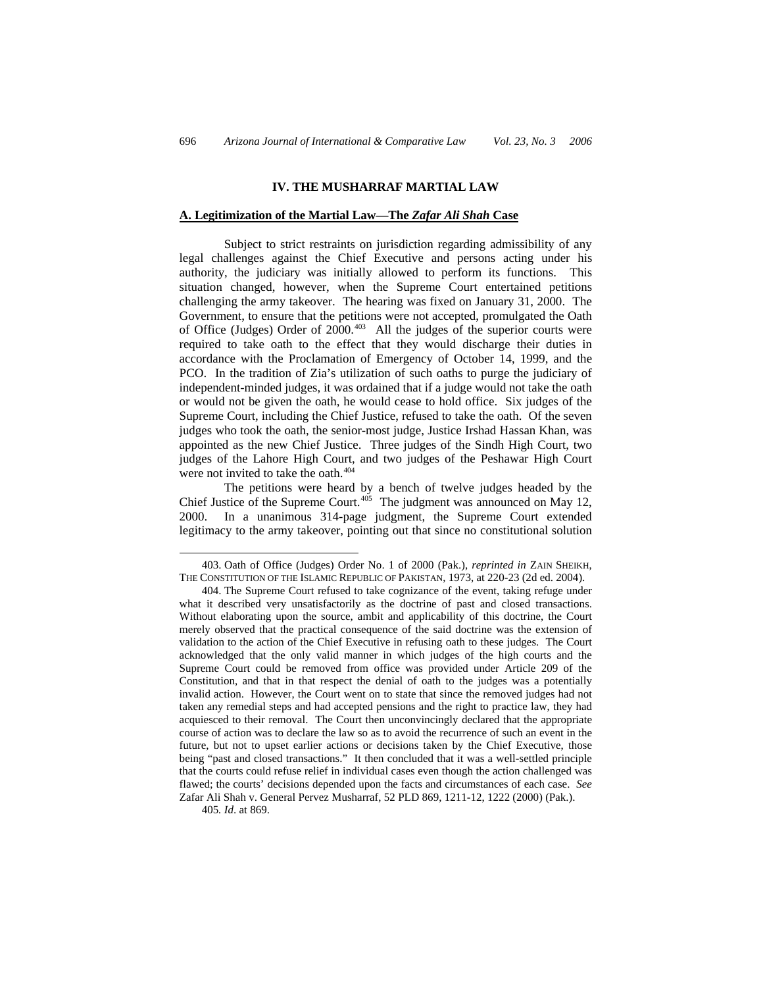#### **IV. THE MUSHARRAF MARTIAL LAW**

#### **A. Legitimization of the Martial Law—The** *Zafar Ali Shah* **Case**

Subject to strict restraints on jurisdiction regarding admissibility of any legal challenges against the Chief Executive and persons acting under his authority, the judiciary was initially allowed to perform its functions. This situation changed, however, when the Supreme Court entertained petitions challenging the army takeover. The hearing was fixed on January 31, 2000. The Government, to ensure that the petitions were not accepted, promulgated the Oath of Office (Judges) Order of  $2000.<sup>403</sup>$  $2000.<sup>403</sup>$  $2000.<sup>403</sup>$  All the judges of the superior courts were required to take oath to the effect that they would discharge their duties in accordance with the Proclamation of Emergency of October 14, 1999, and the PCO. In the tradition of Zia's utilization of such oaths to purge the judiciary of independent-minded judges, it was ordained that if a judge would not take the oath or would not be given the oath, he would cease to hold office. Six judges of the Supreme Court, including the Chief Justice, refused to take the oath. Of the seven judges who took the oath, the senior-most judge, Justice Irshad Hassan Khan, was appointed as the new Chief Justice. Three judges of the Sindh High Court, two judges of the Lahore High Court, and two judges of the Peshawar High Court were not invited to take the oath.<sup>[404](#page-81-1)</sup>

 The petitions were heard by a bench of twelve judges headed by the Chief Justice of the Supreme Court.<sup>[405](#page-81-2)</sup> The judgment was announced on May 12, 2000. In a unanimous 314-page judgment, the Supreme Court extended legitimacy to the army takeover, pointing out that since no constitutional solution

<span id="page-81-2"></span>405*. Id*. at 869.

 $\overline{\phantom{a}}$ 

<span id="page-81-0"></span><sup>403.</sup> Oath of Office (Judges) Order No. 1 of 2000 (Pak.), *reprinted in* ZAIN SHEIKH, THE CONSTITUTION OF THE ISLAMIC REPUBLIC OF PAKISTAN, 1973, at 220-23 (2d ed. 2004).

<span id="page-81-1"></span><sup>404.</sup> The Supreme Court refused to take cognizance of the event, taking refuge under what it described very unsatisfactorily as the doctrine of past and closed transactions. Without elaborating upon the source, ambit and applicability of this doctrine, the Court merely observed that the practical consequence of the said doctrine was the extension of validation to the action of the Chief Executive in refusing oath to these judges. The Court acknowledged that the only valid manner in which judges of the high courts and the Supreme Court could be removed from office was provided under Article 209 of the Constitution, and that in that respect the denial of oath to the judges was a potentially invalid action. However, the Court went on to state that since the removed judges had not taken any remedial steps and had accepted pensions and the right to practice law, they had acquiesced to their removal. The Court then unconvincingly declared that the appropriate course of action was to declare the law so as to avoid the recurrence of such an event in the future, but not to upset earlier actions or decisions taken by the Chief Executive, those being "past and closed transactions." It then concluded that it was a well-settled principle that the courts could refuse relief in individual cases even though the action challenged was flawed; the courts' decisions depended upon the facts and circumstances of each case. *See*  Zafar Ali Shah v. General Pervez Musharraf, 52 PLD 869, 1211-12, 1222 (2000) (Pak.).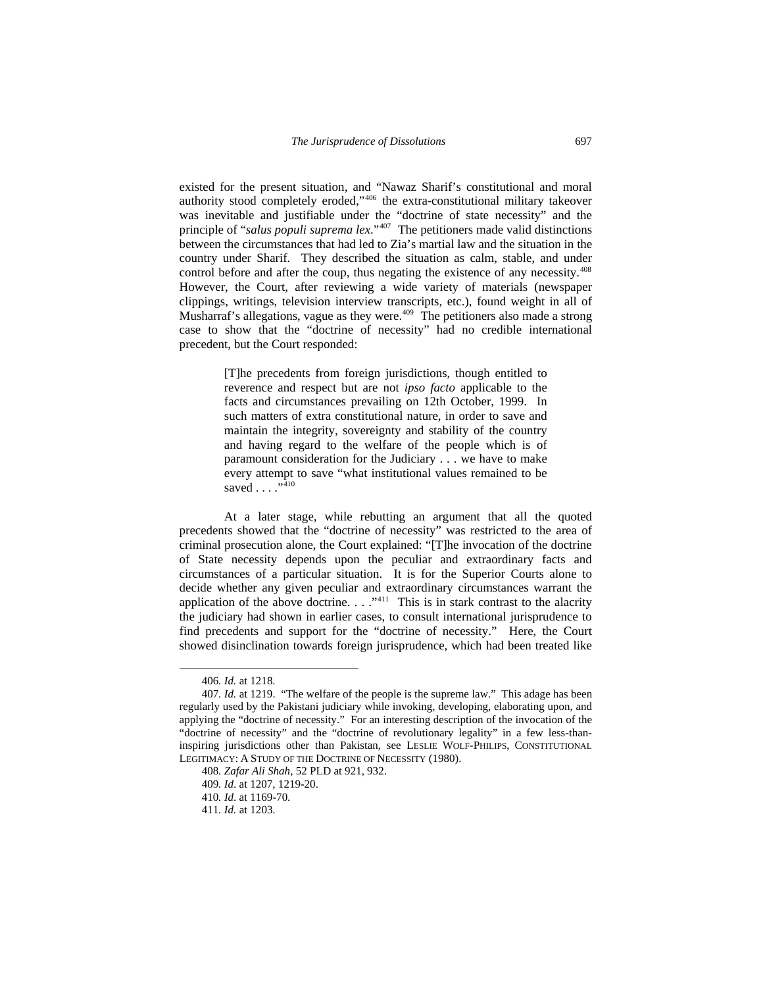existed for the present situation, and "Nawaz Sharif's constitutional and moral authority stood completely eroded,"[406](#page-82-0) the extra-constitutional military takeover was inevitable and justifiable under the "doctrine of state necessity" and the principle of "*salus populi suprema lex*."[407](#page-82-1) The petitioners made valid distinctions between the circumstances that had led to Zia's martial law and the situation in the country under Sharif. They described the situation as calm, stable, and under control before and after the coup, thus negating the existence of any necessity.<sup>[408](#page-82-2)</sup> However, the Court, after reviewing a wide variety of materials (newspaper clippings, writings, television interview transcripts, etc.), found weight in all of Musharraf's allegations, vague as they were.<sup>[409](#page-82-3)</sup> The petitioners also made a strong case to show that the "doctrine of necessity" had no credible international precedent, but the Court responded:

> [T]he precedents from foreign jurisdictions, though entitled to reverence and respect but are not *ipso facto* applicable to the facts and circumstances prevailing on 12th October, 1999. In such matters of extra constitutional nature, in order to save and maintain the integrity, sovereignty and stability of the country and having regard to the welfare of the people which is of paramount consideration for the Judiciary . . . we have to make every attempt to save "what institutional values remained to be saved  $\ldots$   $\ldots$

At a later stage, while rebutting an argument that all the quoted precedents showed that the "doctrine of necessity" was restricted to the area of criminal prosecution alone, the Court explained: "[T]he invocation of the doctrine of State necessity depends upon the peculiar and extraordinary facts and circumstances of a particular situation. It is for the Superior Courts alone to decide whether any given peculiar and extraordinary circumstances warrant the application of the above doctrine.  $\ldots$ <sup>[411](#page-82-5)</sup> This is in stark contrast to the alacrity the judiciary had shown in earlier cases, to consult international jurisprudence to find precedents and support for the "doctrine of necessity." Here, the Court showed disinclination towards foreign jurisprudence, which had been treated like

 $\overline{\phantom{a}}$ 

<span id="page-82-4"></span>410*. Id*. at 1169-70.

<sup>406</sup>*. Id.* at 1218.

<span id="page-82-3"></span><span id="page-82-2"></span><span id="page-82-1"></span><span id="page-82-0"></span><sup>407</sup>*. Id.* at 1219."The welfare of the people is the supreme law." This adage has been regularly used by the Pakistani judiciary while invoking, developing, elaborating upon, and applying the "doctrine of necessity." For an interesting description of the invocation of the "doctrine of necessity" and the "doctrine of revolutionary legality" in a few less-thaninspiring jurisdictions other than Pakistan, see LESLIE WOLF-PHILIPS, CONSTITUTIONAL LEGITIMACY: A STUDY OF THE DOCTRINE OF NECESSITY (1980).

<sup>408</sup>*. Zafar Ali Shah*, 52 PLD at 921, 932.

<sup>409</sup>*. Id*. at 1207, 1219-20.

<span id="page-82-5"></span><sup>411</sup>*. Id.* at 1203.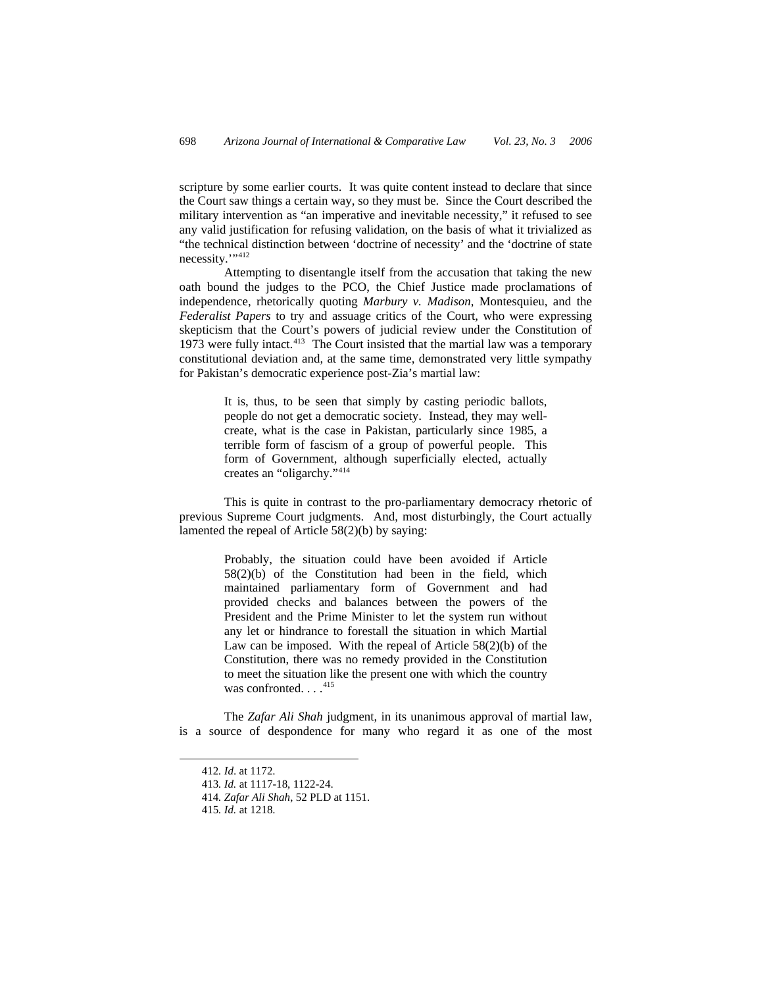scripture by some earlier courts. It was quite content instead to declare that since the Court saw things a certain way, so they must be. Since the Court described the military intervention as "an imperative and inevitable necessity," it refused to see any valid justification for refusing validation, on the basis of what it trivialized as "the technical distinction between 'doctrine of necessity' and the 'doctrine of state necessity."<sup>[412](#page-83-0)</sup>

Attempting to disentangle itself from the accusation that taking the new oath bound the judges to the PCO, the Chief Justice made proclamations of independence, rhetorically quoting *Marbury v. Madison*, Montesquieu, and the *Federalist Papers* to try and assuage critics of the Court, who were expressing skepticism that the Court's powers of judicial review under the Constitution of 1973 were fully intact. $413$  The Court insisted that the martial law was a temporary constitutional deviation and, at the same time, demonstrated very little sympathy for Pakistan's democratic experience post-Zia's martial law:

> It is, thus, to be seen that simply by casting periodic ballots, people do not get a democratic society. Instead, they may wellcreate, what is the case in Pakistan, particularly since 1985, a terrible form of fascism of a group of powerful people. This form of Government, although superficially elected, actually creates an "oligarchy."[414](#page-83-2)

This is quite in contrast to the pro-parliamentary democracy rhetoric of previous Supreme Court judgments. And, most disturbingly, the Court actually lamented the repeal of Article 58(2)(b) by saying:

> Probably, the situation could have been avoided if Article 58(2)(b) of the Constitution had been in the field, which maintained parliamentary form of Government and had provided checks and balances between the powers of the President and the Prime Minister to let the system run without any let or hindrance to forestall the situation in which Martial Law can be imposed. With the repeal of Article 58(2)(b) of the Constitution, there was no remedy provided in the Constitution to meet the situation like the present one with which the country was confronted.  $\dots$ <sup>[415](#page-83-3)</sup>

The *Zafar Ali Shah* judgment, in its unanimous approval of martial law, is a source of despondence for many who regard it as one of the most

<span id="page-83-3"></span><span id="page-83-2"></span><span id="page-83-1"></span><span id="page-83-0"></span>1

<sup>412</sup>*. Id*. at 1172.

<sup>413</sup>*. Id.* at 1117-18, 1122-24.

<sup>414</sup>*. Zafar Ali Shah*, 52 PLD at 1151.

<sup>415</sup>*. Id.* at 1218.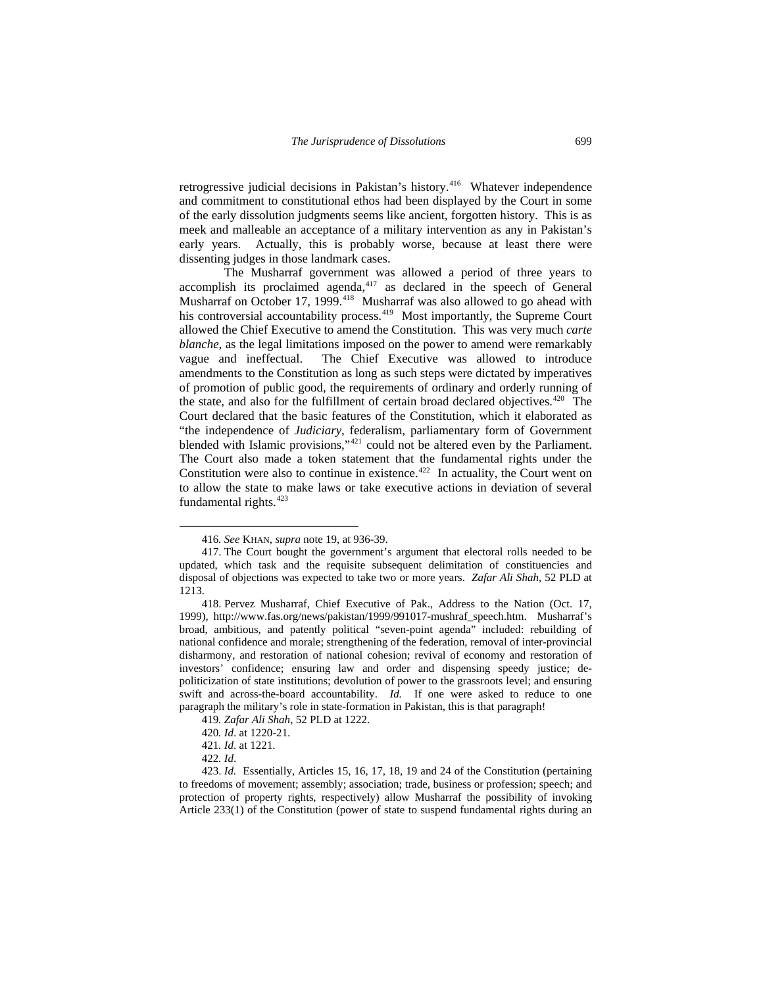retrogressive judicial decisions in Pakistan's history.[416](#page-84-0) Whatever independence and commitment to constitutional ethos had been displayed by the Court in some of the early dissolution judgments seems like ancient, forgotten history. This is as meek and malleable an acceptance of a military intervention as any in Pakistan's early years. Actually, this is probably worse, because at least there were dissenting judges in those landmark cases.

The Musharraf government was allowed a period of three years to accomplish its proclaimed agenda, $417$  as declared in the speech of General Musharraf on October 17, 1999.<sup>[418](#page-84-2)</sup> Musharraf was also allowed to go ahead with his controversial accountability process.<sup>[419](#page-84-3)</sup> Most importantly, the Supreme Court allowed the Chief Executive to amend the Constitution. This was very much *carte blanche*, as the legal limitations imposed on the power to amend were remarkably vague and ineffectual. The Chief Executive was allowed to introduce amendments to the Constitution as long as such steps were dictated by imperatives of promotion of public good, the requirements of ordinary and orderly running of the state, and also for the fulfillment of certain broad declared objectives. $420$  The Court declared that the basic features of the Constitution, which it elaborated as "the independence of *Judiciary*, federalism, parliamentary form of Government blended with Islamic provisions,"[421](#page-84-5) could not be altered even by the Parliament. The Court also made a token statement that the fundamental rights under the Constitution were also to continue in existence.<sup>[422](#page-84-6)</sup> In actuality, the Court went on to allow the state to make laws or take executive actions in deviation of several fundamental rights. $423$ 

<sup>416</sup>*. See* KHAN, *supra* note 19, at 936-39.

<span id="page-84-1"></span><span id="page-84-0"></span><sup>417.</sup> The Court bought the government's argument that electoral rolls needed to be updated, which task and the requisite subsequent delimitation of constituencies and disposal of objections was expected to take two or more years. *Zafar Ali Shah*, 52 PLD at 1213.

<span id="page-84-2"></span><sup>418.</sup> Pervez Musharraf, Chief Executive of Pak., Address to the Nation (Oct. 17, 1999), http://www.fas.org/news/pakistan/1999/991017-mushraf\_speech.htm. Musharraf's broad, ambitious, and patently political "seven-point agenda" included: rebuilding of national confidence and morale; strengthening of the federation, removal of inter-provincial disharmony, and restoration of national cohesion; revival of economy and restoration of investors' confidence; ensuring law and order and dispensing speedy justice; depoliticization of state institutions; devolution of power to the grassroots level; and ensuring swift and across-the-board accountability. *Id.* If one were asked to reduce to one paragraph the military's role in state-formation in Pakistan, this is that paragraph!

<sup>419</sup>*. Zafar Ali Shah*, 52 PLD at 1222.

<sup>420</sup>*. Id*. at 1220-21.

<sup>421</sup>*. Id*. at 1221.

<sup>422</sup>*. Id*.

<span id="page-84-7"></span><span id="page-84-6"></span><span id="page-84-5"></span><span id="page-84-4"></span><span id="page-84-3"></span><sup>423.</sup> *Id.* Essentially, Articles 15, 16, 17, 18, 19 and 24 of the Constitution (pertaining to freedoms of movement; assembly; association; trade, business or profession; speech; and protection of property rights, respectively) allow Musharraf the possibility of invoking Article 233(1) of the Constitution (power of state to suspend fundamental rights during an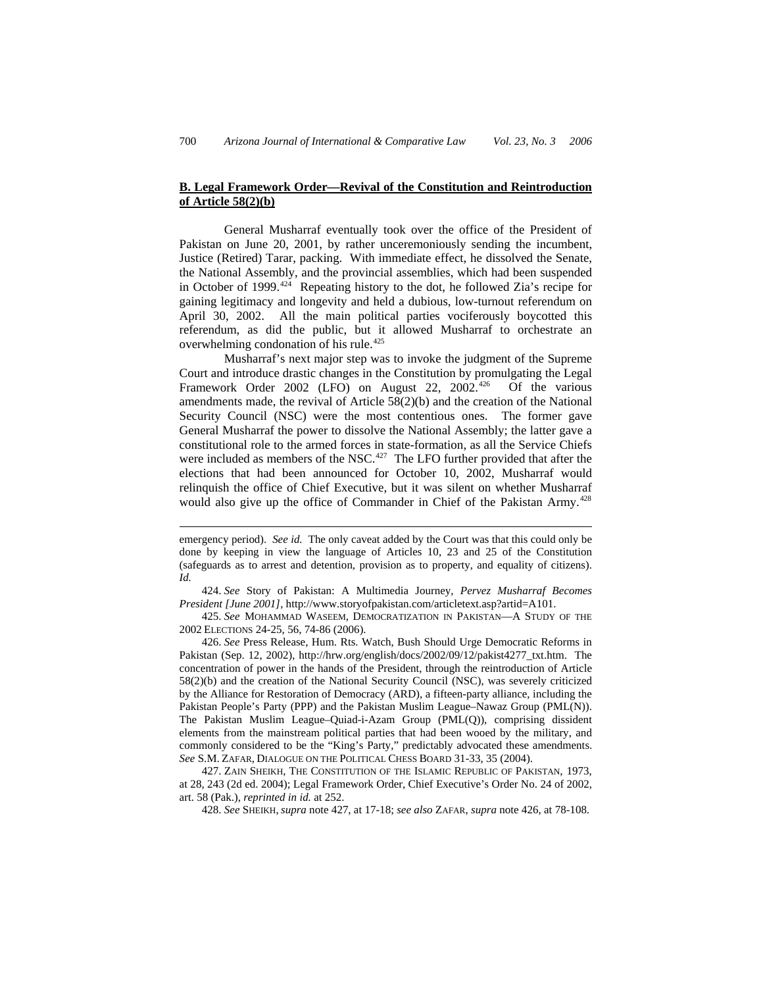# **B. Legal Framework Order—Revival of the Constitution and Reintroduction of Article 58(2)(b)**

General Musharraf eventually took over the office of the President of Pakistan on June 20, 2001, by rather unceremoniously sending the incumbent, Justice (Retired) Tarar, packing. With immediate effect, he dissolved the Senate, the National Assembly, and the provincial assemblies, which had been suspended in October of 1999. $424$  Repeating history to the dot, he followed Zia's recipe for gaining legitimacy and longevity and held a dubious, low-turnout referendum on April 30, 2002. All the main political parties vociferously boycotted this referendum, as did the public, but it allowed Musharraf to orchestrate an overwhelming condonation of his rule.<sup>[425](#page-85-1)</sup>

Musharraf's next major step was to invoke the judgment of the Supreme Court and introduce drastic changes in the Constitution by promulgating the Legal Framework Order 2002 (LFO) on August 22, 2002.<sup>[426](#page-85-2)</sup> Of the various amendments made, the revival of Article 58(2)(b) and the creation of the National Security Council (NSC) were the most contentious ones. The former gave General Musharraf the power to dissolve the National Assembly; the latter gave a constitutional role to the armed forces in state-formation, as all the Service Chiefs were included as members of the NSC.<sup>[427](#page-85-3)</sup> The LFO further provided that after the elections that had been announced for October 10, 2002, Musharraf would relinquish the office of Chief Executive, but it was silent on whether Musharraf would also give up the office of Commander in Chief of the Pakistan Army.<sup>[428](#page-85-4)</sup>

-

<span id="page-85-0"></span>424. *See* Story of Pakistan: A Multimedia Journey, *Pervez Musharraf Becomes President [June 2001]*, http://www.storyofpakistan.com/articletext.asp?artid=A101.

<span id="page-85-1"></span>425. *See* MOHAMMAD WASEEM, DEMOCRATIZATION IN PAKISTAN—A STUDY OF THE 2002 ELECTIONS 24-25, 56, 74-86 (2006).

<span id="page-85-2"></span>426. *See* Press Release, Hum. Rts. Watch, Bush Should Urge Democratic Reforms in Pakistan (Sep. 12, 2002), http://hrw.org/english/docs/2002/09/12/pakist4277\_txt.htm. The concentration of power in the hands of the President, through the reintroduction of Article 58(2)(b) and the creation of the National Security Council (NSC), was severely criticized by the Alliance for Restoration of Democracy (ARD), a fifteen-party alliance, including the Pakistan People's Party (PPP) and the Pakistan Muslim League–Nawaz Group (PML(N)). The Pakistan Muslim League–Quiad-i-Azam Group (PML(Q)), comprising dissident elements from the mainstream political parties that had been wooed by the military, and commonly considered to be the "King's Party," predictably advocated these amendments. *See* S.M. ZAFAR, DIALOGUE ON THE POLITICAL CHESS BOARD 31-33, 35 (2004).

<span id="page-85-4"></span><span id="page-85-3"></span>427. ZAIN SHEIKH, THE CONSTITUTION OF THE ISLAMIC REPUBLIC OF PAKISTAN, 1973, at 28, 243 (2d ed. 2004); Legal Framework Order, Chief Executive's Order No. 24 of 2002, art. 58 (Pak.), *reprinted in id.* at 252.

428. *See* SHEIKH, *supra* note 427, at 17-18; *see also* ZAFAR, *supra* note 426, at 78-108.

emergency period). *See id.* The only caveat added by the Court was that this could only be done by keeping in view the language of Articles 10, 23 and 25 of the Constitution (safeguards as to arrest and detention, provision as to property, and equality of citizens). *Id.*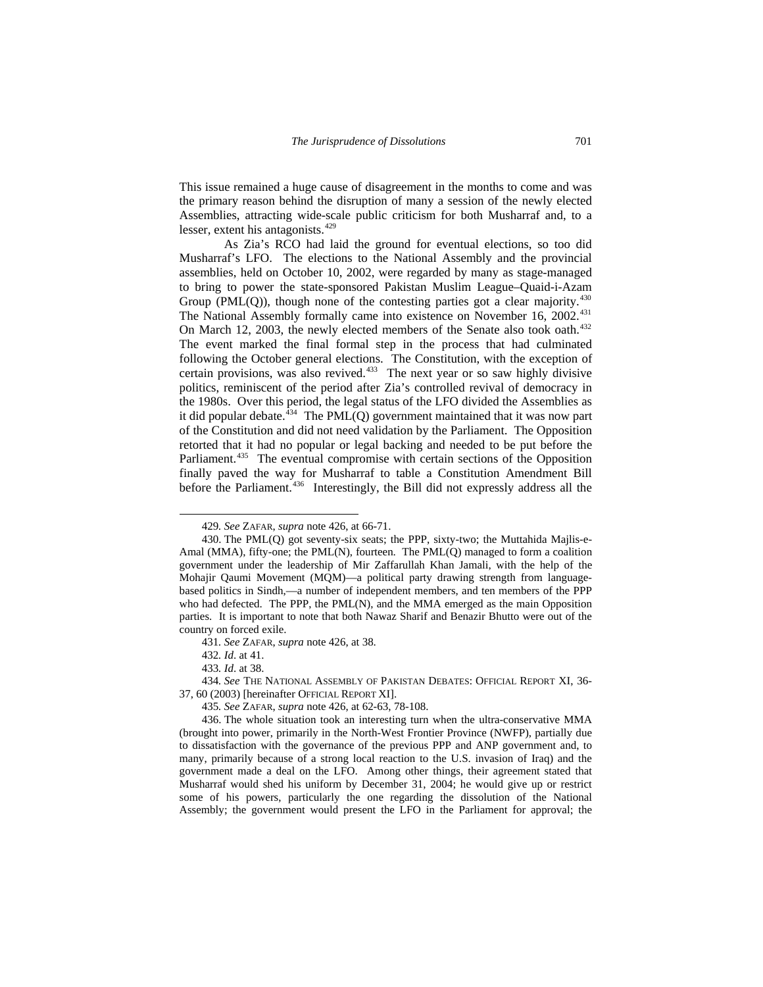This issue remained a huge cause of disagreement in the months to come and was the primary reason behind the disruption of many a session of the newly elected Assemblies, attracting wide-scale public criticism for both Musharraf and, to a lesser, extent his antagonists.<sup>[429](#page-86-0)</sup>

As Zia's RCO had laid the ground for eventual elections, so too did Musharraf's LFO. The elections to the National Assembly and the provincial assemblies, held on October 10, 2002, were regarded by many as stage-managed to bring to power the state-sponsored Pakistan Muslim League–Quaid-i-Azam Group (PML(Q)), though none of the contesting parties got a clear majority.<sup>[430](#page-86-1)</sup> The National Assembly formally came into existence on November 16, 2002.<sup>[431](#page-86-2)</sup> On March 12, 2003, the newly elected members of the Senate also took oath.<sup>[432](#page-86-3)</sup> The event marked the final formal step in the process that had culminated following the October general elections. The Constitution, with the exception of certain provisions, was also revived. $433$  The next year or so saw highly divisive politics, reminiscent of the period after Zia's controlled revival of democracy in the 1980s. Over this period, the legal status of the LFO divided the Assemblies as it did popular debate.<sup>[434](#page-86-5)</sup> The PML(Q) government maintained that it was now part of the Constitution and did not need validation by the Parliament. The Opposition retorted that it had no popular or legal backing and needed to be put before the Parliament.<sup>[435](#page-86-6)</sup> The eventual compromise with certain sections of the Opposition finally paved the way for Musharraf to table a Constitution Amendment Bill before the Parliament.<sup>[436](#page-86-7)</sup> Interestingly, the Bill did not expressly address all the

 $\overline{\phantom{a}}$ 

<span id="page-86-5"></span><span id="page-86-4"></span><span id="page-86-3"></span><span id="page-86-2"></span>434*. See* THE NATIONAL ASSEMBLY OF PAKISTAN DEBATES: OFFICIAL REPORT XI, 36- 37, 60 (2003) [hereinafter OFFICIAL REPORT XI].

<sup>429</sup>*. See* ZAFAR, *supra* note 426, at 66-71.

<span id="page-86-1"></span><span id="page-86-0"></span><sup>430.</sup> The PML(Q) got seventy-six seats; the PPP, sixty-two; the Muttahida Majlis-e-Amal (MMA), fifty-one; the PML(N), fourteen. The PML(Q) managed to form a coalition government under the leadership of Mir Zaffarullah Khan Jamali, with the help of the Mohajir Qaumi Movement (MQM)—a political party drawing strength from languagebased politics in Sindh,—a number of independent members, and ten members of the PPP who had defected. The PPP, the PML(N), and the MMA emerged as the main Opposition parties. It is important to note that both Nawaz Sharif and Benazir Bhutto were out of the country on forced exile.

<sup>431</sup>*. See* ZAFAR, *supra* note 426, at 38.

<sup>432</sup>*. Id*. at 41.

<sup>433</sup>*. Id*. at 38.

<sup>435</sup>*. See* ZAFAR, *supra* note 426, at 62-63, 78-108.

<span id="page-86-7"></span><span id="page-86-6"></span><sup>436.</sup> The whole situation took an interesting turn when the ultra-conservative MMA (brought into power, primarily in the North-West Frontier Province (NWFP), partially due to dissatisfaction with the governance of the previous PPP and ANP government and, to many, primarily because of a strong local reaction to the U.S. invasion of Iraq) and the government made a deal on the LFO. Among other things, their agreement stated that Musharraf would shed his uniform by December 31, 2004; he would give up or restrict some of his powers, particularly the one regarding the dissolution of the National Assembly; the government would present the LFO in the Parliament for approval; the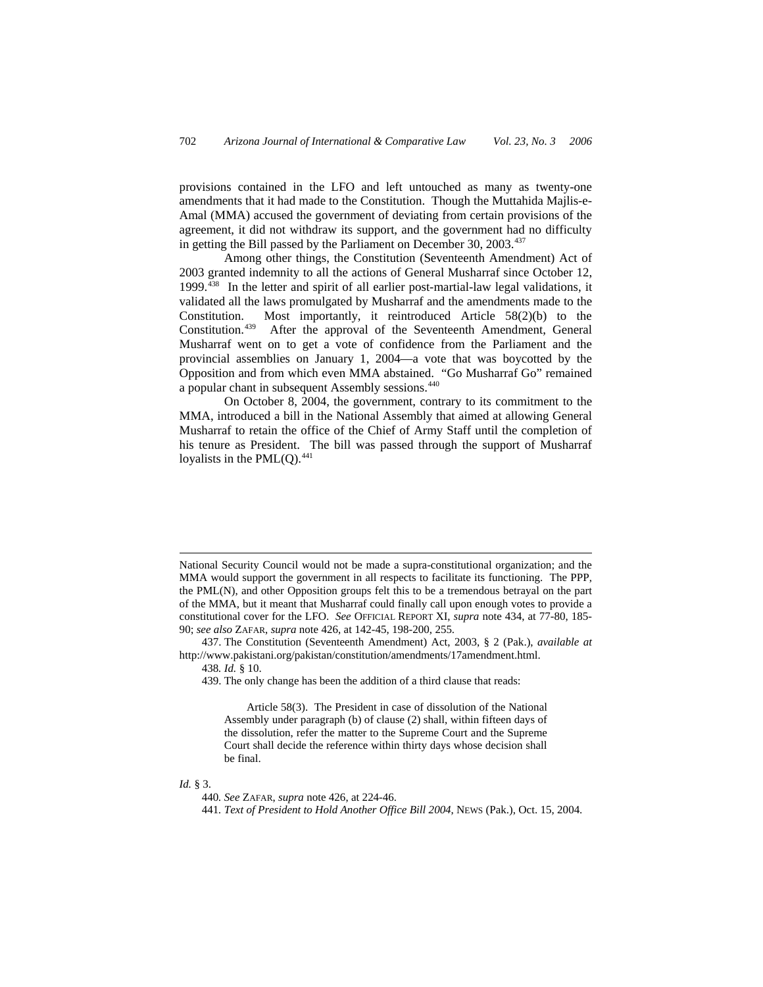provisions contained in the LFO and left untouched as many as twenty-one amendments that it had made to the Constitution. Though the Muttahida Majlis-e-Amal (MMA) accused the government of deviating from certain provisions of the agreement, it did not withdraw its support, and the government had no difficulty in getting the Bill passed by the Parliament on December 30, 2003.<sup>[437](#page-87-0)</sup>

Among other things, the Constitution (Seventeenth Amendment) Act of 2003 granted indemnity to all the actions of General Musharraf since October 12, 1999.[438](#page-87-1) In the letter and spirit of all earlier post-martial-law legal validations, it validated all the laws promulgated by Musharraf and the amendments made to the Constitution. Most importantly, it reintroduced Article 58(2)(b) to the Constitution.[439](#page-87-2) After the approval of the Seventeenth Amendment, General Musharraf went on to get a vote of confidence from the Parliament and the provincial assemblies on January 1, 2004—a vote that was boycotted by the Opposition and from which even MMA abstained. "Go Musharraf Go" remained a popular chant in subsequent Assembly sessions.<sup>[440](#page-87-3)</sup>

On October 8, 2004, the government, contrary to its commitment to the MMA, introduced a bill in the National Assembly that aimed at allowing General Musharraf to retain the office of the Chief of Army Staff until the completion of his tenure as President. The bill was passed through the support of Musharraf loyalists in the  $PML(Q)$ .<sup>[441](#page-87-4)</sup>

Article 58(3). The President in case of dissolution of the National Assembly under paragraph (b) of clause (2) shall, within fifteen days of the dissolution, refer the matter to the Supreme Court and the Supreme Court shall decide the reference within thirty days whose decision shall be final.

# <span id="page-87-4"></span><span id="page-87-3"></span>*Id.* § 3.

National Security Council would not be made a supra-constitutional organization; and the MMA would support the government in all respects to facilitate its functioning. The PPP, the PML(N), and other Opposition groups felt this to be a tremendous betrayal on the part of the MMA, but it meant that Musharraf could finally call upon enough votes to provide a constitutional cover for the LFO. *See* OFFICIAL REPORT XI, *supra* note 434, at 77-80, 185- 90; *see also* ZAFAR, *supra* note 426, at 142-45, 198-200, 255.

<span id="page-87-2"></span><span id="page-87-1"></span><span id="page-87-0"></span><sup>437.</sup> The Constitution (Seventeenth Amendment) Act, 2003, § 2 (Pak.), *available at*  http://www.pakistani.org/pakistan/constitution/amendments/17amendment.html.

<sup>438</sup>*. Id.* § 10.

<sup>439.</sup> The only change has been the addition of a third clause that reads:

<sup>440</sup>*. See* ZAFAR, *supra* note 426, at 224-46.

<sup>441</sup>*. Text of President to Hold Another Office Bill 2004*, NEWS (Pak.), Oct. 15, 2004.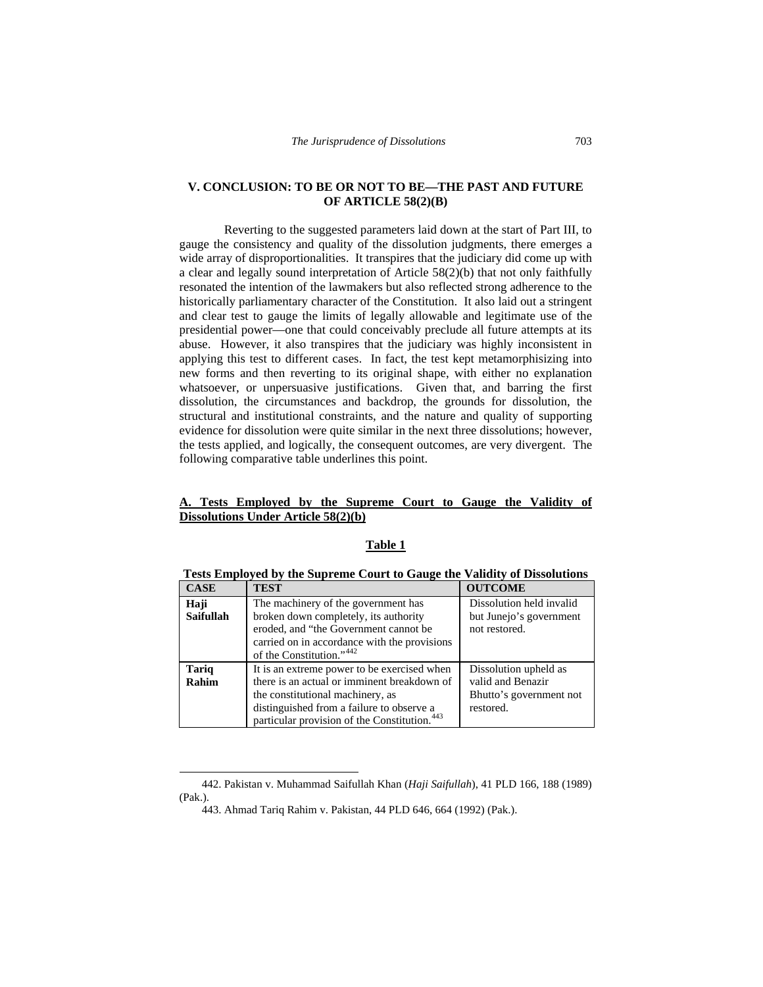# **V. CONCLUSION: TO BE OR NOT TO BE—THE PAST AND FUTURE OF ARTICLE 58(2)(B)**

Reverting to the suggested parameters laid down at the start of Part III, to gauge the consistency and quality of the dissolution judgments, there emerges a wide array of disproportionalities. It transpires that the judiciary did come up with a clear and legally sound interpretation of Article 58(2)(b) that not only faithfully resonated the intention of the lawmakers but also reflected strong adherence to the historically parliamentary character of the Constitution. It also laid out a stringent and clear test to gauge the limits of legally allowable and legitimate use of the presidential power—one that could conceivably preclude all future attempts at its abuse. However, it also transpires that the judiciary was highly inconsistent in applying this test to different cases. In fact, the test kept metamorphisizing into new forms and then reverting to its original shape, with either no explanation whatsoever, or unpersuasive justifications. Given that, and barring the first dissolution, the circumstances and backdrop, the grounds for dissolution, the structural and institutional constraints, and the nature and quality of supporting evidence for dissolution were quite similar in the next three dissolutions; however, the tests applied, and logically, the consequent outcomes, are very divergent. The following comparative table underlines this point.

# **A. Tests Employed by the Supreme Court to Gauge the Validity of Dissolutions Under Article 58(2)(b)**

#### **Table 1**

|            | Tests Employed by the Supreme Court to Gauge the Validity of Dissolutions |                                   |
|------------|---------------------------------------------------------------------------|-----------------------------------|
| $\sqrt{4}$ | THROT                                                                     | $\triangle U T T C \triangle M T$ |

| <b>CASE</b>      | <b>TEST</b>                                              | <b>OUTCOME</b>           |  |  |
|------------------|----------------------------------------------------------|--------------------------|--|--|
| Haji             | The machinery of the government has                      | Dissolution held invalid |  |  |
| <b>Saifullah</b> | broken down completely, its authority                    | but Junejo's government  |  |  |
|                  | eroded, and "the Government cannot be                    | not restored.            |  |  |
|                  | carried on in accordance with the provisions             |                          |  |  |
|                  | of the Constitution." <sup>442</sup>                     |                          |  |  |
| <b>Tariq</b>     | It is an extreme power to be exercised when              | Dissolution upheld as    |  |  |
| Rahim            | there is an actual or imminent breakdown of              | valid and Benazir        |  |  |
|                  | the constitutional machinery, as                         | Bhutto's government not  |  |  |
|                  | distinguished from a failure to observe a                | restored.                |  |  |
|                  | particular provision of the Constitution. <sup>443</sup> |                          |  |  |

 $\overline{\phantom{a}}$ 

<span id="page-88-1"></span><span id="page-88-0"></span><sup>442.</sup> Pakistan v. Muhammad Saifullah Khan (*Haji Saifullah*), 41 PLD 166, 188 (1989) (Pak.).

<sup>443.</sup> Ahmad Tariq Rahim v. Pakistan, 44 PLD 646, 664 (1992) (Pak.).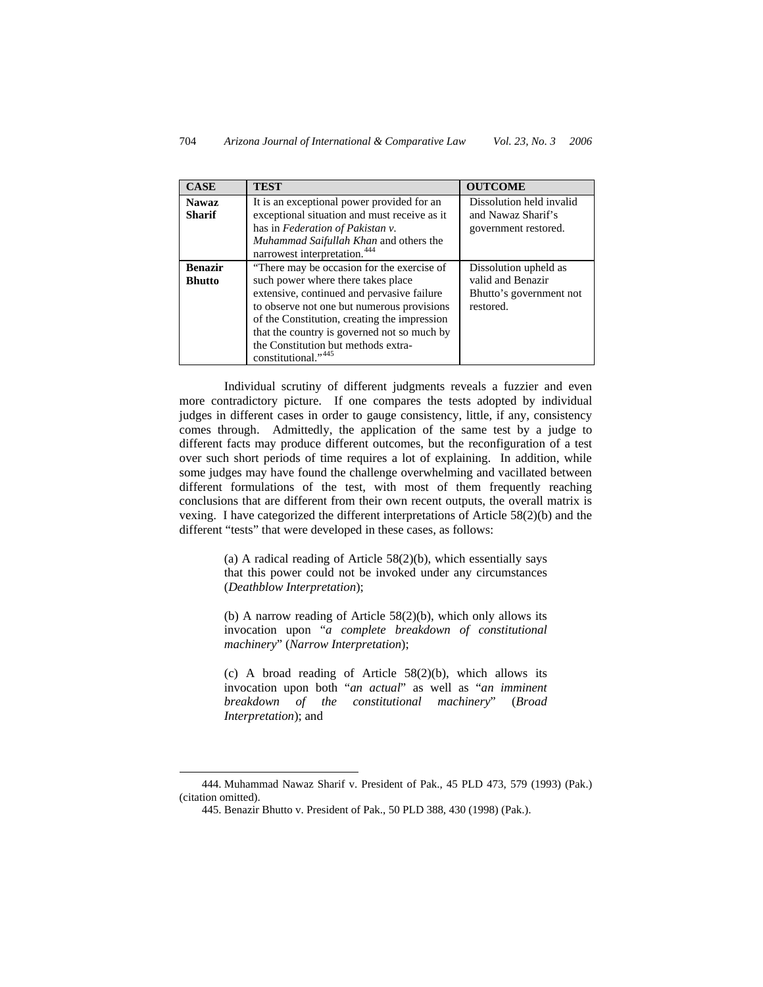| <b>CASE</b>                     | <b>TEST</b>                                                                                                                                                                                                                                                                                                                                           | <b>OUTCOME</b>                                                                     |
|---------------------------------|-------------------------------------------------------------------------------------------------------------------------------------------------------------------------------------------------------------------------------------------------------------------------------------------------------------------------------------------------------|------------------------------------------------------------------------------------|
| <b>Nawaz</b><br><b>Sharif</b>   | It is an exceptional power provided for an<br>exceptional situation and must receive as it<br>has in Federation of Pakistan v.<br>Muhammad Saifullah Khan and others the<br>narrowest interpretation. <sup>444</sup>                                                                                                                                  | Dissolution held invalid<br>and Nawaz Sharif's<br>government restored.             |
| <b>Benazir</b><br><b>Bhutto</b> | "There may be occasion for the exercise of<br>such power where there takes place<br>extensive, continued and pervasive failure<br>to observe not one but numerous provisions<br>of the Constitution, creating the impression<br>that the country is governed not so much by<br>the Constitution but methods extra-<br>constitutional." <sup>445</sup> | Dissolution upheld as<br>valid and Benazir<br>Bhutto's government not<br>restored. |

Individual scrutiny of different judgments reveals a fuzzier and even more contradictory picture. If one compares the tests adopted by individual judges in different cases in order to gauge consistency, little, if any, consistency comes through. Admittedly, the application of the same test by a judge to different facts may produce different outcomes, but the reconfiguration of a test over such short periods of time requires a lot of explaining. In addition, while some judges may have found the challenge overwhelming and vacillated between different formulations of the test, with most of them frequently reaching conclusions that are different from their own recent outputs, the overall matrix is vexing. I have categorized the different interpretations of Article 58(2)(b) and the different "tests" that were developed in these cases, as follows:

> (a) A radical reading of Article  $58(2)(b)$ , which essentially says that this power could not be invoked under any circumstances (*Deathblow Interpretation*);

> (b) A narrow reading of Article 58(2)(b), which only allows its invocation upon "*a complete breakdown of constitutional machinery*" (*Narrow Interpretation*);

> (c) A broad reading of Article  $58(2)(b)$ , which allows its invocation upon both "*an actual*" as well as "*an imminent breakdown of the constitutional machinery*" (*Broad Interpretation*); and

<span id="page-89-1"></span><span id="page-89-0"></span><sup>444.</sup> Muhammad Nawaz Sharif v. President of Pak., 45 PLD 473, 579 (1993) (Pak.) (citation omitted).

<sup>445.</sup> Benazir Bhutto v. President of Pak., 50 PLD 388, 430 (1998) (Pak.).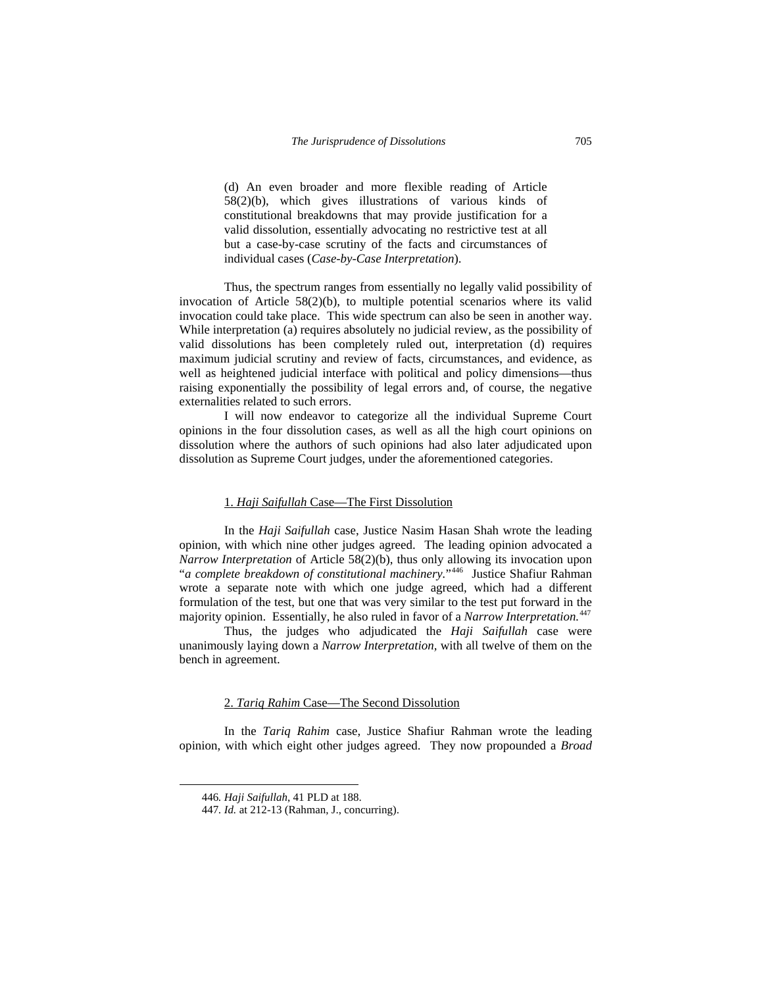(d) An even broader and more flexible reading of Article 58(2)(b), which gives illustrations of various kinds of constitutional breakdowns that may provide justification for a valid dissolution, essentially advocating no restrictive test at all but a case-by-case scrutiny of the facts and circumstances of individual cases (*Case-by-Case Interpretation*).

Thus, the spectrum ranges from essentially no legally valid possibility of invocation of Article 58(2)(b), to multiple potential scenarios where its valid invocation could take place. This wide spectrum can also be seen in another way. While interpretation (a) requires absolutely no judicial review, as the possibility of valid dissolutions has been completely ruled out, interpretation (d) requires maximum judicial scrutiny and review of facts, circumstances, and evidence, as well as heightened judicial interface with political and policy dimensions—thus raising exponentially the possibility of legal errors and, of course, the negative externalities related to such errors.

I will now endeavor to categorize all the individual Supreme Court opinions in the four dissolution cases, as well as all the high court opinions on dissolution where the authors of such opinions had also later adjudicated upon dissolution as Supreme Court judges, under the aforementioned categories.

## 1. *Haji Saifullah* Case—The First Dissolution

In the *Haji Saifullah* case, Justice Nasim Hasan Shah wrote the leading opinion, with which nine other judges agreed. The leading opinion advocated a *Narrow Interpretation* of Article 58(2)(b), thus only allowing its invocation upon "*a complete breakdown of constitutional machinery.*"[446](#page-90-0) Justice Shafiur Rahman wrote a separate note with which one judge agreed, which had a different formulation of the test, but one that was very similar to the test put forward in the majority opinion. Essentially, he also ruled in favor of a *Narrow Interpretation.*[447](#page-90-1)

Thus, the judges who adjudicated the *Haji Saifullah* case were unanimously laying down a *Narrow Interpretation,* with all twelve of them on the bench in agreement.

# 2. *Tariq Rahim* Case—The Second Dissolution

In the *Tariq Rahim* case, Justice Shafiur Rahman wrote the leading opinion, with which eight other judges agreed. They now propounded a *Broad* 

<span id="page-90-1"></span><span id="page-90-0"></span> $\overline{a}$ 

<sup>446</sup>*. Haji Saifullah*, 41 PLD at 188.

<sup>447</sup>*. Id.* at 212-13 (Rahman, J., concurring).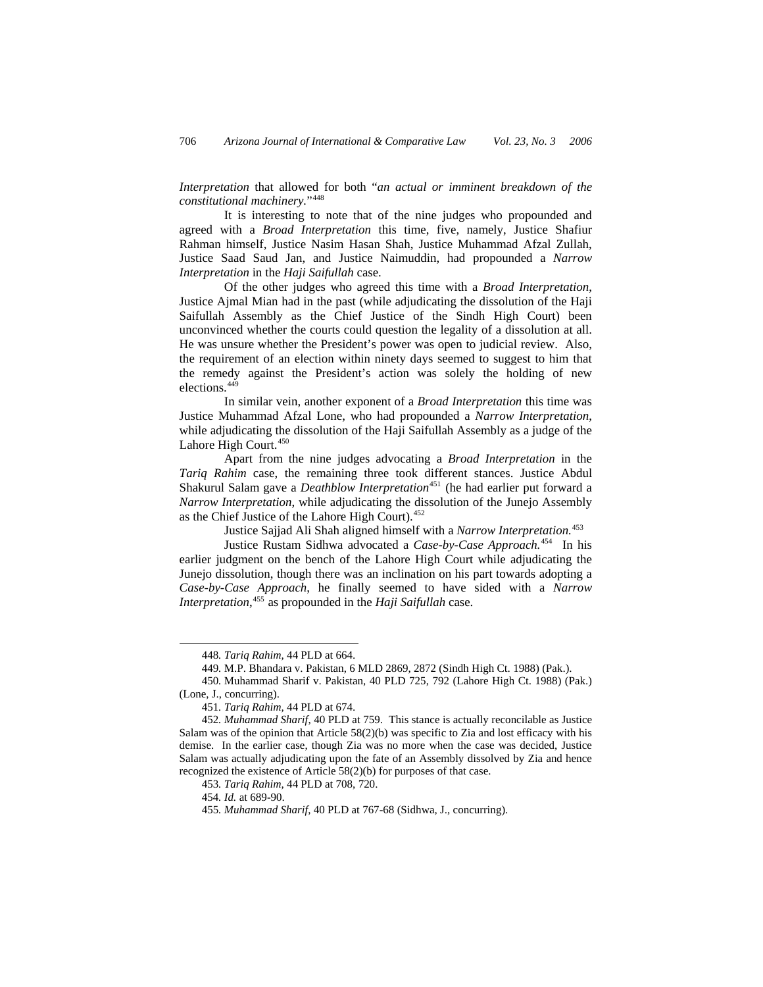*Interpretation* that allowed for both "*an actual or imminent breakdown of the constitutional machinery.*"[448](#page-91-0)

It is interesting to note that of the nine judges who propounded and agreed with a *Broad Interpretation* this time, five, namely, Justice Shafiur Rahman himself, Justice Nasim Hasan Shah, Justice Muhammad Afzal Zullah, Justice Saad Saud Jan, and Justice Naimuddin, had propounded a *Narrow Interpretation* in the *Haji Saifullah* case.

Of the other judges who agreed this time with a *Broad Interpretation*, Justice Ajmal Mian had in the past (while adjudicating the dissolution of the Haji Saifullah Assembly as the Chief Justice of the Sindh High Court) been unconvinced whether the courts could question the legality of a dissolution at all. He was unsure whether the President's power was open to judicial review. Also, the requirement of an election within ninety days seemed to suggest to him that the remedy against the President's action was solely the holding of new elections.[449](#page-91-1)

In similar vein, another exponent of a *Broad Interpretation* this time was Justice Muhammad Afzal Lone, who had propounded a *Narrow Interpretation*, while adjudicating the dissolution of the Haji Saifullah Assembly as a judge of the Lahore High Court.<sup>[450](#page-91-2)</sup>

Apart from the nine judges advocating a *Broad Interpretation* in the *Tariq Rahim* case, the remaining three took different stances. Justice Abdul Shakurul Salam gave a *Deathblow Interpretation*<sup>[451](#page-91-3)</sup> (he had earlier put forward a *Narrow Interpretation*, while adjudicating the dissolution of the Junejo Assembly as the Chief Justice of the Lahore High Court).<sup>[452](#page-91-4)</sup>

Justice Sajjad Ali Shah aligned himself with a *Narrow Interpretation.*[453](#page-91-5)

Justice Rustam Sidhwa advocated a *Case-by-Case Approach.*[454](#page-91-6) In his earlier judgment on the bench of the Lahore High Court while adjudicating the Junejo dissolution, though there was an inclination on his part towards adopting a *Case-by-Case Approach*, he finally seemed to have sided with a *Narrow Interpretation*, [455](#page-91-7) as propounded in the *Haji Saifullah* case.

<sup>448</sup>*. Tariq Rahim,* 44 PLD at 664.

<sup>449</sup>*.* M.P. Bhandara v. Pakistan, 6 MLD 2869, 2872 (Sindh High Ct. 1988) (Pak.).

<span id="page-91-2"></span><span id="page-91-1"></span><span id="page-91-0"></span><sup>450</sup>*.* Muhammad Sharif v. Pakistan, 40 PLD 725, 792 (Lahore High Ct. 1988) (Pak.) (Lone, J., concurring).

<sup>451</sup>*. Tariq Rahim,* 44 PLD at 674.

<span id="page-91-7"></span><span id="page-91-6"></span><span id="page-91-5"></span><span id="page-91-4"></span><span id="page-91-3"></span><sup>452</sup>*. Muhammad Sharif*, 40 PLD at 759. This stance is actually reconcilable as Justice Salam was of the opinion that Article  $58(2)(b)$  was specific to Zia and lost efficacy with his demise. In the earlier case, though Zia was no more when the case was decided, Justice Salam was actually adjudicating upon the fate of an Assembly dissolved by Zia and hence recognized the existence of Article 58(2)(b) for purposes of that case.

<sup>453</sup>*. Tariq Rahim,* 44 PLD at 708, 720.

<sup>454</sup>*. Id.* at 689-90.

<sup>455</sup>*. Muhammad Sharif*, 40 PLD at 767-68 (Sidhwa, J., concurring).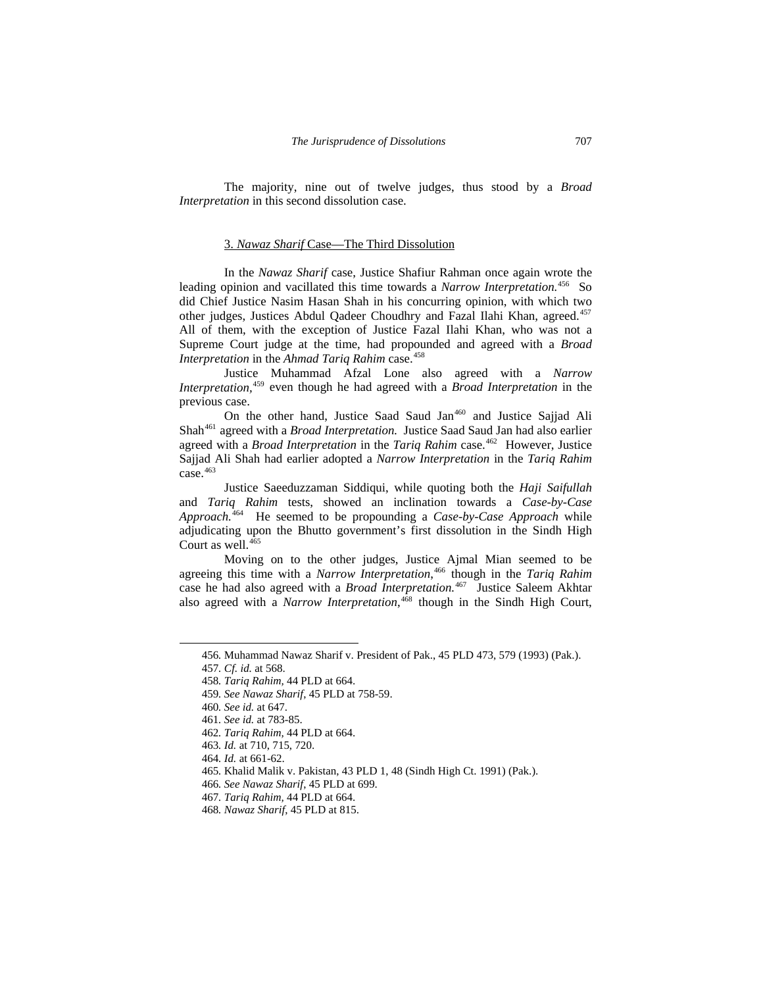The majority, nine out of twelve judges, thus stood by a *Broad Interpretation* in this second dissolution case.

#### 3. *Nawaz Sharif* Case—The Third Dissolution

In the *Nawaz Sharif* case, Justice Shafiur Rahman once again wrote the leading opinion and vacillated this time towards a *Narrow Interpretation.*[456](#page-92-0) So did Chief Justice Nasim Hasan Shah in his concurring opinion, with which two other judges, Justices Abdul Qadeer Choudhry and Fazal Ilahi Khan, agreed.<sup>[457](#page-92-1)</sup> All of them, with the exception of Justice Fazal Ilahi Khan, who was not a Supreme Court judge at the time, had propounded and agreed with a *Broad Interpretation* in the *Ahmad Tariq Rahim* case.<sup>[458](#page-92-2)</sup>

Justice Muhammad Afzal Lone also agreed with a *Narrow Interpretation,*[459](#page-92-3) even though he had agreed with a *Broad Interpretation* in the previous case.

On the other hand, Justice Saad Saud Jan<sup>[460](#page-92-4)</sup> and Justice Sajjad Ali Shah[461](#page-92-5) agreed with a *Broad Interpretation.* Justice Saad Saud Jan had also earlier agreed with a *Broad Interpretation* in the *Tariq Rahim* case.[462](#page-92-6) However, Justice Sajjad Ali Shah had earlier adopted a *Narrow Interpretation* in the *Tariq Rahim*  $case.<sup>463</sup>$  $case.<sup>463</sup>$  $case.<sup>463</sup>$ 

Justice Saeeduzzaman Siddiqui, while quoting both the *Haji Saifullah* and *Tariq Rahim* tests, showed an inclination towards a *Case-by-Case Approach.*[464](#page-92-8) He seemed to be propounding a *Case-by-Case Approach* while adjudicating upon the Bhutto government's first dissolution in the Sindh High Court as well.<sup>[465](#page-92-9)</sup>

Moving on to the other judges, Justice Ajmal Mian seemed to be agreeing this time with a *Narrow Interpretation*, [466](#page-92-10) though in the *Tariq Rahim* case he had also agreed with a *Broad Interpretation.*[467](#page-92-11) Justice Saleem Akhtar also agreed with a *Narrow Interpretation*, [468](#page-92-12) though in the Sindh High Court,

- <span id="page-92-4"></span>460*. See id.* at 647.
- <span id="page-92-5"></span>461*. See id.* at 783-85.
- <span id="page-92-6"></span>462*. Tariq Rahim,* 44 PLD at 664.
- <span id="page-92-7"></span>463*. Id.* at 710, 715, 720.
- 464*. Id.* at 661-62.

<span id="page-92-0"></span><sup>456</sup>*.* Muhammad Nawaz Sharif v. President of Pak., 45 PLD 473, 579 (1993) (Pak.).

<span id="page-92-1"></span><sup>457</sup>*. Cf. id.* at 568.

<span id="page-92-2"></span><sup>458</sup>*. Tariq Rahim,* 44 PLD at 664.

<span id="page-92-3"></span><sup>459</sup>*. See Nawaz Sharif*, 45 PLD at 758-59.

<span id="page-92-11"></span><span id="page-92-10"></span><span id="page-92-9"></span><span id="page-92-8"></span><sup>465</sup>*.* Khalid Malik v. Pakistan, 43 PLD 1, 48 (Sindh High Ct. 1991) (Pak.).

<sup>466</sup>*. See Nawaz Sharif*, 45 PLD at 699.

<sup>467</sup>*. Tariq Rahim,* 44 PLD at 664.

<span id="page-92-12"></span><sup>468</sup>*. Nawaz Sharif*, 45 PLD at 815.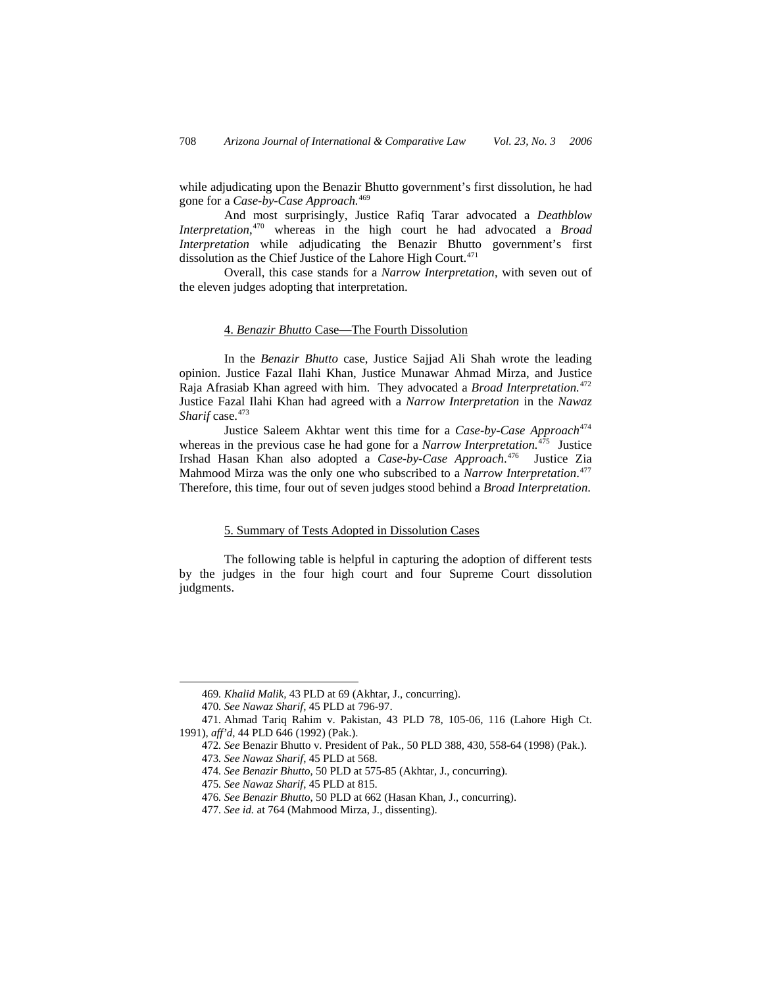while adjudicating upon the Benazir Bhutto government's first dissolution, he had gone for a *Case-by-Case Approach.*[469](#page-93-0)

And most surprisingly, Justice Rafiq Tarar advocated a *Deathblow Interpretation*, [470](#page-93-1) whereas in the high court he had advocated a *Broad Interpretation* while adjudicating the Benazir Bhutto government's first dissolution as the Chief Justice of the Lahore High Court.<sup>[471](#page-93-2)</sup>

Overall, this case stands for a *Narrow Interpretation*, with seven out of the eleven judges adopting that interpretation.

## 4. *Benazir Bhutto* Case—The Fourth Dissolution

In the *Benazir Bhutto* case, Justice Sajjad Ali Shah wrote the leading opinion. Justice Fazal Ilahi Khan, Justice Munawar Ahmad Mirza, and Justice Raja Afrasiab Khan agreed with him. They advocated a *Broad Interpretation.*[472](#page-93-3) Justice Fazal Ilahi Khan had agreed with a *Narrow Interpretation* in the *Nawaz Sharif* case.<sup>[473](#page-93-4)</sup>

Justice Saleem Akhtar went this time for a *Case-by-Case Approach*<sup>[474](#page-93-5)</sup> whereas in the previous case he had gone for a *Narrow Interpretation*.<sup>[475](#page-93-6)</sup> Justice Irshad Hasan Khan also adopted a *Case-by-Case Approach*. [476](#page-93-7) Justice Zia Mahmood Mirza was the only one who subscribed to a *Narrow Interpretation*. [477](#page-93-8) Therefore, this time, four out of seven judges stood behind a *Broad Interpretation*.

## 5. Summary of Tests Adopted in Dissolution Cases

The following table is helpful in capturing the adoption of different tests by the judges in the four high court and four Supreme Court dissolution judgments.

<span id="page-93-0"></span> $\overline{\phantom{a}}$ 

<sup>469</sup>*. Khalid Malik,* 43 PLD at 69 (Akhtar, J., concurring).

<sup>470</sup>*. See Nawaz Sharif*, 45 PLD at 796-97.

<span id="page-93-8"></span><span id="page-93-7"></span><span id="page-93-6"></span><span id="page-93-5"></span><span id="page-93-4"></span><span id="page-93-3"></span><span id="page-93-2"></span><span id="page-93-1"></span><sup>471</sup>*.* Ahmad Tariq Rahim v. Pakistan, 43 PLD 78, 105-06, 116 (Lahore High Ct. 1991), *aff'd*, 44 PLD 646 (1992) (Pak.).

<sup>472</sup>*. See* Benazir Bhutto v. President of Pak., 50 PLD 388, 430, 558-64 (1998) (Pak.).

<sup>473</sup>*. See Nawaz Sharif*, 45 PLD at 568.

<sup>474</sup>*. See Benazir Bhutto*, 50 PLD at 575-85 (Akhtar, J., concurring).

<sup>475</sup>*. See Nawaz Sharif*, 45 PLD at 815.

<sup>476</sup>*. See Benazir Bhutto*, 50 PLD at 662 (Hasan Khan, J., concurring).

<sup>477</sup>*. See id.* at 764 (Mahmood Mirza, J., dissenting).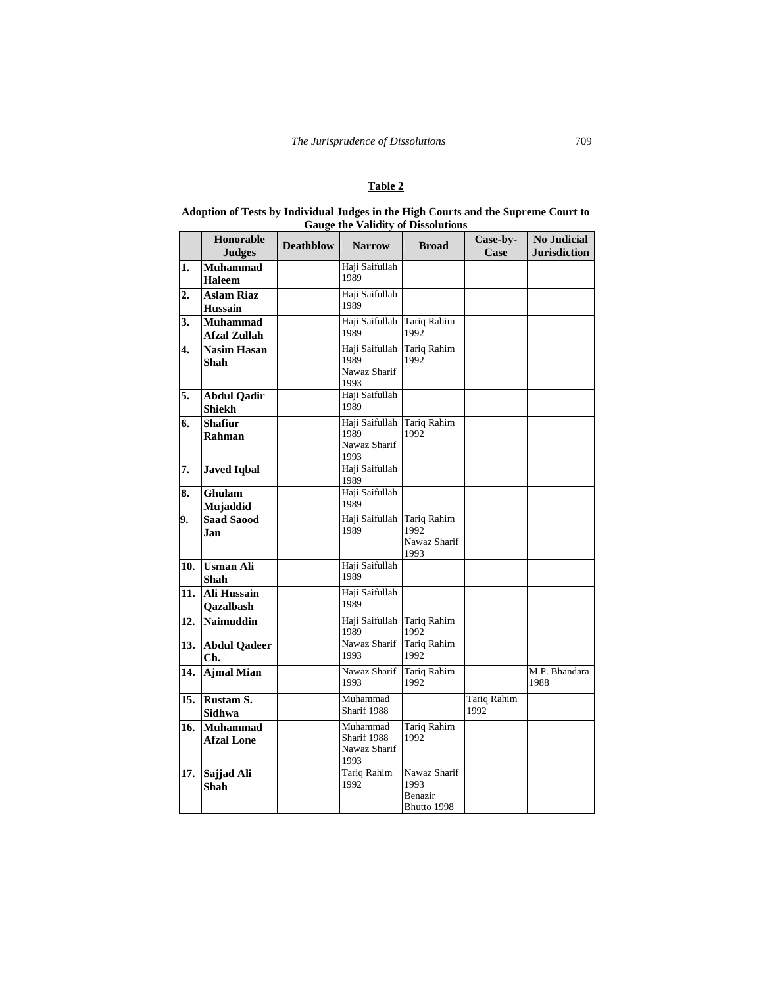# **Table 2**

#### **Adoption of Tests by Individual Judges in the High Courts and the Supreme Court to Gauge the Validity of Dissolutions**

|     | Honorable<br><b>Judges</b>             | <b>Deathblow</b> | <b>Narrow</b>                                              | <b>Broad</b>                                       | Case-by-<br>Case           | <b>No Judicial</b><br><b>Jurisdiction</b> |
|-----|----------------------------------------|------------------|------------------------------------------------------------|----------------------------------------------------|----------------------------|-------------------------------------------|
| 1.  | <b>Muhammad</b><br>Haleem              |                  | Haji Saifullah<br>1989                                     |                                                    |                            |                                           |
| 2.  | <b>Aslam Riaz</b><br><b>Hussain</b>    |                  | Haji Saifullah<br>1989                                     |                                                    |                            |                                           |
| 3.  | <b>Muhammad</b><br><b>Afzal Zullah</b> |                  | Haji Saifullah Tariq Rahim<br>1989                         | 1992                                               |                            |                                           |
| 4.  | <b>Nasim Hasan</b><br>Shah             |                  | Haji Saifullah Tariq Rahim<br>1989<br>Nawaz Sharif<br>1993 | 1992                                               |                            |                                           |
| 5.  | <b>Abdul Qadir</b><br>Shiekh           |                  | Haji Saifullah<br>1989                                     |                                                    |                            |                                           |
| 6.  | <b>Shafiur</b><br>Rahman               |                  | Haji Saifullah<br>1989<br>Nawaz Sharif<br>1993             | <b>Tariq Rahim</b><br>1992                         |                            |                                           |
| 7.  | <b>Javed Iqbal</b>                     |                  | Haji Saifullah<br>1989                                     |                                                    |                            |                                           |
| 8.  | Ghulam<br>Mujaddid                     |                  | Haji Saifullah<br>1989                                     |                                                    |                            |                                           |
| 9.  | <b>Saad Saood</b><br>Jan.              |                  | Haji Saifullah<br>1989                                     | <b>Tariq Rahim</b><br>1992<br>Nawaz Sharif<br>1993 |                            |                                           |
| 10. | <b>Usman Ali</b><br><b>Shah</b>        |                  | Haji Saifullah<br>1989                                     |                                                    |                            |                                           |
| 11. | <b>Ali Hussain</b><br>Qazalbash        |                  | Haji Saifullah<br>1989                                     |                                                    |                            |                                           |
| 12. | <b>Naimuddin</b>                       |                  | Haji Saifullah Tariq Rahim<br>1989                         | 1992                                               |                            |                                           |
| 13. | <b>Abdul Qadeer</b><br>Ch.             |                  | Nawaz Sharif<br>1993                                       | <b>Tariq Rahim</b><br>1992                         |                            |                                           |
| 14. | <b>Ajmal Mian</b>                      |                  | Nawaz Sharif<br>1993                                       | <b>Tariq Rahim</b><br>1992                         |                            | M.P. Bhandara<br>1988                     |
| 15. | Rustam S.<br><b>Sidhwa</b>             |                  | Muhammad<br>Sharif 1988                                    |                                                    | <b>Tariq Rahim</b><br>1992 |                                           |
| 16. | <b>Muhammad</b><br><b>Afzal Lone</b>   |                  | Muhammad<br>Sharif 1988<br>Nawaz Sharif<br>1993            | <b>Tariq Rahim</b><br>1992                         |                            |                                           |
| 17. | Sajjad Ali<br><b>Shah</b>              |                  | <b>Tariq Rahim</b><br>1992                                 | Nawaz Sharif<br>1993<br>Benazir<br>Bhutto 1998     |                            |                                           |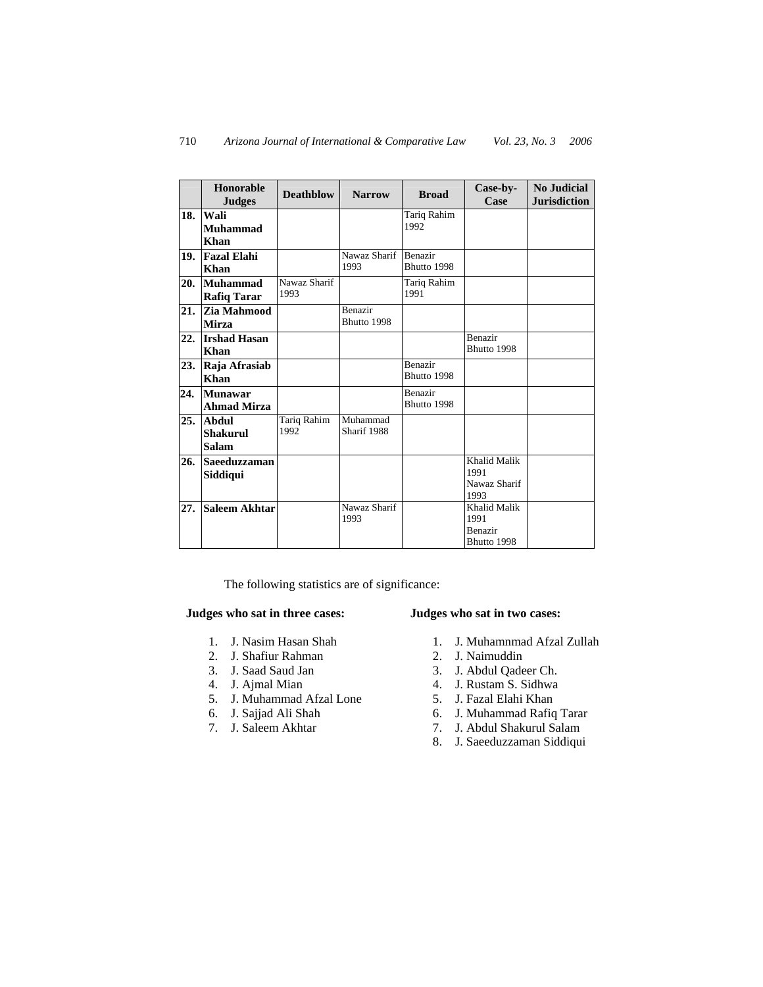|     | Honorable<br><b>Judges</b>        | <b>Deathblow</b>     | <b>Narrow</b>                 | <b>Broad</b>           | Case-by-<br>Case                                      | <b>No Judicial</b><br><b>Jurisdiction</b> |
|-----|-----------------------------------|----------------------|-------------------------------|------------------------|-------------------------------------------------------|-------------------------------------------|
| 18. | Wali<br><b>Muhammad</b><br>Khan   |                      |                               | Tariq Rahim<br>1992    |                                                       |                                           |
| 19. | <b>Fazal Elahi</b><br><b>Khan</b> |                      | Nawaz Sharif<br>1993          | Benazir<br>Bhutto 1998 |                                                       |                                           |
| 20. | Muhammad<br><b>Rafiq Tarar</b>    | Nawaz Sharif<br>1993 |                               | Tariq Rahim<br>1991    |                                                       |                                           |
| 21. | Zia Mahmood<br><b>Mirza</b>       |                      | <b>Benazir</b><br>Bhutto 1998 |                        |                                                       |                                           |
| 22. | <b>Irshad Hasan</b><br>Khan       |                      |                               |                        | Benazir<br>Bhutto 1998                                |                                           |
| 23. | Raja Afrasiab<br>Khan             |                      |                               | Benazir<br>Bhutto 1998 |                                                       |                                           |
| 24. | Munawar<br><b>Ahmad Mirza</b>     |                      |                               | Benazir<br>Bhutto 1998 |                                                       |                                           |
| 25. | Abdul<br>Shakurul<br><b>Salam</b> | Tariq Rahim<br>1992  | Muhammad<br>Sharif 1988       |                        |                                                       |                                           |
| 26. | Saeeduzzaman<br>Siddiqui          |                      |                               |                        | Khalid Malik<br>1991<br>Nawaz Sharif<br>1993          |                                           |
| 27. | Saleem Akhtar                     |                      | Nawaz Sharif<br>1993          |                        | <b>Khalid Malik</b><br>1991<br>Benazir<br>Bhutto 1998 |                                           |

The following statistics are of significance:

# **Judges who sat in three cases:**

- 1. J. Nasim Hasan Shah
- 2. J. Shafiur Rahman
- 3. J. Saad Saud Jan
- 4. J. Ajmal Mian
- 5. J. Muhammad Afzal Lone
- 6. J. Sajjad Ali Shah
- 7. J. Saleem Akhtar

# **Judges who sat in two cases:**

- 1. J. Muhamnmad Afzal Zullah
- 2. J. Naimuddin
- 3. J. Abdul Qadeer Ch.
- 4. J. Rustam S. Sidhwa
- 5. J. Fazal Elahi Khan
- 6. J. Muhammad Rafiq Tarar
- 7. J. Abdul Shakurul Salam
- 8. J. Saeeduzzaman Siddiqui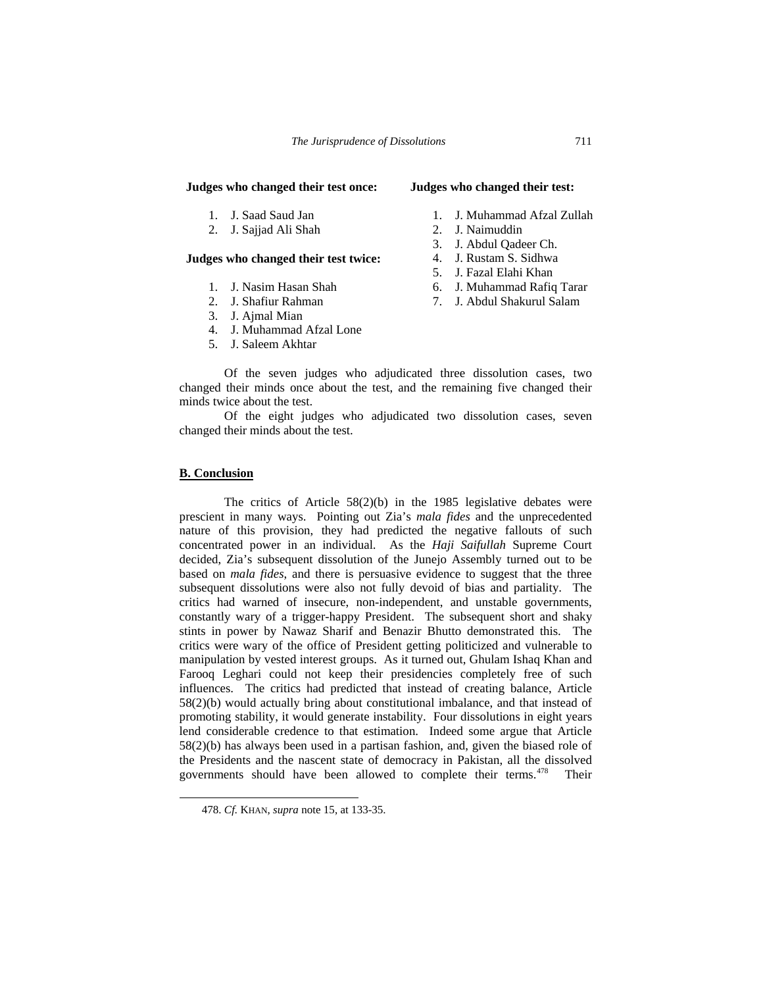## **Judges who changed their test once:**

## 1. J. Saad Saud Jan

2. J. Sajjad Ali Shah

# **Judges who changed their test twice:**

- 1. J. Nasim Hasan Shah
- 2. J. Shafiur Rahman
- 3. J. Ajmal Mian
- 4. J. Muhammad Afzal Lone
- 5. J. Saleem Akhtar

# **Judges who changed their test:**

- 1. J. Muhammad Afzal Zullah
- 2. J. Naimuddin
- 3. J. Abdul Qadeer Ch.
- 4. J. Rustam S. Sidhwa
- 5. J. Fazal Elahi Khan
- 6. J. Muhammad Rafiq Tarar
- 7. J. Abdul Shakurul Salam

Of the seven judges who adjudicated three dissolution cases, two changed their minds once about the test, and the remaining five changed their minds twice about the test.

Of the eight judges who adjudicated two dissolution cases, seven changed their minds about the test.

# **B. Conclusion**

<span id="page-96-0"></span>-

The critics of Article 58(2)(b) in the 1985 legislative debates were prescient in many ways. Pointing out Zia's *mala fides* and the unprecedented nature of this provision, they had predicted the negative fallouts of such concentrated power in an individual. As the *Haji Saifullah* Supreme Court decided, Zia's subsequent dissolution of the Junejo Assembly turned out to be based on *mala fides*, and there is persuasive evidence to suggest that the three subsequent dissolutions were also not fully devoid of bias and partiality. The critics had warned of insecure, non-independent, and unstable governments, constantly wary of a trigger-happy President. The subsequent short and shaky stints in power by Nawaz Sharif and Benazir Bhutto demonstrated this. The critics were wary of the office of President getting politicized and vulnerable to manipulation by vested interest groups. As it turned out, Ghulam Ishaq Khan and Farooq Leghari could not keep their presidencies completely free of such influences. The critics had predicted that instead of creating balance, Article 58(2)(b) would actually bring about constitutional imbalance, and that instead of promoting stability, it would generate instability. Four dissolutions in eight years lend considerable credence to that estimation. Indeed some argue that Article 58(2)(b) has always been used in a partisan fashion, and, given the biased role of the Presidents and the nascent state of democracy in Pakistan, all the dissolved governments should have been allowed to complete their terms.<sup>[478](#page-96-0)</sup> Their

<sup>478.</sup> *Cf.* KHAN, *supra* note 15, at 133-35.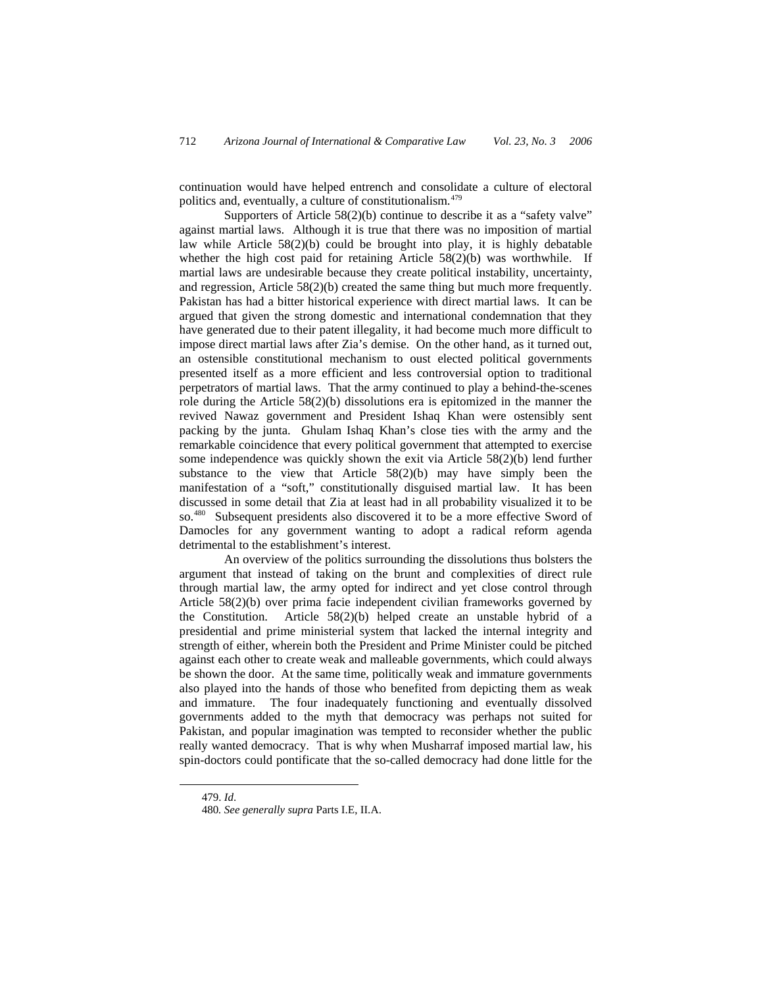continuation would have helped entrench and consolidate a culture of electoral politics and, eventually, a culture of constitutionalism.<sup>[479](#page-97-0)</sup>

Supporters of Article 58(2)(b) continue to describe it as a "safety valve" against martial laws. Although it is true that there was no imposition of martial law while Article 58(2)(b) could be brought into play, it is highly debatable whether the high cost paid for retaining Article 58(2)(b) was worthwhile. If martial laws are undesirable because they create political instability, uncertainty, and regression, Article 58(2)(b) created the same thing but much more frequently. Pakistan has had a bitter historical experience with direct martial laws. It can be argued that given the strong domestic and international condemnation that they have generated due to their patent illegality, it had become much more difficult to impose direct martial laws after Zia's demise. On the other hand, as it turned out, an ostensible constitutional mechanism to oust elected political governments presented itself as a more efficient and less controversial option to traditional perpetrators of martial laws. That the army continued to play a behind-the-scenes role during the Article 58(2)(b) dissolutions era is epitomized in the manner the revived Nawaz government and President Ishaq Khan were ostensibly sent packing by the junta. Ghulam Ishaq Khan's close ties with the army and the remarkable coincidence that every political government that attempted to exercise some independence was quickly shown the exit via Article 58(2)(b) lend further substance to the view that Article 58(2)(b) may have simply been the manifestation of a "soft," constitutionally disguised martial law. It has been discussed in some detail that Zia at least had in all probability visualized it to be so.[480](#page-97-1) Subsequent presidents also discovered it to be a more effective Sword of Damocles for any government wanting to adopt a radical reform agenda detrimental to the establishment's interest.

An overview of the politics surrounding the dissolutions thus bolsters the argument that instead of taking on the brunt and complexities of direct rule through martial law, the army opted for indirect and yet close control through Article 58(2)(b) over prima facie independent civilian frameworks governed by the Constitution. Article 58(2)(b) helped create an unstable hybrid of a presidential and prime ministerial system that lacked the internal integrity and strength of either, wherein both the President and Prime Minister could be pitched against each other to create weak and malleable governments, which could always be shown the door. At the same time, politically weak and immature governments also played into the hands of those who benefited from depicting them as weak and immature. The four inadequately functioning and eventually dissolved governments added to the myth that democracy was perhaps not suited for Pakistan, and popular imagination was tempted to reconsider whether the public really wanted democracy. That is why when Musharraf imposed martial law, his spin-doctors could pontificate that the so-called democracy had done little for the

<span id="page-97-1"></span><span id="page-97-0"></span> $\overline{a}$ 

<sup>479.</sup> *Id*.

<sup>480</sup>*. See generally supra* Parts I.E, II.A.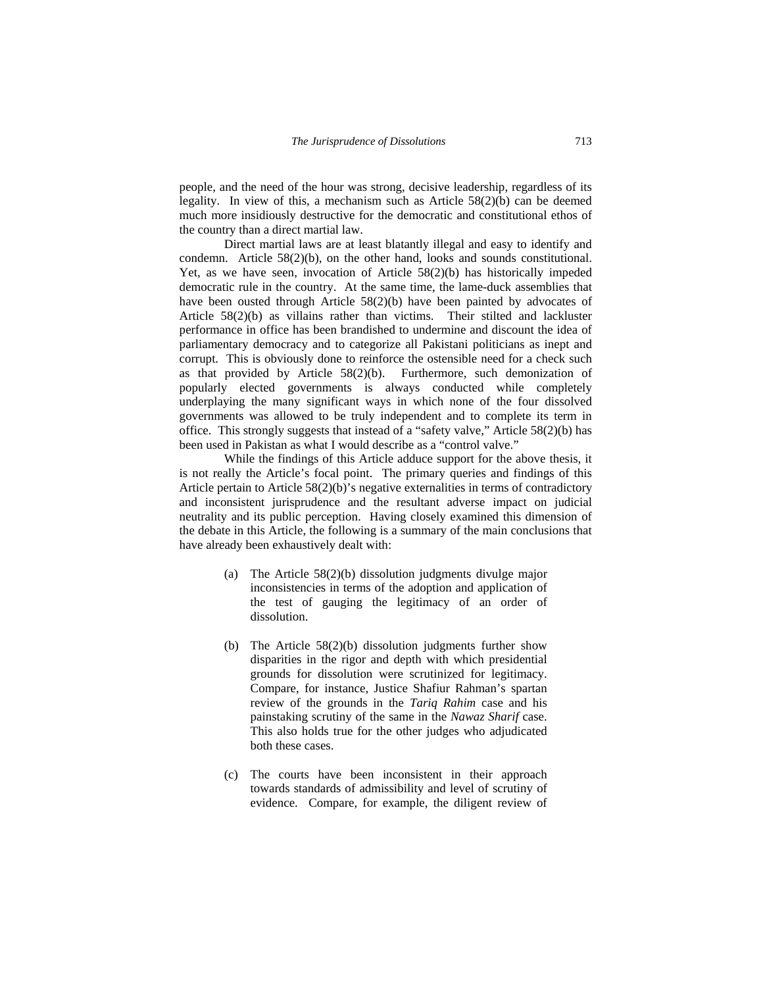people, and the need of the hour was strong, decisive leadership, regardless of its legality. In view of this, a mechanism such as Article  $58(2)(b)$  can be deemed much more insidiously destructive for the democratic and constitutional ethos of the country than a direct martial law.

Direct martial laws are at least blatantly illegal and easy to identify and condemn. Article 58(2)(b), on the other hand, looks and sounds constitutional. Yet, as we have seen, invocation of Article 58(2)(b) has historically impeded democratic rule in the country. At the same time, the lame-duck assemblies that have been ousted through Article 58(2)(b) have been painted by advocates of Article 58(2)(b) as villains rather than victims. Their stilted and lackluster performance in office has been brandished to undermine and discount the idea of parliamentary democracy and to categorize all Pakistani politicians as inept and corrupt. This is obviously done to reinforce the ostensible need for a check such as that provided by Article 58(2)(b). Furthermore, such demonization of popularly elected governments is always conducted while completely underplaying the many significant ways in which none of the four dissolved governments was allowed to be truly independent and to complete its term in office. This strongly suggests that instead of a "safety valve," Article 58(2)(b) has been used in Pakistan as what I would describe as a "control valve."

While the findings of this Article adduce support for the above thesis, it is not really the Article's focal point. The primary queries and findings of this Article pertain to Article 58(2)(b)'s negative externalities in terms of contradictory and inconsistent jurisprudence and the resultant adverse impact on judicial neutrality and its public perception. Having closely examined this dimension of the debate in this Article, the following is a summary of the main conclusions that have already been exhaustively dealt with:

- (a) The Article 58(2)(b) dissolution judgments divulge major inconsistencies in terms of the adoption and application of the test of gauging the legitimacy of an order of dissolution.
- (b) The Article 58(2)(b) dissolution judgments further show disparities in the rigor and depth with which presidential grounds for dissolution were scrutinized for legitimacy. Compare, for instance, Justice Shafiur Rahman's spartan review of the grounds in the *Tariq Rahim* case and his painstaking scrutiny of the same in the *Nawaz Sharif* case. This also holds true for the other judges who adjudicated both these cases.
- (c) The courts have been inconsistent in their approach towards standards of admissibility and level of scrutiny of evidence. Compare, for example, the diligent review of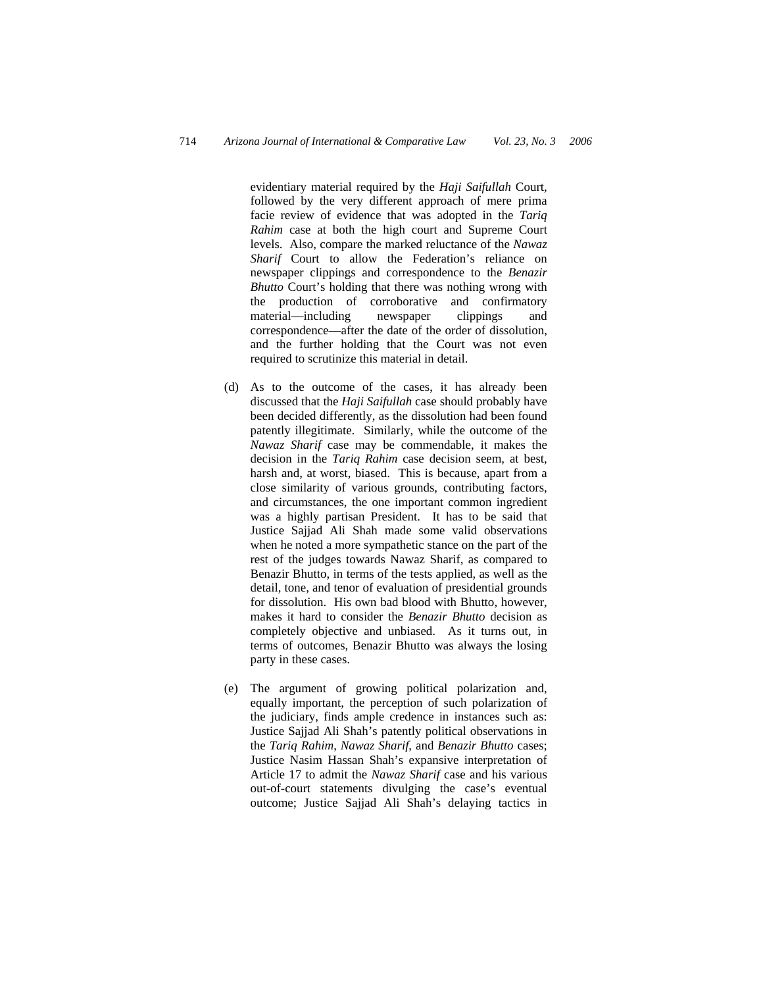evidentiary material required by the *Haji Saifullah* Court, followed by the very different approach of mere prima facie review of evidence that was adopted in the *Tariq Rahim* case at both the high court and Supreme Court levels. Also, compare the marked reluctance of the *Nawaz Sharif* Court to allow the Federation's reliance on newspaper clippings and correspondence to the *Benazir Bhutto* Court's holding that there was nothing wrong with the production of corroborative and confirmatory material—including newspaper clippings and correspondence—after the date of the order of dissolution, and the further holding that the Court was not even required to scrutinize this material in detail.

- (d) As to the outcome of the cases, it has already been discussed that the *Haji Saifullah* case should probably have been decided differently, as the dissolution had been found patently illegitimate. Similarly, while the outcome of the *Nawaz Sharif* case may be commendable, it makes the decision in the *Tariq Rahim* case decision seem, at best, harsh and, at worst, biased. This is because, apart from a close similarity of various grounds, contributing factors, and circumstances, the one important common ingredient was a highly partisan President. It has to be said that Justice Sajjad Ali Shah made some valid observations when he noted a more sympathetic stance on the part of the rest of the judges towards Nawaz Sharif, as compared to Benazir Bhutto, in terms of the tests applied, as well as the detail, tone, and tenor of evaluation of presidential grounds for dissolution. His own bad blood with Bhutto, however, makes it hard to consider the *Benazir Bhutto* decision as completely objective and unbiased. As it turns out, in terms of outcomes, Benazir Bhutto was always the losing party in these cases.
- (e) The argument of growing political polarization and, equally important, the perception of such polarization of the judiciary, finds ample credence in instances such as: Justice Sajjad Ali Shah's patently political observations in the *Tariq Rahim*, *Nawaz Sharif*, and *Benazir Bhutto* cases; Justice Nasim Hassan Shah's expansive interpretation of Article 17 to admit the *Nawaz Sharif* case and his various out-of-court statements divulging the case's eventual outcome; Justice Sajjad Ali Shah's delaying tactics in